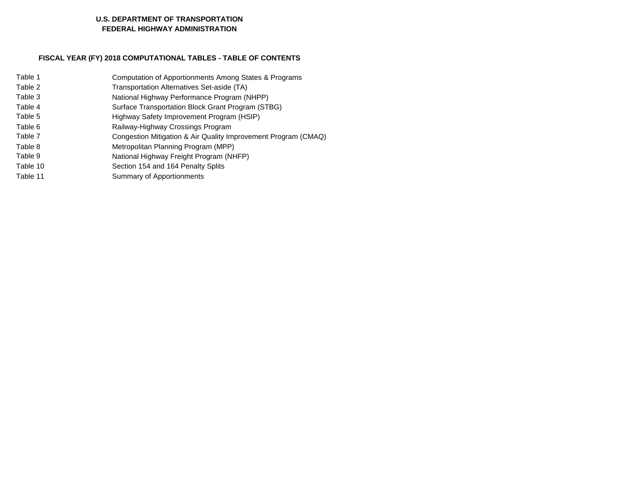#### **U.S. DEPARTMENT OF TRANSPORTATION FEDERAL HIGHWAY ADMINISTRATION**

### **FISCAL YEAR (FY) 2018 COMPUTATIONAL TABLES - TABLE OF CONTENTS**

| Computation of Apportionments Among States & Programs          |
|----------------------------------------------------------------|
| Transportation Alternatives Set-aside (TA)                     |
| National Highway Performance Program (NHPP)                    |
| Surface Transportation Block Grant Program (STBG)              |
| Highway Safety Improvement Program (HSIP)                      |
| Railway-Highway Crossings Program                              |
| Congestion Mitigation & Air Quality Improvement Program (CMAQ) |
| Metropolitan Planning Program (MPP)                            |
| National Highway Freight Program (NHFP)                        |
| Section 154 and 164 Penalty Splits                             |
| Summary of Apportionments                                      |
|                                                                |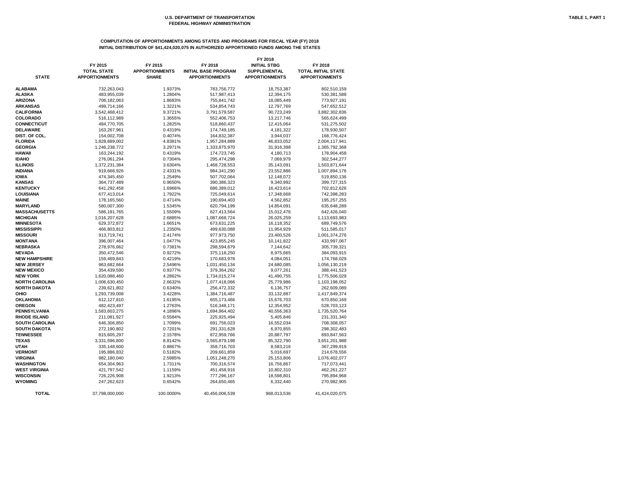# **COMPUTATION OF APPORTIONMENTS AMONG STATES AND PROGRAMS FOR FISCAL YEAR (FY) 2018 INITIAL DISTRIBUTION OF \$41,424,020,075 IN AUTHORIZED APPORTIONED FUNDS AMONG THE STATES**

| <b>STATE</b>                     | FY 2015<br><b>TOTAL STATE</b><br><b>APPORTIONMENTS</b> | FY 2015<br><b>APPORTIONMENTS</b><br><b>SHARE</b> | FY 2018<br><b>INITIAL BASE PROGRAM</b><br><b>APPORTIONMENTS</b> | FY 2018<br><b>INITIAL STBG</b><br><b>SUPPLEMENTAL</b><br><b>APPORTIONMENTS</b> | FY 2018<br><b>TOTAL INITIAL STATE</b><br><b>APPORTIONMENTS</b> |
|----------------------------------|--------------------------------------------------------|--------------------------------------------------|-----------------------------------------------------------------|--------------------------------------------------------------------------------|----------------------------------------------------------------|
| <b>ALABAMA</b>                   | 732,263,043                                            | 1.9373%                                          | 783,756,772                                                     | 18,753,387                                                                     | 802,510,159                                                    |
| <b>ALASKA</b>                    | 483,955,039                                            | 1.2804%                                          | 517,987,413                                                     | 12,394,175                                                                     | 530,381,588                                                    |
| <b>ARIZONA</b>                   | 706,182,063                                            | 1.8683%                                          | 755,841,742                                                     | 18,085,449                                                                     | 773,927,191                                                    |
| <b>ARKANSAS</b>                  | 499,714,166                                            | 1.3221%                                          | 534,854,743                                                     | 12,797,769                                                                     | 547,652,512                                                    |
| <b>CALIFORNIA</b>                | 3,542,468,412                                          | 9.3721%                                          | 3,791,579,587                                                   | 90,723,249                                                                     | 3,882,302,836                                                  |
| <b>COLORADO</b>                  | 516,112,989                                            | 1.3655%                                          | 552,406,753                                                     | 13,217,746                                                                     | 565,624,499                                                    |
| <b>CONNECTICUT</b>               | 484,770,705                                            | 1.2825%                                          | 518,860,437                                                     | 12,415,064                                                                     | 531,275,502                                                    |
| <b>DELAWARE</b>                  | 163,267,961                                            | 0.4319%                                          | 174,749,185                                                     | 4,181,322                                                                      | 178,930,507                                                    |
| DIST. OF COL.                    | 154,002,708                                            | 0.4074%                                          | 164,832,387                                                     | 3,944,037                                                                      | 168,776,424                                                    |
| <b>FLORIDA</b>                   | 1,828,689,002                                          | 4.8381%                                          | 1,957,284,889                                                   | 46,833,052                                                                     | 2,004,117,941                                                  |
| <b>GEORGIA</b>                   | 1,246,238,772                                          | 3.2971%                                          | 1,333,875,970                                                   | 31,916,398                                                                     | 1,365,792,368                                                  |
| <b>HAWAII</b>                    | 163,244,192                                            | 0.4319%                                          | 174,723,745                                                     | 4,180,713                                                                      | 178,904,458                                                    |
| <b>IDAHO</b>                     | 276,061,294                                            | 0.7304%                                          | 295,474,298                                                     | 7,069,979                                                                      | 302,544,277                                                    |
| <b>ILLINOIS</b>                  | 1,372,231,384                                          | 3.6304%                                          | 1,468,728,553                                                   | 35,143,091                                                                     | 1,503,871,644                                                  |
| <b>INDIANA</b>                   | 919,668,926                                            | 2.4331%                                          | 984,341,290                                                     | 23,552,886                                                                     | 1,007,894,176                                                  |
| <b>IOWA</b>                      | 474,345,450                                            | 1.2549%                                          | 507,702,064                                                     | 12,148,072                                                                     | 519,850,136                                                    |
| <b>KANSAS</b>                    | 364,737,489                                            | 0.9650%                                          | 390,386,323                                                     | 9,340,992                                                                      | 399,727,315                                                    |
| <b>KENTUCKY</b>                  | 641,292,458                                            | 1.6966%                                          | 686,389,012                                                     | 16,423,614                                                                     | 702,812,626                                                    |
| <b>LOUISIANA</b>                 | 677,413,014                                            | 1.7922%                                          | 725,049,614                                                     | 17,348,668                                                                     | 742,398,283                                                    |
| <b>MAINE</b>                     | 178,165,560                                            | 0.4714%                                          | 190,694,403                                                     | 4,562,852                                                                      | 195,257,255                                                    |
| <b>MARYLAND</b>                  | 580,007,300                                            | 1.5345%                                          | 620,794,199                                                     | 14,854,091                                                                     | 635,648,289                                                    |
| <b>MASSACHUSETTS</b>             | 586,191,765                                            | 1.5509%                                          | 627,413,564                                                     | 15,012,476                                                                     | 642,426,040                                                    |
| <b>MICHIGAN</b>                  | 1,016,207,628                                          | 2.6885%                                          | 1,087,668,724                                                   | 26,025,259                                                                     | 1,113,693,983                                                  |
| <b>MINNESOTA</b>                 | 629,372,872                                            | 1.6651%                                          | 673,631,225                                                     | 16,118,352                                                                     | 689,749,576                                                    |
| <b>MISSISSIPPI</b>               | 466,803,812                                            | 1.2350%                                          | 499,630,088                                                     | 11,954,929                                                                     | 511,585,017                                                    |
| <b>MISSOURI</b>                  | 913,719,741                                            | 2.4174%                                          | 977,973,750                                                     | 23,400,526                                                                     | 1,001,374,276                                                  |
| <b>MONTANA</b>                   | 396,007,464                                            | 1.0477%                                          | 423,855,245                                                     | 10,141,822                                                                     | 433,997,067                                                    |
| <b>NEBRASKA</b>                  | 278,976,662                                            | 0.7381%                                          | 298,594,679                                                     | 7,144,642                                                                      | 305,739,321                                                    |
| <b>NEVADA</b>                    | 350,472,546                                            | 0.9272%                                          | 375,118,250                                                     | 8,975,665                                                                      | 384,093,915                                                    |
| <b>NEW HAMPSHIRE</b>             | 159,469,843                                            | 0.4219%                                          | 170,683,978                                                     | 4,084,051                                                                      | 174,768,029                                                    |
| <b>NEW JERSEY</b>                | 963,682,664                                            | 2.5496%                                          | 1,031,450,134                                                   | 24,680,085                                                                     | 1,056,130,219                                                  |
| <b>NEW MEXICO</b>                | 354,439,590                                            | 0.9377%                                          | 379,364,262                                                     | 9,077,261                                                                      | 388,441,523                                                    |
| <b>NEW YORK</b>                  | 1,620,088,460                                          | 4.2862%                                          | 1,734,015,274                                                   | 41,490,755                                                                     | 1,775,506,029                                                  |
| <b>NORTH CAROLINA</b>            | 1,006,630,450                                          | 2.6632%                                          | 1,077,418,066                                                   | 25,779,986                                                                     | 1,103,198,052                                                  |
| <b>NORTH DAKOTA</b>              | 239,621,802                                            | 0.6340%                                          | 256,472,332                                                     | 6,136,757                                                                      | 262,609,089                                                    |
| <b>OHIO</b>                      | 1,293,739,008                                          | 3.4228%                                          | 1,384,716,487                                                   | 33,132,887                                                                     | 1,417,849,374                                                  |
| <b>OKLAHOMA</b><br><b>OREGON</b> | 612,127,810<br>482,423,497                             | 1.6195%<br>1.2763%                               | 655,173,466                                                     | 15,676,703                                                                     | 670,850,169                                                    |
| <b>PENNSYLVANIA</b>              | 1,583,603,275                                          | 4.1896%                                          | 516,348,171<br>1,694,964,402                                    | 12,354,952<br>40,556,363                                                       | 528,703,123<br>1,735,520,764                                   |
| <b>RHODE ISLAND</b>              | 211,081,927                                            | 0.5584%                                          | 225,925,494                                                     | 5,405,846                                                                      | 231,331,340                                                    |
| <b>SOUTH CAROLINA</b>            | 646,306,850                                            | 1.7099%                                          | 691,756,023                                                     | 16,552,034                                                                     | 708,308,057                                                    |
| <b>SOUTH DAKOTA</b>              | 272,190,802                                            | 0.7201%                                          | 291,331,628                                                     | 6,970,855                                                                      | 298,302,483                                                    |
| <b>TENNESSEE</b>                 | 815,605,297                                            | 2.1578%                                          | 872,959,766                                                     | 20,887,797                                                                     | 893,847,563                                                    |
| TEXAS                            | 3,331,596,800                                          | 8.8142%                                          | 3,565,879,198                                                   | 85,322,790                                                                     | 3,651,201,988                                                  |
| UTAH                             | 335,148,600                                            | 0.8867%                                          | 358,716,703                                                     | 8,583,216                                                                      | 367,299,919                                                    |
| <b>VERMONT</b>                   | 195,886,832                                            | 0.5182%                                          | 209,661,859                                                     | 5,016,697                                                                      | 214,678,556                                                    |
| <b>VIRGINIA</b>                  | 982,180,040                                            | 2.5985%                                          | 1,051,248,270                                                   | 25,153,806                                                                     | 1,076,402,077                                                  |
| <b>WASHINGTON</b>                | 654,304,963                                            | 1.7311%                                          | 700,316,574                                                     | 16,756,867                                                                     | 717,073,441                                                    |
| <b>WEST VIRGINIA</b>             | 421,797,542                                            | 1.1159%                                          | 451,458,916                                                     | 10,802,310                                                                     | 462,261,227                                                    |
| <b>WISCONSIN</b>                 | 726,226,908                                            | 1.9213%                                          | 777,296,167                                                     | 18,598,801                                                                     | 795,894,968                                                    |
| <b>WYOMING</b>                   | 247,262,623                                            | 0.6542%                                          | 264,650,465                                                     | 6,332,440                                                                      | 270,982,905                                                    |
| <b>TOTAL</b>                     | 37,798,000,000                                         | 100.0000%                                        | 40,456,006,539                                                  | 968,013,536                                                                    | 41,424,020,075                                                 |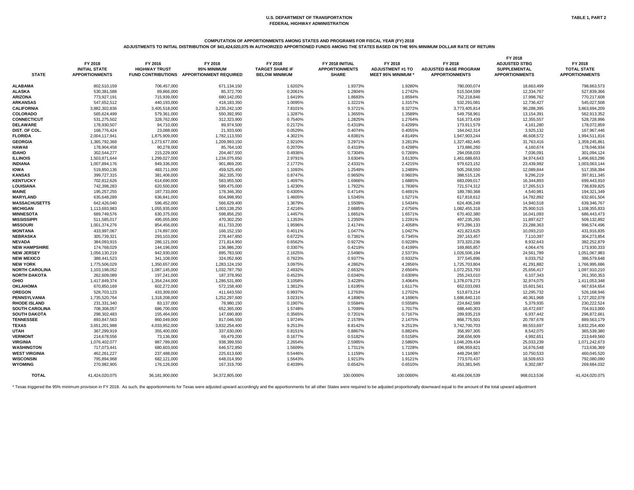# **COMPUTATION OF APPORTIONMENTS AMONG STATES AND PROGRAMS FOR FISCAL YEAR (FY) 2018**

**ADJUSTMENTS TO INITIAL DISTRIBUTION OF \$41,424,020,075 IN AUTHORIZED APPORTIONED FUNDS AMONG THE STATES BASED ON THE 95% MINIMUM DOLLAR RATE OF RETURN**

| <b>STATE</b>                       | FY 2018<br><b>INITIAL STATE</b><br><b>APPORTIONMENTS</b> | FY 2016<br><b>HIGHWAY TRUST</b> | FY 2018<br>95% MINIMUM<br>FUND CONTRIBUTIONS APPORTIONMENT REQUIRED | FY 2018<br><b>TARGET SHARE IF</b><br><b>BELOW MINIMUM</b> | FY 2018 INITIAL<br><b>APPORTIONMENTS</b><br><b>SHARE</b> | FY 2018<br><b>ADJUSTMENT #1 TO</b><br><b>MEET 95% MINIMUM *</b> | FY 2018<br><b>ADJUSTED BASE PROGRAM</b><br><b>APPORTIONMENTS</b> | FY 2018<br><b>ADJUSTED STBG</b><br><b>SUPPLEMENTAL</b><br><b>APPORTIONMENTS</b> | FY 2018<br><b>TOTAL STATE</b><br><b>APPORTIONMENTS</b> |
|------------------------------------|----------------------------------------------------------|---------------------------------|---------------------------------------------------------------------|-----------------------------------------------------------|----------------------------------------------------------|-----------------------------------------------------------------|------------------------------------------------------------------|---------------------------------------------------------------------------------|--------------------------------------------------------|
| <b>ALABAMA</b>                     | 802,510,159                                              | 706,457,000                     | 671,134,150                                                         | 1.6202%                                                   | 1.9373%                                                  | 1.9280%                                                         | 780,000,074                                                      | 18,663,499                                                                      | 798,663,573                                            |
| <b>ALASKA</b>                      | 530,381,588                                              | 89,866,000                      | 85,372,700                                                          | 0.2061%                                                   | 1.2804%                                                  | 1.2742%                                                         | 515,504,599                                                      | 12,334,767                                                                      | 527,839,366                                            |
| <b>ARIZONA</b>                     | 773,927,191                                              | 715,939,000                     | 680,142,050                                                         | 1.6419%                                                   | 1.8683%                                                  | 1.8594%                                                         | 752,218,846                                                      | 17,998,762                                                                      | 770,217,608                                            |
| <b>ARKANSAS</b>                    | 547,652,512                                              | 440,193,000                     | 418,183,350                                                         | 1.0095%                                                   | 1.3221%                                                  | 1.3157%                                                         | 532,291,081                                                      | 12,736,427                                                                      | 545,027,508                                            |
| <b>CALIFORNIA</b>                  | 3,882,302,836                                            | 3,405,518,000                   | 3,235,242,100                                                       | 7.8101%                                                   | 9.3721%                                                  | 9.3272%                                                         | 3,773,405,814                                                    | 90,288,395                                                                      | 3,863,694,209                                          |
| <b>COLORADO</b>                    | 565,624,499                                              | 579,361,000                     | 550,392,950                                                         | 1.3287%                                                   | 1.3655%                                                  | 1.3589%                                                         | 549,758,961                                                      | 13,154,391                                                                      | 562,913,352                                            |
| <b>CONNECTICUT</b>                 | 531,275,502                                              | 328,762,000                     | 312,323,900                                                         | 0.7540%                                                   | 1.2825%                                                  | 1.2764%                                                         | 516,373,439                                                      | 12,355,557                                                                      | 528,728,996                                            |
| <b>DELAWARE</b>                    | 178,930,507                                              | 94,710,000                      | 89,974,500                                                          | 0.2172%                                                   | 0.4319%                                                  | 0.4299%                                                         | 173,911,579                                                      | 4,161,280                                                                       | 178,072,859                                            |
| DIST. OF COL.                      | 168,776,424                                              | 23,088,000                      | 21,933,600                                                          | 0.0529%                                                   | 0.4074%                                                  | 0.4055%                                                         | 164,042,314                                                      | 3,925,132                                                                       | 167,967,446                                            |
| <b>FLORIDA</b>                     | 2,004,117,941                                            | 1,875,909,000                   | 1,782,113,550                                                       | 4.3021%                                                   | 4.8381%                                                  | 4.8149%                                                         | 1,947,903,244                                                    | 46,608,572                                                                      | 1,994,511,816                                          |
| <b>GEORGIA</b>                     | 1,365,792,368                                            | 1,273,677,000                   | 1,209,993,150                                                       | 2.9210%                                                   | 3.2971%                                                  | 3.2813%                                                         | 1,327,482,445                                                    | 31,763,416                                                                      | 1,359,245,861                                          |
| <b>HAWAII</b>                      | 178,904,458                                              | 90,278,000                      | 85,764,100                                                          | 0.2070%                                                   | 0.4319%                                                  | 0.4298%                                                         | 173,886,260                                                      | 4,160,674                                                                       | 178,046,934                                            |
| <b>IDAHO</b>                       | 302,544,277                                              | 215,229,000                     | 204,467,550                                                         | 0.4936%                                                   | 0.7304%                                                  | 0.7269%                                                         | 294,058,033                                                      | 7,036,091                                                                       | 301,094,124                                            |
| <b>ILLINOIS</b>                    | 1,503,871,644                                            | 1,299,027,000                   | 1,234,075,650                                                       | 2.9791%                                                   | 3.6304%                                                  | 3.6130%                                                         | 1,461,688,653                                                    | 34,974,643                                                                      | 1,496,663,296                                          |
| <b>INDIANA</b>                     | 1,007,894,176                                            | 949,336,000                     | 901,869,200                                                         | 2.1772%                                                   | 2.4331%                                                  | 2.4215%                                                         | 979,623,152                                                      | 23,439,992                                                                      | 1,003,063,144                                          |
| <b>IOWA</b>                        | 519,850,136                                              | 483,711,000                     | 459,525,450                                                         | 1.1093%                                                   | 1.2549%                                                  | 1.2489%                                                         | 505,268,550                                                      | 12,089,844                                                                      | 517,358,394                                            |
| <b>KANSAS</b>                      | 399,727,315                                              | 381,406,000                     | 362,335,700                                                         | 0.8747%                                                   | 0.9650%                                                  | 0.9603%                                                         | 388,515,126                                                      | 9,296,219                                                                       | 397,811,345                                            |
| <b>KENTUCKY</b>                    | 702,812,626                                              | 614,690,000                     | 583,955,500                                                         | 1.4097%                                                   | 1.6966%                                                  | 1.6885%                                                         | 683,099,017                                                      | 16,344,893                                                                      | 699,443,910                                            |
| <b>LOUISIANA</b>                   | 742,398,283                                              | 620,500,000                     | 589,475,000                                                         | 1.4230%                                                   | 1.7922%                                                  | 1.7836%                                                         | 721,574,312                                                      | 17,265,513                                                                      | 738,839,825                                            |
| <b>MAINE</b>                       | 195,257,255                                              | 187,733,000                     | 178,346,350                                                         | 0.4305%                                                   | 0.4714%                                                  | 0.4691%                                                         | 189,780,368                                                      | 4,540,981                                                                       | 194,321,349                                            |
| <b>MARYLAND</b>                    | 635,648,289                                              | 636,841,000                     | 604,998,950                                                         | 1.4605%                                                   | 1.5345%                                                  | 1.5271%                                                         | 617,818,612                                                      | 14,782,892                                                                      | 632,601,504                                            |
| <b>MASSACHUSETTS</b>               | 642,426,040                                              | 596,452,000                     | 566,629,400                                                         | 1.3679%                                                   | 1.5509%                                                  | 1.5434%                                                         | 624,406,249                                                      | 14,940,518                                                                      | 639,346,767                                            |
| <b>MICHIGAN</b>                    | 1,113,693,983                                            | 1,055,935,000                   | 1,003,138,250                                                       | 2.4216%                                                   | 2.6885%                                                  | 2.6756%                                                         | 1,082,455,318                                                    | 25,900,515                                                                      | 1,108,355,833                                          |
| <b>MINNESOTA</b>                   | 689,749,576                                              | 630,375,000                     | 598,856,250                                                         | 1.4457%                                                   | 1.6651%                                                  | 1.6571%                                                         | 670,402,380                                                      | 16,041,093                                                                      | 686,443,473                                            |
| <b>MISSISSIPPI</b>                 | 511,585,017                                              | 495,055,000                     | 470,302,250                                                         | 1.1353%                                                   | 1.2350%                                                  | 1.2291%                                                         | 497,235,265                                                      | 11,897,627                                                                      | 509,132,892                                            |
| <b>MISSOURI</b>                    | 1,001,374,276                                            | 854,456,000                     | 811,733,200                                                         | 1.9596%                                                   | 2.4174%                                                  | 2.4058%                                                         | 973,286,133                                                      | 23,288,363                                                                      | 996,574,496                                            |
| <b>MONTANA</b>                     | 433,997,067                                              | 174,897,000                     | 166, 152, 150                                                       | 0.4011%                                                   | 1.0477%                                                  | 1.0427%                                                         | 421,823,625                                                      | 10,093,210                                                                      | 431,916,835                                            |
| <b>NEBRASKA</b>                    | 305,739,321                                              | 293,103,000                     | 278,447,850                                                         | 0.6722%                                                   | 0.7381%                                                  | 0.7345%                                                         | 297, 163, 457                                                    | 7,110,397                                                                       | 304,273,854                                            |
| <b>NEVADA</b>                      | 384,093,915                                              | 286,121,000                     | 271,814,950                                                         | 0.6562%                                                   | 0.9272%                                                  | 0.9228%                                                         | 373,320,236                                                      | 8,932,643                                                                       | 382,252,879                                            |
| <b>NEW HAMPSHIRE</b>               | 174,768,029                                              | 144,196,000                     | 136,986,200                                                         | 0.3307%                                                   | 0.4219%                                                  | 0.4199%                                                         | 169,865,857                                                      | 4,064,476                                                                       | 173,930,333                                            |
| <b>NEW JERSEY</b>                  | 1,056,130,219                                            | 942,930,000                     | 895,783,500                                                         | 2.1625%                                                   | 2.5496%                                                  | 2.5373%                                                         | 1,026,506,194                                                    | 24,561,789                                                                      | 1,051,067,983                                          |
| <b>NEW MEXICO</b>                  | 388,441,523                                              | 341,108,000                     | 324,052,600                                                         | 0.7823%                                                   | 0.9377%                                                  | 0.9332%                                                         | 377,545,896                                                      | 9,033,752                                                                       | 386,579,648                                            |
| <b>NEW YORK</b>                    | 1,775,506,029                                            | 1,350,657,000                   | 1,283,124,150                                                       | 3.0975%                                                   | 4.2862%                                                  | 4.2656%                                                         | 1,725,703,804                                                    | 41,291,882                                                                      | 1,766,995,686                                          |
| <b>NORTH CAROLINA</b>              | 1,103,198,052                                            | 1,087,145,000                   | 1,032,787,750                                                       | 2.4932%                                                   | 2.6632%                                                  | 2.6504%                                                         | 1,072,253,793                                                    | 25,656,417                                                                      | 1,097,910,210                                          |
| <b>NORTH DAKOTA</b>                | 262,609,089                                              | 197,241,000                     | 187,378,950                                                         | 0.4523%                                                   | 0.6340%                                                  | 0.6309%                                                         | 255,243,010                                                      | 6,107,343                                                                       | 261,350,353                                            |
| <b>OHIO</b>                        | 1,417,849,374                                            | 1,354,244,000                   | 1,286,531,800                                                       | 3.1058%                                                   | 3.4228%                                                  | 3.4064%                                                         | 1,378,079,273                                                    | 32,974,075                                                                      | 1,411,053,348                                          |
| <b>OKLAHOMA</b>                    | 670,850,169                                              | 602,272,000                     | 572,158,400                                                         | 1.3812%                                                   | 1.6195%                                                  | 1.6117%                                                         | 652,033,093                                                      | 15,601,561                                                                      | 667,634,654                                            |
| <b>OREGON</b>                      | 528,703,123                                              | 433,309,000                     | 411,643,550                                                         | 0.9937%                                                   | 1.2763%                                                  | 1.2702%                                                         | 513,873,214                                                      | 12,295,732                                                                      | 526,168,946                                            |
| <b>PENNSYLVANIA</b>                | 1,735,520,764                                            | 1,318,208,000                   | 1,252,297,600                                                       | 3.0231%                                                   | 4.1896%                                                  | 4.1696%                                                         | 1,686,840,110                                                    | 40,361,968                                                                      | 1,727,202,078                                          |
| <b>RHODE ISLAND</b>                | 231,331,340                                              | 83,137,000                      | 78,980,150                                                          | 0.1907%                                                   | 0.5584%                                                  | 0.5558%                                                         | 224,842,589                                                      | 5,379,935                                                                       | 230,222,524                                            |
| <b>SOUTH CAROLINA</b>              | 708,308,057                                              | 686,700,000                     | 652,365,000                                                         | 1.5748%                                                   | 1.7099%                                                  | 1.7017%                                                         | 688,440,303                                                      | 16,472,697                                                                      | 704,913,000                                            |
| <b>SOUTH DAKOTA</b>                | 298,302,483                                              | 155,464,000                     | 147,690,800                                                         | 0.3565%                                                   | 0.7201%                                                  | 0.7167%                                                         | 289,935,219                                                      | 6,937,442                                                                       | 296,872,661                                            |
| <b>TENNESSEE</b>                   | 893,847,563                                              | 860,049,000                     | 817,046,550                                                         | 1.9724%                                                   | 2.1578%                                                  | 2.1475%                                                         | 868,775,501                                                      | 20,787,678                                                                      | 889,563,179                                            |
| <b>TEXAS</b>                       | 3,651,201,988                                            | 4,033,952,000                   | 3,832,254,400                                                       | 9.2513%                                                   | 8.8142%                                                  | 9.2513%                                                         | 3,742,700,703                                                    | 89,553,697                                                                      | 3,832,254,400                                          |
| <b>UTAH</b>                        | 367,299,919                                              | 355,400,000                     | 337,630,000                                                         | 0.8151%                                                   | 0.8867%                                                  | 0.8824%                                                         | 356,997,305                                                      | 8,542,075                                                                       | 365,539,380                                            |
| <b>VERMONT</b>                     | 214,678,556                                              | 73,136,000                      | 69,479,200                                                          | 0.1677%                                                   | 0.5182%                                                  | 0.5158%                                                         | 208,656,909                                                      | 4,992,651                                                                       | 213,649,560                                            |
| <b>VIRGINIA</b>                    | 1,076,402,077                                            | 987,789,000                     | 938,399,550                                                         | 2.2654%                                                   | 2.5985%                                                  | 2.5860%                                                         | 1,046,209,434                                                    | 25,033,239                                                                      | 1,071,242,673                                          |
| <b>WASHINGTON</b>                  | 717,073,441                                              | 680,603,000                     | 646,572,850                                                         | 1.5609%                                                   | 1.7311%                                                  | 1.7228%                                                         | 696,959,821                                                      | 16,676,548                                                                      | 713,636,369                                            |
| <b>WEST VIRGINIA</b>               | 462,261,227                                              | 237,488,000                     | 225,613,600                                                         | 0.5446%                                                   | 1.1159%                                                  | 1.1106%                                                         | 449,294,987                                                      | 10,750,533                                                                      | 460,045,520                                            |
| <b>WISCONSIN</b><br><b>WYOMING</b> | 795,894,968<br>270,982,905                               | 682,121,000<br>176,126,000      | 648,014,950<br>167,319,700                                          | 1.5643%<br>0.4039%                                        | 1.9213%                                                  | 1.9121%                                                         | 773,570,437                                                      | 18,509,653<br>6,302,087                                                         | 792,080,090                                            |
|                                    |                                                          |                                 |                                                                     |                                                           | 0.6542%                                                  | 0.6510%                                                         | 263,381,945                                                      |                                                                                 | 269,684,032                                            |
| <b>TOTAL</b>                       | 41,424,020,075                                           | 36,181,900,000                  | 34,372,805,000                                                      |                                                           | 100.0000%                                                | 100.0000%                                                       | 40,456,006,539                                                   | 968,013,536                                                                     | 41,424,020,075                                         |

\* Texas triggered the 95% minimum provision in FY 2018. As such, the apportionments for Texas were adjusted upward accordingly and the apportionments for all other States were required to be adjusted proportionally downwar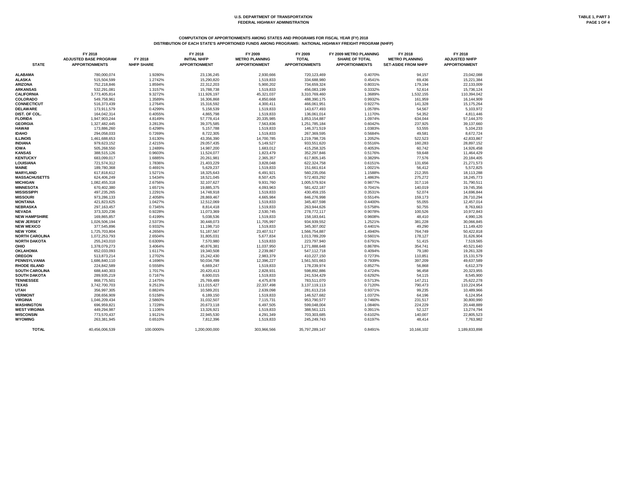# **COMPUTATION OF APPORTIONMENTS AMONG STATES AND PROGRAMS FOR FISCAL YEAR (FY) 2018**

**DISTRIBUTION OF EACH STATE'S APPORTIONED FUNDS AMONG PROGRAMS: NATIONAL HIGHWAY FREIGHT PROGRAM (NHFP)**

|                       | FY 2018<br><b>ADJUSTED BASE PROGRAM</b> | FY 2018<br><b>NHFP SHARE</b> | FY 2018<br><b>INITIAL NHFP</b> | FY 2009<br><b>METRO PLANNING</b> | FY 2009<br><b>TOTAL</b><br><b>APPORTIONMENTS</b> | FY 2009 METRO PLANNING<br><b>SHARE OF TOTAL</b> | FY 2018<br><b>METRO PLANNING</b> | FY 2018<br><b>ADJUSTED NHFP</b> |
|-----------------------|-----------------------------------------|------------------------------|--------------------------------|----------------------------------|--------------------------------------------------|-------------------------------------------------|----------------------------------|---------------------------------|
| <b>STATE</b>          | <b>APPORTIONMENTS</b>                   |                              | <b>APPORTIONMENT</b>           | <b>APPORTIONMENT</b>             |                                                  | <b>APPORTIONMENTS</b>                           | <b>SET-ASIDE FROM NHFP</b>       | <b>APPORTIONMENT</b>            |
| <b>ALABAMA</b>        | 780,000,074                             | 1.9280%                      | 23,136,245                     | 2,930,666                        | 720,123,469                                      | 0.4070%                                         | 94,157                           | 23,042,088                      |
| <b>ALASKA</b>         | 515,504,599                             | 1.2742%                      | 15,290,820                     | 1,519,833                        | 334,688,980                                      | 0.4541%                                         | 69,436                           | 15,221,384                      |
| <b>ARIZONA</b>        | 752,218,846                             | 1.8594%                      | 22,312,203                     | 5,900,202                        | 734,659,324                                      | 0.8031%                                         | 179,194                          | 22,133,009                      |
| <b>ARKANSAS</b>       | 532,291,081                             | 1.3157%                      | 15,788,738                     | 1,519,833                        | 456,083,199                                      | 0.3332%                                         | 52,614                           | 15,736,124                      |
| <b>CALIFORNIA</b>     | 3,773,405,814                           | 9.3272%                      | 111,926,197                    | 45,321,037                       | 3,310,769,460                                    | 1.3689%                                         | 1,532,155                        | 110,394,042                     |
| <b>COLORADO</b>       | 549,758,961                             | 1.3589%                      | 16,306,868                     | 4,850,668                        | 488,390,175                                      | 0.9932%                                         | 161,959                          | 16,144,909                      |
| <b>CONNECTICUT</b>    | 516,373,439                             | 1.2764%                      | 15,316,592                     | 4,300,411                        | 466,061,951                                      | 0.9227%                                         | 141,328                          | 15,175,264                      |
| <b>DELAWARE</b>       | 173,911,579                             | 0.4299%                      | 5,158,539                      | 1,519,833                        | 143,677,493                                      | 1.0578%                                         | 54,567                           | 5,103,972                       |
| DIST. OF COL.         | 164,042,314                             | 0.4055%                      | 4,865,798                      | 1,519,833                        | 136,061,014                                      | 1.1170%                                         | 54,352                           | 4,811,446                       |
| <b>FLORIDA</b>        | 1,947,903,244                           | 4.8149%                      | 57,778,414                     | 20,335,985                       | 1,853,154,887                                    | 1.0974%                                         | 634,044                          | 57,144,370                      |
| <b>GEORGIA</b>        | 1,327,482,445                           | 3.2813%                      | 39,375,585                     | 7,563,836                        | 1,251,785,184                                    | 0.6042%                                         | 237,925                          | 39,137,660                      |
| <b>HAWAII</b>         | 173,886,260                             | 0.4298%                      | 5,157,788                      | 1,519,833                        | 146,371,519                                      | 1.0383%                                         | 53,555                           | 5,104,233                       |
| <b>IDAHO</b>          | 294,058,033                             | 0.7269%                      | 8,722,305                      | 1,519,833                        | 267,369,595                                      | 0.5684%                                         | 49,581                           | 8,672,724                       |
| <b>ILLINOIS</b>       | 1,461,688,653                           | 3.6130%                      | 43,356,390                     | 14,700,785                       | 1,219,798,726                                    | 1.2052%                                         | 522,523                          | 42,833,867                      |
| <b>INDIANA</b>        | 979,623,152                             | 2.4215%                      | 29,057,435                     | 5,149,527                        | 933,551,620                                      | 0.5516%                                         | 160,283                          | 28,897,152                      |
| <b>IOWA</b>           | 505,268,550                             | 1.2489%                      | 14,987,200                     | 1,683,012                        | 415,258,325                                      | 0.4053%                                         | 60,742                           | 14,926,458                      |
| <b>KANSAS</b>         | 388,515,126                             | 0.9603%                      | 11,524,077                     | 1,823,479                        | 352,297,846                                      | 0.5176%                                         | 59,648                           | 11,464,429                      |
| <b>KENTUCKY</b>       | 683,099,017                             | 1.6885%                      | 20,261,981                     | 2,365,357                        | 617,805,145                                      | 0.3829%                                         | 77,576                           | 20,184,405                      |
| <b>LOUISIANA</b>      | 721,574,312                             | 1.7836%                      | 21,403,229                     | 3,828,048                        | 622,324,758                                      | 0.6151%                                         | 131,656                          | 21,271,573                      |
| <b>MAINE</b>          | 189,780,368                             | 0.4691%                      | 5,629,237                      | 1,519,833                        | 151,661,614                                      | 1.0021%                                         | 56,412                           | 5,572,825                       |
| <b>MARYLAND</b>       | 617,818,612                             | 1.5271%                      | 18,325,643                     | 6,491,921                        | 560,235,056                                      | 1.1588%                                         | 212,355                          | 18,113,288                      |
| <b>MASSACHUSETTS</b>  | 624,406,249                             | 1.5434%                      | 18,521,045                     | 8,507,425                        | 572,403,292                                      | 1.4863%                                         | 275,272                          | 18,245,773                      |
| <b>MICHIGAN</b>       | 1,082,455,318                           | 2.6756%                      | 32,107,627                     | 9,931,760                        | 1,005,579,924                                    | 0.9877%                                         | 317,116                          | 31,790,511                      |
| <b>MINNESOTA</b>      | 670,402,380                             | 1.6571%                      | 19,885,375                     | 4,093,963                        | 581,422,187                                      | 0.7041%                                         | 140,019                          | 19,745,356                      |
| <b>MISSISSIPPI</b>    | 497,235,265                             | 1.2291%                      | 14,748,918                     | 1,519,833                        | 430,459,155                                      | 0.3531%                                         | 52,074                           | 14,696,844                      |
| <b>MISSOURI</b>       | 973,286,133                             | 2.4058%                      | 28,869,467                     | 4,665,984                        | 846,276,998                                      | 0.5514%                                         | 159,173                          | 28,710,294                      |
| <b>MONTANA</b>        | 421,823,625                             | 1.0427%                      | 12,512,069                     | 1,519,833                        | 345,407,598                                      | 0.4400%                                         | 55,055                           | 12,457,014                      |
| <b>NEBRASKA</b>       | 297, 163, 457                           | 0.7345%                      | 8,814,418                      | 1,519,833                        | 263,944,626                                      | 0.5758%                                         | 50,755                           | 8,763,663                       |
| <b>NEVADA</b>         | 373,320,236                             | 0.9228%                      | 11,073,369                     | 2,530,745                        | 278,772,117                                      | 0.9078%                                         | 100,526                          | 10,972,843                      |
| <b>NEW HAMPSHIRE</b>  | 169,865,857                             | 0.4199%                      | 5,038,536                      | 1,519,833                        | 158,183,641                                      | 0.9608%                                         | 48,410                           | 4,990,126                       |
| <b>NEW JERSEY</b>     | 1,026,506,194                           | 2.5373%                      | 30,448,073                     | 11,705,997                       | 934,939,552                                      | 1.2521%                                         | 381,228                          | 30,066,845                      |
| <b>NEW MEXICO</b>     | 377,545,896                             | 0.9332%                      | 11,198,710                     | 1,519,833                        | 345,307,002                                      | 0.4401%                                         | 49,290                           | 11,149,420                      |
| <b>NEW YORK</b>       | 1,725,703,804                           | 4.2656%                      | 51,187,567                     | 23,407,517                       | 1,566,754,887                                    | 1.4940%                                         | 764,749                          | 50,422,818                      |
| <b>NORTH CAROLINA</b> | 1,072,253,793                           | 2.6504%                      | 31,805,031                     | 5,677,834                        | 1,013,789,209                                    | 0.5601%                                         | 178,127                          | 31,626,904                      |
| <b>NORTH DAKOTA</b>   | 255,243,010                             | 0.6309%                      | 7,570,980                      | 1,519,833                        | 223,797,940                                      | 0.6791%                                         | 51,415                           | 7,519,565                       |
| <b>OHIO</b>           | 1,378,079,273                           | 3.4064%                      | 40,876,381                     | 11,037,950                       | 1,271,888,648                                    | 0.8678%                                         | 354,741                          | 40,521,640                      |
| <b>OKLAHOMA</b>       | 652,033,093                             | 1.6117%                      | 19,340,508                     | 2,239,867                        | 547,112,718                                      | 0.4094%                                         | 79,180                           | 19,261,328                      |
| <b>OREGON</b>         | 513,873,214                             | 1.2702%                      | 15,242,430                     | 2,983,379                        | 410,227,150                                      | 0.7273%                                         | 110,851                          | 15, 131, 579                    |
| <b>PENNSYLVANIA</b>   | 1,686,840,110                           | 4.1696%                      | 50,034,798                     | 12,396,227                       | 1,561,501,663                                    | 0.7939%                                         | 397,209                          | 49,637,589                      |
| <b>RHODE ISLAND</b>   | 224,842,589                             | 0.5558%                      | 6,669,247                      | 1,519,833                        | 178,239,974                                      | 0.8527%                                         | 56,868                           | 6,612,379                       |
| <b>SOUTH CAROLINA</b> | 688,440,303                             | 1.7017%                      | 20,420,413                     | 2,828,931                        | 598,892,886                                      | 0.4724%                                         | 96,458                           | 20,323,955                      |
| <b>SOUTH DAKOTA</b>   | 289,935,219                             | 0.7167%                      | 8,600,015                      | 1,519,833                        | 241,534,429                                      | 0.6292%                                         | 54,115                           | 8,545,900                       |
| <b>TENNESSEE</b>      | 868,775,501                             | 2.1475%                      | 25,769,489                     | 4,475,878                        | 783,511,070                                      | 0.5713%                                         | 147,211                          | 25,622,278                      |
| <b>TEXAS</b>          | 3,742,700,703                           | 9.2513%                      | 111,015,427                    | 22,337,498                       | 3,137,119,113                                    | 0.7120%                                         | 790,473                          | 110,224,954                     |
| <b>UTAH</b>           | 356,997,305                             | 0.8824%                      | 10,589,201                     | 2,639,098                        | 281,613,216                                      | 0.9371%                                         | 99,235                           | 10,489,966                      |
| <b>VERMONT</b>        | 208,656,909                             | 0.5158%                      | 6,189,150                      | 1,519,833                        | 146,527,682                                      | 1.0372%                                         | 64,196                           | 6,124,954                       |
| <b>VIRGINIA</b>       | 1,046,209,434                           | 2.5860%                      | 31,032,507                     | 7,115,731                        | 953,790,577                                      | 0.7460%                                         | 231,517                          | 30,800,990                      |
| <b>WASHINGTON</b>     | 696,959,821                             | 1.7228%                      | 20,673,118                     | 6,497,505                        | 599,048,004                                      | 1.0846%                                         | 224,229                          | 20,448,889                      |
| <b>WEST VIRGINIA</b>  | 449,294,987                             | 1.1106%                      | 13,326,921                     | 1,519,833                        | 388,561,121                                      | 0.3911%                                         | 52,127                           | 13,274,794                      |
| <b>WISCONSIN</b>      | 773,570,437                             | 1.9121%                      | 22,945,530                     | 4,291,349                        | 703,303,685                                      | 0.6102%                                         | 140,007                          | 22,805,523                      |
| <b>WYOMING</b>        | 263,381,945                             | 0.6510%                      | 7,812,396                      | 1,519,833                        | 245,249,743                                      | 0.6197%                                         | 48,414                           | 7,763,982                       |
| <b>TOTAL</b>          | 40,456,006,539                          | 100.0000%                    | 1,200,000,000                  | 303,966,566                      | 35,797,289,147                                   | 0.8491%                                         | 10,166,102                       | 1,189,833,898                   |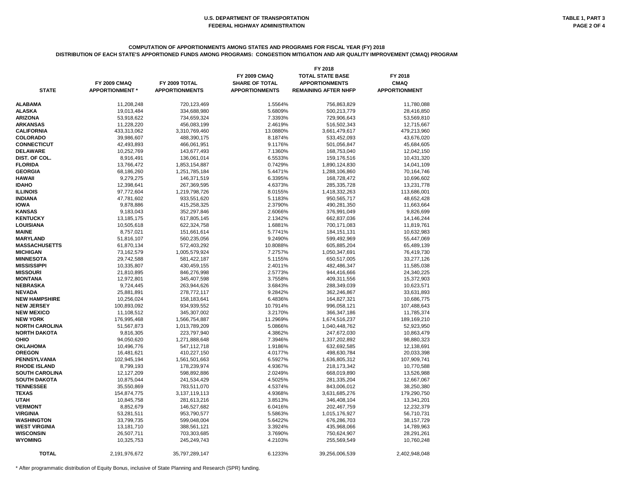### **COMPUTATION OF APPORTIONMENTS AMONG STATES AND PROGRAMS FOR FISCAL YEAR (FY) 2018 DISTRIBUTION OF EACH STATE'S APPORTIONED FUNDS AMONG PROGRAMS: CONGESTION MITIGATION AND AIR QUALITY IMPROVEMENT (CMAQ) PROGRAM**

|                       |                        |                       | FY 2018               |                             |                      |  |  |
|-----------------------|------------------------|-----------------------|-----------------------|-----------------------------|----------------------|--|--|
|                       |                        |                       | <b>FY 2009 CMAQ</b>   | <b>TOTAL STATE BASE</b>     | FY 2018              |  |  |
|                       | <b>FY 2009 CMAQ</b>    | FY 2009 TOTAL         | <b>SHARE OF TOTAL</b> | <b>APPORTIONMENTS</b>       | <b>CMAQ</b>          |  |  |
| <b>STATE</b>          | <b>APPORTIONMENT</b> * | <b>APPORTIONMENTS</b> | <b>APPORTIONMENTS</b> | <b>REMAINING AFTER NHFP</b> | <b>APPORTIONMENT</b> |  |  |
|                       |                        |                       |                       |                             |                      |  |  |
| <b>ALABAMA</b>        | 11,208,248             | 720,123,469           | 1.5564%               | 756,863,829                 | 11,780,088           |  |  |
| <b>ALASKA</b>         | 19,013,484             | 334,688,980           | 5.6809%               | 500,213,779                 | 28,416,850           |  |  |
| <b>ARIZONA</b>        | 53,918,622             | 734,659,324           | 7.3393%               | 729,906,643                 | 53,569,810           |  |  |
| <b>ARKANSAS</b>       | 11,228,220             | 456,083,199           | 2.4619%               | 516,502,343                 | 12,715,667           |  |  |
| <b>CALIFORNIA</b>     | 433,313,062            | 3,310,769,460         | 13.0880%              | 3,661,479,617               | 479,213,960          |  |  |
| <b>COLORADO</b>       | 39,986,607             | 488,390,175           | 8.1874%               | 533,452,093                 | 43,676,020           |  |  |
| <b>CONNECTICUT</b>    | 42,493,893             | 466,061,951           | 9.1176%               | 501,056,847                 | 45,684,605           |  |  |
| <b>DELAWARE</b>       | 10,252,769             | 143,677,493           | 7.1360%               | 168,753,040                 | 12,042,150           |  |  |
| DIST. OF COL.         | 8,916,491              | 136,061,014           | 6.5533%               | 159,176,516                 | 10,431,320           |  |  |
| <b>FLORIDA</b>        | 13,766,472             | 1,853,154,887         | 0.7429%               | 1,890,124,830               | 14,041,109           |  |  |
| <b>GEORGIA</b>        | 68,186,260             | 1,251,785,184         | 5.4471%               | 1,288,106,860               | 70,164,746           |  |  |
| <b>HAWAII</b>         | 9,279,275              | 146,371,519           | 6.3395%               | 168,728,472                 | 10,696,602           |  |  |
| <b>IDAHO</b>          | 12,398,641             | 267,369,595           | 4.6373%               | 285,335,728                 | 13,231,778           |  |  |
| <b>ILLINOIS</b>       | 97,772,604             |                       | 8.0155%               |                             |                      |  |  |
|                       |                        | 1,219,798,726         |                       | 1,418,332,263               | 113,686,001          |  |  |
| <b>INDIANA</b>        | 47,781,602             | 933,551,620           | 5.1183%               | 950,565,717                 | 48,652,428           |  |  |
| <b>IOWA</b>           | 9,878,886              | 415,258,325           | 2.3790%               | 490,281,350                 | 11,663,664           |  |  |
| <b>KANSAS</b>         | 9,183,043              | 352,297,846           | 2.6066%               | 376,991,049                 | 9,826,699            |  |  |
| <b>KENTUCKY</b>       | 13,185,175             | 617,805,145           | 2.1342%               | 662,837,036                 | 14,146,244           |  |  |
| <b>LOUISIANA</b>      | 10,505,618             | 622,324,758           | 1.6881%               | 700,171,083                 | 11,819,761           |  |  |
| <b>MAINE</b>          | 8,757,021              | 151,661,614           | 5.7741%               | 184, 151, 131               | 10,632,983           |  |  |
| <b>MARYLAND</b>       | 51,816,107             | 560,235,056           | 9.2490%               | 599,492,969                 | 55,447,069           |  |  |
| <b>MASSACHUSETTS</b>  | 61,870,134             | 572,403,292           | 10.8088%              | 605,885,204                 | 65,489,139           |  |  |
| <b>MICHIGAN</b>       | 73,162,579             | 1,005,579,924         | 7.2757%               | 1,050,347,691               | 76,419,730           |  |  |
| <b>MINNESOTA</b>      | 29,742,588             | 581,422,187           | 5.1155%               | 650,517,005                 | 33,277,126           |  |  |
| <b>MISSISSIPPI</b>    | 10,335,807             | 430,459,155           | 2.4011%               | 482,486,347                 | 11,585,038           |  |  |
| <b>MISSOURI</b>       | 21,810,895             | 846,276,998           | 2.5773%               | 944,416,666                 | 24,340,225           |  |  |
| <b>MONTANA</b>        | 12,972,801             | 345,407,598           | 3.7558%               | 409,311,556                 | 15,372,903           |  |  |
| <b>NEBRASKA</b>       | 9,724,445              | 263,944,626           | 3.6843%               | 288,349,039                 | 10,623,571           |  |  |
| <b>NEVADA</b>         | 25,881,891             | 278,772,117           | 9.2842%               | 362,246,867                 | 33,631,893           |  |  |
| <b>NEW HAMPSHIRE</b>  | 10,256,024             | 158,183,641           | 6.4836%               | 164,827,321                 | 10,686,775           |  |  |
| <b>NEW JERSEY</b>     | 100,893,092            | 934,939,552           | 10.7914%              | 996,058,121                 | 107,488,643          |  |  |
| <b>NEW MEXICO</b>     | 11,108,512             | 345,307,002           | 3.2170%               | 366,347,186                 | 11,785,374           |  |  |
| <b>NEW YORK</b>       | 176,995,468            | 1,566,754,887         | 11.2969%              | 1,674,516,237               | 189,169,210          |  |  |
| NORTH CAROLINA        | 51,567,873             | 1,013,789,209         | 5.0866%               | 1,040,448,762               | 52,923,950           |  |  |
| <b>NORTH DAKOTA</b>   | 9,816,305              | 223,797,940           | 4.3862%               | 247,672,030                 | 10,863,479           |  |  |
| <b>OHIO</b>           | 94,050,620             | 1,271,888,648         | 7.3946%               | 1,337,202,892               | 98,880,323           |  |  |
| <b>OKLAHOMA</b>       | 10,496,776             | 547,112,718           | 1.9186%               | 632,692,585                 | 12,138,691           |  |  |
| <b>OREGON</b>         | 16,481,621             | 410,227,150           | 4.0177%               | 498,630,784                 | 20,033,398           |  |  |
| <b>PENNSYLVANIA</b>   | 102,945,194            | 1,561,501,663         | 6.5927%               | 1,636,805,312               | 107,909,741          |  |  |
| <b>RHODE ISLAND</b>   | 8,799,193              | 178,239,974           | 4.9367%               | 218,173,342                 | 10,770,588           |  |  |
| <b>SOUTH CAROLINA</b> | 12,127,209             | 598,892,886           | 2.0249%               | 668,019,890                 | 13,526,988           |  |  |
| <b>SOUTH DAKOTA</b>   | 10,875,044             | 241,534,429           | 4.5025%               | 281,335,204                 | 12,667,067           |  |  |
| <b>TENNESSEE</b>      | 35,550,869             | 783,511,070           | 4.5374%               | 843,006,012                 | 38,250,380           |  |  |
| <b>TEXAS</b>          | 154,874,775            | 3,137,119,113         | 4.9368%               | 3,631,685,276               | 179,290,750          |  |  |
| <b>UTAH</b>           | 10,845,758             | 281,613,216           | 3.8513%               | 346,408,104                 | 13,341,201           |  |  |
| <b>VERMONT</b>        | 8,852,679              | 146,527,682           | 6.0416%               | 202,467,759                 | 12,232,379           |  |  |
| <b>VIRGINIA</b>       |                        |                       |                       |                             | 56,710,731           |  |  |
|                       | 53,281,511             | 953,790,577           | 5.5863%               | 1,015,176,927               |                      |  |  |
| <b>WASHINGTON</b>     | 33,799,735             | 599,048,004           | 5.6422%               | 676,286,703                 | 38, 157, 729         |  |  |
| <b>WEST VIRGINIA</b>  | 13,181,710             | 388,561,121           | 3.3924%               | 435,968,066                 | 14,789,963           |  |  |
| <b>WISCONSIN</b>      | 26,507,711             | 703,303,685           | 3.7690%               | 750,624,907                 | 28,291,261           |  |  |
| <b>WYOMING</b>        | 10,325,753             | 245,249,743           | 4.2103%               | 255,569,549                 | 10,760,248           |  |  |
| <b>TOTAL</b>          | 2,191,976,672          | 35,797,289,147        | 6.1233%               | 39,256,006,539              | 2,402,948,048        |  |  |
|                       |                        |                       |                       |                             |                      |  |  |

\* After programmatic distribution of Equity Bonus, inclusive of State Planning and Research (SPR) funding.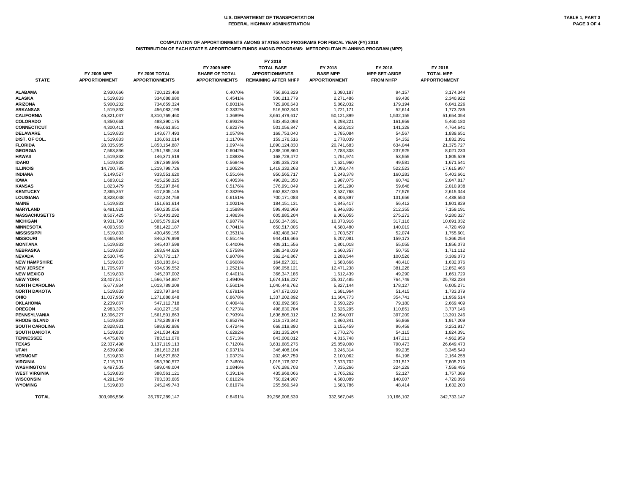# **COMPUTATION OF APPORTIONMENTS AMONG STATES AND PROGRAMS FOR FISCAL YEAR (FY) 2018 DISTRIBUTION OF EACH STATE'S APPORTIONED FUNDS AMONG PROGRAMS: METROPOLITAN PLANNING PROGRAM (MPP)**

|                       |                                            |                                        |                                                                      | FY 2018                                                                   |                                                    |                                                     |                                                     |
|-----------------------|--------------------------------------------|----------------------------------------|----------------------------------------------------------------------|---------------------------------------------------------------------------|----------------------------------------------------|-----------------------------------------------------|-----------------------------------------------------|
| <b>STATE</b>          | <b>FY 2009 MPP</b><br><b>APPORTIONMENT</b> | FY 2009 TOTAL<br><b>APPORTIONMENTS</b> | <b>FY 2009 MPP</b><br><b>SHARE OF TOTAL</b><br><b>APPORTIONMENTS</b> | <b>TOTAL BASE</b><br><b>APPORTIONMENTS</b><br><b>REMAINING AFTER NHFP</b> | FY 2018<br><b>BASE MPP</b><br><b>APPORTIONMENT</b> | FY 2018<br><b>MPP SET-ASIDE</b><br><b>FROM NHFP</b> | FY 2018<br><b>TOTAL MPP</b><br><b>APPORTIONMENT</b> |
|                       |                                            |                                        |                                                                      |                                                                           |                                                    |                                                     |                                                     |
| <b>ALABAMA</b>        | 2,930,666                                  | 720,123,469                            | 0.4070%                                                              | 756,863,829                                                               | 3,080,187                                          | 94,157                                              | 3,174,344                                           |
| <b>ALASKA</b>         | 1,519,833                                  | 334,688,980                            | 0.4541%                                                              | 500,213,779                                                               | 2,271,486                                          | 69,436                                              | 2,340,922                                           |
| <b>ARIZONA</b>        | 5,900,202                                  | 734,659,324                            | 0.8031%                                                              | 729,906,643                                                               | 5,862,032                                          | 179,194                                             | 6,041,226                                           |
| <b>ARKANSAS</b>       | 1,519,833                                  | 456,083,199                            | 0.3332%                                                              | 516,502,343                                                               | 1,721,171                                          | 52,614                                              | 1,773,785                                           |
| <b>CALIFORNIA</b>     | 45,321,037                                 | 3,310,769,460                          | 1.3689%                                                              | 3,661,479,617                                                             | 50,121,899                                         | 1,532,155                                           | 51,654,054                                          |
| <b>COLORADO</b>       | 4,850,668                                  | 488,390,175                            | 0.9932%                                                              | 533,452,093                                                               | 5,298,221                                          | 161,959                                             | 5,460,180                                           |
| <b>CONNECTICUT</b>    | 4,300,411                                  | 466,061,951                            | 0.9227%                                                              | 501,056,847                                                               | 4,623,313                                          | 141,328                                             | 4,764,641                                           |
| <b>DELAWARE</b>       | 1,519,833                                  | 143,677,493                            | 1.0578%                                                              | 168,753,040                                                               | 1,785,084                                          | 54,567                                              | 1,839,651                                           |
| DIST. OF COL.         | 1,519,833                                  | 136,061,014                            | 1.1170%                                                              | 159,176,516                                                               | 1,778,039                                          | 54,352                                              | 1,832,391                                           |
| <b>FLORIDA</b>        | 20,335,985                                 | 1,853,154,887                          | 1.0974%                                                              | 1,890,124,830                                                             | 20,741,683                                         | 634,044                                             | 21,375,727                                          |
| <b>GEORGIA</b>        | 7,563,836                                  | 1,251,785,184                          | 0.6042%                                                              | 1,288,106,860                                                             | 7,783,308                                          | 237,925                                             | 8,021,233                                           |
| <b>HAWAII</b>         | 1,519,833                                  | 146,371,519                            | 1.0383%                                                              | 168,728,472                                                               | 1,751,974                                          | 53,555                                              | 1,805,529                                           |
| <b>IDAHO</b>          | 1,519,833                                  | 267,369,595                            | 0.5684%                                                              | 285,335,728                                                               | 1,621,960                                          | 49,581                                              | 1,671,541                                           |
| <b>ILLINOIS</b>       | 14,700,785                                 | 1,219,798,726                          | 1.2052%                                                              | 1,418,332,263                                                             | 17,093,474                                         | 522,523                                             | 17,615,997                                          |
| <b>INDIANA</b>        | 5,149,527                                  | 933,551,620                            | 0.5516%                                                              | 950,565,717                                                               | 5,243,378                                          | 160,283                                             | 5,403,661                                           |
| <b>IOWA</b>           | 1,683,012                                  | 415,258,325                            | 0.4053%                                                              | 490,281,350                                                               | 1,987,075                                          | 60,742                                              | 2,047,817                                           |
| <b>KANSAS</b>         | 1,823,479                                  | 352,297,846                            | 0.5176%                                                              | 376,991,049                                                               | 1,951,290                                          | 59,648                                              | 2,010,938                                           |
| <b>KENTUCKY</b>       | 2,365,357                                  | 617,805,145                            | 0.3829%                                                              | 662,837,036                                                               | 2,537,768                                          | 77,576                                              | 2,615,344                                           |
| <b>LOUISIANA</b>      | 3,828,048                                  | 622,324,758                            | 0.6151%                                                              | 700,171,083                                                               | 4,306,897                                          | 131,656                                             | 4,438,553                                           |
| <b>MAINE</b>          | 1,519,833                                  | 151,661,614                            | 1.0021%                                                              | 184, 151, 131                                                             | 1,845,417                                          | 56,412                                              | 1,901,829                                           |
| <b>MARYLAND</b>       | 6,491,921                                  | 560,235,056                            | 1.1588%                                                              | 599,492,969                                                               | 6,946,836                                          | 212,355                                             | 7,159,191                                           |
| <b>MASSACHUSETTS</b>  | 8,507,425                                  | 572,403,292                            | 1.4863%                                                              | 605,885,204                                                               | 9,005,055                                          | 275,272                                             | 9,280,327                                           |
| <b>MICHIGAN</b>       | 9,931,760                                  | 1,005,579,924                          | 0.9877%                                                              | 1,050,347,691                                                             | 10,373,916                                         | 317,116                                             | 10,691,032                                          |
| <b>MINNESOTA</b>      | 4,093,963                                  | 581,422,187                            | 0.7041%                                                              | 650,517,005                                                               | 4,580,480                                          | 140,019                                             | 4,720,499                                           |
| <b>MISSISSIPPI</b>    | 1,519,833                                  | 430,459,155                            | 0.3531%                                                              | 482,486,347                                                               | 1,703,527                                          | 52,074                                              | 1,755,601                                           |
| <b>MISSOURI</b>       | 4,665,984                                  | 846,276,998                            | 0.5514%                                                              | 944,416,666                                                               | 5,207,081                                          | 159,173                                             | 5,366,254                                           |
| <b>MONTANA</b>        |                                            |                                        | 0.4400%                                                              | 409,311,556                                                               |                                                    |                                                     |                                                     |
| <b>NEBRASKA</b>       | 1,519,833                                  | 345,407,598                            |                                                                      |                                                                           | 1,801,018                                          | 55,055                                              | 1,856,073                                           |
| <b>NEVADA</b>         | 1,519,833                                  | 263,944,626                            | 0.5758%                                                              | 288,349,039                                                               | 1,660,357                                          | 50,755                                              | 1,711,112                                           |
|                       | 2,530,745                                  | 278,772,117                            | 0.9078%                                                              | 362,246,867                                                               | 3,288,544                                          | 100,526                                             | 3,389,070                                           |
| <b>NEW HAMPSHIRE</b>  | 1,519,833                                  | 158,183,641                            | 0.9608%                                                              | 164,827,321                                                               | 1,583,666                                          | 48,410                                              | 1,632,076                                           |
| <b>NEW JERSEY</b>     | 11,705,997                                 | 934,939,552                            | 1.2521%                                                              | 996,058,121                                                               | 12,471,238                                         | 381,228                                             | 12,852,466                                          |
| <b>NEW MEXICO</b>     | 1,519,833                                  | 345,307,002                            | 0.4401%                                                              | 366,347,186                                                               | 1,612,439                                          | 49,290                                              | 1,661,729                                           |
| <b>NEW YORK</b>       | 23,407,517                                 | 1,566,754,887                          | 1.4940%                                                              | 1,674,516,237                                                             | 25,017,485                                         | 764,749                                             | 25,782,234                                          |
| <b>NORTH CAROLINA</b> | 5,677,834                                  | 1,013,789,209                          | 0.5601%                                                              | 1,040,448,762                                                             | 5,827,144                                          | 178,127                                             | 6,005,271                                           |
| <b>NORTH DAKOTA</b>   | 1,519,833                                  | 223,797,940                            | 0.6791%                                                              | 247,672,030                                                               | 1,681,964                                          | 51,415                                              | 1,733,379                                           |
| <b>OHIO</b>           | 11,037,950                                 | 1,271,888,648                          | 0.8678%                                                              | 1,337,202,892                                                             | 11,604,773                                         | 354,741                                             | 11,959,514                                          |
| <b>OKLAHOMA</b>       | 2,239,867                                  | 547,112,718                            | 0.4094%                                                              | 632,692,585                                                               | 2,590,229                                          | 79,180                                              | 2,669,409                                           |
| <b>OREGON</b>         | 2,983,379                                  | 410,227,150                            | 0.7273%                                                              | 498,630,784                                                               | 3,626,295                                          | 110,851                                             | 3,737,146                                           |
| <b>PENNSYLVANIA</b>   | 12,396,227                                 | 1,561,501,663                          | 0.7939%                                                              | 1,636,805,312                                                             | 12,994,037                                         | 397,209                                             | 13,391,246                                          |
| <b>RHODE ISLAND</b>   | 1,519,833                                  | 178,239,974                            | 0.8527%                                                              | 218, 173, 342                                                             | 1,860,341                                          | 56,868                                              | 1,917,209                                           |
| <b>SOUTH CAROLINA</b> | 2,828,931                                  | 598,892,886                            | 0.4724%                                                              | 668,019,890                                                               | 3,155,459                                          | 96,458                                              | 3,251,917                                           |
| <b>SOUTH DAKOTA</b>   | 1,519,833                                  | 241,534,429                            | 0.6292%                                                              | 281,335,204                                                               | 1,770,276                                          | 54,115                                              | 1,824,391                                           |
| <b>TENNESSEE</b>      | 4,475,878                                  | 783,511,070                            | 0.5713%                                                              | 843,006,012                                                               | 4,815,748                                          | 147,211                                             | 4,962,959                                           |
| <b>TEXAS</b>          | 22,337,498                                 | 3,137,119,113                          | 0.7120%                                                              | 3,631,685,276                                                             | 25,859,000                                         | 790,473                                             | 26,649,473                                          |
| <b>UTAH</b>           | 2,639,098                                  | 281,613,216                            | 0.9371%                                                              | 346,408,104                                                               | 3,246,314                                          | 99,235                                              | 3,345,549                                           |
| <b>VERMONT</b>        | 1,519,833                                  | 146,527,682                            | 1.0372%                                                              | 202,467,759                                                               | 2,100,062                                          | 64,196                                              | 2,164,258                                           |
| <b>VIRGINIA</b>       | 7,115,731                                  | 953,790,577                            | 0.7460%                                                              | 1,015,176,927                                                             | 7,573,702                                          | 231,517                                             | 7,805,219                                           |
| WASHINGTON            | 6,497,505                                  | 599,048,004                            | 1.0846%                                                              | 676,286,703                                                               | 7,335,266                                          | 224,229                                             | 7,559,495                                           |
| <b>WEST VIRGINIA</b>  | 1,519,833                                  | 388,561,121                            | 0.3911%                                                              | 435,968,066                                                               | 1,705,262                                          | 52,127                                              | 1,757,389                                           |
| <b>WISCONSIN</b>      | 4,291,349                                  | 703,303,685                            | 0.6102%                                                              | 750,624,907                                                               | 4,580,089                                          | 140,007                                             | 4,720,096                                           |
| <b>WYOMING</b>        | 1,519,833                                  | 245,249,743                            | 0.6197%                                                              | 255,569,549                                                               | 1,583,786                                          | 48,414                                              | 1,632,200                                           |
| <b>TOTAL</b>          | 303,966,566                                | 35,797,289,147                         | 0.8491%                                                              | 39,256,006,539                                                            | 332,567,045                                        | 10,166,102                                          | 342,733,147                                         |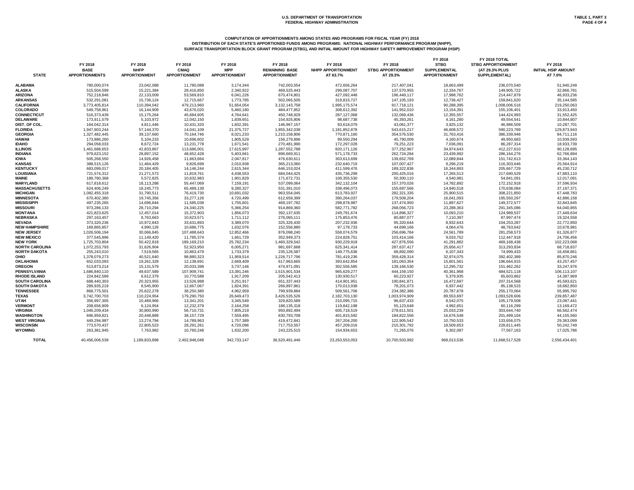# **COMPUTATION OF APPORTIONMENTS AMONG STATES AND PROGRAMS FOR FISCAL YEAR (FY) 2018**

**DISTRIBUTION OF EACH STATE'S APPORTIONED FUNDS AMONG PROGRAMS: NATIONAL HIGHWAY PERFORMANCE PROGRAM (NHPP), SURFACE TRANSPORTATION BLOCK GRANT PROGRAM (STBG), AND INITIAL AMOUNT FOR HIGHWAY SAFETY IMPROVEMENT PROGRAM (HSIP)**

| <b>STATE</b>                   | FY 2018<br><b>BASE</b><br><b>APPORTIONMENTS</b> | FY 2018<br><b>NHFP</b><br><b>APPORTIONMENT</b> | FY 2018<br><b>CMAQ</b><br><b>APPORTIONMENT</b> | FY 2018<br><b>MPP</b><br><b>APPORTIONMENT</b> | FY 2018<br><b>REMAINING BASE</b><br><b>APPORTIONMENT</b> | FY 2018<br><b>NHPP APPORTIONMENT</b><br>AT 63.7% | FY 2018<br><b>STBG APPORTIONMENT</b><br>AT 29.3% | FY 2018<br><b>STBG</b><br><b>SUPPLEMENTAL</b><br><b>APPORTIONMENT</b> | FY 2018 TOTAL<br><b>STBG APPORTIONMENT</b><br>(AT 29.3% PLUS<br><b>SUPPLEMENTAL)</b> | FY 2018<br><b>INITIAL HSIP AMOUNT</b><br>AT 7.0% |
|--------------------------------|-------------------------------------------------|------------------------------------------------|------------------------------------------------|-----------------------------------------------|----------------------------------------------------------|--------------------------------------------------|--------------------------------------------------|-----------------------------------------------------------------------|--------------------------------------------------------------------------------------|--------------------------------------------------|
| ALABAMA                        | 780,000,074                                     | 23,042,088                                     | 11,780,088                                     | 3,174,344                                     | 742,003,554                                              | 472,656,264                                      | 217,407,041                                      | 18,663,499                                                            | 236,070,540                                                                          | 51,940,249                                       |
| ALASKA                         | 515,504,599                                     | 15,221,384                                     | 28,416,850                                     | 2,340,922                                     | 469,525,443                                              | 299,087,707                                      | 137,570,955                                      | 12,334,767                                                            | 149,905,722                                                                          | 32,866,781                                       |
| <b>ARIZONA</b>                 | 752,218,846                                     | 22,133,009                                     | 53,569,810                                     | 6,041,226                                     | 670,474,801                                              | 427,092,448                                      | 196,449,117                                      | 17,998,762                                                            | 214,447,879                                                                          | 46,933,236                                       |
| ARKANSAS                       | 532,291,081                                     | 15,736,124                                     | 12,715,667                                     | 1,773,785                                     | 502,065,505                                              | 319,815,727                                      | 147,105,193                                      | 12,736,427                                                            | 159,841,620                                                                          | 35,144,585                                       |
| <b>CALIFORNIA</b>              | 3,773,405,814                                   | 110,394,042                                    | 479,213,960                                    | 51,654,054                                    | 3, 132, 143, 758                                         | 1,995,175,574                                    | 917,718,121                                      | 90,288,395                                                            | 1,008,006,516                                                                        | 219,250,063                                      |
| <b>COLORADO</b>                | 549,758,961                                     | 16,144,909                                     | 43,676,020                                     | 5,460,180                                     | 484,477,852                                              | 308,612,392                                      | 141,952,010                                      | 13,154,391                                                            | 155,106,401                                                                          | 33,913,450                                       |
| CONNECTICUT                    | 516,373,439                                     | 15,175,264                                     | 45,684,605                                     | 4,764,641                                     | 450,748,929                                              | 287,127,068                                      | 132,069,436                                      | 12,355,557                                                            | 144,424,993                                                                          | 31,552,425                                       |
| <b>DELAWARE</b>                | 173,911,579                                     | 5,103,972                                      | 12,042,150                                     | 1,839,651                                     | 154,925,806                                              | 98,687,738                                       | 45,393,261                                       | 4,161,280                                                             | 49,554,541                                                                           | 10,844,807                                       |
| DIST. OF COL.                  | 164,042,314                                     | 4,811,446                                      | 10,431,320                                     | 1,832,391                                     | 146,967,157                                              | 93,618,079                                       | 43,061,377                                       | 3,925,132                                                             | 46,986,509                                                                           | 10,287,701                                       |
| <b>FLORIDA</b>                 | 1,947,903,244                                   | 57,144,370                                     | 14,041,109                                     | 21,375,727                                    | 1,855,342,038                                            | 1,181,852,878                                    | 543,615,217                                      | 46,608,572                                                            | 590,223,789                                                                          | 129,873,943                                      |
| GEORGIA                        | 1,327,482,445                                   | 39,137,660                                     | 70,164,746                                     | 8,021,233                                     | 1,210,158,806                                            | 770,871,160                                      | 354,576,530                                      | 31,763,416                                                            | 386,339,946                                                                          | 84,711,116                                       |
| HAWAII                         | 173,886,260                                     | 5,104,233                                      | 10,696,602                                     | 1,805,529                                     | 156,279,896                                              | 99,550,294                                       | 45,790,009                                       | 4,160,674                                                             | 49,950,683                                                                           | 10,939,593                                       |
| <b>IDAHO</b>                   | 294,058,033                                     | 8,672,724                                      | 13,231,778                                     | 1,671,541                                     | 270,481,990                                              | 172,297,028                                      | 79,251,223                                       | 7,036,091                                                             | 86,287,314                                                                           | 18,933,739                                       |
| ILLINOIS                       | 1,461,688,653                                   | 42,833,867                                     | 113,686,001                                    | 17,615,997                                    | 1,287,552,788                                            | 820,171,126                                      | 377,252,967                                      | 34,974,643                                                            | 412,227,610                                                                          | 90,128,695                                       |
| <b>INDIANA</b>                 | 979,623,152                                     | 28,897,152                                     | 48,652,428                                     | 5,403,661                                     | 896,669,911                                              | 571,178,733                                      | 262,724,284                                      | 23,439,992                                                            | 286,164,276                                                                          | 62,766,894                                       |
| IOWA                           | 505,268,550                                     | 14,926,458                                     | 11,663,664                                     | 2,047,817                                     | 476,630,611                                              | 303,613,699                                      | 139,652,769                                      | 12,089,844                                                            | 151,742,613                                                                          | 33,364,143                                       |
| KANSAS                         | 388,515,126                                     | 11,464,429                                     | 9,826,699                                      | 2,010,938                                     | 365,213,060                                              | 232,640,719                                      | 107,007,427                                      | 9,296,219                                                             | 116,303,646                                                                          | 25,564,914                                       |
| <b>KENTUCKY</b>                | 683,099,017                                     | 20,184,405                                     | 14,146,244                                     | 2,615,344                                     | 646,153,024                                              | 411,599,476                                      | 189,322,836                                      | 16,344,893                                                            | 205,667,729                                                                          | 45,230,712                                       |
| LOUISIANA                      | 721,574,312                                     | 21,271,573                                     | 11,819,761                                     | 4,438,553                                     | 684,044,425                                              | 435,736,299                                      | 200,425,016                                      | 17,265,513                                                            | 217,690,529                                                                          | 47,883,110                                       |
| MAINE                          | 189,780,368                                     | 5,572,825                                      | 10,632,983                                     | 1,901,829                                     | 171,672,731                                              | 109,355,530                                      | 50,300,110                                       | 4,540,981                                                             | 54,841,091                                                                           | 12,017,091                                       |
| <b>MARYLAND</b>                | 617,818,612                                     | 18,113,288                                     | 55,447,069                                     | 7,159,191                                     | 537,099,064                                              | 342,132,104                                      | 157,370,026                                      | 14,782,892                                                            | 172,152,918                                                                          | 37,596,934                                       |
| MASSACHUSETTS                  | 624,406,249                                     | 18,245,773                                     | 65,489,139                                     | 9,280,327                                     | 531,391,010                                              | 338,496,073                                      | 155,697,566                                      | 14,940,518                                                            | 170,638,084                                                                          | 37,197,371                                       |
| MICHIGAN                       | 1,082,455,318                                   | 31,790,511                                     | 76,419,730                                     | 10,691,032                                    | 963,554,045                                              | 613,783,927                                      | 282,321,335                                      | 25,900,515                                                            | 308,221,850                                                                          | 67,448,783                                       |
| MINNESOTA                      | 670,402,380                                     | 19,745,356                                     | 33,277,126                                     | 4,720,499                                     | 612,659,399                                              | 390,264,037                                      | 179,509,204                                      | 16,041,093                                                            | 195,550,297                                                                          | 42,886,158                                       |
| MISSISSIPPI                    | 497,235,265                                     | 14,696,844                                     | 11,585,038                                     | 1,755,601                                     | 469,197,782                                              | 298,878,987                                      | 137,474,950                                      | 11,897,627                                                            | 149,372,577                                                                          | 32,843,845                                       |
| <b>MISSOURI</b>                | 973,286,133                                     | 28,710,294                                     | 24,340,225                                     | 5,366,254                                     | 914,869,360                                              | 582,771,782                                      | 268,056,723                                      |                                                                       | 291,345,086                                                                          |                                                  |
|                                |                                                 | 12,457,014                                     |                                                |                                               |                                                          |                                                  |                                                  | 23,288,363                                                            |                                                                                      | 64,040,855                                       |
| MONTANA                        | 421,823,625                                     |                                                | 15,372,903                                     | 1,856,073                                     | 392,137,635                                              | 249,791,674                                      | 114,896,327<br>80,887,077                        | 10,093,210                                                            | 124,989,537                                                                          | 27,449,634                                       |
| NEBRASKA                       | 297,163,457                                     | 8,763,663                                      | 10,623,571                                     | 1,711,112                                     | 276,065,111                                              | 175,853,476                                      |                                                  | 7,110,397                                                             | 87,997,474                                                                           | 19,324,558                                       |
| NEVADA<br><b>NEW HAMPSHIRE</b> | 373,320,236                                     | 10,972,843                                     | 33,631,893                                     | 3,389,070                                     | 325,326,430                                              | 207,232,936                                      | 95,320,644                                       | 8,932,643                                                             | 104,253,287                                                                          | 22,772,850                                       |
|                                | 169,865,857                                     | 4,990,126                                      | 10,686,775                                     | 1,632,076                                     | 152,556,880                                              | 97,178,733                                       | 44,699,166                                       | 4,064,476                                                             | 48,763,642                                                                           | 10,678,981                                       |
| <b>NEW JERSEY</b>              | 1,026,506,194                                   | 30,066,845                                     | 107,488,643                                    | 12,852,466                                    | 876,098,240                                              | 558,074,579                                      | 256,696,784                                      | 24,561,789                                                            | 281,258,573                                                                          | 61,326,877                                       |
| <b>NEW MEXICO</b>              | 377,545,896                                     | 11,149,420                                     | 11,785,374                                     | 1,661,729                                     | 352,949,373                                              | 224,828,751                                      | 103,414,166                                      | 9,033,752                                                             | 112,447,918                                                                          | 24,706,456                                       |
| <b>NEW YORK</b>                | 1,725,703,804                                   | 50,422,818                                     | 189,169,210                                    | 25,782,234                                    | 1,460,329,542                                            | 930,229,918                                      | 427,876,556                                      | 41,291,882                                                            | 469,168,438                                                                          | 102,223,068                                      |
| <b>NORTH CAROLINA</b>          | 1,072,253,793                                   | 31,626,904                                     | 52,923,950                                     | 6,005,271                                     | 981,697,668                                              | 625,341,414                                      | 287,637,417                                      | 25,656,417                                                            | 313,293,834                                                                          | 68,718,837                                       |
| <b>NORTH DAKOTA</b>            | 255,243,010                                     | 7,519,565                                      | 10,863,479                                     | 1,733,379                                     | 235,126,587                                              | 149,775,636                                      | 68,892,090                                       | 6,107,343                                                             | 74,999,433                                                                           | 16,458,861                                       |
| OHIO                           | 1,378,079,273                                   | 40,521,640                                     | 98,880,323                                     | 11,959,514                                    | 1,226,717,796                                            | 781,419,236                                      | 359,428,314                                      | 32,974,075                                                            | 392,402,389                                                                          | 85,870,246                                       |
| <b>OKLAHOMA</b>                | 652,033,093                                     | 19,261,328                                     | 12,138,691                                     | 2,669,409                                     | 617,963,665                                              | 393,642,854                                      | 181,063,354                                      | 15,601,561                                                            | 196,664,915                                                                          | 43,257,457                                       |
| OREGON                         | 513,873,214                                     | 15,131,579                                     | 20,033,398                                     | 3,737,146                                     | 474,971,091                                              | 302,556,585                                      | 139,166,530                                      | 12,295,732                                                            | 151,462,262                                                                          | 33,247,976                                       |
| PENNSYLVANIA                   | 1,686,840,110                                   | 49,637,589                                     | 107,909,741                                    | 13,391,246                                    | 1,515,901,534                                            | 965,629,277                                      | 444,159,150                                      | 40,361,968                                                            | 484,521,118                                                                          | 106,113,107                                      |
| <b>RHODE ISLAND</b>            | 224,842,589                                     | 6,612,379                                      | 10,770,588                                     | 1,917,209                                     | 205,542,413                                              | 130,930,517                                      | 60,223,927                                       | 5,379,935                                                             | 65,603,862                                                                           | 14,387,969                                       |
| SOUTH CAROLINA                 | 688,440,303                                     | 20,323,955                                     | 13,526,988                                     | 3,251,917                                     | 651,337,443                                              | 414,901,951                                      | 190,841,871                                      | 16,472,697                                                            | 207,314,568                                                                          | 45,593,621                                       |
| SOUTH DAKOTA                   | 289,935,219                                     | 8,545,900                                      | 12,667,067                                     | 1,824,391                                     | 266,897,861                                              | 170,013,938                                      | 78,201,073                                       | 6,937,442                                                             | 85,138,515                                                                           | 18,682,850                                       |
| <b>TENNESSEE</b>               | 868,775,501                                     | 25,622,278                                     | 38,250,380                                     | 4,962,959                                     | 799,939,884                                              | 509,561,706                                      | 234,382,386                                      | 20,787,678                                                            | 255,170,064                                                                          | 55,995,792                                       |
| TEXAS                          | 3,742,700,703                                   | 110,224,954                                    | 179,290,750                                    | 26,649,473                                    | 3,426,535,526                                            | 2,182,703,130                                    | 1,003,974,909                                    | 89,553,697                                                            | 1,093,528,606                                                                        | 239,857,487                                      |
| UTAH                           | 356,997,305                                     | 10,489,966                                     | 13,341,201                                     | 3,345,549                                     | 329,820,589                                              | 210,095,715                                      | 96,637,433                                       | 8,542,075                                                             | 105,179,508                                                                          | 23,087,441                                       |
| <b>VERMONT</b>                 | 208,656,909                                     | 6,124,954                                      | 12,232,379                                     | 2,164,258                                     | 188,135,318                                              | 119,842,198                                      | 55,123,648                                       | 4,992,651                                                             | 60,116,299                                                                           | 13,169,472                                       |
| <b>VIRGINIA</b>                | 1,046,209,434                                   | 30,800,990                                     | 56,710,731                                     | 7,805,219                                     | 950,892,494                                              | 605,718,519                                      | 278,611,501                                      | 25,033,239                                                            | 303,644,740                                                                          | 66,562,474                                       |
| WASHINGTON                     | 696,959,821                                     | 20,448,889                                     | 38, 157, 729                                   | 7,559,495                                     | 630,793,708                                              | 401,815,592                                      | 184,822,556                                      | 16,676,548                                                            | 201,499,104                                                                          | 44,155,560                                       |
| WEST VIRGINIA                  | 449,294,987                                     | 13,274,794                                     | 14,789,963                                     | 1,757,389                                     | 419,472,841                                              | 267,204,200                                      | 122,905,542                                      | 10,750,533                                                            | 133,656,075                                                                          | 29,363,099                                       |
| WISCONSIN                      | 773,570,437                                     | 22,805,523                                     | 28,291,261                                     | 4,720,096                                     | 717,753,557                                              | 457,209,016                                      | 210,301,792                                      | 18,509,653                                                            | 228,811,445                                                                          | 50,242,749                                       |
| WYOMING                        | 263,381,945                                     | 7,763,982                                      | 10,760,248                                     | 1,632,200                                     | 243,225,515                                              | 154,934,653                                      | 71,265,076                                       | 6,302,087                                                             | 77,567,163                                                                           | 17,025,786                                       |
| <b>TOTAL</b>                   | 40,456,006,539                                  | 1,189,833,898                                  | 2,402,948,048                                  | 342,733,147                                   | 36,520,491,446                                           | 23,263,553,053                                   | 10,700,503,992                                   | 968,013,536                                                           | 11,668,517,528                                                                       | 2,556,434,401                                    |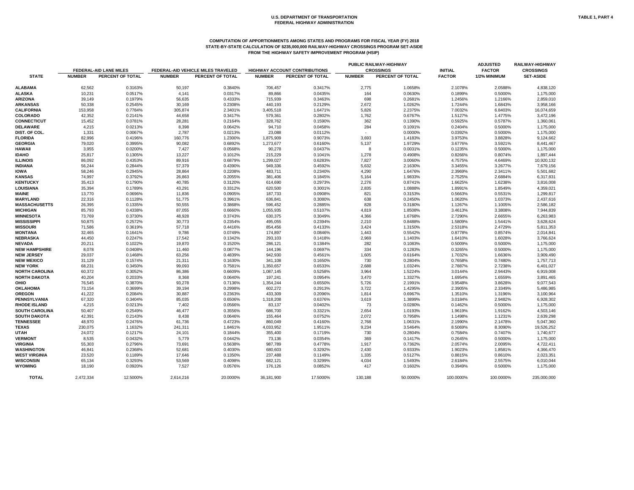# **COMPUTATION OF APPORTIONMENTS AMONG STATES AND PROGRAMS FOR FISCAL YEAR (FY) 2018 STATE-BY-STATE CALCULATION OF \$235,000,000 RAILWAY-HIGHWAY CROSSINGS PROGRAM SET-ASIDE FROM THE HIGHWAY SAFETY IMPROVEMENT PROGRAM (HSIP)**

| <b>INITIAL</b><br><b>FACTOR</b> | <b>ADJUSTED</b><br><b>FACTOR</b><br>1/2% MINIMUM | RAILWAY-HIGHWAY<br><b>CROSSINGS</b><br><b>SET-ASIDE</b> |  |  |
|---------------------------------|--------------------------------------------------|---------------------------------------------------------|--|--|
| 2.1078%                         | 2.0588%                                          | 4,838,120                                               |  |  |
| 0.1899%                         | 0.5000%                                          | 1,175,000                                               |  |  |
|                                 |                                                  |                                                         |  |  |
| 1.2456%                         | 1.2166%                                          | 2,859,010                                               |  |  |
| 1.7244%                         | 1.6843%                                          | 3,958,166                                               |  |  |
| 7.0032%                         | 6.8403%                                          | 16,074,659                                              |  |  |
| 1.5127%                         | 1.4775%                                          | 3,472,196                                               |  |  |
| 0.5925%                         | 0.5787%                                          | 1,360,061                                               |  |  |
| 0.2404%                         | 0.5000%                                          | 1,175,000                                               |  |  |
| 0.0392%                         | 0.5000%                                          | 1,175,000                                               |  |  |
| 3.9753%                         | 3.8828%                                          | 9,124,662                                               |  |  |
| 3.6776%                         | 3.5921%                                          | 8,441,467                                               |  |  |
| 0.1235%                         | 0.5000%                                          | 1,175,000                                               |  |  |
| 0.8266%                         | 0.8074%                                          | 1,897,444                                               |  |  |
| 4.7575%                         | 4.6469%                                          | 10,920,132                                              |  |  |
| 3.3455%                         | 3.2677%                                          | 7,679,156                                               |  |  |
| 2.3969%                         | 2.3411%                                          | 5,501,682                                               |  |  |
| 2.7525%                         | 2.6884%                                          | 6,317,831                                               |  |  |
| 1.6625%                         | 1.6238%                                          | 3,816,008                                               |  |  |
| 1.8991%                         | 1.8549%                                          | 4,359,021                                               |  |  |
| 0.5663%                         | 0.5531%                                          | 1,299,817                                               |  |  |
| 1.0620%                         | 1.0373%                                          | 2,437,616                                               |  |  |
| 1.1267%                         | 1.1005%                                          | 2,586,182                                               |  |  |
| 3.4613%                         | 3.3808%                                          | 7,944,839                                               |  |  |
| 2.7290%                         | 2.6655%                                          | 6,263,983                                               |  |  |
| 1.5809%                         | 1.5441%                                          | 3,628,624                                               |  |  |
| 2.5318%                         | 2.4729%                                          | 5,811,353                                               |  |  |
| 0.8778%                         | 0.8574%                                          | 2,014,841                                               |  |  |
| 1.6410%                         | 1.6028%                                          | 3,766,624                                               |  |  |
| 0.5009%                         | 0.5000%                                          | 1,175,000                                               |  |  |
| 0.3265%                         | 0.5000%                                          | 1,175,000                                               |  |  |
| 1.7032%                         | 1.6636%                                          | 3,909,490                                               |  |  |
| 0.7658%                         | 0.7480%                                          | 1,757,713                                               |  |  |
| 2.7887%                         | 2.7238%                                          | 6,401,027                                               |  |  |
| 3.0144%                         | 2.9443%                                          | 6,919,008                                               |  |  |
| 1.6954%                         | 1.6559%                                          | 3,891,465                                               |  |  |
| 3.9548%                         | 3.8628%                                          | 9,077,543                                               |  |  |
| 2.3905%                         | 2.3349%                                          | 5,486,985                                               |  |  |
| 1.3510%                         | 1.3196%                                          | 3,100,964                                               |  |  |
| 3.0184%                         | 2.9482%                                          | 6,928,302                                               |  |  |
| 0.1462%                         | 0.5000%                                          | 1,175,000                                               |  |  |
| 1.9619%                         | 1.9162%                                          | 4,503,146                                               |  |  |
| 1.1498%                         | 1.1231%                                          | 2,639,298                                               |  |  |
| 2.1990%                         | 2.1478%                                          | 5,047,360                                               |  |  |
| 8.5069%                         | 8.3090%                                          | 19,526,252                                              |  |  |
| 0.7584%                         | 0.7407%                                          | 1,740,677                                               |  |  |
| 0.2645%                         | 0.5000%                                          | 1,175,000                                               |  |  |
| 2.0574%                         | 2.0095%                                          | 4,722,411                                               |  |  |
| 1.9023%                         | 1.8581%                                          | 4,366,470                                               |  |  |
| 0.8815%                         | 0.8610%                                          | 2,023,351                                               |  |  |
| 2.6184%                         | 2.5575%                                          | 6,010,044                                               |  |  |
| 0.3949%                         | 0.5000%                                          | 1,175,000                                               |  |  |

|                                   |               |                               |               |                                    |               |                                      | PUBLIC RAILWAY-HIGHWAY |                  | <b>ADJUSTED</b> |               | <b>RAILWAY-HIGHWAY</b> |  |
|-----------------------------------|---------------|-------------------------------|---------------|------------------------------------|---------------|--------------------------------------|------------------------|------------------|-----------------|---------------|------------------------|--|
|                                   |               | <b>FEDERAL-AID LANE MILES</b> |               | FEDERAL-AID VEHICLE MILES TRAVELED |               | <b>HIGHWAY ACCOUNT CONTRIBUTIONS</b> |                        | <b>CROSSINGS</b> | <b>INITIAL</b>  | <b>FACTOR</b> | <b>CROSSINGS</b>       |  |
| <b>STATE</b>                      | <b>NUMBER</b> | PERCENT OF TOTAL              | <b>NUMBER</b> | PERCENT OF TOTAL                   | <b>NUMBER</b> | PERCENT OF TOTAL                     | <b>NUMBER</b>          | PERCENT OF TOTAL | <b>FACTOR</b>   | 1/2% MINIMUM  | <b>SET-ASIDE</b>       |  |
| <b>ALABAMA</b>                    | 62,562        | 0.3163%                       | 50,197        | 0.3840%                            | 706,457       | 0.3417%                              | 2,775                  | 1.0658%          | 2.1078%         | 2.0588%       | 4,838,120              |  |
| <b>ALASKA</b>                     | 10,231        | 0.0517%                       | 4,141         | 0.0317%                            | 89,866        | 0.0435%                              | 164                    | 0.0630%          | 0.1899%         | 0.5000%       | 1,175,000              |  |
| <b>ARIZONA</b>                    | 39,149        | 0.1979%                       | 56,635        | 0.4333%                            | 715,939       | 0.3463%                              | 698                    | 0.2681%          | 1.2456%         | 1.2166%       | 2,859,010              |  |
| <b>ARKANSAS</b>                   | 50,338        | 0.2545%                       | 30,169        | 0.2308%                            | 440,193       | 0.2129%                              | 2,672                  | 1.0262%          | 1.7244%         | 1.6843%       | 3,958,166              |  |
| <b>CALIFORNIA</b>                 | 153,958       | 0.7784%                       | 305,874       | 2.3401%                            | 3,405,518     | 1.6471%                              | 5,826                  | 2.2375%          | 7.0032%         | 6.8403%       | 16,074,659             |  |
| <b>COLORADO</b>                   | 42,352        | 0.2141%                       | 44,658        | 0.3417%                            | 579,361       | 0.2802%                              | 1,762                  | 0.6767%          | 1.5127%         | 1.4775%       | 3,472,196              |  |
| <b>CONNECTICUT</b>                | 15,452        | 0.0781%                       | 28,281        | 0.2164%                            | 328,762       | 0.1590%                              | 362                    | 0.1390%          | 0.5925%         | 0.5787%       | 1,360,061              |  |
| <b>DELAWARE</b>                   | 4,215         | 0.0213%                       | 8,398         | 0.0642%                            | 94,710        | 0.0458%                              | 284                    | 0.1091%          | 0.2404%         | 0.5000%       | 1,175,000              |  |
| DIST. OF COL.                     | 1,331         | 0.0067%                       | 2,787         | 0.0213%                            | 23,088        | 0.0112%                              | $\sim$                 | 0.0000%          | 0.0392%         | 0.5000%       | 1,175,000              |  |
| <b>FLORIDA</b>                    | 82,996        | 0.4196%                       | 160,776       | 1.2300%                            | 1,875,909     | 0.9073%                              | 3,693                  | 1.4183%          | 3.9753%         | 3.8828%       | 9,124,662              |  |
| <b>GEORGIA</b>                    | 79,020        | 0.3995%                       | 90,082        | 0.6892%                            | 1,273,677     | 0.6160%                              | 5,137                  | 1.9729%          | 3.6776%         | 3.5921%       | 8,441,467              |  |
| <b>HAWAII</b>                     | 3,955         | 0.0200%                       | 7,427         | 0.0568%                            | 90,278        | 0.0437%                              | 8                      | 0.0031%          | 0.1235%         | 0.5000%       | 1,175,000              |  |
| <b>IDAHO</b>                      | 25,817        | 0.1305%                       | 13,227        | 0.1012%                            | 215,229       | 0.1041%                              | 1,278                  | 0.4908%          | 0.8266%         | 0.8074%       | 1,897,444              |  |
| <b>ILLINOIS</b>                   | 86,092        | 0.4353%                       | 89,916        | 0.6879%                            | 1,299,027     | 0.6283%                              | 7,827                  | 3.0060%          | 4.7575%         | 4.6469%       | 10,920,132             |  |
| <b>INDIANA</b>                    | 56,244        | 0.2844%                       | 57,379        | 0.4390%                            | 949,336       | 0.4592%                              | 5,632                  | 2.1630%          | 3.3455%         | 3.2677%       | 7,679,156              |  |
| <b>IOWA</b>                       | 58,246        | 0.2945%                       | 28,864        | 0.2208%                            | 483,711       | 0.2340%                              | 4,290                  | 1.6476%          | 2.3969%         | 2.3411%       | 5,501,682              |  |
| <b>KANSAS</b>                     | 74,997        | 0.3792%                       | 26,863        | 0.2055%                            | 381,406       | 0.1845%                              | 5,164                  | 1.9833%          | 2.7525%         | 2.6884%       | 6,317,831              |  |
| <b>KENTUCKY</b>                   | 35,413        | 0.1790%                       | 40,785        | 0.3120%                            | 614,690       | 0.2973%                              | 2,276                  | 0.8741%          | 1.6625%         | 1.6238%       | 3,816,008              |  |
| <b>LOUISIANA</b>                  | 35,394        | 0.1789%                       | 43,291        | 0.3312%                            | 620,500       | 0.3001%                              | 2,835                  | 1.0888%          | 1.8991%         | 1.8549%       | 4,359,021              |  |
| <b>MAINE</b>                      | 13,770        | 0.0696%                       | 11,836        | 0.0905%                            | 187,733       | 0.0908%                              | 821                    | 0.3153%          | 0.5663%         | 0.5531%       | 1,299,817              |  |
| <b>MARYLAND</b>                   | 22,316        | 0.1128%                       | 51,775        | 0.3961%                            | 636,841       | 0.3080%                              | 638                    | 0.2450%          | 1.0620%         | 1.0373%       | 2,437,616              |  |
| <b>MASSACHUSETTS</b>              | 26,395        | 0.1335%                       | 50,555        | 0.3868%                            | 596,452       | 0.2885%                              | 828                    | 0.3180%          | 1.1267%         | 1.1005%       | 2,586,182              |  |
| <b>MICHIGAN</b>                   | 85,793        | 0.4338%                       | 87,055        | 0.6660%                            | 1,055,935     | 0.5107%                              | 4,819                  | 1.8508%          | 3.4613%         | 3.3808%       | 7,944,839              |  |
| <b>MINNESOTA</b>                  | 73,769        | 0.3730%                       | 48,928        | 0.3743%                            | 630,375       | 0.3049%                              | 4,366                  | 1.6768%          | 2.7290%         | 2.6655%       | 6,263,983              |  |
| <b>MISSISSIPPI</b>                | 50,875        | 0.2572%                       | 30,773        | 0.2354%                            | 495,055       | 0.2394%                              | 2,210                  | 0.8488%          | 1.5809%         | 1.5441%       | 3,628,624              |  |
| <b>MISSOURI</b>                   | 71,586        | 0.3619%                       | 57,718        | 0.4416%                            | 854,456       | 0.4133%                              | 3,424                  | 1.3150%          | 2.5318%         | 2.4729%       | 5,811,353              |  |
| <b>MONTANA</b>                    | 32,465        | 0.1641%                       | 9,786         | 0.0749%                            | 174,897       | 0.0846%                              | 1,443                  | 0.5542%          | 0.8778%         | 0.8574%       | 2,014,841              |  |
| <b>NEBRASKA</b>                   | 44,450        | 0.2247%                       | 17,542        | 0.1342%                            | 293,103       | 0.1418%                              | 2,969                  | 1.1403%          | 1.6410%         | 1.6028%       | 3,766,624              |  |
| <b>NEVADA</b>                     | 20,211        | 0.1022%                       | 19,870        | 0.1520%                            | 286,121       | 0.1384%                              | 282                    | 0.1083%          | 0.5009%         | 0.5000%       | 1,175,000              |  |
| <b>NEW HAMPSHIRE</b>              | 8,078         | 0.0408%                       | 11,460        | 0.0877%                            | 144,196       | 0.0697%                              | 334                    | 0.1283%          | 0.3265%         | 0.5000%       | 1,175,000              |  |
| <b>NEW JERSEY</b>                 | 29,037        | 0.1468%                       | 63,256        | 0.4839%                            | 942,930       | 0.4561%                              | 1,605                  | 0.6164%          | 1.7032%         | 1.6636%       | 3,909,490              |  |
| <b>NEW MEXICO</b>                 | 31,129        | 0.1574%                       | 21,311        | 0.1630%                            | 341,108       | 0.1650%                              | 730                    | 0.2804%          | 0.7658%         | 0.7480%       | 1,757,713              |  |
| <b>NEW YORK</b>                   | 68,231        | 0.3450%                       | 99,093        | 0.7581%                            | 1,350,657     | 0.6533%                              | 2,688                  | 1.0324%          | 2.7887%         | 2.7238%       | 6,401,027              |  |
| <b>NORTH CAROLINA</b>             | 60,372        | 0.3052%                       | 86,386        | 0.6609%                            | 1,087,145     | 0.5258%                              | 3,964                  | 1.5224%          | 3.0144%         | 2.9443%       | 6,919,008              |  |
| <b>NORTH DAKOTA</b>               | 40,204        | 0.2033%                       | 8,368         | 0.0640%                            | 197,241       | 0.0954%                              | 3,470                  | 1.3327%          | 1.6954%         | 1.6559%       | 3,891,465              |  |
| <b>OHIO</b>                       | 76,545        | 0.3870%                       | 93,278        | 0.7136%                            | 1,354,244     | 0.6550%                              | 5,726                  | 2.1991%          | 3.9548%         | 3.8628%       | 9,077,543              |  |
| <b>OKLAHOMA</b>                   | 73,154        | 0.3699%                       | 39,194        | 0.2998%                            | 602,272       | 0.2913%                              | 3,722                  | 1.4295%          | 2.3905%         | 2.3349%       | 5,486,985              |  |
| <b>OREGON</b>                     | 41,222        | 0.2084%                       | 30,887        | 0.2363%                            | 433,309       | 0.2096%                              | 1,814                  | 0.6967%          | 1.3510%         | 1.3196%       | 3,100,964              |  |
| <b>PENNSYLVANIA</b>               | 67,320        | 0.3404%                       | 85,035        | 0.6506%                            | 1,318,208     | 0.6376%                              | 3,619                  | 1.3899%          | 3.0184%         | 2.9482%       | 6,928,302              |  |
| <b>RHODE ISLAND</b>               | 4,215         | 0.0213%                       | 7,402         | 0.0566%                            | 83,137        | 0.0402%                              | 73                     | 0.0280%          | 0.1462%         | 0.5000%       | 1,175,000              |  |
| <b>SOUTH CAROLINA</b>             | 50,407        | 0.2549%                       | 46,477        | 0.3556%                            | 686,700       | 0.3321%                              | 2,654                  | 1.0193%          | 1.9619%         | 1.9162%       | 4,503,146              |  |
| <b>SOUTH DAKOTA</b>               | 42,391        | 0.2143%                       | 8,438         | 0.0646%                            | 155,464       | 0.0752%                              | 2,072                  | 0.7958%          | 1.1498%         | 1.1231%       | 2,639,298              |  |
| <b>TENNESSEE</b>                  | 48,970        | 0.2476%                       | 61,736        | 0.4723%                            | 860,049       | 0.4160%                              | 2,768                  | 1.0631%          | 2.1990%         | 2.1478%       | 5,047,360              |  |
| <b>TEXAS</b>                      |               | 1.1632%                       |               | 1.8461%                            |               | 1.9511%                              |                        |                  | 8.5069%         | 8.3090%       |                        |  |
|                                   | 230,075       |                               | 241,311       |                                    | 4,033,952     |                                      | 9,234                  | 3.5464%          |                 |               | 19,526,252             |  |
| <b>UTAH</b>                       | 24,072        | 0.1217%                       | 24,101        | 0.1844%                            | 355,400       | 0.1719%                              | 730                    | 0.2804%          | 0.7584%         | 0.7407%       | 1,740,677              |  |
| <b>VERMONT</b><br><b>VIRGINIA</b> | 8,535         | 0.0432%<br>0.2796%            | 5,779         | 0.0442%<br>0.5638%                 | 73,136        | 0.0354%<br>0.4778%                   | 369                    | 0.1417%          | 0.2645%         | 0.5000%       | 1,175,000              |  |
|                                   | 55,303        |                               | 73,691        |                                    | 987,789       |                                      | 1,917                  | 0.7362%          | 2.0574%         | 2.0095%       | 4,722,411              |  |
| <b>WASHINGTON</b>                 | 46,841        | 0.2368%                       | 52,681        | 0.4030%                            | 680,603       | 0.3292%                              | 2,430                  | 0.9333%          | 1.9023%         | 1.8581%       | 4,366,470              |  |
| <b>WEST VIRGINIA</b>              | 23,520        | 0.1189%                       | 17,646        | 0.1350%                            | 237,488       | 0.1149%                              | 1,335                  | 0.5127%          | 0.8815%         | 0.8610%       | 2,023,351              |  |
| <b>WISCONSIN</b>                  | 65,134        | 0.3293%                       | 53,569        | 0.4098%                            | 682,121       | 0.3299%                              | 4,034                  | 1.5493%          | 2.6184%         | 2.5575%       | 6,010,044              |  |
| <b>WYOMING</b>                    | 18,190        | 0.0920%                       | 7,527         | 0.0576%                            | 176,126       | 0.0852%                              | 417                    | 0.1602%          | 0.3949%         | 0.5000%       | 1,175,000              |  |
| <b>TOTAL</b>                      | 2,472,334     | 12.5000%                      | 2,614,216     | 20.0000%                           | 36,181,900    | 17.5000%                             | 130,188                | 50.0000%         | 100.0000%       | 100.0000%     | 235,000,000            |  |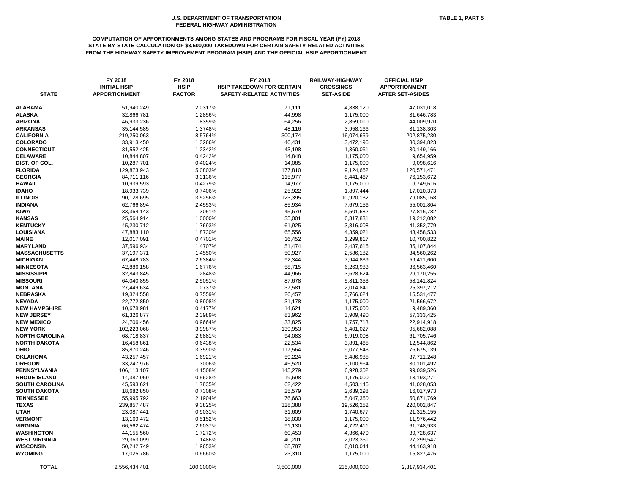# **COMPUTATION OF APPORTIONMENTS AMONG STATES AND PROGRAMS FOR FISCAL YEAR (FY) 2018 STATE-BY-STATE CALCULATION OF \$3,500,000 TAKEDOWN FOR CERTAIN SAFETY-RELATED ACTIVITIES FROM THE HIGHWAY SAFETY IMPROVEMENT PROGRAM (HSIP) AND THE OFFICIAL HSIP APPORTIONMENT**

| <b>STATE</b>                         | FY 2018<br><b>INITIAL HSIP</b><br><b>APPORTIONMENT</b> | FY 2018<br><b>HSIP</b><br><b>FACTOR</b> | FY 2018<br><b>HSIP TAKEDOWN FOR CERTAIN</b><br><b>SAFETY-RELATED ACTIVITIES</b> | RAILWAY-HIGHWAY<br><b>CROSSINGS</b><br><b>SET-ASIDE</b> | <b>OFFICIAL HSIP</b><br><b>APPORTIONMENT</b><br><b>AFTER SET-ASIDES</b> |
|--------------------------------------|--------------------------------------------------------|-----------------------------------------|---------------------------------------------------------------------------------|---------------------------------------------------------|-------------------------------------------------------------------------|
| <b>ALABAMA</b>                       | 51,940,249                                             | 2.0317%                                 | 71,111                                                                          | 4,838,120                                               | 47,031,018                                                              |
| ALASKA                               | 32,866,781                                             | 1.2856%                                 | 44,998                                                                          | 1,175,000                                               | 31,646,783                                                              |
| <b>ARIZONA</b>                       | 46,933,236                                             | 1.8359%                                 | 64,256                                                                          | 2,859,010                                               | 44,009,970                                                              |
| <b>ARKANSAS</b>                      | 35, 144, 585                                           | 1.3748%                                 | 48,116                                                                          | 3,958,166                                               | 31,138,303                                                              |
| <b>CALIFORNIA</b>                    | 219,250,063                                            | 8.5764%                                 | 300,174                                                                         | 16,074,659                                              | 202,875,230                                                             |
| <b>COLORADO</b>                      | 33,913,450                                             | 1.3266%                                 | 46,431                                                                          | 3,472,196                                               | 30,394,823                                                              |
| <b>CONNECTICUT</b>                   | 31,552,425                                             | 1.2342%                                 | 43,198                                                                          | 1,360,061                                               | 30,149,166                                                              |
| <b>DELAWARE</b>                      | 10,844,807                                             | 0.4242%                                 | 14,848                                                                          | 1,175,000                                               | 9,654,959                                                               |
| DIST. OF COL.                        | 10,287,701                                             | 0.4024%                                 | 14,085                                                                          | 1,175,000                                               | 9,098,616                                                               |
| <b>FLORIDA</b>                       | 129,873,943                                            | 5.0803%                                 | 177,810                                                                         | 9,124,662                                               | 120,571,471                                                             |
| <b>GEORGIA</b>                       | 84,711,116                                             | 3.3136%                                 | 115,977                                                                         | 8,441,467                                               | 76,153,672                                                              |
| HAWAII                               | 10,939,593                                             | 0.4279%                                 | 14,977                                                                          | 1,175,000                                               | 9,749,616                                                               |
| <b>IDAHO</b>                         | 18,933,739                                             | 0.7406%                                 | 25,922                                                                          | 1,897,444                                               | 17,010,373                                                              |
| <b>ILLINOIS</b>                      | 90,128,695                                             | 3.5256%                                 | 123,395                                                                         | 10,920,132                                              | 79,085,168                                                              |
| <b>INDIANA</b>                       | 62,766,894                                             | 2.4553%                                 | 85,934                                                                          | 7,679,156                                               | 55,001,804                                                              |
| <b>IOWA</b>                          | 33,364,143                                             | 1.3051%                                 | 45,679                                                                          | 5,501,682                                               | 27,816,782                                                              |
| <b>KANSAS</b>                        | 25,564,914                                             | 1.0000%                                 | 35,001                                                                          | 6,317,831                                               | 19,212,082                                                              |
| <b>KENTUCKY</b>                      | 45,230,712                                             | 1.7693%                                 | 61,925                                                                          | 3,816,008                                               | 41,352,779                                                              |
| LOUISIANA                            | 47,883,110                                             | 1.8730%                                 | 65,556                                                                          | 4,359,021                                               | 43,458,533                                                              |
| MAINE                                | 12,017,091                                             | 0.4701%                                 | 16,452                                                                          | 1,299,817                                               | 10,700,822                                                              |
| <b>MARYLAND</b>                      | 37,596,934                                             | 1.4707%                                 | 51,474                                                                          | 2,437,616                                               | 35,107,844                                                              |
| <b>MASSACHUSETTS</b>                 | 37, 197, 371                                           | 1.4550%                                 | 50,927                                                                          | 2,586,182                                               | 34,560,262                                                              |
| <b>MICHIGAN</b>                      | 67,448,783                                             | 2.6384%                                 | 92,344                                                                          | 7,944,839                                               | 59,411,600                                                              |
| <b>MINNESOTA</b>                     | 42,886,158                                             | 1.6776%                                 | 58,715                                                                          | 6,263,983                                               | 36,563,460                                                              |
| MISSISSIPPI                          | 32,843,845                                             | 1.2848%                                 | 44,966                                                                          | 3,628,624                                               | 29,170,255                                                              |
| <b>MISSOURI</b>                      | 64,040,855                                             | 2.5051%                                 | 87,678                                                                          | 5,811,353                                               | 58,141,824                                                              |
| <b>MONTANA</b>                       | 27,449,634                                             | 1.0737%                                 | 37,581                                                                          | 2,014,841                                               | 25,397,212                                                              |
| <b>NEBRASKA</b>                      | 19,324,558                                             | 0.7559%                                 | 26,457                                                                          | 3,766,624                                               | 15,531,477                                                              |
| <b>NEVADA</b>                        | 22,772,850                                             | 0.8908%                                 | 31,178                                                                          | 1,175,000                                               | 21,566,672                                                              |
| <b>NEW HAMPSHIRE</b>                 | 10,678,981                                             | 0.4177%                                 | 14,621                                                                          | 1,175,000                                               | 9,489,360                                                               |
| <b>NEW JERSEY</b>                    | 61,326,877                                             | 2.3989%                                 | 83,962                                                                          | 3,909,490                                               | 57,333,425                                                              |
| <b>NEW MEXICO</b><br><b>NEW YORK</b> | 24,706,456                                             | 0.9664%                                 | 33,825                                                                          | 1,757,713                                               | 22,914,918                                                              |
| <b>NORTH CAROLINA</b>                | 102,223,068<br>68,718,837                              | 3.9987%<br>2.6881%                      | 139,953<br>94,083                                                               | 6,401,027                                               | 95,682,088<br>61,705,746                                                |
| <b>NORTH DAKOTA</b>                  |                                                        | 0.6438%                                 |                                                                                 | 6,919,008                                               |                                                                         |
| OHIO                                 | 16,458,861<br>85,870,246                               | 3.3590%                                 | 22,534<br>117,564                                                               | 3,891,465<br>9,077,543                                  | 12,544,862<br>76,675,139                                                |
| <b>OKLAHOMA</b>                      | 43,257,457                                             | 1.6921%                                 | 59,224                                                                          | 5,486,985                                               | 37,711,248                                                              |
| <b>OREGON</b>                        | 33,247,976                                             | 1.3006%                                 | 45,520                                                                          | 3,100,964                                               | 30,101,492                                                              |
| PENNSYLVANIA                         | 106,113,107                                            | 4.1508%                                 | 145,279                                                                         | 6,928,302                                               | 99,039,526                                                              |
| <b>RHODE ISLAND</b>                  | 14,387,969                                             | 0.5628%                                 | 19,698                                                                          | 1,175,000                                               | 13,193,271                                                              |
| SOUTH CAROLINA                       | 45,593,621                                             | 1.7835%                                 | 62,422                                                                          | 4,503,146                                               | 41,028,053                                                              |
| <b>SOUTH DAKOTA</b>                  | 18,682,850                                             | 0.7308%                                 | 25,579                                                                          | 2,639,298                                               | 16,017,973                                                              |
| <b>TENNESSEE</b>                     | 55,995,792                                             | 2.1904%                                 | 76,663                                                                          | 5,047,360                                               | 50,871,769                                                              |
| <b>TEXAS</b>                         | 239,857,487                                            | 9.3825%                                 | 328,388                                                                         | 19,526,252                                              | 220,002,847                                                             |
| UTAH                                 | 23,087,441                                             | 0.9031%                                 | 31,609                                                                          | 1,740,677                                               | 21,315,155                                                              |
| <b>VERMONT</b>                       | 13,169,472                                             | 0.5152%                                 | 18,030                                                                          | 1,175,000                                               | 11,976,442                                                              |
| VIRGINIA                             | 66,562,474                                             | 2.6037%                                 | 91,130                                                                          | 4,722,411                                               | 61,748,933                                                              |
| WASHINGTON                           | 44,155,560                                             | 1.7272%                                 | 60,453                                                                          | 4,366,470                                               | 39,728,637                                                              |
| WEST VIRGINIA                        | 29,363,099                                             | 1.1486%                                 | 40,201                                                                          | 2,023,351                                               | 27,299,547                                                              |
| <b>WISCONSIN</b>                     | 50,242,749                                             | 1.9653%                                 | 68,787                                                                          | 6,010,044                                               | 44,163,918                                                              |
| WYOMING                              | 17,025,786                                             | 0.6660%                                 | 23,310                                                                          | 1,175,000                                               | 15,827,476                                                              |
| <b>TOTAL</b>                         | 2,556,434,401                                          | 100.0000%                               | 3,500,000                                                                       | 235,000,000                                             | 2,317,934,401                                                           |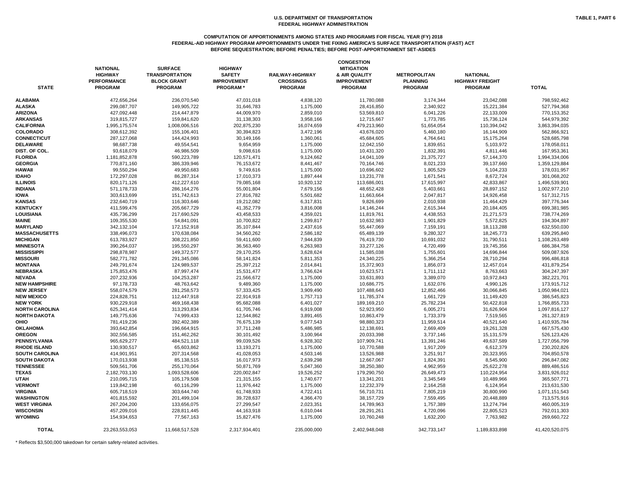#### **COMPUTATION OF APPORTIONMENTS AMONG STATES AND PROGRAMS FOR FISCAL YEAR (FY) 2018 FEDERAL-AID HIGHWAY PROGRAM APPORTIONMENTS UNDER THE FIXING AMERICA'S SURFACE TRANSPORTATION (FAST) ACT BEFORE SEQUESTRATION; BEFORE PENALTIES; BEFORE POST-APPORTIONMENT SET-ASIDES**

| <b>STATE</b>          | <b>NATIONAL</b><br><b>HIGHWAY</b><br><b>PERFORMANCE</b><br><b>PROGRAM</b> | <b>SURFACE</b><br><b>TRANSPORTATION</b><br><b>BLOCK GRANT</b><br><b>PROGRAM</b> | <b>HIGHWAY</b><br><b>SAFETY</b><br><b>IMPROVEMENT</b><br><b>PROGRAM*</b> | <b>RAILWAY-HIGHWAY</b><br><b>CROSSINGS</b><br><b>PROGRAM</b> | <b>CONGESTION</b><br><b>MITIGATION</b><br>& AIR QUALITY<br><b>IMPROVEMENT</b><br><b>PROGRAM</b> | <b>METROPOLITAN</b><br><b>PLANNING</b><br><b>PROGRAM</b> | <b>NATIONAL</b><br><b>HIGHWAY FREIGHT</b><br><b>PROGRAM</b> | <b>TOTAL</b>   |
|-----------------------|---------------------------------------------------------------------------|---------------------------------------------------------------------------------|--------------------------------------------------------------------------|--------------------------------------------------------------|-------------------------------------------------------------------------------------------------|----------------------------------------------------------|-------------------------------------------------------------|----------------|
| <b>ALABAMA</b>        | 472,656,264                                                               | 236,070,540                                                                     | 47,031,018                                                               | 4,838,120                                                    | 11,780,088                                                                                      | 3,174,344                                                | 23,042,088                                                  | 798,592,462    |
| <b>ALASKA</b>         | 299,087,707                                                               | 149,905,722                                                                     | 31,646,783                                                               | 1,175,000                                                    | 28,416,850                                                                                      | 2,340,922                                                | 15,221,384                                                  | 527,794,368    |
| <b>ARIZONA</b>        | 427,092,448                                                               | 214,447,879                                                                     | 44,009,970                                                               | 2,859,010                                                    | 53,569,810                                                                                      | 6,041,226                                                | 22,133,009                                                  | 770,153,352    |
| <b>ARKANSAS</b>       | 319,815,727                                                               | 159,841,620                                                                     | 31,138,303                                                               | 3,958,166                                                    | 12,715,667                                                                                      | 1,773,785                                                | 15,736,124                                                  | 544,979,392    |
| <b>CALIFORNIA</b>     | 1,995,175,574                                                             | 1,008,006,516                                                                   | 202,875,230                                                              | 16,074,659                                                   | 479,213,960                                                                                     | 51,654,054                                               | 110,394,042                                                 | 3,863,394,035  |
| <b>COLORADO</b>       | 308,612,392                                                               | 155,106,401                                                                     | 30,394,823                                                               | 3,472,196                                                    | 43,676,020                                                                                      | 5,460,180                                                | 16,144,909                                                  | 562,866,921    |
| <b>CONNECTICUT</b>    | 287,127,068                                                               | 144,424,993                                                                     | 30,149,166                                                               | 1,360,061                                                    | 45,684,605                                                                                      | 4,764,641                                                | 15,175,264                                                  | 528,685,798    |
| <b>DELAWARE</b>       | 98,687,738                                                                | 49,554,541                                                                      | 9,654,959                                                                | 1,175,000                                                    | 12,042,150                                                                                      | 1,839,651                                                | 5,103,972                                                   | 178,058,011    |
| DIST. OF COL.         | 93,618,079                                                                | 46,986,509                                                                      | 9,098,616                                                                | 1,175,000                                                    | 10,431,320                                                                                      | 1,832,391                                                | 4,811,446                                                   | 167,953,361    |
| <b>FLORIDA</b>        | 1,181,852,878                                                             | 590,223,789                                                                     | 120,571,471                                                              | 9,124,662                                                    | 14,041,109                                                                                      | 21,375,727                                               | 57,144,370                                                  | 1,994,334,006  |
| <b>GEORGIA</b>        | 770,871,160                                                               | 386,339,946                                                                     | 76,153,672                                                               | 8,441,467                                                    | 70,164,746                                                                                      | 8,021,233                                                | 39,137,660                                                  | 1,359,129,884  |
| <b>HAWAII</b>         | 99,550,294                                                                | 49,950,683                                                                      | 9,749,616                                                                | 1,175,000                                                    | 10,696,602                                                                                      | 1,805,529                                                | 5,104,233                                                   | 178,031,957    |
| <b>IDAHO</b>          | 172,297,028                                                               | 86,287,314                                                                      | 17,010,373                                                               | 1,897,444                                                    | 13,231,778                                                                                      | 1,671,541                                                | 8,672,724                                                   | 301,068,202    |
| <b>ILLINOIS</b>       | 820, 171, 126                                                             | 412,227,610                                                                     | 79,085,168                                                               | 10,920,132                                                   | 113,686,001                                                                                     | 17,615,997                                               | 42,833,867                                                  | 1,496,539,901  |
| <b>INDIANA</b>        | 571,178,733                                                               | 286,164,276                                                                     | 55,001,804                                                               | 7,679,156                                                    | 48,652,428                                                                                      | 5,403,661                                                | 28,897,152                                                  | 1,002,977,210  |
| <b>IOWA</b>           | 303,613,699                                                               | 151,742,613                                                                     | 27,816,782                                                               | 5,501,682                                                    | 11,663,664                                                                                      | 2,047,817                                                | 14,926,458                                                  | 517,312,715    |
| <b>KANSAS</b>         | 232,640,719                                                               | 116,303,646                                                                     | 19,212,082                                                               | 6,317,831                                                    | 9,826,699                                                                                       | 2,010,938                                                | 11,464,429                                                  | 397,776,344    |
| <b>KENTUCKY</b>       | 411,599,476                                                               | 205,667,729                                                                     | 41,352,779                                                               | 3,816,008                                                    | 14,146,244                                                                                      | 2,615,344                                                | 20,184,405                                                  | 699,381,985    |
| <b>LOUISIANA</b>      | 435,736,299                                                               | 217,690,529                                                                     | 43,458,533                                                               | 4,359,021                                                    | 11,819,761                                                                                      | 4,438,553                                                | 21,271,573                                                  | 738,774,269    |
| <b>MAINE</b>          | 109,355,530                                                               | 54,841,091                                                                      | 10,700,822                                                               | 1,299,817                                                    | 10,632,983                                                                                      | 1,901,829                                                | 5,572,825                                                   | 194,304,897    |
| <b>MARYLAND</b>       | 342,132,104                                                               | 172,152,918                                                                     | 35,107,844                                                               | 2,437,616                                                    | 55,447,069                                                                                      | 7,159,191                                                | 18,113,288                                                  | 632,550,030    |
| <b>MASSACHUSETTS</b>  | 338,496,073                                                               | 170,638,084                                                                     | 34,560,262                                                               | 2,586,182                                                    | 65,489,139                                                                                      | 9,280,327                                                | 18,245,773                                                  | 639,295,840    |
| <b>MICHIGAN</b>       | 613,783,927                                                               | 308,221,850                                                                     | 59,411,600                                                               | 7,944,839                                                    | 76,419,730                                                                                      | 10,691,032                                               | 31,790,511                                                  | 1,108,263,489  |
| <b>MINNESOTA</b>      | 390,264,037                                                               | 195,550,297                                                                     | 36,563,460                                                               | 6,263,983                                                    | 33,277,126                                                                                      | 4,720,499                                                |                                                             | 686,384,758    |
|                       |                                                                           |                                                                                 |                                                                          |                                                              |                                                                                                 |                                                          | 19,745,356                                                  |                |
| <b>MISSISSIPPI</b>    | 298,878,987                                                               | 149,372,577                                                                     | 29,170,255                                                               | 3,628,624                                                    | 11,585,038                                                                                      | 1,755,601                                                | 14,696,844                                                  | 509,087,926    |
| <b>MISSOURI</b>       | 582,771,782                                                               | 291,345,086                                                                     | 58,141,824                                                               | 5,811,353                                                    | 24,340,225                                                                                      | 5,366,254                                                | 28,710,294                                                  | 996,486,818    |
| <b>MONTANA</b>        | 249,791,674                                                               | 124,989,537                                                                     | 25,397,212                                                               | 2,014,841                                                    | 15,372,903                                                                                      | 1,856,073                                                | 12,457,014                                                  | 431,879,254    |
| <b>NEBRASKA</b>       | 175,853,476                                                               | 87,997,474                                                                      | 15,531,477                                                               | 3,766,624                                                    | 10,623,571                                                                                      | 1,711,112                                                | 8,763,663                                                   | 304,247,397    |
| <b>NEVADA</b>         | 207,232,936                                                               | 104,253,287                                                                     | 21,566,672                                                               | 1,175,000                                                    | 33,631,893                                                                                      | 3,389,070                                                | 10,972,843                                                  | 382,221,701    |
| <b>NEW HAMPSHIRE</b>  | 97,178,733                                                                | 48,763,642                                                                      | 9,489,360                                                                | 1,175,000                                                    | 10,686,775                                                                                      | 1,632,076                                                | 4,990,126                                                   | 173,915,712    |
| <b>NEW JERSEY</b>     | 558,074,579                                                               | 281,258,573                                                                     | 57,333,425                                                               | 3,909,490                                                    | 107,488,643                                                                                     | 12,852,466                                               | 30,066,845                                                  | 1,050,984,021  |
| <b>NEW MEXICO</b>     | 224,828,751                                                               | 112,447,918                                                                     | 22,914,918                                                               | 1,757,713                                                    | 11,785,374                                                                                      | 1,661,729                                                | 11,149,420                                                  | 386,545,823    |
| <b>NEW YORK</b>       | 930,229,918                                                               | 469,168,438                                                                     | 95,682,088                                                               | 6,401,027                                                    | 189,169,210                                                                                     | 25,782,234                                               | 50,422,818                                                  | 1,766,855,733  |
| <b>NORTH CAROLINA</b> | 625,341,414                                                               | 313,293,834                                                                     | 61,705,746                                                               | 6,919,008                                                    | 52,923,950                                                                                      | 6,005,271                                                | 31,626,904                                                  | 1,097,816,127  |
| <b>NORTH DAKOTA</b>   | 149,775,636                                                               | 74,999,433                                                                      | 12,544,862                                                               | 3,891,465                                                    | 10,863,479                                                                                      | 1,733,379                                                | 7,519,565                                                   | 261,327,819    |
| <b>OHIO</b>           | 781,419,236                                                               | 392,402,389                                                                     | 76,675,139                                                               | 9,077,543                                                    | 98,880,323                                                                                      | 11,959,514                                               | 40,521,640                                                  | 1,410,935,784  |
| <b>OKLAHOMA</b>       | 393,642,854                                                               | 196,664,915                                                                     | 37,711,248                                                               | 5,486,985                                                    | 12,138,691                                                                                      | 2,669,409                                                | 19,261,328                                                  | 667,575,430    |
| <b>OREGON</b>         | 302,556,585                                                               | 151,462,262                                                                     | 30,101,492                                                               | 3,100,964                                                    | 20,033,398                                                                                      | 3,737,146                                                | 15,131,579                                                  | 526,123,426    |
| <b>PENNSYLVANIA</b>   | 965,629,277                                                               | 484,521,118                                                                     | 99,039,526                                                               | 6,928,302                                                    | 107,909,741                                                                                     | 13,391,246                                               | 49,637,589                                                  | 1,727,056,799  |
| <b>RHODE ISLAND</b>   | 130,930,517                                                               | 65,603,862                                                                      | 13,193,271                                                               | 1,175,000                                                    | 10,770,588                                                                                      | 1,917,209                                                | 6,612,379                                                   | 230,202,826    |
| <b>SOUTH CAROLINA</b> | 414,901,951                                                               | 207,314,568                                                                     | 41,028,053                                                               | 4,503,146                                                    | 13,526,988                                                                                      | 3,251,917                                                | 20,323,955                                                  | 704,850,578    |
| <b>SOUTH DAKOTA</b>   | 170,013,938                                                               | 85,138,515                                                                      | 16,017,973                                                               | 2,639,298                                                    | 12,667,067                                                                                      | 1,824,391                                                | 8,545,900                                                   | 296,847,082    |
| <b>TENNESSEE</b>      | 509,561,706                                                               | 255,170,064                                                                     | 50,871,769                                                               | 5,047,360                                                    | 38,250,380                                                                                      | 4,962,959                                                | 25,622,278                                                  | 889,486,516    |
| <b>TEXAS</b>          | 2,182,703,130                                                             | 1,093,528,606                                                                   | 220,002,847                                                              | 19,526,252                                                   | 179,290,750                                                                                     | 26,649,473                                               | 110,224,954                                                 | 3,831,926,012  |
| <b>UTAH</b>           | 210,095,715                                                               | 105,179,508                                                                     | 21,315,155                                                               | 1,740,677                                                    | 13,341,201                                                                                      | 3,345,549                                                | 10,489,966                                                  | 365,507,771    |
| <b>VERMONT</b>        | 119,842,198                                                               | 60,116,299                                                                      | 11,976,442                                                               | 1,175,000                                                    | 12,232,379                                                                                      | 2,164,258                                                | 6,124,954                                                   | 213,631,530    |
| <b>VIRGINIA</b>       | 605,718,519                                                               | 303,644,740                                                                     | 61,748,933                                                               | 4,722,411                                                    | 56,710,731                                                                                      | 7,805,219                                                | 30,800,990                                                  | 1,071,151,543  |
| <b>WASHINGTON</b>     | 401,815,592                                                               | 201,499,104                                                                     | 39,728,637                                                               | 4,366,470                                                    | 38, 157, 729                                                                                    | 7,559,495                                                | 20,448,889                                                  | 713,575,916    |
| <b>WEST VIRGINIA</b>  | 267,204,200                                                               | 133,656,075                                                                     | 27,299,547                                                               | 2,023,351                                                    | 14,789,963                                                                                      | 1,757,389                                                | 13,274,794                                                  | 460,005,319    |
| <b>WISCONSIN</b>      | 457,209,016                                                               | 228,811,445                                                                     | 44,163,918                                                               | 6,010,044                                                    | 28,291,261                                                                                      | 4,720,096                                                | 22,805,523                                                  | 792,011,303    |
| <b>WYOMING</b>        | 154,934,653                                                               | 77,567,163                                                                      | 15,827,476                                                               | 1,175,000                                                    | 10,760,248                                                                                      | 1,632,200                                                | 7,763,982                                                   | 269,660,722    |
| <b>TOTAL</b>          | 23,263,553,053                                                            | 11,668,517,528                                                                  | 2,317,934,401                                                            | 235,000,000                                                  | 2,402,948,048                                                                                   | 342,733,147                                              | 1,189,833,898                                               | 41,420,520,075 |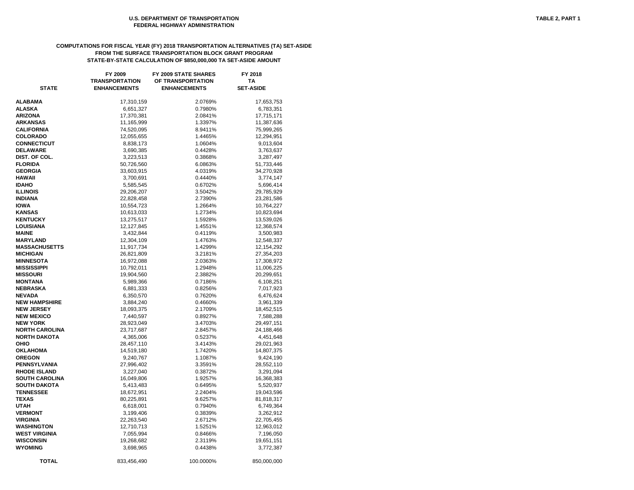# **COMPUTATIONS FOR FISCAL YEAR (FY) 2018 TRANSPORTATION ALTERNATIVES (TA) SET-ASIDE FROM THE SURFACE TRANSPORTATION BLOCK GRANT PROGRAM STATE-BY-STATE CALCULATION OF \$850,000,000 TA SET-ASIDE AMOUNT**

| <b>STATE</b>                        | FY 2009<br><b>TRANSPORTATION</b><br><b>ENHANCEMENTS</b> | <b>FY 2009 STATE SHARES</b><br>OF TRANSPORTATION<br><b>ENHANCEMENTS</b> | FY 2018<br><b>TA</b><br><b>SET-ASIDE</b> |
|-------------------------------------|---------------------------------------------------------|-------------------------------------------------------------------------|------------------------------------------|
|                                     |                                                         |                                                                         |                                          |
| ALABAMA                             | 17,310,159                                              | 2.0769%                                                                 | 17,653,753                               |
| ALASKA                              | 6,651,327                                               | 0.7980%                                                                 | 6,783,351                                |
| <b>ARIZONA</b>                      | 17,370,381                                              | 2.0841%                                                                 | 17,715,171                               |
| ARKANSAS                            | 11,165,999                                              | 1.3397%                                                                 | 11,387,636                               |
| CALIFORNIA                          | 74,520,095                                              | 8.9411%                                                                 | 75,999,265                               |
| <b>COLORADO</b>                     | 12,055,655                                              | 1.4465%                                                                 | 12,294,951                               |
| <b>CONNECTICUT</b>                  | 8,838,173                                               | 1.0604%                                                                 | 9,013,604                                |
| <b>DELAWARE</b>                     | 3,690,385                                               | 0.4428%                                                                 | 3,763,637                                |
| DIST. OF COL.                       | 3,223,513                                               | 0.3868%                                                                 | 3,287,497                                |
| <b>FLORIDA</b>                      | 50,726,560                                              | 6.0863%                                                                 | 51,733,446                               |
| <b>GEORGIA</b>                      | 33,603,915                                              | 4.0319%                                                                 | 34,270,928                               |
| HAWAII                              | 3,700,691                                               | 0.4440%                                                                 | 3,774,147                                |
| <b>IDAHO</b>                        | 5,585,545                                               | 0.6702%                                                                 | 5,696,414                                |
| <b>ILLINOIS</b>                     | 29,206,207                                              | 3.5042%                                                                 | 29,785,929                               |
| <b>INDIANA</b>                      | 22,828,458                                              | 2.7390%                                                                 | 23,281,586                               |
| <b>IOWA</b>                         | 10,554,723                                              | 1.2664%                                                                 | 10,764,227                               |
| KANSAS                              | 10,613,033                                              | 1.2734%                                                                 | 10,823,694                               |
| <b>KENTUCKY</b>                     | 13,275,517                                              | 1.5928%                                                                 | 13,539,026                               |
| <b>LOUISIANA</b>                    | 12,127,845                                              | 1.4551%                                                                 | 12,368,574                               |
| <b>MAINE</b>                        | 3,432,844                                               | 0.4119%                                                                 | 3,500,983                                |
| <b>MARYLAND</b>                     | 12,304,109                                              | 1.4763%                                                                 | 12,548,337                               |
| <b>MASSACHUSETTS</b>                | 11,917,734                                              | 1.4299%                                                                 | 12,154,292                               |
| <b>MICHIGAN</b><br><b>MINNESOTA</b> | 26,821,809                                              | 3.2181%                                                                 | 27,354,203<br>17,308,972                 |
| MISSISSIPPI                         | 16,972,088<br>10,792,011                                | 2.0363%<br>1.2948%                                                      | 11,006,225                               |
| <b>MISSOURI</b>                     | 19,904,560                                              | 2.3882%                                                                 | 20,299,651                               |
| MONTANA                             | 5,989,366                                               | 0.7186%                                                                 | 6,108,251                                |
| NEBRASKA                            | 6,881,333                                               | 0.8256%                                                                 | 7,017,923                                |
| <b>NEVADA</b>                       | 6,350,570                                               | 0.7620%                                                                 | 6,476,624                                |
| <b>NEW HAMPSHIRE</b>                | 3,884,240                                               | 0.4660%                                                                 | 3,961,339                                |
| <b>NEW JERSEY</b>                   | 18,093,375                                              | 2.1709%                                                                 | 18,452,515                               |
| <b>NEW MEXICO</b>                   | 7,440,597                                               | 0.8927%                                                                 | 7,588,288                                |
| <b>NEW YORK</b>                     | 28,923,049                                              | 3.4703%                                                                 | 29,497,151                               |
| <b>NORTH CAROLINA</b>               | 23,717,687                                              | 2.8457%                                                                 | 24,188,466                               |
| NORTH DAKOTA                        | 4,365,006                                               | 0.5237%                                                                 | 4,451,648                                |
| OHIO                                | 28,457,110                                              | 3.4143%                                                                 | 29,021,963                               |
| <b>OKLAHOMA</b>                     | 14,519,180                                              | 1.7420%                                                                 | 14,807,375                               |
| <b>OREGON</b>                       | 9,240,767                                               | 1.1087%                                                                 | 9,424,190                                |
| PENNSYLVANIA                        | 27,996,402                                              | 3.3591%                                                                 | 28,552,110                               |
| <b>RHODE ISLAND</b>                 | 3,227,040                                               | 0.3872%                                                                 | 3,291,094                                |
| <b>SOUTH CAROLINA</b>               | 16,049,806                                              | 1.9257%                                                                 | 16,368,383                               |
| SOUTH DAKOTA                        | 5,413,483                                               | 0.6495%                                                                 | 5,520,937                                |
| <b>TENNESSEE</b>                    | 18,672,951                                              | 2.2404%                                                                 | 19,043,596                               |
| TEXAS                               | 80,225,891                                              | 9.6257%                                                                 | 81,818,317                               |
| UTAH                                | 6,618,001                                               | 0.7940%                                                                 | 6,749,364                                |
| <b>VERMONT</b>                      | 3,199,406                                               | 0.3839%                                                                 | 3,262,912                                |
| VIRGINIA                            | 22,263,540                                              | 2.6712%                                                                 | 22,705,455                               |
| WASHINGTON                          | 12,710,713                                              | 1.5251%                                                                 | 12,963,012                               |
| WEST VIRGINIA                       | 7,055,994                                               | 0.8466%                                                                 | 7,196,050                                |
| <b>WISCONSIN</b>                    | 19,268,682                                              | 2.3119%                                                                 | 19,651,151                               |
| <b>WYOMING</b>                      | 3,698,965                                               | 0.4438%                                                                 | 3,772,387                                |
| <b>TOTAL</b>                        | 833,456,490                                             | 100.0000%                                                               | 850,000,000                              |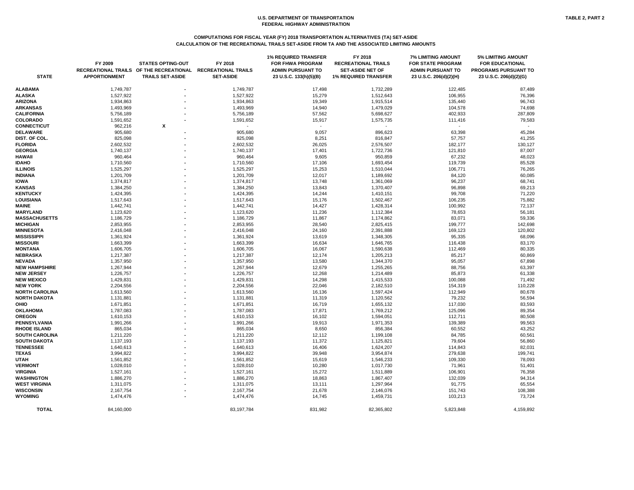# **COMPUTATIONS FOR FISCAL YEAR (FY) 2018 TRANSPORTATION ALTERNATIVES (TA) SET-ASIDE CALCULATION OF THE RECREATIONAL TRAILS SET-ASIDE FROM TA AND THE ASSOCIATED LIMITING AMOUNTS**

# **1% LIMITING AMOUNT<br>FOR EDUCATIONAL RECREATIONAL TRAILS OF THE RECREATIONAL RECREATIONAL TRAILS ADMIN PURSUANT TO SET-ASIDE NET OF ADMIN PURSUANT TO PROGRAMS PURSUANT TO STATE APPORTIONMENT TRAILS SET-ASIDE SET-ASIDE 23 U.S.C. 133(h)(5)(B) 1% REQUIRED TRANSFER 23 U.S.C. 206(d)(2)(H) 23 U.S.C. 206(d)(2)(G)**

|                       | FY 2009<br><b>RECREATIONAL TRAILS</b> | <b>STATES OPTING-OUT</b><br>OF THE RECREATIONAL | FY 2018<br><b>RECREATIONAL TRAILS</b> | <b>1% REQUIRED TRANSFER</b><br><b>FOR FHWA PROGRAM</b><br><b>ADMIN PURSUANT TO</b> | FY 2018<br><b>RECREATIONAL TRAILS</b><br><b>SET-ASIDE NET OF</b> | <b>7% LIMITING AMOUNT</b><br><b>FOR STATE PROGRAM</b><br><b>ADMIN PURSUANT TO</b> | <b>5% LIMITING AMOUNT</b><br><b>FOR EDUCATIONAL</b><br>PROGRAMS PURSUANT TO |
|-----------------------|---------------------------------------|-------------------------------------------------|---------------------------------------|------------------------------------------------------------------------------------|------------------------------------------------------------------|-----------------------------------------------------------------------------------|-----------------------------------------------------------------------------|
| <b>STATE</b>          | <b>APPORTIONMENT</b>                  | <b>TRAILS SET-ASIDE</b>                         | <b>SET-ASIDE</b>                      | 23 U.S.C. 133(h)(5)(B)                                                             | <b>1% REQUIRED TRANSFER</b>                                      | 23 U.S.C. 206(d)(2)(H)                                                            | 23 U.S.C. 206(d)(2)(G)                                                      |
| <b>ALABAMA</b>        | 1,749,787                             |                                                 | 1,749,787                             | 17,498                                                                             | 1,732,289                                                        | 122,485                                                                           | 87,489                                                                      |
| <b>ALASKA</b>         | 1,527,922                             |                                                 | 1,527,922                             | 15,279                                                                             | 1,512,643                                                        | 106,955                                                                           | 76,396                                                                      |
| <b>ARIZONA</b>        | 1,934,863                             |                                                 | 1,934,863                             | 19,349                                                                             | 1,915,514                                                        | 135,440                                                                           | 96,743                                                                      |
| <b>ARKANSAS</b>       | 1,493,969                             |                                                 | 1,493,969                             | 14,940                                                                             | 1,479,029                                                        | 104,578                                                                           | 74,698                                                                      |
| <b>CALIFORNIA</b>     | 5,756,189                             |                                                 | 5,756,189                             | 57,562                                                                             | 5,698,627                                                        | 402,933                                                                           | 287,809                                                                     |
| <b>COLORADO</b>       | 1,591,652                             |                                                 | 1,591,652                             | 15,917                                                                             | 1,575,735                                                        | 111,416                                                                           | 79,583                                                                      |
| <b>CONNECTICUT</b>    | 962,216                               | X                                               |                                       |                                                                                    |                                                                  |                                                                                   |                                                                             |
| <b>DELAWARE</b>       | 905,680                               |                                                 | 905,680                               | 9,057                                                                              | 896,623                                                          | 63,398                                                                            | 45,284                                                                      |
| DIST. OF COL.         | 825,098                               |                                                 | 825,098                               | 8,251                                                                              | 816,847                                                          | 57,757                                                                            | 41,255                                                                      |
| <b>FLORIDA</b>        | 2,602,532                             |                                                 | 2,602,532                             | 26,025                                                                             | 2,576,507                                                        | 182,177                                                                           | 130,127                                                                     |
| <b>GEORGIA</b>        | 1,740,137                             |                                                 | 1,740,137                             | 17,401                                                                             | 1,722,736                                                        | 121,810                                                                           | 87,007                                                                      |
| <b>HAWAII</b>         | 960,464                               |                                                 | 960,464                               | 9,605                                                                              | 950,859                                                          | 67,232                                                                            | 48,023                                                                      |
| <b>IDAHO</b>          | 1,710,560                             |                                                 | 1,710,560                             | 17,106                                                                             | 1,693,454                                                        | 119,739                                                                           | 85,528                                                                      |
| <b>ILLINOIS</b>       | 1,525,297                             |                                                 | 1,525,297                             | 15,253                                                                             | 1,510,044                                                        | 106,771                                                                           | 76,265                                                                      |
| <b>INDIANA</b>        | 1,201,709                             |                                                 | 1,201,709                             | 12,017                                                                             | 1,189,692                                                        | 84,120                                                                            | 60,085                                                                      |
| <b>IOWA</b>           | 1,374,817                             |                                                 | 1,374,817                             | 13,748                                                                             | 1,361,069                                                        | 96,237                                                                            | 68,741                                                                      |
| <b>KANSAS</b>         | 1,384,250                             |                                                 | 1,384,250                             | 13,843                                                                             | 1,370,407                                                        | 96,898                                                                            | 69,213                                                                      |
| <b>KENTUCKY</b>       | 1,424,395                             |                                                 | 1,424,395                             | 14,244                                                                             | 1,410,151                                                        | 99,708                                                                            | 71,220                                                                      |
| <b>LOUISIANA</b>      | 1,517,643                             |                                                 | 1,517,643                             | 15,176                                                                             | 1,502,467                                                        | 106,235                                                                           | 75,882                                                                      |
| <b>MAINE</b>          | 1,442,741                             |                                                 | 1,442,741                             | 14,427                                                                             | 1,428,314                                                        | 100,992                                                                           | 72,137                                                                      |
| <b>MARYLAND</b>       | 1,123,620                             |                                                 | 1,123,620                             | 11,236                                                                             | 1,112,384                                                        | 78,653                                                                            | 56,181                                                                      |
| <b>MASSACHUSETTS</b>  | 1,186,729                             |                                                 | 1,186,729                             | 11,867                                                                             | 1,174,862                                                        | 83,071                                                                            | 59,336                                                                      |
| <b>MICHIGAN</b>       | 2,853,955                             |                                                 | 2,853,955                             | 28,540                                                                             | 2,825,415                                                        | 199,777                                                                           | 142,698                                                                     |
| <b>MINNESOTA</b>      | 2,416,048                             |                                                 | 2,416,048                             | 24,160                                                                             | 2,391,888                                                        | 169,123                                                                           | 120,802                                                                     |
| <b>MISSISSIPPI</b>    | 1,361,924                             |                                                 | 1,361,924                             | 13,619                                                                             | 1,348,305                                                        | 95,335                                                                            | 68,096                                                                      |
| <b>MISSOURI</b>       | 1,663,399                             |                                                 | 1,663,399                             | 16,634                                                                             | 1,646,765                                                        | 116,438                                                                           | 83,170                                                                      |
| <b>MONTANA</b>        | 1,606,705                             |                                                 | 1,606,705                             | 16,067                                                                             | 1,590,638                                                        | 112,469                                                                           | 80,335                                                                      |
| <b>NEBRASKA</b>       | 1,217,387                             |                                                 | 1,217,387                             | 12,174                                                                             | 1,205,213                                                        | 85,217                                                                            | 60,869                                                                      |
| <b>NEVADA</b>         | 1,357,950                             |                                                 | 1,357,950                             | 13,580                                                                             | 1,344,370                                                        | 95,057                                                                            | 67,898                                                                      |
| <b>NEW HAMPSHIRE</b>  | 1,267,944                             |                                                 | 1,267,944                             | 12,679                                                                             | 1,255,265                                                        | 88,756                                                                            | 63,397                                                                      |
| <b>NEW JERSEY</b>     | 1,226,757                             |                                                 | 1,226,757                             | 12,268                                                                             | 1,214,489                                                        | 85,873                                                                            | 61,338                                                                      |
| <b>NEW MEXICO</b>     | 1,429,831                             |                                                 | 1,429,831                             | 14,298                                                                             | 1,415,533                                                        | 100,088                                                                           | 71,492                                                                      |
| <b>NEW YORK</b>       | 2,204,556                             |                                                 | 2,204,556                             | 22,046                                                                             | 2,182,510                                                        | 154,319                                                                           | 110,228                                                                     |
| <b>NORTH CAROLINA</b> | 1,613,560                             |                                                 | 1,613,560                             | 16,136                                                                             | 1,597,424                                                        | 112,949                                                                           | 80,678                                                                      |
| <b>NORTH DAKOTA</b>   | 1,131,881                             |                                                 | 1,131,881                             | 11,319                                                                             | 1,120,562                                                        | 79,232                                                                            | 56,594                                                                      |
| <b>OHIO</b>           | 1,671,851                             |                                                 | 1,671,851                             | 16,719                                                                             | 1,655,132                                                        | 117,030                                                                           | 83,593                                                                      |
| <b>OKLAHOMA</b>       | 1,787,083                             |                                                 | 1,787,083                             | 17,871                                                                             | 1,769,212                                                        | 125,096                                                                           | 89,354                                                                      |
| <b>OREGON</b>         | 1,610,153                             |                                                 | 1,610,153                             | 16,102                                                                             | 1,594,051                                                        | 112,711                                                                           | 80,508                                                                      |
| <b>PENNSYLVANIA</b>   | 1,991,266                             |                                                 | 1,991,266                             | 19,913                                                                             | 1,971,353                                                        | 139,389                                                                           | 99,563                                                                      |
| <b>RHODE ISLAND</b>   | 865,034                               |                                                 | 865,034                               | 8,650                                                                              | 856,384                                                          | 60,552                                                                            | 43,252                                                                      |
| <b>SOUTH CAROLINA</b> | 1,211,220                             |                                                 | 1,211,220                             | 12,112                                                                             | 1,199,108                                                        | 84,785                                                                            | 60,561                                                                      |
| <b>SOUTH DAKOTA</b>   | 1,137,193                             |                                                 | 1,137,193                             | 11,372                                                                             | 1,125,821                                                        | 79,604                                                                            | 56,860                                                                      |
| <b>TENNESSEE</b>      | 1,640,613                             |                                                 | 1,640,613                             | 16,406                                                                             | 1,624,207                                                        | 114,843                                                                           | 82,031                                                                      |
| <b>TEXAS</b>          | 3,994,822                             |                                                 | 3,994,822                             | 39,948                                                                             | 3,954,874                                                        | 279,638                                                                           | 199,741                                                                     |
| <b>UTAH</b>           | 1,561,852                             |                                                 | 1,561,852                             | 15,619                                                                             | 1,546,233                                                        | 109,330                                                                           | 78,093                                                                      |
| <b>VERMONT</b>        | 1,028,010                             |                                                 | 1,028,010                             | 10,280                                                                             | 1,017,730                                                        | 71,961                                                                            | 51,401                                                                      |
| <b>VIRGINIA</b>       | 1,527,161                             |                                                 | 1,527,161                             | 15,272                                                                             | 1,511,889                                                        | 106,901                                                                           | 76,358                                                                      |
| <b>WASHINGTON</b>     | 1,886,270                             |                                                 | 1,886,270                             | 18,863                                                                             | 1,867,407                                                        | 132,039                                                                           | 94,314                                                                      |
| <b>WEST VIRGINIA</b>  | 1,311,075                             |                                                 | 1,311,075                             | 13,111                                                                             | 1,297,964                                                        | 91,775                                                                            | 65,554                                                                      |
| <b>WISCONSIN</b>      | 2,167,754                             |                                                 | 2,167,754                             | 21,678                                                                             | 2,146,076                                                        | 151,743                                                                           | 108,388                                                                     |
| <b>WYOMING</b>        | 1,474,476                             | $\blacksquare$                                  | 1,474,476                             | 14,745                                                                             | 1,459,731                                                        | 103,213                                                                           | 73,724                                                                      |
| <b>TOTAL</b>          | 84,160,000                            |                                                 | 83,197,784                            | 831,982                                                                            | 82,365,802                                                       | 5,823,848                                                                         | 4,159,892                                                                   |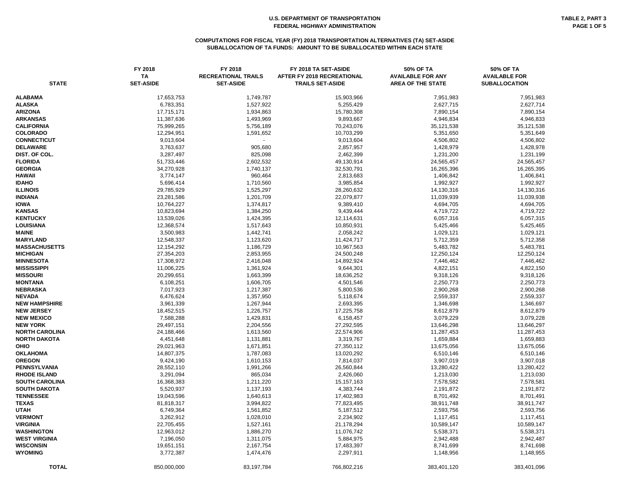#### **COMPUTATIONS FOR FISCAL YEAR (FY) 2018 TRANSPORTATION ALTERNATIVES (TA) SET-ASIDE SUBALLOCATION OF TA FUNDS: AMOUNT TO BE SUBALLOCATED WITHIN EACH STATE**

| <b>STATE</b>                   | FY 2018<br><b>TA</b><br><b>SET-ASIDE</b> | FY 2018<br><b>RECREATIONAL TRAILS</b><br><b>SET-ASIDE</b> | FY 2018 TA SET-ASIDE<br>AFTER FY 2018 RECREATIONAL<br><b>TRAILS SET-ASIDE</b> | 50% OF TA<br><b>AVAILABLE FOR ANY</b><br><b>AREA OF THE STATE</b> | 50% OF TA<br><b>AVAILABLE FOR</b><br><b>SUBALLOCATION</b> |
|--------------------------------|------------------------------------------|-----------------------------------------------------------|-------------------------------------------------------------------------------|-------------------------------------------------------------------|-----------------------------------------------------------|
|                                |                                          |                                                           |                                                                               |                                                                   |                                                           |
| <b>ALABAMA</b>                 | 17,653,753                               | 1,749,787                                                 | 15,903,966                                                                    | 7,951,983                                                         | 7,951,983                                                 |
| <b>ALASKA</b>                  | 6,783,351                                | 1,527,922                                                 | 5,255,429                                                                     | 2,627,715                                                         | 2,627,714                                                 |
| <b>ARIZONA</b>                 | 17,715,171                               | 1,934,863                                                 | 15,780,308                                                                    | 7,890,154                                                         | 7,890,154                                                 |
| <b>ARKANSAS</b>                | 11,387,636                               | 1,493,969                                                 | 9,893,667                                                                     | 4,946,834                                                         | 4,946,833                                                 |
| <b>CALIFORNIA</b>              | 75,999,265                               | 5,756,189                                                 | 70,243,076                                                                    | 35,121,538                                                        | 35,121,538                                                |
| <b>COLORADO</b>                | 12,294,951                               | 1,591,652                                                 | 10,703,299                                                                    | 5,351,650                                                         | 5,351,649                                                 |
| <b>CONNECTICUT</b>             | 9,013,604                                |                                                           | 9,013,604                                                                     | 4,506,802                                                         | 4,506,802                                                 |
| <b>DELAWARE</b>                | 3,763,637                                | 905,680                                                   | 2,857,957                                                                     | 1,428,979                                                         | 1,428,978                                                 |
| DIST. OF COL.                  | 3,287,497                                | 825,098                                                   | 2,462,399                                                                     | 1,231,200                                                         | 1,231,199                                                 |
| <b>FLORIDA</b>                 | 51,733,446                               | 2,602,532                                                 | 49,130,914                                                                    | 24,565,457                                                        | 24,565,457                                                |
| <b>GEORGIA</b>                 | 34,270,928                               | 1,740,137                                                 | 32,530,791                                                                    | 16,265,396                                                        | 16,265,395                                                |
| HAWAII                         | 3,774,147                                | 960,464                                                   | 2,813,683                                                                     | 1,406,842                                                         | 1,406,841                                                 |
| <b>IDAHO</b>                   | 5,696,414                                | 1,710,560                                                 | 3,985,854                                                                     | 1,992,927                                                         | 1,992,927                                                 |
| <b>ILLINOIS</b>                | 29,785,929                               | 1,525,297                                                 | 28,260,632                                                                    | 14,130,316                                                        | 14,130,316                                                |
| <b>INDIANA</b>                 | 23,281,586                               | 1,201,709                                                 | 22,079,877                                                                    | 11,039,939                                                        | 11,039,938                                                |
| <b>IOWA</b>                    | 10,764,227                               | 1,374,817                                                 | 9,389,410                                                                     | 4,694,705                                                         | 4,694,705                                                 |
| <b>KANSAS</b>                  | 10,823,694                               | 1,384,250                                                 | 9,439,444                                                                     | 4,719,722                                                         | 4,719,722                                                 |
| <b>KENTUCKY</b>                | 13,539,026                               | 1,424,395                                                 | 12,114,631                                                                    | 6,057,316                                                         | 6,057,315                                                 |
| <b>LOUISIANA</b>               | 12,368,574                               | 1,517,643                                                 | 10,850,931                                                                    | 5,425,466                                                         | 5,425,465                                                 |
| <b>MAINE</b>                   | 3,500,983                                | 1,442,741                                                 | 2,058,242                                                                     | 1,029,121                                                         | 1,029,121                                                 |
| <b>MARYLAND</b>                | 12,548,337                               | 1,123,620                                                 | 11,424,717                                                                    | 5,712,359                                                         | 5,712,358                                                 |
| <b>MASSACHUSETTS</b>           | 12,154,292                               | 1,186,729                                                 | 10,967,563                                                                    | 5,483,782                                                         | 5,483,781                                                 |
| <b>MICHIGAN</b>                | 27,354,203                               | 2,853,955                                                 | 24,500,248                                                                    | 12,250,124                                                        | 12,250,124                                                |
| <b>MINNESOTA</b>               | 17,308,972                               | 2,416,048                                                 | 14,892,924                                                                    | 7,446,462                                                         | 7,446,462                                                 |
| <b>MISSISSIPPI</b>             | 11,006,225                               | 1,361,924                                                 | 9,644,301                                                                     | 4,822,151                                                         | 4,822,150                                                 |
| <b>MISSOURI</b>                | 20,299,651                               | 1,663,399                                                 | 18,636,252                                                                    | 9,318,126                                                         | 9,318,126                                                 |
| <b>MONTANA</b>                 | 6,108,251                                | 1,606,705                                                 | 4,501,546                                                                     | 2,250,773                                                         | 2,250,773                                                 |
| <b>NEBRASKA</b>                | 7,017,923                                | 1,217,387                                                 | 5,800,536                                                                     | 2,900,268                                                         | 2,900,268                                                 |
| <b>NEVADA</b>                  | 6,476,624                                | 1,357,950                                                 | 5,118,674                                                                     | 2,559,337                                                         | 2,559,337                                                 |
| <b>NEW HAMPSHIRE</b>           | 3,961,339                                | 1,267,944                                                 | 2,693,395                                                                     | 1,346,698                                                         | 1,346,697                                                 |
| <b>NEW JERSEY</b>              | 18,452,515                               | 1,226,757                                                 | 17,225,758                                                                    | 8,612,879                                                         | 8,612,879                                                 |
| <b>NEW MEXICO</b>              | 7,588,288                                | 1,429,831                                                 | 6,158,457                                                                     | 3,079,229                                                         | 3,079,228                                                 |
| <b>NEW YORK</b>                | 29,497,151                               | 2,204,556                                                 | 27,292,595                                                                    | 13,646,298                                                        | 13,646,297                                                |
| <b>NORTH CAROLINA</b>          | 24,188,466                               | 1,613,560                                                 | 22,574,906                                                                    | 11,287,453                                                        | 11,287,453                                                |
| <b>NORTH DAKOTA</b>            | 4,451,648                                | 1,131,881                                                 | 3,319,767                                                                     | 1,659,884                                                         | 1,659,883                                                 |
| <b>OHIO</b><br><b>OKLAHOMA</b> | 29,021,963                               | 1,671,851                                                 | 27,350,112                                                                    | 13,675,056                                                        | 13,675,056                                                |
| <b>OREGON</b>                  | 14,807,375<br>9,424,190                  | 1,787,083<br>1,610,153                                    | 13,020,292<br>7,814,037                                                       | 6,510,146<br>3,907,019                                            | 6,510,146<br>3,907,018                                    |
| PENNSYLVANIA                   | 28,552,110                               | 1,991,266                                                 | 26,560,844                                                                    | 13,280,422                                                        | 13,280,422                                                |
| <b>RHODE ISLAND</b>            | 3,291,094                                | 865,034                                                   | 2,426,060                                                                     | 1,213,030                                                         | 1,213,030                                                 |
| <b>SOUTH CAROLINA</b>          | 16,368,383                               | 1,211,220                                                 | 15, 157, 163                                                                  | 7,578,582                                                         | 7,578,581                                                 |
| <b>SOUTH DAKOTA</b>            | 5,520,937                                | 1,137,193                                                 | 4,383,744                                                                     | 2,191,872                                                         | 2,191,872                                                 |
| <b>TENNESSEE</b>               | 19,043,596                               | 1,640,613                                                 | 17,402,983                                                                    | 8,701,492                                                         | 8,701,491                                                 |
| <b>TEXAS</b>                   | 81,818,317                               | 3,994,822                                                 | 77,823,495                                                                    | 38,911,748                                                        | 38,911,747                                                |
| <b>UTAH</b>                    | 6,749,364                                | 1,561,852                                                 | 5,187,512                                                                     | 2,593,756                                                         | 2,593,756                                                 |
| <b>VERMONT</b>                 | 3,262,912                                | 1,028,010                                                 | 2,234,902                                                                     | 1,117,451                                                         | 1,117,451                                                 |
| <b>VIRGINIA</b>                | 22,705,455                               | 1,527,161                                                 | 21,178,294                                                                    | 10,589,147                                                        | 10,589,147                                                |
| WASHINGTON                     | 12,963,012                               | 1,886,270                                                 | 11,076,742                                                                    | 5,538,371                                                         | 5,538,371                                                 |
| <b>WEST VIRGINIA</b>           | 7,196,050                                | 1,311,075                                                 | 5,884,975                                                                     | 2,942,488                                                         | 2,942,487                                                 |
| <b>WISCONSIN</b>               | 19,651,151                               | 2,167,754                                                 | 17,483,397                                                                    | 8,741,699                                                         | 8,741,698                                                 |
| <b>WYOMING</b>                 | 3,772,387                                | 1,474,476                                                 | 2,297,911                                                                     | 1,148,956                                                         | 1,148,955                                                 |
| <b>TOTAL</b>                   | 850,000,000                              | 83,197,784                                                | 766,802,216                                                                   | 383,401,120                                                       | 383,401,096                                               |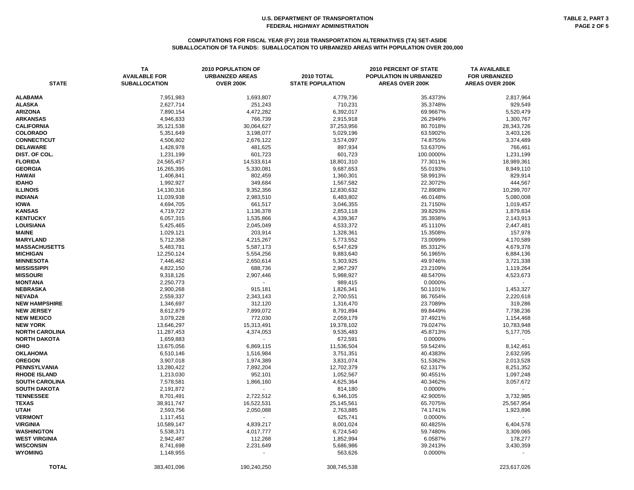| <b>STATE</b>                         | <b>TA</b><br><b>AVAILABLE FOR</b><br><b>SUBALLOCATION</b> | 2010 POPULATION OF<br><b>URBANIZED AREAS</b><br><b>OVER 200K</b> | 2010 TOTAL<br><b>STATE POPULATION</b> | <b>2010 PERCENT OF STATE</b><br>POPULATION IN URBANIZED<br><b>AREAS OVER 200K</b> | <b>TA AVAILABLE</b><br><b>FOR URBANIZED</b><br><b>AREAS OVER 200K</b> |
|--------------------------------------|-----------------------------------------------------------|------------------------------------------------------------------|---------------------------------------|-----------------------------------------------------------------------------------|-----------------------------------------------------------------------|
| <b>ALABAMA</b>                       | 7,951,983                                                 | 1,693,807                                                        | 4,779,736                             | 35.4373%                                                                          | 2,817,964                                                             |
| <b>ALASKA</b>                        | 2,627,714                                                 | 251,243                                                          | 710,231                               | 35.3748%                                                                          | 929,549                                                               |
| <b>ARIZONA</b>                       | 7,890,154                                                 | 4,472,282                                                        | 6,392,017                             | 69.9667%                                                                          | 5,520,479                                                             |
| <b>ARKANSAS</b>                      | 4,946,833                                                 | 766,739                                                          | 2,915,918                             | 26.2949%                                                                          | 1,300,767                                                             |
| <b>CALIFORNIA</b>                    | 35,121,538                                                | 30,064,627                                                       | 37,253,956                            | 80.7018%                                                                          | 28,343,726                                                            |
| <b>COLORADO</b>                      | 5,351,649                                                 | 3,198,077                                                        | 5,029,196                             | 63.5902%                                                                          | 3,403,126                                                             |
| <b>CONNECTICUT</b>                   | 4,506,802                                                 | 2,676,122                                                        | 3,574,097                             | 74.8755%                                                                          | 3,374,489                                                             |
| <b>DELAWARE</b>                      | 1,428,978                                                 | 481,625                                                          | 897,934                               | 53.6370%                                                                          | 766,461                                                               |
| DIST. OF COL.                        | 1,231,199                                                 | 601,723                                                          | 601,723                               | 100.0000%                                                                         | 1,231,199                                                             |
| <b>FLORIDA</b>                       | 24,565,457                                                | 14,533,614                                                       | 18,801,310                            | 77.3011%                                                                          | 18,989,361                                                            |
| <b>GEORGIA</b>                       | 16,265,395                                                | 5,330,081                                                        | 9,687,653                             | 55.0193%                                                                          | 8,949,110                                                             |
| <b>HAWAII</b>                        | 1,406,841                                                 | 802,459                                                          | 1,360,301                             | 58.9913%                                                                          | 829,914                                                               |
| <b>IDAHO</b>                         | 1,992,927                                                 | 349,684                                                          | 1,567,582                             | 22.3072%                                                                          | 444,567                                                               |
| <b>ILLINOIS</b>                      | 14,130,316                                                | 9,352,356                                                        | 12,830,632                            | 72.8908%                                                                          | 10,299,707                                                            |
| <b>INDIANA</b>                       | 11,039,938                                                | 2,983,510                                                        | 6,483,802                             | 46.0148%                                                                          | 5,080,008                                                             |
| <b>IOWA</b>                          | 4,694,705                                                 | 661,517                                                          | 3,046,355                             | 21.7150%                                                                          | 1,019,457                                                             |
| <b>KANSAS</b>                        | 4,719,722                                                 | 1,136,378                                                        | 2,853,118                             | 39.8293%                                                                          | 1,879,834                                                             |
| <b>KENTUCKY</b>                      | 6,057,315                                                 | 1,535,866                                                        | 4,339,367                             | 35.3938%                                                                          | 2,143,913                                                             |
| <b>LOUISIANA</b>                     | 5,425,465                                                 | 2,045,049                                                        | 4,533,372                             | 45.1110%                                                                          | 2,447,481                                                             |
| <b>MAINE</b>                         | 1,029,121                                                 | 203,914                                                          | 1,328,361                             | 15.3508%                                                                          | 157,978                                                               |
| <b>MARYLAND</b>                      | 5,712,358                                                 | 4,215,267                                                        | 5,773,552                             | 73.0099%                                                                          | 4,170,589                                                             |
| <b>MASSACHUSETTS</b>                 | 5,483,781                                                 | 5,587,173                                                        | 6,547,629                             | 85.3312%                                                                          | 4,679,378                                                             |
| <b>MICHIGAN</b>                      | 12,250,124                                                | 5,554,256                                                        | 9,883,640                             | 56.1965%                                                                          | 6,884,136                                                             |
| <b>MINNESOTA</b>                     | 7,446,462                                                 | 2,650,614                                                        | 5,303,925                             | 49.9746%                                                                          | 3,721,338                                                             |
| <b>MISSISSIPPI</b>                   | 4,822,150                                                 | 688,736                                                          | 2,967,297                             | 23.2109%                                                                          | 1,119,264                                                             |
| <b>MISSOURI</b>                      | 9,318,126                                                 | 2,907,446                                                        | 5,988,927                             | 48.5470%                                                                          | 4,523,673                                                             |
| <b>MONTANA</b>                       | 2,250,773                                                 |                                                                  | 989,415                               | 0.0000%                                                                           |                                                                       |
| <b>NEBRASKA</b>                      | 2,900,268                                                 | 915,181                                                          | 1,826,341                             | 50.1101%                                                                          | 1,453,327                                                             |
| <b>NEVADA</b>                        | 2,559,337                                                 | 2,343,143                                                        | 2,700,551                             | 86.7654%                                                                          | 2,220,618                                                             |
| <b>NEW HAMPSHIRE</b>                 | 1,346,697                                                 | 312,120                                                          | 1,316,470                             | 23.7089%                                                                          | 319,286                                                               |
| <b>NEW JERSEY</b>                    | 8,612,879                                                 | 7,899,072                                                        | 8,791,894                             | 89.8449%                                                                          | 7,738,236                                                             |
| <b>NEW MEXICO</b>                    | 3,079,228                                                 | 772,030                                                          | 2,059,179                             | 37.4921%                                                                          | 1,154,468                                                             |
| <b>NEW YORK</b>                      | 13,646,297                                                | 15,313,491                                                       | 19,378,102                            | 79.0247%                                                                          | 10,783,948                                                            |
| <b>NORTH CAROLINA</b>                | 11,287,453                                                | 4,374,053                                                        | 9,535,483                             | 45.8713%                                                                          | 5,177,705                                                             |
| <b>NORTH DAKOTA</b>                  | 1,659,883                                                 |                                                                  | 672,591                               | 0.0000%                                                                           |                                                                       |
| <b>OHIO</b>                          | 13,675,056                                                | 6,869,115                                                        | 11,536,504                            | 59.5424%                                                                          | 8,142,461                                                             |
| <b>OKLAHOMA</b>                      | 6,510,146                                                 | 1,516,984                                                        | 3,751,351                             | 40.4383%                                                                          | 2,632,595                                                             |
| <b>OREGON</b>                        | 3,907,018                                                 | 1,974,389                                                        | 3,831,074                             | 51.5362%                                                                          | 2,013,528                                                             |
| <b>PENNSYLVANIA</b>                  | 13,280,422                                                | 7,892,204                                                        | 12,702,379                            | 62.1317%                                                                          | 8,251,352                                                             |
| <b>RHODE ISLAND</b>                  | 1,213,030                                                 | 952,101                                                          | 1,052,567                             | 90.4551%                                                                          | 1,097,248                                                             |
| <b>SOUTH CAROLINA</b>                | 7,578,581                                                 | 1,866,160                                                        | 4,625,364                             | 40.3462%                                                                          | 3,057,672                                                             |
| <b>SOUTH DAKOTA</b>                  | 2,191,872                                                 |                                                                  | 814,180                               | 0.0000%                                                                           |                                                                       |
| <b>TENNESSEE</b>                     | 8,701,491                                                 | 2,722,512                                                        | 6,346,105                             | 42.9005%                                                                          | 3,732,985                                                             |
| <b>TEXAS</b>                         | 38,911,747                                                | 16,522,531                                                       | 25,145,561                            | 65.7075%                                                                          | 25,567,954                                                            |
| <b>UTAH</b>                          | 2,593,756                                                 | 2,050,088                                                        | 2,763,885                             | 74.1741%                                                                          | 1,923,896                                                             |
| <b>VERMONT</b>                       | 1,117,451                                                 |                                                                  | 625,741                               | 0.0000%                                                                           |                                                                       |
| <b>VIRGINIA</b><br><b>WASHINGTON</b> | 10,589,147                                                | 4,839,217                                                        | 8,001,024                             | 60.4825%                                                                          | 6,404,578                                                             |
| <b>WEST VIRGINIA</b>                 | 5,538,371                                                 | 4,017,777                                                        | 6,724,540                             | 59.7480%                                                                          | 3,309,065                                                             |
| <b>WISCONSIN</b>                     | 2,942,487                                                 | 112,268                                                          | 1,852,994                             | 6.0587%                                                                           | 178,277                                                               |
| <b>WYOMING</b>                       | 8,741,698                                                 | 2,231,649                                                        | 5,686,986<br>563,626                  | 39.2413%<br>0.0000%                                                               | 3,430,359                                                             |
|                                      | 1,148,955                                                 |                                                                  |                                       |                                                                                   |                                                                       |
| <b>TOTAL</b>                         | 383,401,096                                               | 190,240,250                                                      | 308,745,538                           |                                                                                   | 223,617,026                                                           |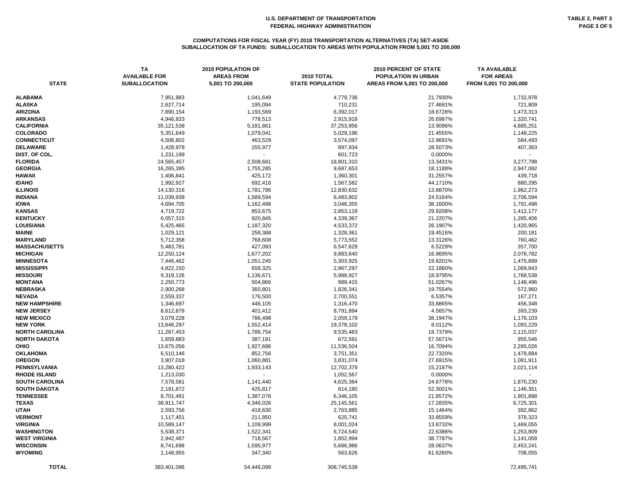# **COMPUTATIONS FOR FISCAL YEAR (FY) 2018 TRANSPORTATION ALTERNATIVES (TA) SET-ASIDE SUBALLOCATION OF TA FUNDS: SUBALLOCATION TO AREAS WITH POPULATION FROM 5,001 TO 200,000**

| <b>STATE</b>          | <b>TA</b><br><b>AVAILABLE FOR</b><br><b>SUBALLOCATION</b> | 2010 POPULATION OF<br><b>AREAS FROM</b><br>5,001 TO 200,000 | 2010 TOTAL<br><b>STATE POPULATION</b> | 2010 PERCENT OF STATE<br>POPULATION IN URBAN<br>AREAS FROM 5,001 TO 200,000 | <b>TA AVAILABLE</b><br><b>FOR AREAS</b><br>FROM 5,001 TO 200,000 |
|-----------------------|-----------------------------------------------------------|-------------------------------------------------------------|---------------------------------------|-----------------------------------------------------------------------------|------------------------------------------------------------------|
| <b>ALABAMA</b>        | 7,951,983                                                 | 1,041,649                                                   | 4,779,736                             | 21.7930%                                                                    | 1,732,978                                                        |
| ALASKA                | 2,627,714                                                 | 195,094                                                     | 710,231                               | 27.4691%                                                                    | 721,809                                                          |
| <b>ARIZONA</b>        | 7,890,154                                                 | 1,193,569                                                   | 6,392,017                             | 18.6728%                                                                    | 1,473,313                                                        |
| ARKANSAS              | 4,946,833                                                 | 778,513                                                     | 2,915,918                             | 26.6987%                                                                    | 1,320,741                                                        |
| <b>CALIFORNIA</b>     | 35,121,538                                                | 5,181,861                                                   | 37,253,956                            | 13.9096%                                                                    | 4,885,251                                                        |
| <b>COLORADO</b>       | 5,351,649                                                 | 1,079,041                                                   | 5,029,196                             | 21.4555%                                                                    | 1,148,225                                                        |
| <b>CONNECTICUT</b>    | 4,506,802                                                 | 463,529                                                     | 3,574,097                             | 12.9691%                                                                    | 584,493                                                          |
| <b>DELAWARE</b>       | 1,428,978                                                 | 255,977                                                     | 897,934                               | 28.5073%                                                                    | 407,363                                                          |
| DIST. OF COL.         | 1,231,199                                                 |                                                             | 601,723                               | 0.0000%                                                                     |                                                                  |
| <b>FLORIDA</b>        | 24,565,457                                                | 2,508,681                                                   | 18,801,310                            | 13.3431%                                                                    | 3,277,798                                                        |
| <b>GEORGIA</b>        | 16,265,395                                                | 1,755,285                                                   | 9,687,653                             | 18.1188%                                                                    | 2,947,092                                                        |
| HAWAII                | 1,406,841                                                 | 425,172                                                     | 1,360,301                             | 31.2557%                                                                    | 439,718                                                          |
| <b>IDAHO</b>          | 1,992,927                                                 | 692,416                                                     | 1,567,582                             | 44.1710%                                                                    | 880,295                                                          |
| <b>ILLINOIS</b>       | 14,130,316                                                | 1,781,786                                                   | 12,830,632                            | 13.8870%                                                                    | 1,962,273                                                        |
| <b>INDIANA</b>        | 11,039,938                                                | 1,589,594                                                   | 6,483,802                             | 24.5164%                                                                    | 2,706,594                                                        |
| <b>IOWA</b>           | 4,694,705                                                 | 1,162,488                                                   | 3,046,355                             | 38.1600%                                                                    | 1,791,498                                                        |
| <b>KANSAS</b>         | 4,719,722                                                 | 853,675                                                     | 2,853,118                             | 29.9208%                                                                    | 1,412,177                                                        |
| <b>KENTUCKY</b>       | 6,057,315                                                 | 920,845                                                     | 4,339,367                             | 21.2207%                                                                    | 1,285,406                                                        |
| LOUISIANA             | 5,425,465                                                 | 1,187,320                                                   | 4,533,372                             | 26.1907%                                                                    | 1,420,965                                                        |
| MAINE                 | 1,029,121                                                 | 258,388                                                     | 1,328,361                             | 19.4516%                                                                    | 200,181                                                          |
| <b>MARYLAND</b>       | 5,712,358                                                 | 768,608                                                     | 5,773,552                             | 13.3126%                                                                    | 760,462                                                          |
| <b>MASSACHUSETTS</b>  | 5,483,781                                                 | 427,093                                                     | 6,547,629                             | 6.5229%                                                                     | 357,700                                                          |
| MICHIGAN              | 12,250,124                                                | 1,677,202                                                   | 9,883,640                             | 16.9695%                                                                    | 2,078,782                                                        |
| <b>MINNESOTA</b>      | 7,446,462                                                 | 1,051,245                                                   | 5,303,925                             | 19.8201%                                                                    | 1,475,899                                                        |
| MISSISSIPPI           | 4,822,150                                                 | 658,325                                                     | 2,967,297                             | 22.1860%                                                                    | 1,069,843                                                        |
| <b>MISSOURI</b>       | 9,318,126                                                 | 1,136,671                                                   | 5,988,927                             | 18.9795%                                                                    | 1,768,538                                                        |
| MONTANA               | 2,250,773                                                 | 504,866                                                     | 989,415                               | 51.0267%                                                                    | 1,148,496                                                        |
| NEBRASKA              | 2,900,268                                                 | 360,801                                                     | 1,826,341                             | 19.7554%                                                                    | 572,960                                                          |
| NEVADA                | 2,559,337                                                 | 176,500                                                     | 2,700,551                             | 6.5357%                                                                     | 167,271                                                          |
| <b>NEW HAMPSHIRE</b>  | 1,346,697                                                 | 446,105                                                     | 1,316,470                             | 33.8865%                                                                    | 456,348                                                          |
| <b>NEW JERSEY</b>     | 8,612,879                                                 | 401,412                                                     | 8,791,894                             | 4.5657%                                                                     | 393,239                                                          |
| <b>NEW MEXICO</b>     | 3,079,228                                                 | 786,498                                                     | 2,059,179                             | 38.1947%                                                                    | 1,176,103                                                        |
| <b>NEW YORK</b>       | 13,646,297                                                | 1,552,414                                                   | 19,378,102                            | 8.0112%                                                                     | 1,093,229                                                        |
| <b>NORTH CAROLINA</b> | 11,287,453                                                | 1,786,754                                                   | 9,535,483                             | 18.7379%                                                                    | 2,115,037                                                        |
| <b>NORTH DAKOTA</b>   | 1,659,883                                                 | 387,191                                                     | 672,591                               | 57.5671%                                                                    | 955,546                                                          |
| OHIO                  | 13,675,056                                                | 1,927,686                                                   | 11,536,504                            | 16.7094%                                                                    | 2,285,026                                                        |
| OKLAHOMA              | 6,510,146                                                 | 852,756                                                     | 3,751,351                             | 22.7320%                                                                    | 1,479,884                                                        |
| <b>OREGON</b>         | 3,907,018                                                 | 1,060,881                                                   | 3,831,074                             | 27.6915%                                                                    | 1,081,911                                                        |
| PENNSYLVANIA          | 13,280,422                                                | 1,933,143                                                   | 12,702,379                            | 15.2187%                                                                    | 2,021,114                                                        |
| <b>RHODE ISLAND</b>   | 1,213,030                                                 |                                                             | 1,052,567                             | 0.0000%                                                                     |                                                                  |
| SOUTH CAROLINA        | 7,578,581                                                 | 1,141,440                                                   | 4,625,364                             | 24.6778%                                                                    | 1,870,230                                                        |
| <b>SOUTH DAKOTA</b>   | 2,191,872                                                 | 425,817                                                     | 814,180                               | 52.3001%                                                                    | 1,146,351                                                        |
| <b>TENNESSEE</b>      | 8,701,491                                                 | 1,387,078                                                   | 6,346,105                             | 21.8572%                                                                    | 1,901,898                                                        |
| <b>TEXAS</b>          | 38,911,747                                                | 4,346,026                                                   | 25,145,561                            | 17.2835%                                                                    | 6,725,301                                                        |
| UTAH                  | 2,593,756                                                 | 418,630                                                     | 2,763,885                             | 15.1464%                                                                    | 392,862                                                          |
| <b>VERMONT</b>        | 1,117,451                                                 | 211,850                                                     | 625,741                               | 33.8559%                                                                    | 378,323                                                          |
| VIRGINIA              | 10,589,147                                                | 1,109,999                                                   | 8,001,024                             | 13.8732%                                                                    | 1,469,055                                                        |
| WASHINGTON            | 5,538,371                                                 | 1,522,341                                                   | 6,724,540                             | 22.6386%                                                                    | 1,253,809                                                        |
| WEST VIRGINIA         | 2,942,487                                                 | 718,567                                                     | 1,852,994                             | 38.7787%                                                                    | 1,141,058                                                        |
| <b>WISCONSIN</b>      | 8,741,698                                                 | 1,595,977                                                   | 5,686,986                             | 28.0637%                                                                    | 2,453,241                                                        |
| WYOMING               | 1,148,955                                                 | 347,340                                                     | 563,626                               | 61.6260%                                                                    | 708,055                                                          |
| <b>TOTAL</b>          | 383,401,096                                               | 54,446,099                                                  | 308,745,538                           |                                                                             | 72,495,741                                                       |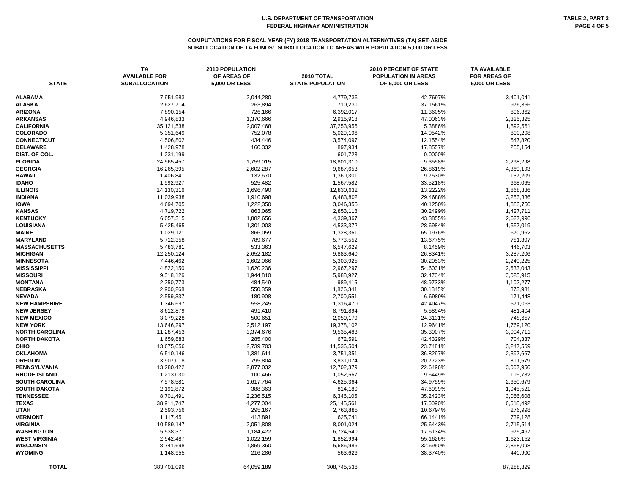#### **COMPUTATIONS FOR FISCAL YEAR (FY) 2018 TRANSPORTATION ALTERNATIVES (TA) SET-ASIDE SUBALLOCATION OF TA FUNDS: SUBALLOCATION TO AREAS WITH POPULATION 5,000 OR LESS**

| <b>STATE</b>          | <b>TA</b><br><b>AVAILABLE FOR</b><br><b>SUBALLOCATION</b> | <b>2010 POPULATION</b><br>OF AREAS OF<br><b>5,000 OR LESS</b> | 2010 TOTAL<br><b>STATE POPULATION</b> | <b>2010 PERCENT OF STATE</b><br><b>POPULATION IN AREAS</b><br><b>OF 5,000 OR LESS</b> | <b>TA AVAILABLE</b><br><b>FOR AREAS OF</b><br><b>5,000 OR LESS</b> |
|-----------------------|-----------------------------------------------------------|---------------------------------------------------------------|---------------------------------------|---------------------------------------------------------------------------------------|--------------------------------------------------------------------|
| <b>ALABAMA</b>        | 7,951,983                                                 | 2,044,280                                                     | 4,779,736                             | 42.7697%                                                                              | 3,401,041                                                          |
| <b>ALASKA</b>         | 2,627,714                                                 | 263,894                                                       | 710,231                               | 37.1561%                                                                              | 976,356                                                            |
| <b>ARIZONA</b>        | 7,890,154                                                 | 726,166                                                       | 6,392,017                             | 11.3605%                                                                              | 896,362                                                            |
| <b>ARKANSAS</b>       | 4,946,833                                                 | 1,370,666                                                     | 2,915,918                             | 47.0063%                                                                              | 2,325,325                                                          |
| <b>CALIFORNIA</b>     | 35,121,538                                                | 2,007,468                                                     | 37,253,956                            | 5.3886%                                                                               | 1,892,561                                                          |
| <b>COLORADO</b>       | 5,351,649                                                 | 752,078                                                       | 5,029,196                             | 14.9542%                                                                              | 800,298                                                            |
| <b>CONNECTICUT</b>    | 4,506,802                                                 | 434,446                                                       | 3,574,097                             | 12.1554%                                                                              | 547,820                                                            |
| <b>DELAWARE</b>       | 1,428,978                                                 | 160,332                                                       | 897,934                               | 17.8557%                                                                              | 255,154                                                            |
| DIST. OF COL.         | 1,231,199                                                 |                                                               | 601,723                               | 0.0000%                                                                               |                                                                    |
| <b>FLORIDA</b>        | 24,565,457                                                | 1,759,015                                                     | 18,801,310                            | 9.3558%                                                                               | 2,298,298                                                          |
| <b>GEORGIA</b>        | 16,265,395                                                | 2,602,287                                                     | 9,687,653                             | 26.8619%                                                                              | 4,369,193                                                          |
| HAWAII                | 1,406,841                                                 | 132,670                                                       | 1,360,301                             | 9.7530%                                                                               | 137,209                                                            |
| <b>IDAHO</b>          | 1,992,927                                                 | 525,482                                                       | 1,567,582                             | 33.5218%                                                                              | 668,065                                                            |
| <b>ILLINOIS</b>       | 14,130,316                                                | 1,696,490                                                     | 12,830,632                            | 13.2222%                                                                              | 1,868,336                                                          |
| <b>INDIANA</b>        | 11,039,938                                                | 1,910,698                                                     | 6,483,802                             | 29.4688%                                                                              | 3,253,336                                                          |
| <b>IOWA</b>           | 4,694,705                                                 | 1,222,350                                                     | 3,046,355                             | 40.1250%                                                                              | 1,883,750                                                          |
| <b>KANSAS</b>         | 4,719,722                                                 | 863,065                                                       | 2,853,118                             | 30.2499%                                                                              | 1,427,711                                                          |
| <b>KENTUCKY</b>       | 6,057,315                                                 | 1,882,656                                                     | 4,339,367                             | 43.3855%                                                                              | 2,627,996                                                          |
| <b>LOUISIANA</b>      | 5,425,465                                                 | 1,301,003                                                     | 4,533,372                             | 28.6984%                                                                              | 1,557,019                                                          |
| <b>MAINE</b>          | 1,029,121                                                 | 866,059                                                       | 1,328,361                             | 65.1976%                                                                              | 670,962                                                            |
| <b>MARYLAND</b>       | 5,712,358                                                 | 789,677                                                       | 5,773,552                             | 13.6775%                                                                              | 781,307                                                            |
| <b>MASSACHUSETTS</b>  | 5,483,781                                                 | 533,363                                                       | 6,547,629                             | 8.1459%                                                                               | 446,703                                                            |
| <b>MICHIGAN</b>       | 12,250,124                                                | 2,652,182                                                     | 9,883,640                             | 26.8341%                                                                              | 3,287,206                                                          |
| <b>MINNESOTA</b>      | 7,446,462                                                 | 1,602,066                                                     | 5,303,925                             | 30.2053%                                                                              | 2,249,225                                                          |
| <b>MISSISSIPPI</b>    | 4,822,150                                                 | 1,620,236                                                     | 2,967,297                             | 54.6031%                                                                              | 2,633,043                                                          |
| <b>MISSOURI</b>       | 9,318,126                                                 | 1,944,810                                                     | 5,988,927                             | 32.4734%                                                                              | 3,025,915                                                          |
| <b>MONTANA</b>        | 2,250,773                                                 | 484,549                                                       | 989,415                               | 48.9733%                                                                              | 1,102,277                                                          |
| NEBRASKA              | 2,900,268                                                 | 550,359                                                       | 1,826,341                             | 30.1345%                                                                              | 873,981                                                            |
| <b>NEVADA</b>         | 2,559,337                                                 | 180,908                                                       | 2,700,551                             | 6.6989%                                                                               | 171,448                                                            |
| <b>NEW HAMPSHIRE</b>  | 1,346,697                                                 | 558,245                                                       | 1,316,470                             | 42.4047%                                                                              | 571,063                                                            |
| <b>NEW JERSEY</b>     | 8,612,879                                                 | 491,410                                                       | 8,791,894                             | 5.5894%                                                                               | 481,404                                                            |
| <b>NEW MEXICO</b>     | 3,079,228                                                 | 500,651                                                       | 2,059,179                             | 24.3131%                                                                              | 748,657                                                            |
| <b>NEW YORK</b>       | 13,646,297                                                | 2,512,197                                                     | 19,378,102                            | 12.9641%                                                                              | 1,769,120                                                          |
| <b>NORTH CAROLINA</b> | 11,287,453                                                | 3,374,676                                                     | 9,535,483                             | 35.3907%                                                                              | 3,994,711                                                          |
| NORTH DAKOTA          | 1,659,883                                                 | 285,400                                                       | 672,591                               | 42.4329%                                                                              | 704,337                                                            |
| OHIO                  | 13,675,056                                                | 2,739,703                                                     | 11,536,504                            | 23.7481%                                                                              | 3,247,569                                                          |
| <b>OKLAHOMA</b>       | 6,510,146                                                 | 1,381,611                                                     | 3,751,351                             | 36.8297%                                                                              | 2,397,667                                                          |
| <b>OREGON</b>         | 3,907,018                                                 | 795,804                                                       | 3,831,074                             | 20.7723%                                                                              | 811,579                                                            |
| PENNSYLVANIA          | 13,280,422                                                | 2,877,032                                                     | 12,702,379                            | 22.6496%                                                                              | 3,007,956                                                          |
| <b>RHODE ISLAND</b>   | 1,213,030                                                 | 100,466                                                       | 1,052,567                             | 9.5449%                                                                               | 115,782                                                            |
| <b>SOUTH CAROLINA</b> | 7,578,581                                                 | 1,617,764                                                     | 4,625,364                             | 34.9759%                                                                              | 2,650,679                                                          |
| <b>SOUTH DAKOTA</b>   | 2,191,872                                                 | 388,363                                                       | 814,180                               | 47.6999%                                                                              | 1,045,521                                                          |
| <b>TENNESSEE</b>      | 8,701,491                                                 | 2,236,515                                                     | 6,346,105                             | 35.2423%                                                                              | 3,066,608                                                          |
| <b>TEXAS</b>          | 38,911,747                                                | 4,277,004                                                     | 25,145,561                            | 17.0090%                                                                              | 6,618,492                                                          |
| <b>UTAH</b>           | 2,593,756                                                 | 295,167                                                       | 2,763,885                             | 10.6794%                                                                              | 276,998                                                            |
| <b>VERMONT</b>        | 1,117,451                                                 | 413,891                                                       | 625,741                               | 66.1441%                                                                              | 739,128                                                            |
| <b>VIRGINIA</b>       | 10,589,147                                                | 2,051,808                                                     | 8,001,024                             | 25.6443%                                                                              | 2,715,514                                                          |
| WASHINGTON            | 5,538,371                                                 | 1,184,422                                                     | 6,724,540                             | 17.6134%                                                                              | 975,497                                                            |
| <b>WEST VIRGINIA</b>  | 2,942,487                                                 | 1,022,159                                                     | 1,852,994                             | 55.1626%                                                                              | 1,623,152                                                          |
| <b>WISCONSIN</b>      | 8,741,698                                                 | 1,859,360                                                     | 5,686,986                             | 32.6950%                                                                              | 2,858,098                                                          |
| <b>WYOMING</b>        | 1,148,955                                                 | 216,286                                                       | 563,626                               | 38.3740%                                                                              | 440,900                                                            |
| <b>TOTAL</b>          | 383,401,096                                               | 64,059,189                                                    | 308,745,538                           |                                                                                       | 87,288,329                                                         |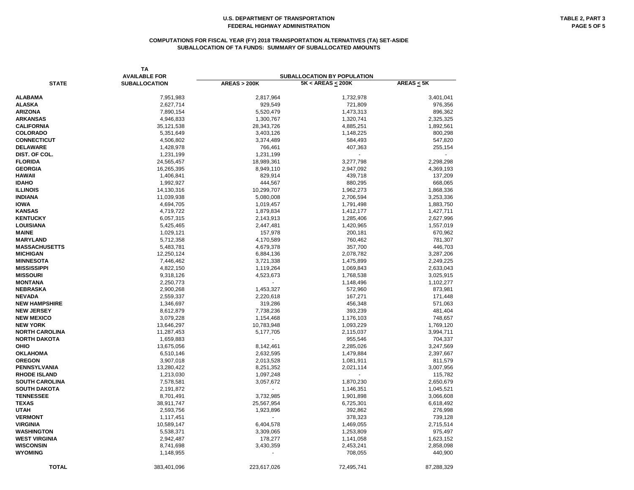#### **COMPUTATIONS FOR FISCAL YEAR (FY) 2018 TRANSPORTATION ALTERNATIVES (TA) SET-ASIDE SUBALLOCATION OF TA FUNDS: SUMMARY OF SUBALLOCATED AMOUNTS**

| <b>TA</b><br><b>AVAILABLE FOR</b> |                      | <b>SUBALLOCATION BY POPULATION</b> |                        |                 |  |  |  |
|-----------------------------------|----------------------|------------------------------------|------------------------|-----------------|--|--|--|
| <b>STATE</b>                      | <b>SUBALLOCATION</b> | <b>AREAS &gt; 200K</b>             | $5K < AREAS \leq 200K$ | $AREAS \leq 5K$ |  |  |  |
| <b>ALABAMA</b>                    | 7,951,983            | 2,817,964                          | 1,732,978              | 3,401,041       |  |  |  |
| <b>ALASKA</b>                     | 2,627,714            | 929,549                            | 721,809                | 976,356         |  |  |  |
| <b>ARIZONA</b>                    | 7,890,154            | 5,520,479                          | 1,473,313              | 896,362         |  |  |  |
| <b>ARKANSAS</b>                   | 4,946,833            | 1,300,767                          | 1,320,741              | 2,325,325       |  |  |  |
| <b>CALIFORNIA</b>                 | 35,121,538           | 28,343,726                         | 4,885,251              | 1,892,561       |  |  |  |
| <b>COLORADO</b>                   | 5,351,649            | 3,403,126                          |                        |                 |  |  |  |
| <b>CONNECTICUT</b>                |                      |                                    | 1,148,225              | 800,298         |  |  |  |
| <b>DELAWARE</b>                   | 4,506,802            | 3,374,489                          | 584,493                | 547,820         |  |  |  |
| DIST. OF COL.                     | 1,428,978            | 766,461<br>1,231,199               | 407,363                | 255,154         |  |  |  |
| <b>FLORIDA</b>                    | 1,231,199            |                                    |                        |                 |  |  |  |
| <b>GEORGIA</b>                    | 24,565,457           | 18,989,361                         | 3,277,798              | 2,298,298       |  |  |  |
|                                   | 16,265,395           | 8,949,110                          | 2,947,092              | 4,369,193       |  |  |  |
| <b>HAWAII</b>                     | 1,406,841            | 829,914                            | 439,718                | 137,209         |  |  |  |
| <b>IDAHO</b>                      | 1,992,927            | 444,567                            | 880,295                | 668,065         |  |  |  |
| <b>ILLINOIS</b>                   | 14,130,316           | 10,299,707                         | 1,962,273              | 1,868,336       |  |  |  |
| <b>INDIANA</b>                    | 11,039,938           | 5,080,008                          | 2,706,594              | 3,253,336       |  |  |  |
| <b>IOWA</b>                       | 4,694,705            | 1,019,457                          | 1,791,498              | 1,883,750       |  |  |  |
| <b>KANSAS</b>                     | 4,719,722            | 1,879,834                          | 1,412,177              | 1,427,711       |  |  |  |
| <b>KENTUCKY</b>                   | 6,057,315            | 2,143,913                          | 1,285,406              | 2,627,996       |  |  |  |
| LOUISIANA                         | 5,425,465            | 2,447,481                          | 1,420,965              | 1,557,019       |  |  |  |
| <b>MAINE</b>                      | 1,029,121            | 157,978                            | 200,181                | 670,962         |  |  |  |
| <b>MARYLAND</b>                   | 5,712,358            | 4,170,589                          | 760,462                | 781,307         |  |  |  |
| <b>MASSACHUSETTS</b>              | 5,483,781            | 4,679,378                          | 357,700                | 446,703         |  |  |  |
| <b>MICHIGAN</b>                   | 12,250,124           | 6,884,136                          | 2,078,782              | 3,287,206       |  |  |  |
| <b>MINNESOTA</b>                  | 7,446,462            | 3,721,338                          | 1,475,899              | 2,249,225       |  |  |  |
| <b>MISSISSIPPI</b>                | 4,822,150            | 1,119,264                          | 1,069,843              | 2,633,043       |  |  |  |
| <b>MISSOURI</b>                   | 9,318,126            | 4,523,673                          | 1,768,538              | 3,025,915       |  |  |  |
| <b>MONTANA</b>                    | 2,250,773            | $\overline{\phantom{a}}$           | 1,148,496              | 1,102,277       |  |  |  |
| NEBRASKA                          | 2,900,268            | 1,453,327                          | 572,960                | 873,981         |  |  |  |
| <b>NEVADA</b>                     | 2,559,337            | 2,220,618                          | 167,271                | 171,448         |  |  |  |
| <b>NEW HAMPSHIRE</b>              | 1,346,697            | 319,286                            | 456,348                | 571,063         |  |  |  |
| <b>NEW JERSEY</b>                 | 8,612,879            | 7,738,236                          | 393,239                | 481,404         |  |  |  |
| <b>NEW MEXICO</b>                 | 3,079,228            | 1,154,468                          | 1,176,103              | 748,657         |  |  |  |
| <b>NEW YORK</b>                   | 13,646,297           | 10,783,948                         | 1,093,229              | 1,769,120       |  |  |  |
| <b>NORTH CAROLINA</b>             | 11,287,453           | 5,177,705                          | 2,115,037              | 3,994,711       |  |  |  |
| NORTH DAKOTA                      | 1,659,883            | $\blacksquare$                     | 955,546                | 704,337         |  |  |  |
| OHIO                              | 13,675,056           | 8,142,461                          | 2,285,026              | 3,247,569       |  |  |  |
| <b>OKLAHOMA</b>                   | 6,510,146            | 2,632,595                          | 1,479,884              | 2,397,667       |  |  |  |
| <b>OREGON</b>                     | 3,907,018            | 2,013,528                          | 1,081,911              | 811,579         |  |  |  |
| PENNSYLVANIA                      | 13,280,422           | 8,251,352                          | 2,021,114              | 3,007,956       |  |  |  |
| <b>RHODE ISLAND</b>               | 1,213,030            | 1,097,248                          |                        | 115,782         |  |  |  |
| <b>SOUTH CAROLINA</b>             | 7,578,581            | 3,057,672                          | 1,870,230              | 2,650,679       |  |  |  |
| <b>SOUTH DAKOTA</b>               | 2,191,872            |                                    | 1,146,351              | 1,045,521       |  |  |  |
| <b>TENNESSEE</b>                  | 8,701,491            | 3,732,985                          | 1,901,898              | 3,066,608       |  |  |  |
| <b>TEXAS</b>                      | 38,911,747           | 25,567,954                         | 6,725,301              | 6,618,492       |  |  |  |
| UTAH                              | 2,593,756            | 1,923,896                          | 392,862                | 276,998         |  |  |  |
| <b>VERMONT</b>                    | 1,117,451            |                                    | 378,323                | 739,128         |  |  |  |
| <b>VIRGINIA</b>                   | 10,589,147           | 6,404,578                          | 1,469,055              | 2,715,514       |  |  |  |
| WASHINGTON                        | 5,538,371            | 3,309,065                          | 1,253,809              | 975,497         |  |  |  |
| <b>WEST VIRGINIA</b>              | 2,942,487            | 178,277                            | 1,141,058              | 1,623,152       |  |  |  |
| <b>WISCONSIN</b>                  | 8,741,698            | 3,430,359                          | 2,453,241              | 2,858,098       |  |  |  |
| <b>WYOMING</b>                    | 1,148,955            |                                    | 708,055                | 440,900         |  |  |  |
| <b>TOTAL</b>                      | 383,401,096          | 223,617,026                        | 72,495,741             | 87,288,329      |  |  |  |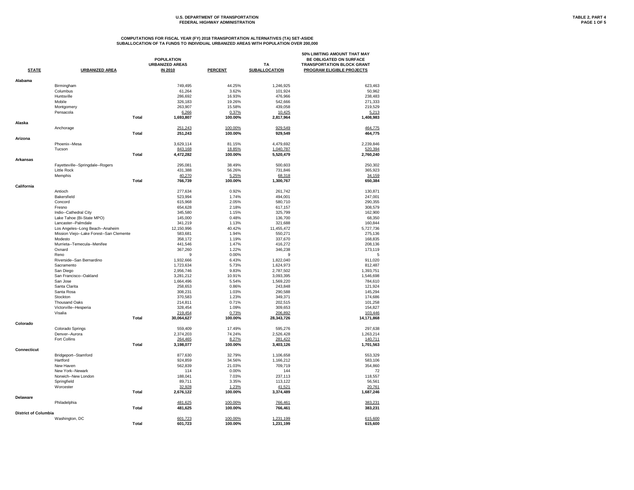# U.S. DEPARTMENT OF TRANSPORTATION **TABLE 2, PART 4**<br>FEDERAL HIGHWAY ADMINISTRATION **TABLE 2, PART 4 FEDERAL HIGHWAY ADMINISTRATION**

|                             |                                          |              | <b>POPULATION</b><br><b>URBANIZED AREAS</b> |                    | <b>TA</b>            | 50% LIMITING AMOUNT THAT MAY<br>BE OBLIGATED ON SURFACE<br><b>TRANSPORTATION BLOCK GRANT</b> |
|-----------------------------|------------------------------------------|--------------|---------------------------------------------|--------------------|----------------------|----------------------------------------------------------------------------------------------|
| <b>STATE</b>                | <b>URBANIZED AREA</b>                    |              | <b>IN 2010</b>                              | <b>PERCENT</b>     | <b>SUBALLOCATION</b> | <b>PROGRAM ELIGIBLE PROJECTS</b>                                                             |
| Alabama                     |                                          |              |                                             |                    |                      |                                                                                              |
|                             | Birmingham                               |              | 749,495                                     | 44.25%             | 1,246,925            | 623,463                                                                                      |
|                             | Columbus                                 |              | 61,264                                      | 3.62%              | 101,924              | 50,962                                                                                       |
|                             | Huntsville                               |              | 286,692                                     | 16.93%             | 476,966              | 238,483                                                                                      |
|                             | Mobile                                   |              | 326,183                                     | 19.26%             | 542,666              | 271,333                                                                                      |
|                             | Montgomery                               |              | 263,907                                     | 15.58%             | 439,058              | 219,529                                                                                      |
|                             | Pensacola                                |              | 6,266                                       | 0.37%              | 10,425               | 5,213                                                                                        |
|                             |                                          | <b>Total</b> | 1,693,807                                   | 100.00%            | 2,817,964            | 1,408,983                                                                                    |
| Alaska                      |                                          |              |                                             |                    |                      |                                                                                              |
|                             | Anchorage                                | <b>Total</b> | 251,243<br>251,243                          | 100.00%<br>100.00% | 929,549<br>929,549   | 464,775<br>464,775                                                                           |
| Arizona                     |                                          |              |                                             |                    |                      |                                                                                              |
|                             | Phoenix--Mesa                            |              | 3,629,114                                   | 81.15%             | 4,479,692            | 2,239,846                                                                                    |
|                             | Tucson                                   |              | 843,168                                     | 18.85%             | 1,040,787            | 520,394                                                                                      |
|                             |                                          | <b>Total</b> | 4,472,282                                   | 100.00%            | 5,520,479            | 2,760,240                                                                                    |
| <b>Arkansas</b>             |                                          |              |                                             |                    |                      |                                                                                              |
|                             | Fayetteville--Springdale--Rogers         |              | 295,081                                     | 38.49%             | 500,603              | 250,302                                                                                      |
|                             | Little Rock                              |              | 431,388                                     | 56.26%             | 731,846              | 365,923                                                                                      |
|                             | Memphis                                  | <b>Total</b> | 40,270<br>766,739                           | 5.25%<br>100.00%   | 68,318<br>1,300,767  | 34,159                                                                                       |
| California                  |                                          |              |                                             |                    |                      | 650,384                                                                                      |
|                             | Antioch                                  |              | 277,634                                     | 0.92%              | 261,742              | 130,871                                                                                      |
|                             | Bakersfield                              |              | 523,994                                     | 1.74%              | 494,001              | 247,001                                                                                      |
|                             | Concord                                  |              | 615,968                                     | 2.05%              | 580,710              | 290,355                                                                                      |
|                             | Fresno                                   |              | 654,628                                     | 2.18%              | 617,157              | 308,579                                                                                      |
|                             | Indio--Cathedral City                    |              | 345,580                                     | 1.15%              | 325,799              | 162,900                                                                                      |
|                             | Lake Tahoe (Bi-State MPO)                |              | 145,000                                     | 0.48%              | 136,700              | 68,350                                                                                       |
|                             | Lancaster--Palmdale                      |              | 341,219                                     | 1.13%              | 321,688              | 160,844                                                                                      |
|                             | Los Angeles--Long Beach--Anaheim         |              | 12,150,996                                  | 40.42%             | 11,455,472           | 5,727,736                                                                                    |
|                             | Mission Viejo--Lake Forest--San Clemente |              | 583,681                                     | 1.94%              | 550,271              | 275,136                                                                                      |
|                             | Modesto                                  |              | 358,172                                     | 1.19%              | 337,670              | 168,835                                                                                      |
|                             | Murrieta--Temecula--Menifee              |              | 441,546                                     | 1.47%              | 416,272              | 208,136                                                                                      |
|                             | Oxnard                                   |              | 367,260                                     | 1.22%              | 346,238              | 173,119                                                                                      |
|                             | Reno                                     |              | 9                                           | $0.00\%$           | 9                    | 5                                                                                            |
|                             | Riverside--San Bernardino                |              | 1,932,666                                   | 6.43%              | 1,822,040            | 911,020                                                                                      |
|                             | Sacramento                               |              | 1,723,634                                   | 5.73%              | 1,624,973            | 812,487                                                                                      |
|                             | San Diego                                |              | 2,956,746                                   | 9.83%              | 2,787,502            | 1,393,751                                                                                    |
|                             | San Francisco--Oakland                   |              | 3,281,212                                   | 10.91%             | 3,093,395            | 1,546,698                                                                                    |
|                             | San Jose                                 |              | 1,664,496                                   | 5.54%              | 1,569,220            | 784,610                                                                                      |
|                             | Santa Clarita                            |              | 258,653                                     | 0.86%              | 243,848              | 121,924                                                                                      |
|                             | Santa Rosa                               |              | 308,231                                     | 1.03%              | 290,588              | 145,294                                                                                      |
|                             | Stockton                                 |              | 370,583                                     | 1.23%              | 349,371              | 174,686                                                                                      |
|                             | <b>Thousand Oaks</b>                     |              | 214,811                                     | 0.71%              | 202,515              | 101,258                                                                                      |
|                             | Victorville--Hesperia                    |              | 328,454                                     | 1.09%              | 309,653              | 154,827                                                                                      |
|                             | Visalia                                  |              | 219,454                                     | 0.73%              | 206,892              | 103,446                                                                                      |
|                             |                                          | <b>Total</b> | 30,064,627                                  | 100.00%            | 28,343,726           | 14,171,868                                                                                   |
| Colorado                    |                                          |              |                                             |                    |                      |                                                                                              |
|                             | Colorado Springs                         |              | 559,409                                     | 17.49%             | 595,276              | 297,638                                                                                      |
|                             | Denver--Aurora                           |              | 2,374,203                                   | 74.24%             | 2,526,428            | 1,263,214                                                                                    |
|                             | Fort Collins                             |              | 264,465                                     | 8.27%              | 281,422              | 140,711                                                                                      |
|                             |                                          | <b>Total</b> | 3,198,077                                   | 100.00%            | 3,403,126            | 1,701,563                                                                                    |
| <b>Connecticut</b>          | Bridgeport--Stamford                     |              | 877,630                                     | 32.79%             | 1,106,658            | 553,329                                                                                      |
|                             | Hartford                                 |              | 924,859                                     | 34.56%             | 1,166,212            | 583,106                                                                                      |
|                             | New Haven                                |              | 562,839                                     | 21.03%             | 709,719              | 354,860                                                                                      |
|                             | New York--Newark                         |              | 114                                         | 0.00%              | 144                  | 72                                                                                           |
|                             | Norwich--New London                      |              | 188,041                                     | 7.03%              | 237,113              | 118,557                                                                                      |
|                             | Springfield                              |              | 89,711                                      | 3.35%              | 113,122              | 56,561                                                                                       |
|                             | Worcester                                |              | 32,928                                      | 1.23%              | 41,521               | 20,761                                                                                       |
|                             |                                          | <b>Total</b> | 2,676,122                                   | 100.00%            | 3,374,489            | 1,687,246                                                                                    |
| <b>Delaware</b>             |                                          |              |                                             |                    |                      |                                                                                              |
|                             | Philadelphia                             |              | 481,625                                     | 100.00%            | 766,461              | 383,231                                                                                      |
|                             |                                          | <b>Total</b> | 481,625                                     | 100.00%            | 766,461              | 383,231                                                                                      |
| <b>District of Columbia</b> |                                          |              |                                             |                    |                      |                                                                                              |
|                             | Washington, DC                           |              | 601,723                                     | 100.00%            | 1,231,199            | 615,600                                                                                      |
|                             |                                          | <b>Total</b> | 601,723                                     | 100.00%            | 1,231,199            | 615,600                                                                                      |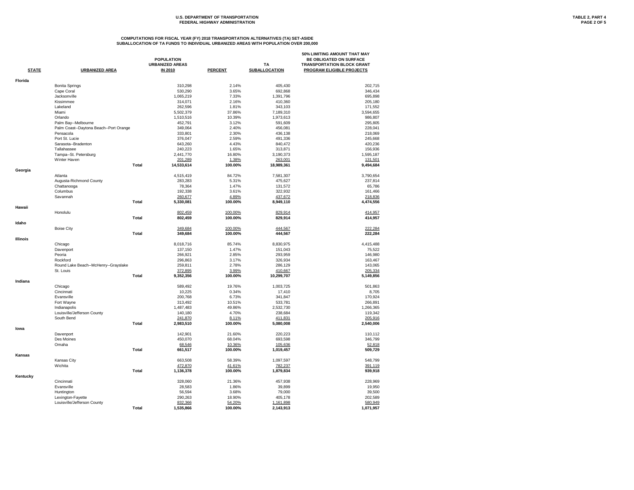# U.S. DEPARTMENT OF TRANSPORTATION **TABLE 2, PART 4**<br>FEDERAL HIGHWAY ADMINISTRATION **PAGE 2** OF 5 **FEDERAL HIGHWAY ADMINISTRATION**

| <b>Florida</b><br>2.14%<br><b>Bonita Springs</b><br>310,298<br>405,430<br>202,715<br>3.65%<br>Cape Coral<br>530,290<br>692,868<br>346,434<br>7.33%<br>Jacksonville<br>1,065,219<br>695,898<br>1,391,796<br>Kissimmee<br>2.16%<br>314,071<br>410,360<br>205,180<br>1.81%<br>Lakeland<br>262,596<br>343,103<br>171,552<br>Miami<br>5,502,379<br>37.86%<br>7,189,310<br>3,594,655<br>10.39%<br>Orlando<br>1,510,516<br>1,973,613<br>986,807<br>452,791<br>3.12%<br>Palm Bay--Melbourne<br>591,609<br>295,805<br>2.40%<br>Palm Coast--Daytona Beach--Port Orange<br>349,064<br>456,081<br>228,041<br>Pensacola<br>333,801<br>2.30%<br>436,138<br>218,069<br>Port St. Lucie<br>2.59%<br>376,047<br>491,336<br>245,668<br>4.43%<br>Sarasota--Bradenton<br>643,260<br>840,472<br>420,236<br>1.65%<br>Tallahassee<br>240,223<br>313,871<br>156,936<br>16.80%<br>Tampa--St. Petersburg<br>2,441,770<br>3,190,373<br>1,595,187<br>Winter Haven<br>1.38%<br>201,289<br>263,001<br>131,501<br><b>Total</b><br>14,533,614<br>100.00%<br>18,989,361<br>9,494,684<br>Georgia<br>3,790,654<br>Atlanta<br>4,515,419<br>84.72%<br>7,581,307<br>5.31%<br>Augusta-Richmond County<br>283,283<br>475,627<br>237,814<br>1.47%<br>Chattanooga<br>78,364<br>131,572<br>65,786<br>Columbus<br>3.61%<br>192,338<br>322,932<br>161,466<br>Savannah<br>260,677<br>4.89%<br>437,672<br>218,836<br><b>Total</b><br>100.00%<br>4,474,556<br>5,330,081<br>8,949,110<br>Hawaii<br>Honolulu<br>802,459<br>100.00%<br>829,914<br>414,957<br><b>Total</b><br>829,914<br>802,459<br>100.00%<br>414,957<br>Idaho<br><b>Boise City</b><br>349,684<br>100.00%<br>222,284<br>444,567<br><b>Total</b><br>444,567<br>222,284<br>349,684<br>100.00%<br><b>Illinois</b><br>Chicago<br>8,018,716<br>85.74%<br>8,830,975<br>4,415,488<br>1.47%<br>137,150<br>151,043<br>75,522<br>Davenport<br>266,921<br>2.85%<br>Peoria<br>293,959<br>146,980<br>3.17%<br>Rockford<br>296,863<br>326,934<br>163,467<br>259,811<br>2.78%<br>286,129<br>143,065<br>Round Lake Beach--McHenry--Grayslake<br>372,895<br>3.99%<br>410,667<br>St. Louis<br>205,334<br><b>Total</b><br>100.00%<br>9,352,356<br>10,299,707<br>5,149,856<br>Indiana<br>589,492<br>19.76%<br>1,003,725<br>501,863<br>Chicago<br>10,225<br>0.34%<br>Cincinnati<br>17,410<br>8,705<br>200,768<br>6.73%<br>Evansville<br>341,847<br>170,924<br>10.51%<br>Fort Wayne<br>313,492<br>533,781<br>266,891<br>1,487,483<br>49.86%<br>2,532,730<br>Indianapolis<br>1,266,365<br>Louisville/Jefferson County<br>4.70%<br>140,180<br>238,684<br>119,342<br>South Bend<br>241,870<br>8.11%<br>411,831<br>205,916<br><b>Total</b><br>2,540,006<br>2,983,510<br>100.00%<br>5,080,008<br>lowa<br>Davenport<br>142,901<br>21.60%<br>220,223<br>110,112<br>Des Moines<br>450,070<br>346,799<br>68.04%<br>693,598<br>68,546<br>10.36%<br>105,636<br>52,818<br>Omaha<br><b>Total</b><br>661,517<br>100.00%<br>509,729<br>1,019,457<br><b>Kansas</b><br>Kansas City<br>663,508<br>58.39%<br>1,097,597<br>548,799<br>Wichita<br>472,870<br>41.61%<br>782,237<br>391,119<br><b>Total</b><br>939,918<br>1,136,378<br>100.00%<br>1,879,834<br>Kentucky<br>Cincinnati<br>328,060<br>21.36%<br>457,938<br>228,969<br>1.86%<br>Evansville<br>28,583<br>39,899<br>19,950<br>3.68%<br>56,594<br>79,000<br>39,500<br>Huntington<br>Lexington-Fayette<br>290,263<br>18.90%<br>405,178<br>202,589<br>Louisville/Jefferson County<br>832,366<br>54.20%<br>1,161,898<br>580,949<br><b>Total</b><br>1,535,866<br>100.00%<br>2,143,913<br>1,071,957 | <b>STATE</b> | <b>URBANIZED AREA</b> | <b>POPULATION</b><br><b>URBANIZED AREAS</b><br><b>IN 2010</b> | <b>PERCENT</b> | <b>TA</b><br><b>SUBALLOCATION</b> | 50% LIMITING AMOUNT THAT MAY<br>BE OBLIGATED ON SURFACE<br><b>TRANSPORTATION BLOCK GRANT</b><br><b>PROGRAM ELIGIBLE PROJECTS</b> |
|-------------------------------------------------------------------------------------------------------------------------------------------------------------------------------------------------------------------------------------------------------------------------------------------------------------------------------------------------------------------------------------------------------------------------------------------------------------------------------------------------------------------------------------------------------------------------------------------------------------------------------------------------------------------------------------------------------------------------------------------------------------------------------------------------------------------------------------------------------------------------------------------------------------------------------------------------------------------------------------------------------------------------------------------------------------------------------------------------------------------------------------------------------------------------------------------------------------------------------------------------------------------------------------------------------------------------------------------------------------------------------------------------------------------------------------------------------------------------------------------------------------------------------------------------------------------------------------------------------------------------------------------------------------------------------------------------------------------------------------------------------------------------------------------------------------------------------------------------------------------------------------------------------------------------------------------------------------------------------------------------------------------------------------------------------------------------------------------------------------------------------------------------------------------------------------------------------------------------------------------------------------------------------------------------------------------------------------------------------------------------------------------------------------------------------------------------------------------------------------------------------------------------------------------------------------------------------------------------------------------------------------------------------------------------------------------------------------------------------------------------------------------------------------------------------------------------------------------------------------------------------------------------------------------------------------------------------------------------------------------------------------------------------------------------------------------------------------------------------------------------------------------------------------------------------------------------------------------------------------------------------------------------------------------------------------------------------------------------------------------------------------------------------------------------------------------------------------------------------------------------------------------------|--------------|-----------------------|---------------------------------------------------------------|----------------|-----------------------------------|----------------------------------------------------------------------------------------------------------------------------------|
|                                                                                                                                                                                                                                                                                                                                                                                                                                                                                                                                                                                                                                                                                                                                                                                                                                                                                                                                                                                                                                                                                                                                                                                                                                                                                                                                                                                                                                                                                                                                                                                                                                                                                                                                                                                                                                                                                                                                                                                                                                                                                                                                                                                                                                                                                                                                                                                                                                                                                                                                                                                                                                                                                                                                                                                                                                                                                                                                                                                                                                                                                                                                                                                                                                                                                                                                                                                                                                                                                                                         |              |                       |                                                               |                |                                   |                                                                                                                                  |
|                                                                                                                                                                                                                                                                                                                                                                                                                                                                                                                                                                                                                                                                                                                                                                                                                                                                                                                                                                                                                                                                                                                                                                                                                                                                                                                                                                                                                                                                                                                                                                                                                                                                                                                                                                                                                                                                                                                                                                                                                                                                                                                                                                                                                                                                                                                                                                                                                                                                                                                                                                                                                                                                                                                                                                                                                                                                                                                                                                                                                                                                                                                                                                                                                                                                                                                                                                                                                                                                                                                         |              |                       |                                                               |                |                                   |                                                                                                                                  |
|                                                                                                                                                                                                                                                                                                                                                                                                                                                                                                                                                                                                                                                                                                                                                                                                                                                                                                                                                                                                                                                                                                                                                                                                                                                                                                                                                                                                                                                                                                                                                                                                                                                                                                                                                                                                                                                                                                                                                                                                                                                                                                                                                                                                                                                                                                                                                                                                                                                                                                                                                                                                                                                                                                                                                                                                                                                                                                                                                                                                                                                                                                                                                                                                                                                                                                                                                                                                                                                                                                                         |              |                       |                                                               |                |                                   |                                                                                                                                  |
|                                                                                                                                                                                                                                                                                                                                                                                                                                                                                                                                                                                                                                                                                                                                                                                                                                                                                                                                                                                                                                                                                                                                                                                                                                                                                                                                                                                                                                                                                                                                                                                                                                                                                                                                                                                                                                                                                                                                                                                                                                                                                                                                                                                                                                                                                                                                                                                                                                                                                                                                                                                                                                                                                                                                                                                                                                                                                                                                                                                                                                                                                                                                                                                                                                                                                                                                                                                                                                                                                                                         |              |                       |                                                               |                |                                   |                                                                                                                                  |
|                                                                                                                                                                                                                                                                                                                                                                                                                                                                                                                                                                                                                                                                                                                                                                                                                                                                                                                                                                                                                                                                                                                                                                                                                                                                                                                                                                                                                                                                                                                                                                                                                                                                                                                                                                                                                                                                                                                                                                                                                                                                                                                                                                                                                                                                                                                                                                                                                                                                                                                                                                                                                                                                                                                                                                                                                                                                                                                                                                                                                                                                                                                                                                                                                                                                                                                                                                                                                                                                                                                         |              |                       |                                                               |                |                                   |                                                                                                                                  |
|                                                                                                                                                                                                                                                                                                                                                                                                                                                                                                                                                                                                                                                                                                                                                                                                                                                                                                                                                                                                                                                                                                                                                                                                                                                                                                                                                                                                                                                                                                                                                                                                                                                                                                                                                                                                                                                                                                                                                                                                                                                                                                                                                                                                                                                                                                                                                                                                                                                                                                                                                                                                                                                                                                                                                                                                                                                                                                                                                                                                                                                                                                                                                                                                                                                                                                                                                                                                                                                                                                                         |              |                       |                                                               |                |                                   |                                                                                                                                  |
|                                                                                                                                                                                                                                                                                                                                                                                                                                                                                                                                                                                                                                                                                                                                                                                                                                                                                                                                                                                                                                                                                                                                                                                                                                                                                                                                                                                                                                                                                                                                                                                                                                                                                                                                                                                                                                                                                                                                                                                                                                                                                                                                                                                                                                                                                                                                                                                                                                                                                                                                                                                                                                                                                                                                                                                                                                                                                                                                                                                                                                                                                                                                                                                                                                                                                                                                                                                                                                                                                                                         |              |                       |                                                               |                |                                   |                                                                                                                                  |
|                                                                                                                                                                                                                                                                                                                                                                                                                                                                                                                                                                                                                                                                                                                                                                                                                                                                                                                                                                                                                                                                                                                                                                                                                                                                                                                                                                                                                                                                                                                                                                                                                                                                                                                                                                                                                                                                                                                                                                                                                                                                                                                                                                                                                                                                                                                                                                                                                                                                                                                                                                                                                                                                                                                                                                                                                                                                                                                                                                                                                                                                                                                                                                                                                                                                                                                                                                                                                                                                                                                         |              |                       |                                                               |                |                                   |                                                                                                                                  |
|                                                                                                                                                                                                                                                                                                                                                                                                                                                                                                                                                                                                                                                                                                                                                                                                                                                                                                                                                                                                                                                                                                                                                                                                                                                                                                                                                                                                                                                                                                                                                                                                                                                                                                                                                                                                                                                                                                                                                                                                                                                                                                                                                                                                                                                                                                                                                                                                                                                                                                                                                                                                                                                                                                                                                                                                                                                                                                                                                                                                                                                                                                                                                                                                                                                                                                                                                                                                                                                                                                                         |              |                       |                                                               |                |                                   |                                                                                                                                  |
|                                                                                                                                                                                                                                                                                                                                                                                                                                                                                                                                                                                                                                                                                                                                                                                                                                                                                                                                                                                                                                                                                                                                                                                                                                                                                                                                                                                                                                                                                                                                                                                                                                                                                                                                                                                                                                                                                                                                                                                                                                                                                                                                                                                                                                                                                                                                                                                                                                                                                                                                                                                                                                                                                                                                                                                                                                                                                                                                                                                                                                                                                                                                                                                                                                                                                                                                                                                                                                                                                                                         |              |                       |                                                               |                |                                   |                                                                                                                                  |
|                                                                                                                                                                                                                                                                                                                                                                                                                                                                                                                                                                                                                                                                                                                                                                                                                                                                                                                                                                                                                                                                                                                                                                                                                                                                                                                                                                                                                                                                                                                                                                                                                                                                                                                                                                                                                                                                                                                                                                                                                                                                                                                                                                                                                                                                                                                                                                                                                                                                                                                                                                                                                                                                                                                                                                                                                                                                                                                                                                                                                                                                                                                                                                                                                                                                                                                                                                                                                                                                                                                         |              |                       |                                                               |                |                                   |                                                                                                                                  |
|                                                                                                                                                                                                                                                                                                                                                                                                                                                                                                                                                                                                                                                                                                                                                                                                                                                                                                                                                                                                                                                                                                                                                                                                                                                                                                                                                                                                                                                                                                                                                                                                                                                                                                                                                                                                                                                                                                                                                                                                                                                                                                                                                                                                                                                                                                                                                                                                                                                                                                                                                                                                                                                                                                                                                                                                                                                                                                                                                                                                                                                                                                                                                                                                                                                                                                                                                                                                                                                                                                                         |              |                       |                                                               |                |                                   |                                                                                                                                  |
|                                                                                                                                                                                                                                                                                                                                                                                                                                                                                                                                                                                                                                                                                                                                                                                                                                                                                                                                                                                                                                                                                                                                                                                                                                                                                                                                                                                                                                                                                                                                                                                                                                                                                                                                                                                                                                                                                                                                                                                                                                                                                                                                                                                                                                                                                                                                                                                                                                                                                                                                                                                                                                                                                                                                                                                                                                                                                                                                                                                                                                                                                                                                                                                                                                                                                                                                                                                                                                                                                                                         |              |                       |                                                               |                |                                   |                                                                                                                                  |
|                                                                                                                                                                                                                                                                                                                                                                                                                                                                                                                                                                                                                                                                                                                                                                                                                                                                                                                                                                                                                                                                                                                                                                                                                                                                                                                                                                                                                                                                                                                                                                                                                                                                                                                                                                                                                                                                                                                                                                                                                                                                                                                                                                                                                                                                                                                                                                                                                                                                                                                                                                                                                                                                                                                                                                                                                                                                                                                                                                                                                                                                                                                                                                                                                                                                                                                                                                                                                                                                                                                         |              |                       |                                                               |                |                                   |                                                                                                                                  |
|                                                                                                                                                                                                                                                                                                                                                                                                                                                                                                                                                                                                                                                                                                                                                                                                                                                                                                                                                                                                                                                                                                                                                                                                                                                                                                                                                                                                                                                                                                                                                                                                                                                                                                                                                                                                                                                                                                                                                                                                                                                                                                                                                                                                                                                                                                                                                                                                                                                                                                                                                                                                                                                                                                                                                                                                                                                                                                                                                                                                                                                                                                                                                                                                                                                                                                                                                                                                                                                                                                                         |              |                       |                                                               |                |                                   |                                                                                                                                  |
|                                                                                                                                                                                                                                                                                                                                                                                                                                                                                                                                                                                                                                                                                                                                                                                                                                                                                                                                                                                                                                                                                                                                                                                                                                                                                                                                                                                                                                                                                                                                                                                                                                                                                                                                                                                                                                                                                                                                                                                                                                                                                                                                                                                                                                                                                                                                                                                                                                                                                                                                                                                                                                                                                                                                                                                                                                                                                                                                                                                                                                                                                                                                                                                                                                                                                                                                                                                                                                                                                                                         |              |                       |                                                               |                |                                   |                                                                                                                                  |
|                                                                                                                                                                                                                                                                                                                                                                                                                                                                                                                                                                                                                                                                                                                                                                                                                                                                                                                                                                                                                                                                                                                                                                                                                                                                                                                                                                                                                                                                                                                                                                                                                                                                                                                                                                                                                                                                                                                                                                                                                                                                                                                                                                                                                                                                                                                                                                                                                                                                                                                                                                                                                                                                                                                                                                                                                                                                                                                                                                                                                                                                                                                                                                                                                                                                                                                                                                                                                                                                                                                         |              |                       |                                                               |                |                                   |                                                                                                                                  |
|                                                                                                                                                                                                                                                                                                                                                                                                                                                                                                                                                                                                                                                                                                                                                                                                                                                                                                                                                                                                                                                                                                                                                                                                                                                                                                                                                                                                                                                                                                                                                                                                                                                                                                                                                                                                                                                                                                                                                                                                                                                                                                                                                                                                                                                                                                                                                                                                                                                                                                                                                                                                                                                                                                                                                                                                                                                                                                                                                                                                                                                                                                                                                                                                                                                                                                                                                                                                                                                                                                                         |              |                       |                                                               |                |                                   |                                                                                                                                  |
|                                                                                                                                                                                                                                                                                                                                                                                                                                                                                                                                                                                                                                                                                                                                                                                                                                                                                                                                                                                                                                                                                                                                                                                                                                                                                                                                                                                                                                                                                                                                                                                                                                                                                                                                                                                                                                                                                                                                                                                                                                                                                                                                                                                                                                                                                                                                                                                                                                                                                                                                                                                                                                                                                                                                                                                                                                                                                                                                                                                                                                                                                                                                                                                                                                                                                                                                                                                                                                                                                                                         |              |                       |                                                               |                |                                   |                                                                                                                                  |
|                                                                                                                                                                                                                                                                                                                                                                                                                                                                                                                                                                                                                                                                                                                                                                                                                                                                                                                                                                                                                                                                                                                                                                                                                                                                                                                                                                                                                                                                                                                                                                                                                                                                                                                                                                                                                                                                                                                                                                                                                                                                                                                                                                                                                                                                                                                                                                                                                                                                                                                                                                                                                                                                                                                                                                                                                                                                                                                                                                                                                                                                                                                                                                                                                                                                                                                                                                                                                                                                                                                         |              |                       |                                                               |                |                                   |                                                                                                                                  |
|                                                                                                                                                                                                                                                                                                                                                                                                                                                                                                                                                                                                                                                                                                                                                                                                                                                                                                                                                                                                                                                                                                                                                                                                                                                                                                                                                                                                                                                                                                                                                                                                                                                                                                                                                                                                                                                                                                                                                                                                                                                                                                                                                                                                                                                                                                                                                                                                                                                                                                                                                                                                                                                                                                                                                                                                                                                                                                                                                                                                                                                                                                                                                                                                                                                                                                                                                                                                                                                                                                                         |              |                       |                                                               |                |                                   |                                                                                                                                  |
|                                                                                                                                                                                                                                                                                                                                                                                                                                                                                                                                                                                                                                                                                                                                                                                                                                                                                                                                                                                                                                                                                                                                                                                                                                                                                                                                                                                                                                                                                                                                                                                                                                                                                                                                                                                                                                                                                                                                                                                                                                                                                                                                                                                                                                                                                                                                                                                                                                                                                                                                                                                                                                                                                                                                                                                                                                                                                                                                                                                                                                                                                                                                                                                                                                                                                                                                                                                                                                                                                                                         |              |                       |                                                               |                |                                   |                                                                                                                                  |
|                                                                                                                                                                                                                                                                                                                                                                                                                                                                                                                                                                                                                                                                                                                                                                                                                                                                                                                                                                                                                                                                                                                                                                                                                                                                                                                                                                                                                                                                                                                                                                                                                                                                                                                                                                                                                                                                                                                                                                                                                                                                                                                                                                                                                                                                                                                                                                                                                                                                                                                                                                                                                                                                                                                                                                                                                                                                                                                                                                                                                                                                                                                                                                                                                                                                                                                                                                                                                                                                                                                         |              |                       |                                                               |                |                                   |                                                                                                                                  |
|                                                                                                                                                                                                                                                                                                                                                                                                                                                                                                                                                                                                                                                                                                                                                                                                                                                                                                                                                                                                                                                                                                                                                                                                                                                                                                                                                                                                                                                                                                                                                                                                                                                                                                                                                                                                                                                                                                                                                                                                                                                                                                                                                                                                                                                                                                                                                                                                                                                                                                                                                                                                                                                                                                                                                                                                                                                                                                                                                                                                                                                                                                                                                                                                                                                                                                                                                                                                                                                                                                                         |              |                       |                                                               |                |                                   |                                                                                                                                  |
|                                                                                                                                                                                                                                                                                                                                                                                                                                                                                                                                                                                                                                                                                                                                                                                                                                                                                                                                                                                                                                                                                                                                                                                                                                                                                                                                                                                                                                                                                                                                                                                                                                                                                                                                                                                                                                                                                                                                                                                                                                                                                                                                                                                                                                                                                                                                                                                                                                                                                                                                                                                                                                                                                                                                                                                                                                                                                                                                                                                                                                                                                                                                                                                                                                                                                                                                                                                                                                                                                                                         |              |                       |                                                               |                |                                   |                                                                                                                                  |
|                                                                                                                                                                                                                                                                                                                                                                                                                                                                                                                                                                                                                                                                                                                                                                                                                                                                                                                                                                                                                                                                                                                                                                                                                                                                                                                                                                                                                                                                                                                                                                                                                                                                                                                                                                                                                                                                                                                                                                                                                                                                                                                                                                                                                                                                                                                                                                                                                                                                                                                                                                                                                                                                                                                                                                                                                                                                                                                                                                                                                                                                                                                                                                                                                                                                                                                                                                                                                                                                                                                         |              |                       |                                                               |                |                                   |                                                                                                                                  |
|                                                                                                                                                                                                                                                                                                                                                                                                                                                                                                                                                                                                                                                                                                                                                                                                                                                                                                                                                                                                                                                                                                                                                                                                                                                                                                                                                                                                                                                                                                                                                                                                                                                                                                                                                                                                                                                                                                                                                                                                                                                                                                                                                                                                                                                                                                                                                                                                                                                                                                                                                                                                                                                                                                                                                                                                                                                                                                                                                                                                                                                                                                                                                                                                                                                                                                                                                                                                                                                                                                                         |              |                       |                                                               |                |                                   |                                                                                                                                  |
|                                                                                                                                                                                                                                                                                                                                                                                                                                                                                                                                                                                                                                                                                                                                                                                                                                                                                                                                                                                                                                                                                                                                                                                                                                                                                                                                                                                                                                                                                                                                                                                                                                                                                                                                                                                                                                                                                                                                                                                                                                                                                                                                                                                                                                                                                                                                                                                                                                                                                                                                                                                                                                                                                                                                                                                                                                                                                                                                                                                                                                                                                                                                                                                                                                                                                                                                                                                                                                                                                                                         |              |                       |                                                               |                |                                   |                                                                                                                                  |
|                                                                                                                                                                                                                                                                                                                                                                                                                                                                                                                                                                                                                                                                                                                                                                                                                                                                                                                                                                                                                                                                                                                                                                                                                                                                                                                                                                                                                                                                                                                                                                                                                                                                                                                                                                                                                                                                                                                                                                                                                                                                                                                                                                                                                                                                                                                                                                                                                                                                                                                                                                                                                                                                                                                                                                                                                                                                                                                                                                                                                                                                                                                                                                                                                                                                                                                                                                                                                                                                                                                         |              |                       |                                                               |                |                                   |                                                                                                                                  |
|                                                                                                                                                                                                                                                                                                                                                                                                                                                                                                                                                                                                                                                                                                                                                                                                                                                                                                                                                                                                                                                                                                                                                                                                                                                                                                                                                                                                                                                                                                                                                                                                                                                                                                                                                                                                                                                                                                                                                                                                                                                                                                                                                                                                                                                                                                                                                                                                                                                                                                                                                                                                                                                                                                                                                                                                                                                                                                                                                                                                                                                                                                                                                                                                                                                                                                                                                                                                                                                                                                                         |              |                       |                                                               |                |                                   |                                                                                                                                  |
|                                                                                                                                                                                                                                                                                                                                                                                                                                                                                                                                                                                                                                                                                                                                                                                                                                                                                                                                                                                                                                                                                                                                                                                                                                                                                                                                                                                                                                                                                                                                                                                                                                                                                                                                                                                                                                                                                                                                                                                                                                                                                                                                                                                                                                                                                                                                                                                                                                                                                                                                                                                                                                                                                                                                                                                                                                                                                                                                                                                                                                                                                                                                                                                                                                                                                                                                                                                                                                                                                                                         |              |                       |                                                               |                |                                   |                                                                                                                                  |
|                                                                                                                                                                                                                                                                                                                                                                                                                                                                                                                                                                                                                                                                                                                                                                                                                                                                                                                                                                                                                                                                                                                                                                                                                                                                                                                                                                                                                                                                                                                                                                                                                                                                                                                                                                                                                                                                                                                                                                                                                                                                                                                                                                                                                                                                                                                                                                                                                                                                                                                                                                                                                                                                                                                                                                                                                                                                                                                                                                                                                                                                                                                                                                                                                                                                                                                                                                                                                                                                                                                         |              |                       |                                                               |                |                                   |                                                                                                                                  |
|                                                                                                                                                                                                                                                                                                                                                                                                                                                                                                                                                                                                                                                                                                                                                                                                                                                                                                                                                                                                                                                                                                                                                                                                                                                                                                                                                                                                                                                                                                                                                                                                                                                                                                                                                                                                                                                                                                                                                                                                                                                                                                                                                                                                                                                                                                                                                                                                                                                                                                                                                                                                                                                                                                                                                                                                                                                                                                                                                                                                                                                                                                                                                                                                                                                                                                                                                                                                                                                                                                                         |              |                       |                                                               |                |                                   |                                                                                                                                  |
|                                                                                                                                                                                                                                                                                                                                                                                                                                                                                                                                                                                                                                                                                                                                                                                                                                                                                                                                                                                                                                                                                                                                                                                                                                                                                                                                                                                                                                                                                                                                                                                                                                                                                                                                                                                                                                                                                                                                                                                                                                                                                                                                                                                                                                                                                                                                                                                                                                                                                                                                                                                                                                                                                                                                                                                                                                                                                                                                                                                                                                                                                                                                                                                                                                                                                                                                                                                                                                                                                                                         |              |                       |                                                               |                |                                   |                                                                                                                                  |
|                                                                                                                                                                                                                                                                                                                                                                                                                                                                                                                                                                                                                                                                                                                                                                                                                                                                                                                                                                                                                                                                                                                                                                                                                                                                                                                                                                                                                                                                                                                                                                                                                                                                                                                                                                                                                                                                                                                                                                                                                                                                                                                                                                                                                                                                                                                                                                                                                                                                                                                                                                                                                                                                                                                                                                                                                                                                                                                                                                                                                                                                                                                                                                                                                                                                                                                                                                                                                                                                                                                         |              |                       |                                                               |                |                                   |                                                                                                                                  |
|                                                                                                                                                                                                                                                                                                                                                                                                                                                                                                                                                                                                                                                                                                                                                                                                                                                                                                                                                                                                                                                                                                                                                                                                                                                                                                                                                                                                                                                                                                                                                                                                                                                                                                                                                                                                                                                                                                                                                                                                                                                                                                                                                                                                                                                                                                                                                                                                                                                                                                                                                                                                                                                                                                                                                                                                                                                                                                                                                                                                                                                                                                                                                                                                                                                                                                                                                                                                                                                                                                                         |              |                       |                                                               |                |                                   |                                                                                                                                  |
|                                                                                                                                                                                                                                                                                                                                                                                                                                                                                                                                                                                                                                                                                                                                                                                                                                                                                                                                                                                                                                                                                                                                                                                                                                                                                                                                                                                                                                                                                                                                                                                                                                                                                                                                                                                                                                                                                                                                                                                                                                                                                                                                                                                                                                                                                                                                                                                                                                                                                                                                                                                                                                                                                                                                                                                                                                                                                                                                                                                                                                                                                                                                                                                                                                                                                                                                                                                                                                                                                                                         |              |                       |                                                               |                |                                   |                                                                                                                                  |
|                                                                                                                                                                                                                                                                                                                                                                                                                                                                                                                                                                                                                                                                                                                                                                                                                                                                                                                                                                                                                                                                                                                                                                                                                                                                                                                                                                                                                                                                                                                                                                                                                                                                                                                                                                                                                                                                                                                                                                                                                                                                                                                                                                                                                                                                                                                                                                                                                                                                                                                                                                                                                                                                                                                                                                                                                                                                                                                                                                                                                                                                                                                                                                                                                                                                                                                                                                                                                                                                                                                         |              |                       |                                                               |                |                                   |                                                                                                                                  |
|                                                                                                                                                                                                                                                                                                                                                                                                                                                                                                                                                                                                                                                                                                                                                                                                                                                                                                                                                                                                                                                                                                                                                                                                                                                                                                                                                                                                                                                                                                                                                                                                                                                                                                                                                                                                                                                                                                                                                                                                                                                                                                                                                                                                                                                                                                                                                                                                                                                                                                                                                                                                                                                                                                                                                                                                                                                                                                                                                                                                                                                                                                                                                                                                                                                                                                                                                                                                                                                                                                                         |              |                       |                                                               |                |                                   |                                                                                                                                  |
|                                                                                                                                                                                                                                                                                                                                                                                                                                                                                                                                                                                                                                                                                                                                                                                                                                                                                                                                                                                                                                                                                                                                                                                                                                                                                                                                                                                                                                                                                                                                                                                                                                                                                                                                                                                                                                                                                                                                                                                                                                                                                                                                                                                                                                                                                                                                                                                                                                                                                                                                                                                                                                                                                                                                                                                                                                                                                                                                                                                                                                                                                                                                                                                                                                                                                                                                                                                                                                                                                                                         |              |                       |                                                               |                |                                   |                                                                                                                                  |
|                                                                                                                                                                                                                                                                                                                                                                                                                                                                                                                                                                                                                                                                                                                                                                                                                                                                                                                                                                                                                                                                                                                                                                                                                                                                                                                                                                                                                                                                                                                                                                                                                                                                                                                                                                                                                                                                                                                                                                                                                                                                                                                                                                                                                                                                                                                                                                                                                                                                                                                                                                                                                                                                                                                                                                                                                                                                                                                                                                                                                                                                                                                                                                                                                                                                                                                                                                                                                                                                                                                         |              |                       |                                                               |                |                                   |                                                                                                                                  |
|                                                                                                                                                                                                                                                                                                                                                                                                                                                                                                                                                                                                                                                                                                                                                                                                                                                                                                                                                                                                                                                                                                                                                                                                                                                                                                                                                                                                                                                                                                                                                                                                                                                                                                                                                                                                                                                                                                                                                                                                                                                                                                                                                                                                                                                                                                                                                                                                                                                                                                                                                                                                                                                                                                                                                                                                                                                                                                                                                                                                                                                                                                                                                                                                                                                                                                                                                                                                                                                                                                                         |              |                       |                                                               |                |                                   |                                                                                                                                  |
|                                                                                                                                                                                                                                                                                                                                                                                                                                                                                                                                                                                                                                                                                                                                                                                                                                                                                                                                                                                                                                                                                                                                                                                                                                                                                                                                                                                                                                                                                                                                                                                                                                                                                                                                                                                                                                                                                                                                                                                                                                                                                                                                                                                                                                                                                                                                                                                                                                                                                                                                                                                                                                                                                                                                                                                                                                                                                                                                                                                                                                                                                                                                                                                                                                                                                                                                                                                                                                                                                                                         |              |                       |                                                               |                |                                   |                                                                                                                                  |
|                                                                                                                                                                                                                                                                                                                                                                                                                                                                                                                                                                                                                                                                                                                                                                                                                                                                                                                                                                                                                                                                                                                                                                                                                                                                                                                                                                                                                                                                                                                                                                                                                                                                                                                                                                                                                                                                                                                                                                                                                                                                                                                                                                                                                                                                                                                                                                                                                                                                                                                                                                                                                                                                                                                                                                                                                                                                                                                                                                                                                                                                                                                                                                                                                                                                                                                                                                                                                                                                                                                         |              |                       |                                                               |                |                                   |                                                                                                                                  |
|                                                                                                                                                                                                                                                                                                                                                                                                                                                                                                                                                                                                                                                                                                                                                                                                                                                                                                                                                                                                                                                                                                                                                                                                                                                                                                                                                                                                                                                                                                                                                                                                                                                                                                                                                                                                                                                                                                                                                                                                                                                                                                                                                                                                                                                                                                                                                                                                                                                                                                                                                                                                                                                                                                                                                                                                                                                                                                                                                                                                                                                                                                                                                                                                                                                                                                                                                                                                                                                                                                                         |              |                       |                                                               |                |                                   |                                                                                                                                  |
|                                                                                                                                                                                                                                                                                                                                                                                                                                                                                                                                                                                                                                                                                                                                                                                                                                                                                                                                                                                                                                                                                                                                                                                                                                                                                                                                                                                                                                                                                                                                                                                                                                                                                                                                                                                                                                                                                                                                                                                                                                                                                                                                                                                                                                                                                                                                                                                                                                                                                                                                                                                                                                                                                                                                                                                                                                                                                                                                                                                                                                                                                                                                                                                                                                                                                                                                                                                                                                                                                                                         |              |                       |                                                               |                |                                   |                                                                                                                                  |
|                                                                                                                                                                                                                                                                                                                                                                                                                                                                                                                                                                                                                                                                                                                                                                                                                                                                                                                                                                                                                                                                                                                                                                                                                                                                                                                                                                                                                                                                                                                                                                                                                                                                                                                                                                                                                                                                                                                                                                                                                                                                                                                                                                                                                                                                                                                                                                                                                                                                                                                                                                                                                                                                                                                                                                                                                                                                                                                                                                                                                                                                                                                                                                                                                                                                                                                                                                                                                                                                                                                         |              |                       |                                                               |                |                                   |                                                                                                                                  |
|                                                                                                                                                                                                                                                                                                                                                                                                                                                                                                                                                                                                                                                                                                                                                                                                                                                                                                                                                                                                                                                                                                                                                                                                                                                                                                                                                                                                                                                                                                                                                                                                                                                                                                                                                                                                                                                                                                                                                                                                                                                                                                                                                                                                                                                                                                                                                                                                                                                                                                                                                                                                                                                                                                                                                                                                                                                                                                                                                                                                                                                                                                                                                                                                                                                                                                                                                                                                                                                                                                                         |              |                       |                                                               |                |                                   |                                                                                                                                  |
|                                                                                                                                                                                                                                                                                                                                                                                                                                                                                                                                                                                                                                                                                                                                                                                                                                                                                                                                                                                                                                                                                                                                                                                                                                                                                                                                                                                                                                                                                                                                                                                                                                                                                                                                                                                                                                                                                                                                                                                                                                                                                                                                                                                                                                                                                                                                                                                                                                                                                                                                                                                                                                                                                                                                                                                                                                                                                                                                                                                                                                                                                                                                                                                                                                                                                                                                                                                                                                                                                                                         |              |                       |                                                               |                |                                   |                                                                                                                                  |
|                                                                                                                                                                                                                                                                                                                                                                                                                                                                                                                                                                                                                                                                                                                                                                                                                                                                                                                                                                                                                                                                                                                                                                                                                                                                                                                                                                                                                                                                                                                                                                                                                                                                                                                                                                                                                                                                                                                                                                                                                                                                                                                                                                                                                                                                                                                                                                                                                                                                                                                                                                                                                                                                                                                                                                                                                                                                                                                                                                                                                                                                                                                                                                                                                                                                                                                                                                                                                                                                                                                         |              |                       |                                                               |                |                                   |                                                                                                                                  |
|                                                                                                                                                                                                                                                                                                                                                                                                                                                                                                                                                                                                                                                                                                                                                                                                                                                                                                                                                                                                                                                                                                                                                                                                                                                                                                                                                                                                                                                                                                                                                                                                                                                                                                                                                                                                                                                                                                                                                                                                                                                                                                                                                                                                                                                                                                                                                                                                                                                                                                                                                                                                                                                                                                                                                                                                                                                                                                                                                                                                                                                                                                                                                                                                                                                                                                                                                                                                                                                                                                                         |              |                       |                                                               |                |                                   |                                                                                                                                  |
|                                                                                                                                                                                                                                                                                                                                                                                                                                                                                                                                                                                                                                                                                                                                                                                                                                                                                                                                                                                                                                                                                                                                                                                                                                                                                                                                                                                                                                                                                                                                                                                                                                                                                                                                                                                                                                                                                                                                                                                                                                                                                                                                                                                                                                                                                                                                                                                                                                                                                                                                                                                                                                                                                                                                                                                                                                                                                                                                                                                                                                                                                                                                                                                                                                                                                                                                                                                                                                                                                                                         |              |                       |                                                               |                |                                   |                                                                                                                                  |
|                                                                                                                                                                                                                                                                                                                                                                                                                                                                                                                                                                                                                                                                                                                                                                                                                                                                                                                                                                                                                                                                                                                                                                                                                                                                                                                                                                                                                                                                                                                                                                                                                                                                                                                                                                                                                                                                                                                                                                                                                                                                                                                                                                                                                                                                                                                                                                                                                                                                                                                                                                                                                                                                                                                                                                                                                                                                                                                                                                                                                                                                                                                                                                                                                                                                                                                                                                                                                                                                                                                         |              |                       |                                                               |                |                                   |                                                                                                                                  |
|                                                                                                                                                                                                                                                                                                                                                                                                                                                                                                                                                                                                                                                                                                                                                                                                                                                                                                                                                                                                                                                                                                                                                                                                                                                                                                                                                                                                                                                                                                                                                                                                                                                                                                                                                                                                                                                                                                                                                                                                                                                                                                                                                                                                                                                                                                                                                                                                                                                                                                                                                                                                                                                                                                                                                                                                                                                                                                                                                                                                                                                                                                                                                                                                                                                                                                                                                                                                                                                                                                                         |              |                       |                                                               |                |                                   |                                                                                                                                  |
|                                                                                                                                                                                                                                                                                                                                                                                                                                                                                                                                                                                                                                                                                                                                                                                                                                                                                                                                                                                                                                                                                                                                                                                                                                                                                                                                                                                                                                                                                                                                                                                                                                                                                                                                                                                                                                                                                                                                                                                                                                                                                                                                                                                                                                                                                                                                                                                                                                                                                                                                                                                                                                                                                                                                                                                                                                                                                                                                                                                                                                                                                                                                                                                                                                                                                                                                                                                                                                                                                                                         |              |                       |                                                               |                |                                   |                                                                                                                                  |
|                                                                                                                                                                                                                                                                                                                                                                                                                                                                                                                                                                                                                                                                                                                                                                                                                                                                                                                                                                                                                                                                                                                                                                                                                                                                                                                                                                                                                                                                                                                                                                                                                                                                                                                                                                                                                                                                                                                                                                                                                                                                                                                                                                                                                                                                                                                                                                                                                                                                                                                                                                                                                                                                                                                                                                                                                                                                                                                                                                                                                                                                                                                                                                                                                                                                                                                                                                                                                                                                                                                         |              |                       |                                                               |                |                                   |                                                                                                                                  |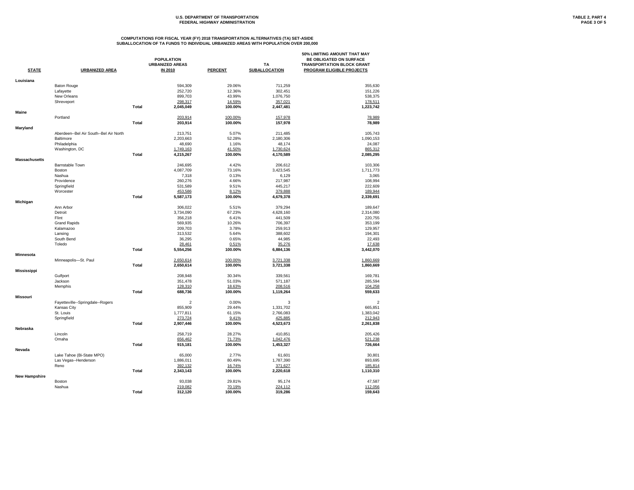# U.S. DEPARTMENT OF TRANSPORTATION **TABLE 2, PART 4**<br>FEDERAL HIGHWAY ADMINISTRATION **PAGE 3** OF 5 **FEDERAL HIGHWAY ADMINISTRATION**

|                      |                                        |              |                         |                |                           | 50% LIMITING AMOUNT THAT MAY      |
|----------------------|----------------------------------------|--------------|-------------------------|----------------|---------------------------|-----------------------------------|
|                      |                                        |              | <b>POPULATION</b>       |                |                           | BE OBLIGATED ON SURFACE           |
|                      |                                        |              | <b>URBANIZED AREAS</b>  |                | <b>TA</b>                 | <b>TRANSPORTATION BLOCK GRANT</b> |
| <b>STATE</b>         | <b>URBANIZED AREA</b>                  |              | <b>IN 2010</b>          | <b>PERCENT</b> | <b>SUBALLOCATION</b>      | <b>PROGRAM ELIGIBLE PROJECTS</b>  |
| Louisiana            |                                        |              |                         |                |                           |                                   |
|                      | <b>Baton Rouge</b>                     |              | 594,309                 | 29.06%         | 711,259                   | 355,630                           |
|                      | Lafayette                              |              | 252,720                 | 12.36%         | 302,451                   | 151,226                           |
|                      | New Orleans                            |              | 899,703                 | 43.99%         | 1,076,750                 | 538,375                           |
|                      | Shreveport                             |              | 298,317                 | 14.59%         | 357,021                   | 178,511                           |
|                      |                                        | <b>Total</b> | 2,045,049               | 100.00%        | 2,447,481                 | 1,223,742                         |
| <b>Maine</b>         |                                        |              |                         |                |                           |                                   |
|                      | Portland                               |              | 203,914                 | 100.00%        | 157,978                   | 78,989                            |
|                      |                                        | <b>Total</b> | 203,914                 | 100.00%        | 157,978                   | 78,989                            |
| Maryland             |                                        |              |                         |                |                           |                                   |
|                      | Aberdeen--Bel Air South--Bel Air North |              | 213,751                 | 5.07%          | 211,485                   | 105,743                           |
|                      | Baltimore                              |              | 2,203,663               | 52.28%         | 2,180,306                 | 1,090,153                         |
|                      | Philadelphia                           |              | 48,690                  | 1.16%          | 48,174                    | 24,087                            |
|                      | Washington, DC                         |              | 1,749,163               | 41.50%         | 1,730,624                 | 865,312                           |
|                      |                                        | <b>Total</b> | 4,215,267               | 100.00%        | 4,170,589                 | 2,085,295                         |
| <b>Massachusetts</b> |                                        |              |                         |                |                           |                                   |
|                      | <b>Barnstable Town</b>                 |              | 246,695                 | 4.42%          | 206,612                   | 103,306                           |
|                      | <b>Boston</b>                          |              | 4,087,709               | 73.16%         | 3,423,545                 | 1,711,773                         |
|                      | Nashua                                 |              | 7,318                   | 0.13%          | 6,129                     | 3,065                             |
|                      | Providence                             |              | 260,276                 | 4.66%          | 217,987                   | 108,994                           |
|                      | Springfield                            |              | 531,589                 | 9.51%          | 445,217                   | 222,609                           |
|                      | Worcester                              |              | 453,586                 | 8.12%          | 379,888                   | 189,944                           |
|                      |                                        | <b>Total</b> | 5,587,173               | 100.00%        | 4,679,378                 | 2,339,691                         |
| Michigan             |                                        |              |                         |                |                           |                                   |
|                      | Ann Arbor                              |              | 306,022                 | 5.51%          | 379,294                   | 189,647                           |
|                      | Detroit                                |              | 3,734,090               | 67.23%         | 4,628,160                 | 2,314,080                         |
|                      | Flint                                  |              | 356,218                 | 6.41%          | 441,509                   | 220,755                           |
|                      | <b>Grand Rapids</b>                    |              | 569,935                 | 10.26%         | 706,397                   | 353,199                           |
|                      | Kalamazoo                              |              | 209,703                 | 3.78%          | 259,913                   | 129,957                           |
|                      | Lansing                                |              | 313,532                 | 5.64%          | 388,602                   | 194,301                           |
|                      | South Bend                             |              | 36,295                  | 0.65%          | 44,985                    | 22,493                            |
|                      | Toledo                                 |              | 28,461                  | 0.51%          | 35,276                    | 17,638                            |
|                      |                                        | <b>Total</b> | 5,554,256               | 100.00%        | 6,884,136                 | 3,442,070                         |
| <b>Minnesota</b>     |                                        |              |                         |                |                           |                                   |
|                      | Minneapolis-St. Paul                   |              | 2,650,614               | 100.00%        | 3,721,338                 | 1,860,669                         |
|                      |                                        | <b>Total</b> | 2,650,614               | 100.00%        | 3,721,338                 | 1,860,669                         |
| <b>Mississippi</b>   |                                        |              |                         |                |                           |                                   |
|                      | Gulfport                               |              | 208,948                 | 30.34%         | 339,561                   | 169,781                           |
|                      | Jackson                                |              | 351,478                 | 51.03%         | 571,187                   | 285,594                           |
|                      | Memphis                                |              | 128,310                 | 18.63%         | 208,516                   | 104,258                           |
|                      |                                        | <b>Total</b> | 688,736                 | 100.00%        | 1,119,264                 | 559,633                           |
| <b>Missouri</b>      |                                        |              |                         |                |                           |                                   |
|                      | Fayetteville--Springdale--Rogers       |              | $\overline{\mathbf{c}}$ | 0.00%          | $\ensuremath{\mathsf{3}}$ | $\overline{c}$                    |
|                      | Kansas City                            |              | 855,909                 | 29.44%         | 1,331,702                 | 665,851                           |
|                      | St. Louis                              |              | 1,777,811               | 61.15%         | 2,766,083                 | 1,383,042                         |
|                      | Springfield                            |              | 273,724                 | 9.41%          | 425,885                   | 212,943                           |
|                      |                                        | <b>Total</b> | 2,907,446               | 100.00%        | 4,523,673                 | 2,261,838                         |
| <b>Nebraska</b>      |                                        |              |                         |                |                           |                                   |
|                      | Lincoln                                |              | 258,719                 | 28.27%         | 410,851                   | 205,426                           |
|                      | Omaha                                  |              | 656,462                 | 71.73%         | 1,042,476                 | 521,238                           |
|                      |                                        | <b>Total</b> | 915,181                 | 100.00%        | 1,453,327                 | 726,664                           |
| <b>Nevada</b>        |                                        |              |                         |                |                           |                                   |
|                      | Lake Tahoe (Bi-State MPO)              |              | 65,000                  | 2.77%          | 61,601                    | 30,801                            |
|                      | Las Vegas--Henderson                   |              | 1,886,011               | 80.49%         | 1,787,390                 | 893,695                           |
|                      | Reno                                   |              | 392,132                 | 16.74%         | 371,627                   | 185,814                           |
|                      |                                        | <b>Total</b> | 2,343,143               | 100.00%        | 2,220,618                 | 1,110,310                         |
| <b>New Hampshire</b> |                                        |              |                         |                |                           |                                   |
|                      | Boston                                 |              | 93,038                  | 29.81%         | 95,174                    | 47,587                            |
|                      | Nashua                                 |              | 219,082                 | 70.19%         | 224,112                   | 112,056                           |
|                      |                                        | <b>Total</b> | 312,120                 | 100.00%        | 319,286                   | 159,643                           |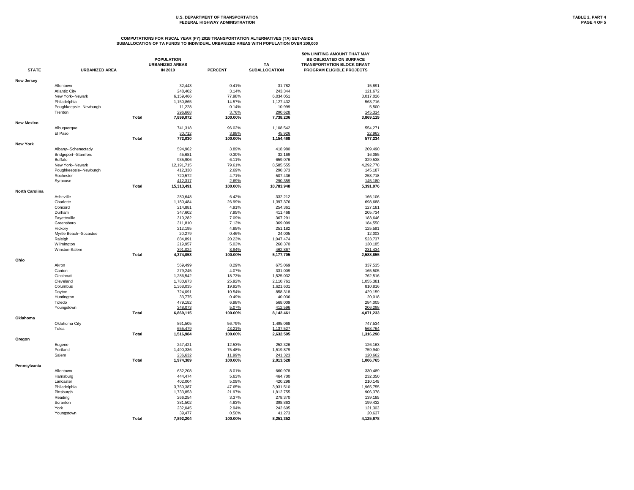# U.S. DEPARTMENT OF TRANSPORTATION **TABLE 2, PART 4**<br>FEDERAL HIGHWAY ADMINISTRATION **PAGE 4 OF 5 FEDERAL HIGHWAY ADMINISTRATION**

|                       |                        |              |                        |                  |                        | 50% LIMITING AMOUNT THAT MAY      |
|-----------------------|------------------------|--------------|------------------------|------------------|------------------------|-----------------------------------|
|                       |                        |              | <b>POPULATION</b>      |                  |                        | BE OBLIGATED ON SURFACE           |
|                       |                        |              | <b>URBANIZED AREAS</b> |                  | <b>TA</b>              | <b>TRANSPORTATION BLOCK GRANT</b> |
| <b>STATE</b>          | <b>URBANIZED AREA</b>  |              | <b>IN 2010</b>         | <b>PERCENT</b>   | <b>SUBALLOCATION</b>   | <b>PROGRAM ELIGIBLE PROJECTS</b>  |
| <b>New Jersey</b>     |                        |              |                        |                  |                        |                                   |
|                       | Allentown              |              | 32,443                 | 0.41%            | 31,782                 | 15,891                            |
|                       | <b>Atlantic City</b>   |              | 248,402                | 3.14%            | 243,344                | 121,672                           |
|                       | New York--Newark       |              | 6,159,466              | 77.98%           | 6,034,051              | 3,017,026                         |
|                       | Philadelphia           |              | 1,150,865              | 14.57%           | 1,127,432              | 563,716                           |
|                       | Poughkeepsie--Newburgh |              | 11,228                 | 0.14%            | 10,999                 | 5,500                             |
|                       | Trenton                |              | 296,668                | 3.76%            | 290,628                | 145,314                           |
|                       |                        | <b>Total</b> | 7,899,072              | 100.00%          | 7,738,236              | 3,869,119                         |
| <b>New Mexico</b>     |                        |              |                        |                  |                        |                                   |
|                       | Albuquerque            |              | 741,318                | 96.02%           | 1,108,542              | 554,271                           |
|                       | El Paso                |              | 30,712                 | 3.98%            | 45,926                 | 22,963                            |
| <b>New York</b>       |                        | <b>Total</b> | 772,030                | 100.00%          | 1,154,468              | 577,234                           |
|                       | Albany--Schenectady    |              | 594,962                | 3.89%            | 418,980                | 209,490                           |
|                       | Bridgeport--Stamford   |              | 45,681                 | 0.30%            | 32,169                 | 16,085                            |
|                       | <b>Buffalo</b>         |              | 935,906                | 6.11%            | 659,076                | 329,538                           |
|                       | New York--Newark       |              | 12,191,715             | 79.61%           | 8,585,555              | 4,292,778                         |
|                       | Poughkeepsie--Newburgh |              | 412,338                | 2.69%            | 290,373                | 145,187                           |
|                       | Rochester              |              | 720,572                | 4.71%            | 507,436                | 253,718                           |
|                       |                        |              |                        |                  |                        |                                   |
|                       | Syracuse               | <b>Total</b> | 412,317<br>15,313,491  | 2.69%<br>100.00% | 290,359<br>10,783,948  | 145,180<br>5,391,976              |
| <b>North Carolina</b> |                        |              |                        |                  |                        |                                   |
|                       | Asheville              |              | 280,648                | 6.42%            | 332,212                | 166,106                           |
|                       | Charlotte              |              | 1,180,484              | 26.99%           | 1,397,376              | 698,688                           |
|                       | Concord                |              | 214,881                | 4.91%            | 254,361                | 127,181                           |
|                       | Durham                 |              | 347,602                | 7.95%            | 411,468                | 205,734                           |
|                       | Fayetteville           |              | 310,282                | 7.09%            | 367,291                | 183,646                           |
|                       | Greensboro             |              | 311,810                | 7.13%            | 369,099                | 184,550                           |
|                       | Hickory                |              | 212,195                | 4.85%            | 251,182                | 125,591                           |
|                       | Myrtle Beach--Socastee |              | 20,279                 | 0.46%            | 24,005                 | 12,003                            |
|                       | Raleigh                |              | 884,891                | 20.23%           | 1,047,474              | 523,737                           |
|                       | Wilmington             |              | 219,957                | 5.03%            | 260,370                | 130,185                           |
|                       | Winston-Salem          |              | 391,024                | 8.94%            | 462,867                | 231,434                           |
|                       |                        | <b>Total</b> | 4,374,053              | 100.00%          | 5,177,705              | 2,588,855                         |
| Ohio                  |                        |              |                        |                  |                        |                                   |
|                       | Akron                  |              | 569,499                | 8.29%            | 675,069                | 337,535                           |
|                       | Canton                 |              | 279,245                | 4.07%            | 331,009                | 165,505                           |
|                       | Cincinnati             |              | 1,286,542              | 18.73%           | 1,525,032              | 762,516                           |
|                       | Cleveland              |              | 1,780,673              | 25.92%           | 2,110,761              | 1,055,381                         |
|                       | Columbus               |              | 1,368,035              | 19.92%           | 1,621,631              | 810,816                           |
|                       | Dayton                 |              | 724,091                | 10.54%           | 858,318                | 429,159                           |
|                       | Huntington             |              | 33,775                 | 0.49%            | 40,036                 | 20,018                            |
|                       | Toledo                 |              | 479,182                | 6.98%            | 568,009                | 284,005                           |
|                       | Youngstown             |              | 348,073                | 5.07%            | 412,596                | 206,298                           |
|                       |                        | <b>Total</b> | 6,869,115              | 100.00%          | 8,142,461              | 4,071,233                         |
| Oklahoma              |                        |              |                        |                  |                        |                                   |
|                       | Oklahoma City<br>Tulsa |              | 861,505<br>655,479     | 56.79%<br>43.21% | 1,495,068              | 747,534                           |
|                       |                        | <b>Total</b> | 1,516,984              | 100.00%          | 1,137,527<br>2,632,595 | 568,764<br>1,316,298              |
| Oregon                |                        |              |                        |                  |                        |                                   |
|                       | Eugene                 |              | 247,421                | 12.53%           | 252,326                | 126,163                           |
|                       | Portland               |              | 1,490,336              | 75.48%           | 1,519,879              | 759,940                           |
|                       | Salem                  |              | 236,632                | 11.99%           | 241,323                | 120,662                           |
|                       |                        | <b>Total</b> | 1,974,389              | 100.00%          | 2,013,528              | 1,006,765                         |
| Pennsylvania          |                        |              |                        |                  |                        |                                   |
|                       | Allentown              |              | 632,208                | 8.01%            | 660,978                | 330,489                           |
|                       | Harrisburg             |              | 444,474                | 5.63%            | 464,700                | 232,350                           |
|                       | Lancaster              |              | 402,004                | 5.09%            | 420,298                | 210,149                           |
|                       | Philadelphia           |              | 3,760,387              | 47.65%           | 3,931,510              | 1,965,755                         |
|                       | Pittsburgh             |              | 1,733,853              | 21.97%           | 1,812,755              | 906,378                           |
|                       | Reading                |              | 266,254                | 3.37%            | 278,370                | 139,185                           |
|                       | Scranton               |              | 381,502                | 4.83%            | 398,863                | 199,432                           |
|                       | York                   |              | 232,045                | 2.94%            | 242,605                | 121,303                           |
|                       | Youngstown             |              | 39,477                 | 0.50%            | 41,273                 | 20,637                            |
|                       |                        | <b>Total</b> | 7,892,204              | 100.00%          | 8,251,352              | 4,125,678                         |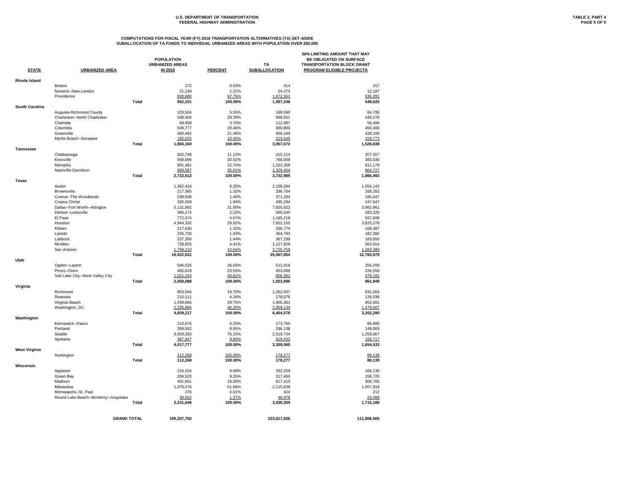# U.S. DEPARTMENT OF TRANSPORTATION **TABLE 2, PART 4**<br>FEDERAL HIGHWAY ADMINISTRATION **TABLE 2, PART 4 FEDERAL HIGHWAY ADMINISTRATION**

| <b>STATE</b>          | <b>URBANIZED AREA</b>                |              | <b>POPULATION</b><br><b>URBANIZED AREAS</b><br><b>IN 2010</b> | <b>PERCENT</b>   | <b>TA</b><br><b>SUBALLOCATION</b> | 50% LIMITING AMOUNT THAT MAY<br>BE OBLIGATED ON SURFACE<br><b>TRANSPORTATION BLOCK GRANT</b><br><b>PROGRAM ELIGIBLE PROJECTS</b> |
|-----------------------|--------------------------------------|--------------|---------------------------------------------------------------|------------------|-----------------------------------|----------------------------------------------------------------------------------------------------------------------------------|
|                       |                                      |              |                                                               |                  |                                   |                                                                                                                                  |
| <b>Rhode Island</b>   |                                      |              |                                                               |                  |                                   |                                                                                                                                  |
|                       | <b>Boston</b>                        |              | 272                                                           | 0.03%            | 314                               | 157                                                                                                                              |
|                       | Norwich--New London<br>Providence    |              | 21,149<br>930,680                                             | 2.22%<br>97.75%  | 24,373<br>1,072,561               | 12,187<br>536,281                                                                                                                |
|                       |                                      | <b>Total</b> | 952,101                                                       | 100.00%          | 1,097,248                         | 548,625                                                                                                                          |
| <b>South Carolina</b> |                                      |              |                                                               |                  |                                   |                                                                                                                                  |
|                       | Augusta-Richmond County              |              | 103,504                                                       | 5.55%            | 169,590                           | 84,795                                                                                                                           |
|                       | Charleston--North Charleston         |              | 548,404                                                       | 29.39%           | 898,551                           | 449,276                                                                                                                          |
|                       | Charlotte                            |              | 68,958                                                        | 3.70%            | 112,987                           | 56,494                                                                                                                           |
|                       | Columbia                             |              | 549,777                                                       | 29.46%           | 900,800                           | 450,400                                                                                                                          |
|                       | Greenville                           |              | 400,492                                                       | 21.46%           | 656,199                           | 328,100                                                                                                                          |
|                       | Myrtle Beach--Socastee               |              | 195,025                                                       | 10.45%           | 319,545                           | 159,773                                                                                                                          |
|                       |                                      | <b>Total</b> | 1,866,160                                                     | 100.00%          | 3,057,672                         | 1,528,838                                                                                                                        |
| <b>Tennessee</b>      |                                      |              |                                                               |                  |                                   |                                                                                                                                  |
|                       | Chattanooga                          |              | 302,748                                                       | 11.12%           | 415,114                           | 207,557                                                                                                                          |
|                       | Knoxville<br>Memphis                 |              | 558,696                                                       | 20.52%<br>32.74% | 766,059                           | 383,030                                                                                                                          |
|                       | Nashville-Davidson                   |              | 891,481<br>969,587                                            | 35.61%           | 1,222,358<br>1,329,454            | 611,179<br>664,727                                                                                                               |
|                       |                                      | <b>Total</b> | 2,722,512                                                     | 100.00%          | 3,732,985                         | 1,866,493                                                                                                                        |
| <b>Texas</b>          |                                      |              |                                                               |                  |                                   |                                                                                                                                  |
|                       | Austin                               |              | 1,362,416                                                     | 8.25%            | 2,108,284                         | 1,054,142                                                                                                                        |
|                       | <b>Brownsville</b>                   |              | 217,585                                                       | 1.32%            | 336,704                           | 168,352                                                                                                                          |
|                       | Conroe--The Woodlands                |              | 239,938                                                       | 1.45%            | 371,294                           | 185,647                                                                                                                          |
|                       | Corpus Christi                       |              | 320,069                                                       | 1.94%            | 495,294                           | 247,647                                                                                                                          |
|                       | Dallas--Fort Worth--Arlington        |              | 5,121,892                                                     | 31.00%           | 7,925,922                         | 3,962,961                                                                                                                        |
|                       | Denton--Lewisville                   |              | 366,174                                                       | 2.22%            | 566,640                           | 283,320                                                                                                                          |
|                       | El Paso                              |              | 772,374                                                       | 4.67%            | 1,195,218                         | 597,609                                                                                                                          |
|                       | Houston                              |              | 4,944,332                                                     | 29.92%           | 7,651,155                         | 3,825,578                                                                                                                        |
|                       | Killeen                              |              | 217,630                                                       | 1.32%            | 336,774                           | 168,387                                                                                                                          |
|                       | Laredo                               |              | 235,730                                                       | 1.43%            | 364,783                           | 182,392                                                                                                                          |
|                       | Lubbock                              |              | 237,356                                                       | 1.44%            | 367,299                           | 183,650                                                                                                                          |
|                       | McAllen                              |              | 728,825                                                       | 4.41%            | 1,127,828                         | 563,914                                                                                                                          |
|                       | San Antonio                          |              | 1,758,210                                                     | 10.64%           | 2,720,759                         | 1,360,380                                                                                                                        |
| Utah                  |                                      | <b>Total</b> | 16,522,531                                                    | 100.00%          | 25,567,954                        | 12,783,979                                                                                                                       |
|                       | Ogden--Layton                        |              | 546,026                                                       | 26.63%           | 512,416                           | 256,208                                                                                                                          |
|                       | Provo--Orem                          |              | 482,819                                                       | 23.55%           | 453,099                           | 226,550                                                                                                                          |
|                       | Salt Lake City--West Valley City     |              | 1,021,243                                                     | 49.81%           | 958,381                           | 479,191                                                                                                                          |
|                       |                                      | <b>Total</b> | 2,050,088                                                     | 100.00%          | 1,923,896                         | 961,949                                                                                                                          |
| Virginia              |                                      |              |                                                               |                  |                                   |                                                                                                                                  |
|                       | Richmond                             |              | 953,556                                                       | 19.70%           | 1,262,007                         | 631,004                                                                                                                          |
|                       | Roanoke                              |              | 210,111                                                       | 4.34%            | 278,076                           | 139,038                                                                                                                          |
|                       | Virginia Beach                       |              | 1,439,666                                                     | 29.75%           | 1,905,361                         | 952,681                                                                                                                          |
|                       | Washington, DC                       |              | 2,235,884                                                     | 46.20%           | 2,959,134                         | 1,479,567                                                                                                                        |
|                       |                                      | <b>Total</b> | 4,839,217                                                     | 100.00%          | 6,404,578                         | 3,202,290                                                                                                                        |
| Washington            |                                      |              |                                                               |                  |                                   |                                                                                                                                  |
|                       | Kennewick--Pasco                     |              | 210,975                                                       | 5.25%            | 173,760                           | 86,880                                                                                                                           |
|                       | Portland                             |              | 359,562                                                       | 8.95%            | 296,138                           | 148,069                                                                                                                          |
|                       | Seattle                              |              | 3,059,393                                                     | 76.15%           | 2,519,734                         | 1,259,867                                                                                                                        |
|                       | Spokane                              | <b>Total</b> | 387,847<br>4,017,777                                          | 9.65%<br>100.00% | 319,433<br>3,309,065              | 159,717<br>1,654,533                                                                                                             |
| <b>West Virginia</b>  |                                      |              |                                                               |                  |                                   |                                                                                                                                  |
|                       | Huntington                           |              | 112,268                                                       | 100.00%          | 178,277                           | 89,139                                                                                                                           |
|                       |                                      | <b>Total</b> | 112,268                                                       | 100.00%          | 178,277                           | 89,139                                                                                                                           |
| Wisconsin             |                                      |              |                                                               |                  |                                   |                                                                                                                                  |
|                       | Appleton                             |              | 216,154                                                       | 9.69%            | 332,259                           | 166,130                                                                                                                          |
|                       | Green Bay                            |              | 206,520                                                       | 9.25%            | 317,450                           | 158,725                                                                                                                          |
|                       | Madison                              |              | 401,661                                                       | 18.00%           | 617,410                           | 308,705                                                                                                                          |
|                       | Milwaukee                            |              | 1,376,476                                                     | 61.68%           | 2,115,838                         | 1,057,919                                                                                                                        |
|                       | Minneapolis--St. Paul                |              | 276                                                           | 0.01%            | 424                               | 212                                                                                                                              |
|                       | Round Lake Beach--McHenry--Grayslake |              | 30,562                                                        | 1.37%            | 46,978                            | 23,489                                                                                                                           |
|                       |                                      | <b>Total</b> | 2,231,649                                                     | 100.00%          | 3,430,359                         | 1,715,180                                                                                                                        |
|                       |                                      |              |                                                               |                  |                                   |                                                                                                                                  |
|                       | <b>GRAND TOTAL</b>                   |              | 190,207,750                                                   |                  | 223,617,026                       | 111,808,565                                                                                                                      |
|                       |                                      |              |                                                               |                  |                                   |                                                                                                                                  |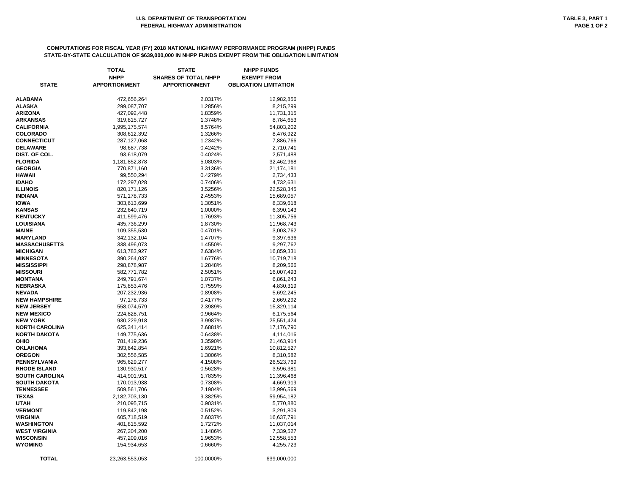|                       | <b>TOTAL</b>         | <b>STATE</b>                | <b>NHPP FUNDS</b>            |
|-----------------------|----------------------|-----------------------------|------------------------------|
|                       | <b>NHPP</b>          | <b>SHARES OF TOTAL NHPP</b> | <b>EXEMPT FROM</b>           |
| <b>STATE</b>          | <b>APPORTIONMENT</b> | <b>APPORTIONMENT</b>        | <b>OBLIGATION LIMITATION</b> |
|                       |                      |                             |                              |
| ALABAMA               | 472,656,264          | 2.0317%                     | 12,982,856                   |
| ALASKA                | 299,087,707          | 1.2856%                     | 8,215,299                    |
| <b>ARIZONA</b>        | 427,092,448          | 1.8359%                     | 11,731,315                   |
| ARKANSAS              | 319,815,727          | 1.3748%                     | 8,784,653                    |
| <b>CALIFORNIA</b>     | 1,995,175,574        | 8.5764%                     | 54,803,202                   |
| <b>COLORADO</b>       | 308,612,392          | 1.3266%                     | 8,476,922                    |
| <b>CONNECTICUT</b>    | 287,127,068          | 1.2342%                     | 7,886,766                    |
| <b>DELAWARE</b>       | 98,687,738           | 0.4242%                     | 2,710,741                    |
| DIST. OF COL.         | 93,618,079           | 0.4024%                     | 2,571,488                    |
| <b>FLORIDA</b>        | 1,181,852,878        | 5.0803%                     | 32,462,968                   |
| <b>GEORGIA</b>        | 770,871,160          | 3.3136%                     | 21, 174, 181                 |
| HAWAII                | 99,550,294           | 0.4279%                     | 2,734,433                    |
| <b>IDAHO</b>          | 172,297,028          | 0.7406%                     | 4,732,631                    |
| <b>ILLINOIS</b>       | 820, 171, 126        | 3.5256%                     | 22,528,345                   |
| <b>INDIANA</b>        | 571,178,733          | 2.4553%                     | 15,689,057                   |
| <b>IOWA</b>           | 303,613,699          | 1.3051%                     | 8,339,618                    |
| KANSAS                | 232,640,719          | 1.0000%                     | 6,390,143                    |
| <b>KENTUCKY</b>       | 411,599,476          | 1.7693%                     | 11,305,756                   |
| LOUISIANA             | 435,736,299          | 1.8730%                     | 11,968,743                   |
| MAINE                 | 109,355,530          | 0.4701%                     | 3,003,762                    |
| <b>MARYLAND</b>       | 342, 132, 104        | 1.4707%                     | 9,397,636                    |
| MASSACHUSETTS         | 338,496,073          | 1.4550%                     | 9,297,762                    |
| <b>MICHIGAN</b>       | 613,783,927          | 2.6384%                     | 16,859,331                   |
| <b>MINNESOTA</b>      | 390,264,037          | 1.6776%                     | 10,719,718                   |
| MISSISSIPPI           | 298,878,987          | 1.2848%                     | 8,209,566                    |
| <b>MISSOURI</b>       | 582,771,782          | 2.5051%                     | 16,007,493                   |
| MONTANA               | 249,791,674          | 1.0737%                     | 6,861,243                    |
| NEBRASKA              | 175,853,476          | 0.7559%                     | 4,830,319                    |
| NEVADA                | 207,232,936          | 0.8908%                     | 5,692,245                    |
| <b>NEW HAMPSHIRE</b>  | 97,178,733           | 0.4177%                     | 2,669,292                    |
| <b>NEW JERSEY</b>     | 558,074,579          | 2.3989%                     | 15,329,114                   |
| <b>NEW MEXICO</b>     | 224,828,751          | 0.9664%                     | 6,175,564                    |
| <b>NEW YORK</b>       | 930,229,918          | 3.9987%                     | 25,551,424                   |
| <b>NORTH CAROLINA</b> | 625,341,414          | 2.6881%                     | 17,176,790                   |
| <b>NORTH DAKOTA</b>   | 149,775,636          | 0.6438%                     | 4,114,016                    |
| OHIO                  | 781,419,236          | 3.3590%                     | 21,463,914                   |
| OKLAHOMA              | 393,642,854          | 1.6921%                     | 10,812,527                   |
| <b>OREGON</b>         | 302,556,585          | 1.3006%                     | 8,310,582                    |
| PENNSYLVANIA          | 965,629,277          | 4.1508%                     | 26,523,769                   |
| <b>RHODE ISLAND</b>   | 130,930,517          | 0.5628%                     | 3,596,381                    |
| <b>SOUTH CAROLINA</b> | 414,901,951          | 1.7835%                     | 11,396,468                   |
| SOUTH DAKOTA          | 170,013,938          | 0.7308%                     | 4,669,919                    |
| <b>TENNESSEE</b>      | 509,561,706          | 2.1904%                     | 13,996,569                   |
| TEXAS                 | 2,182,703,130        | 9.3825%                     | 59,954,182                   |
| UTAH                  | 210,095,715          | 0.9031%                     | 5,770,880                    |
| <b>VERMONT</b>        | 119,842,198          | 0.5152%                     | 3,291,809                    |
| VIRGINIA              | 605,718,519          | 2.6037%                     | 16,637,791                   |
| WASHINGTON            | 401,815,592          | 1.7272%                     | 11,037,014                   |
| WEST VIRGINIA         | 267,204,200          | 1.1486%                     | 7,339,527                    |
| WISCONSIN             | 457,209,016          | 1.9653%                     | 12,558,553                   |
| <b>WYOMING</b>        | 154,934,653          | 0.6660%                     | 4,255,723                    |
| <b>TOTAL</b>          |                      |                             | 639,000,000                  |
|                       | 23,263,553,053       | 100.0000%                   |                              |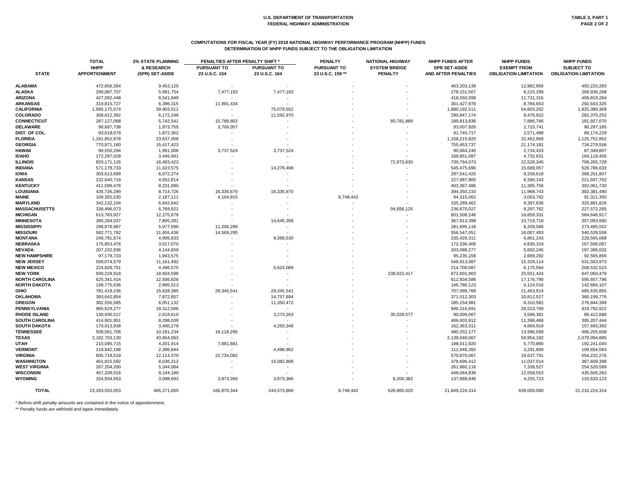# **COMPUTATIONS FOR FISCAL YEAR (FY) 2018 NATIONAL HIGHWAY PERFORMANCE PROGRAM (NHPP) FUNDS DETERMINATION OF NHPP FUNDS SUBJECT TO THE OBLIGATION LIMITATION**

|                       | <b>TOTAL</b>         | <b>2% STATE PLANNING</b> | PENALTIES AFTER PENALTY SHIFT * |                          | <b>PENALTY</b>     | <b>NATIONAL HIGHWAY</b> | <b>NHPP FUNDS AFTER</b>    | <b>NHPP FUNDS</b>            | <b>NHPP FUNDS</b>            |
|-----------------------|----------------------|--------------------------|---------------------------------|--------------------------|--------------------|-------------------------|----------------------------|------------------------------|------------------------------|
| <b>STATE</b>          | <b>NHPP</b>          | & RESEARCH               | <b>PURSUANT TO</b>              | <b>PURSUANT TO</b>       | <b>PURSUANT TO</b> | <b>SYSTEM BRIDGE</b>    | <b>SPR SET-ASIDE</b>       | <b>EXEMPT FROM</b>           | <b>SUBJECT TO</b>            |
|                       | <b>APPORTIONMENT</b> | (SPR) SET-ASIDE          | 23 U.S.C. 154                   | 23 U.S.C. 164            | 23 U.S.C. 159 **   | <b>PENALTY</b>          | <b>AND AFTER PENALTIES</b> | <b>OBLIGATION LIMITATION</b> | <b>OBLIGATION LIMITATION</b> |
| <b>ALABAMA</b>        | 472,656,264          | 9,453,125                | $\sim$                          |                          |                    |                         | 463,203,139                | 12,982,856                   | 450,220,283                  |
| <b>ALASKA</b>         | 299,087,707          | 5,981,754                | 7,477,193                       | 7,477,193                |                    |                         | 278,151,567                | 8,215,299                    | 269,936,268                  |
| <b>ARIZONA</b>        | 427,092,448          | 8,541,849                |                                 |                          |                    |                         | 418,550,599                | 11,731,315                   | 406,819,284                  |
| <b>ARKANSAS</b>       | 319,815,727          | 6,396,315                | 11,991,434                      |                          |                    |                         | 301,427,978                | 8,784,653                    | 292,643,325                  |
| <b>CALIFORNIA</b>     | 1,995,175,574        | 39,903,511               |                                 | 75,079,552               |                    |                         | 1,880,192,511              | 54,803,202                   | 1,825,389,309                |
| <b>COLORADO</b>       | 308,612,392          | 6,172,248                |                                 | 11,592,970               |                    |                         | 290,847,174                | 8,476,922                    | 282,370,252                  |
| <b>CONNECTICUT</b>    | 287,127,068          | 5,742,541                | 10,788,802                      |                          |                    | 80,781,889              | 189,813,836                | 7,886,766                    | 181,927,070                  |
| <b>DELAWARE</b>       | 98,687,738           | 1,973,755                | 3,706,057                       |                          |                    |                         | 93,007,926                 | 2,710,741                    | 90,297,185                   |
| DIST. OF COL.         | 93,618,079           | 1,872,362                |                                 |                          |                    |                         | 91,745,717                 | 2,571,488                    | 89,174,229                   |
| <b>FLORIDA</b>        | 1,181,852,878        | 23,637,058               |                                 |                          |                    |                         | 1,158,215,820              | 32,462,968                   | 1,125,752,852                |
| <b>GEORGIA</b>        | 770,871,160          | 15,417,423               |                                 |                          |                    |                         | 755,453,737                | 21,174,181                   | 734,279,556                  |
| <b>HAWAII</b>         | 99,550,294           | 1,991,006                | 3,737,524                       | 3,737,524                |                    |                         | 90,084,240                 | 2,734,433                    | 87,349,807                   |
| <b>IDAHO</b>          | 172,297,028          | 3,445,941                |                                 |                          |                    |                         | 168,851,087                | 4,732,631                    | 164,118,456                  |
| <b>ILLINOIS</b>       | 820,171,126          | 16,403,423               |                                 |                          |                    | 72,973,630              | 730,794,073                | 22,528,345                   | 708,265,728                  |
| <b>INDIANA</b>        | 571,178,733          | 11,423,575               |                                 | 14,279,468               |                    |                         | 545,475,690                | 15,689,057                   | 529,786,633                  |
| <b>IOWA</b>           | 303,613,699          | 6,072,274                |                                 |                          |                    |                         | 297,541,425                | 8,339,618                    | 289,201,807                  |
| <b>KANSAS</b>         | 232,640,719          | 4,652,814                |                                 |                          |                    |                         | 227,987,905                | 6,390,143                    | 221,597,762                  |
| <b>KENTUCKY</b>       | 411,599,476          | 8,231,990                |                                 |                          |                    |                         | 403,367,486                | 11,305,756                   | 392,061,730                  |
| <b>LOUISIANA</b>      | 435,736,299          | 8,714,726                | 16,335,670                      | 16,335,670               |                    |                         | 394,350,233                | 11,968,743                   | 382,381,490                  |
| <b>MAINE</b>          | 109,355,530          | 2,187,111                | 4,104,915                       |                          | 8,748,442          |                         | 94,315,062                 | 3,003,762                    | 91,311,300                   |
| <b>MARYLAND</b>       | 342,132,104          | 6,842,642                |                                 |                          |                    |                         | 335,289,462                | 9,397,636                    | 325,891,826                  |
| <b>MASSACHUSETTS</b>  | 338,496,073          | 6,769,921                |                                 |                          |                    | 94,856,125              | 236,870,027                | 9,297,762                    | 227,572,265                  |
| <b>MICHIGAN</b>       | 613,783,927          | 12,275,679               |                                 |                          |                    |                         | 601,508,248                | 16,859,331                   | 584,648,917                  |
| <b>MINNESOTA</b>      | 390,264,037          | 7,805,281                |                                 | 14,645,358               |                    |                         | 367,813,398                | 10,719,718                   | 357,093,680                  |
| <b>MISSISSIPPI</b>    | 298,878,987          | 5,977,580                | 11,206,289                      |                          |                    |                         | 281,695,118                | 8,209,566                    | 273,485,552                  |
| <b>MISSOURI</b>       | 582,771,782          | 11,655,436               | 14,569,295                      |                          |                    |                         | 556,547,051                | 16,007,493                   | 540,539,558                  |
| <b>MONTANA</b>        | 249,791,674          | 4,995,833                |                                 | 9,369,530                |                    |                         | 235,426,311                | 6,861,243                    | 228,565,068                  |
| <b>NEBRASKA</b>       | 175,853,476          | 3,517,070                |                                 |                          |                    |                         | 172,336,406                | 4,830,319                    | 167,506,087                  |
| <b>NEVADA</b>         | 207,232,936          |                          |                                 |                          |                    |                         | 203,088,277                |                              | 197,396,032                  |
|                       |                      | 4,144,659                |                                 |                          |                    |                         |                            | 5,692,245                    |                              |
| <b>NEW HAMPSHIRE</b>  | 97,178,733           | 1,943,575                |                                 |                          |                    |                         | 95,235,158                 | 2,669,292                    | 92,565,866                   |
| <b>NEW JERSEY</b>     | 558,074,579          | 11,161,492               |                                 |                          |                    |                         | 546,913,087<br>214,708,087 | 15,329,114                   | 531,583,973                  |
| <b>NEW MEXICO</b>     | 224,828,751          | 4,496,575                |                                 | 5,624,089                |                    |                         |                            | 6,175,564                    | 208,532,523                  |
| <b>NEW YORK</b>       | 930,229,918          | 18,604,598               |                                 |                          |                    | 239,023,417             | 672,601,903                | 25,551,424                   | 647,050,479                  |
| <b>NORTH CAROLINA</b> | 625,341,414          | 12,506,828               |                                 | $\overline{\phantom{a}}$ |                    |                         | 612,834,586                | 17,176,790                   | 595,657,796                  |
| <b>NORTH DAKOTA</b>   | 149,775,636          | 2,995,513                |                                 |                          |                    |                         | 146,780,123                | 4,114,016                    | 142,666,107                  |
| <b>OHIO</b>           | 781,419,236          | 15,628,385               | 29,345,541                      | 29,345,541               |                    |                         | 707,099,769                | 21,463,914                   | 685,635,855                  |
| <b>OKLAHOMA</b>       | 393,642,854          | 7,872,857                |                                 | 14,757,694               |                    |                         | 371,012,303                | 10,812,527                   | 360,199,776                  |
| <b>OREGON</b>         | 302,556,585          | 6,051,132                |                                 | 11,350,472               |                    |                         | 285,154,981                | 8,310,582                    | 276,844,399                  |
| <b>PENNSYLVANIA</b>   | 965,629,277          | 19,312,586               |                                 | $\sim$                   |                    |                         | 946,316,691                | 26,523,769                   | 919,792,922                  |
| <b>RHODE ISLAND</b>   | 130,930,517          | 2,618,610                |                                 | 3,273,263                |                    | 35,029,577              | 90,009,067                 | 3,596,381                    | 86,412,686                   |
| <b>SOUTH CAROLINA</b> | 414,901,951          | 8,298,039                |                                 | $\sim$ $-$               |                    |                         | 406,603,912                | 11,396,468                   | 395,207,444                  |
| <b>SOUTH DAKOTA</b>   | 170,013,938          | 3,400,279                |                                 | 4,250,348                |                    |                         | 162,363,311                | 4,669,919                    | 157,693,392                  |
| <b>TENNESSEE</b>      | 509,561,706          | 10,191,234               | 19,118,295                      |                          |                    |                         | 480,252,177                | 13,996,569                   | 466,255,608                  |
| <b>TEXAS</b>          | 2,182,703,130        | 43,654,063               |                                 |                          |                    |                         | 2,139,049,067              | 59,954,182                   | 2,079,094,885                |
| <b>UTAH</b>           | 210,095,715          | 4,201,914                | 7,881,881                       | $\overline{\phantom{a}}$ |                    |                         | 198,011,920                | 5,770,880                    | 192,241,040                  |
| <b>VERMONT</b>        | 119,842,198          | 2,396,844                | $\sim$                          | 4,498,962                |                    |                         | 112,946,392                | 3,291,809                    | 109,654,583                  |
| <b>VIRGINIA</b>       | 605,718,519          | 12,114,370               | 22,734,082                      | $\sim$                   |                    |                         | 570,870,067                | 16,637,791                   | 554,232,276                  |
| <b>WASHINGTON</b>     | 401,815,592          | 8,036,312                |                                 | 15,082,868               |                    |                         | 378,696,412                | 11,037,014                   | 367,659,398                  |
| <b>WEST VIRGINIA</b>  | 267,204,200          | 5,344,084                |                                 | $\overline{\phantom{a}}$ |                    |                         | 261,860,116                | 7,339,527                    | 254,520,589                  |
| <b>WISCONSIN</b>      | 457,209,016          | 9,144,180                |                                 | $\overline{\phantom{a}}$ |                    |                         | 448,064,836                | 12,558,553                   | 435,506,283                  |
| <b>WYOMING</b>        | 154,934,653          | 3,098,693                | 3,873,366                       | 3,873,366                |                    | 6,200,382               | 137,888,846                | 4,255,723                    | 133,633,123                  |
| <b>TOTAL</b>          | 23,263,553,053       | 465,271,065              | 166,870,344                     | 244,573,868              | 8,748,442          | 528,865,020             | 21,849,224,314             | 639,000,000                  | 21,210,224,314               |

\* Before-shift penalty amounts are contained in the notice of apportionment.

\*\* Penalty funds are withheld and lapse immediately.

| UNDS AFTER<br><b>SET-ASIDE</b> | <b>NHPP FUNDS</b><br><b>EXEMPT FROM</b> | <b>NHPP FUNDS</b><br><b>SUBJECT TO</b> |  |  |
|--------------------------------|-----------------------------------------|----------------------------------------|--|--|
| <b>ER PENALTIES</b>            | OBLIGATION LIMITATION                   | <b>OBLIGATION LIMITATION</b>           |  |  |
| 463,203,139                    | 12,982,856                              | 450,220,283                            |  |  |
| 278, 151, 567                  | 8,215,299                               | 269,936,268                            |  |  |
| 418,550,599                    | 11,731,315                              | 406,819,284                            |  |  |
| 301,427,978                    | 8,784,653                               | 292,643,325                            |  |  |
| 1,880,192,511                  | 54,803,202                              | 1,825,389,309                          |  |  |
| 290,847,174                    | 8,476,922                               | 282,370,252                            |  |  |
| 189,813,836                    | 7,886,766                               | 181,927,070                            |  |  |
| 93,007,926                     | 2,710,741                               | 90,297,185                             |  |  |
| 91,745,717                     | 2,571,488                               | 89,174,229                             |  |  |
| 1,158,215,820                  | 32,462,968                              | 1,125,752,852                          |  |  |
| 755,453,737                    | 21,174,181                              | 734,279,556                            |  |  |
| 90,084,240                     | 2,734,433                               | 87,349,807                             |  |  |
| 168,851,087                    | 4,732,631                               | 164,118,456                            |  |  |
| 730,794,073                    | 22,528,345                              | 708,265,728                            |  |  |
| 545,475,690                    | 15,689,057                              | 529,786,633                            |  |  |
| 297,541,425                    | 8,339,618                               | 289,201,807                            |  |  |
| 227,987,905                    | 6,390,143                               | 221,597,762                            |  |  |
| 403,367,486                    | 11,305,756                              | 392,061,730                            |  |  |
| 394,350,233                    | 11,968,743                              | 382,381,490                            |  |  |
| 94,315,062                     | 3,003,762                               | 91,311,300                             |  |  |
| 335,289,462                    | 9,397,636                               | 325,891,826                            |  |  |
| 236,870,027                    | 9,297,762                               | 227,572,265                            |  |  |
| 601,508,248                    | 16,859,331                              | 584,648,917                            |  |  |
| 367,813,398                    | 10,719,718                              | 357,093,680                            |  |  |
| 281,695,118                    | 8,209,566                               | 273,485,552                            |  |  |
| 556,547,051                    | 16,007,493                              | 540,539,558                            |  |  |
| 235,426,311                    | 6,861,243                               | 228,565,068                            |  |  |
| 172,336,406                    | 4,830,319                               | 167,506,087                            |  |  |
| 203,088,277                    | 5,692,245                               | 197,396,032                            |  |  |
| 95,235,158                     | 2,669,292                               | 92,565,866                             |  |  |
| 546,913,087                    | 15,329,114                              | 531,583,973                            |  |  |
| 214,708,087                    | 6,175,564                               | 208,532,523                            |  |  |
| 672,601,903                    | 25,551,424                              | 647,050,479                            |  |  |
| 612,834,586                    | 17,176,790                              | 595,657,796                            |  |  |
| 146,780,123                    | 4,114,016                               | 142,666,107                            |  |  |
| 707,099,769                    | 21,463,914                              | 685,635,855                            |  |  |
| 371,012,303                    | 10,812,527                              | 360,199,776                            |  |  |
| 285,154,981                    | 8,310,582                               | 276,844,399                            |  |  |
| 946,316,691                    | 26,523,769                              | 919,792,922                            |  |  |
| 90,009,067                     | 3,596,381                               | 86,412,686                             |  |  |
| 406,603,912                    | 11,396,468                              | 395,207,444                            |  |  |
| 162,363,311                    | 4,669,919                               | 157,693,392                            |  |  |
| 480,252,177                    | 13,996,569                              | 466,255,608                            |  |  |
| 2,139,049,067                  | 59,954,182                              | 2,079,094,885                          |  |  |
| 198,011,920                    | 5,770,880                               | 192,241,040                            |  |  |
| 112,946,392                    | 3,291,809                               | 109,654,583                            |  |  |
| 570,870,067                    | 16,637,791                              | 554,232,276                            |  |  |
| 378,696,412                    | 11,037,014                              | 367,659,398                            |  |  |
| 261,860,116                    | 7,339,527                               | 254,520,589                            |  |  |
| 448,064,836                    | 12,558,553                              | 435,506,283                            |  |  |
| 137,888,846                    | 4,255,723                               | 133,633,123                            |  |  |
| 21,849,224,314                 | 639,000,000                             | 21,210,224,314                         |  |  |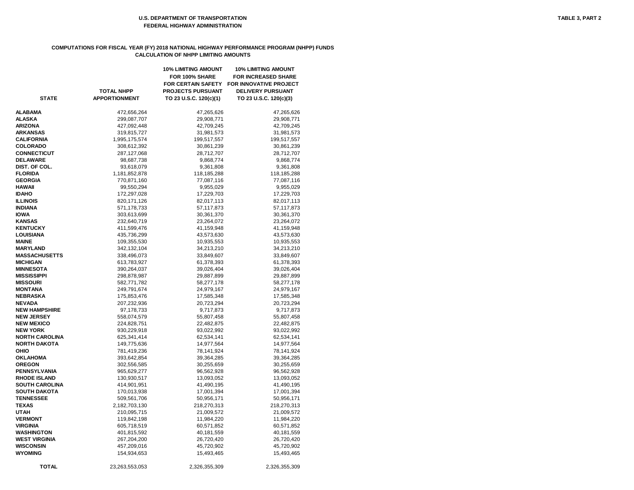# **COMPUTATIONS FOR FISCAL YEAR (FY) 2018 NATIONAL HIGHWAY PERFORMANCE PROGRAM (NHPP) FUNDS CALCULATION OF NHPP LIMITING AMOUNTS**

|                       |                      | <b>10% LIMITING AMOUNT</b><br>FOR 100% SHARE | <b>10% LIMITING AMOUNT</b><br><b>FOR INCREASED SHARE</b> |
|-----------------------|----------------------|----------------------------------------------|----------------------------------------------------------|
|                       |                      | <b>FOR CERTAIN SAFETY</b>                    | <b>FOR INNOVATIVE PROJECT</b>                            |
|                       | <b>TOTAL NHPP</b>    | <b>PROJECTS PURSUANT</b>                     | <b>DELIVERY PURSUANT</b>                                 |
| <b>STATE</b>          | <b>APPORTIONMENT</b> | TO 23 U.S.C. 120(c)(1)                       | TO 23 U.S.C. 120(c)(3)                                   |
|                       |                      |                                              |                                                          |
| ALABAMA               | 472,656,264          | 47,265,626                                   | 47,265,626                                               |
| <b>ALASKA</b>         | 299,087,707          | 29,908,771                                   | 29,908,771                                               |
| <b>ARIZONA</b>        | 427,092,448          | 42,709,245                                   | 42,709,245                                               |
| <b>ARKANSAS</b>       | 319,815,727          | 31,981,573                                   | 31,981,573                                               |
| <b>CALIFORNIA</b>     | 1,995,175,574        | 199,517,557                                  | 199,517,557                                              |
| <b>COLORADO</b>       | 308,612,392          | 30,861,239                                   | 30,861,239                                               |
| <b>CONNECTICUT</b>    | 287,127,068          | 28,712,707                                   | 28,712,707                                               |
| <b>DELAWARE</b>       | 98,687,738           | 9,868,774                                    | 9,868,774                                                |
| DIST. OF COL.         | 93,618,079           | 9,361,808                                    | 9,361,808                                                |
| <b>FLORIDA</b>        | 1,181,852,878        | 118,185,288                                  | 118,185,288                                              |
|                       |                      |                                              |                                                          |
| <b>GEORGIA</b>        | 770,871,160          | 77,087,116                                   | 77,087,116                                               |
| HAWAII                | 99,550,294           | 9,955,029                                    | 9,955,029                                                |
| <b>IDAHO</b>          | 172,297,028          | 17,229,703                                   | 17,229,703                                               |
| <b>ILLINOIS</b>       | 820, 171, 126        | 82,017,113                                   | 82,017,113                                               |
| <b>INDIANA</b>        | 571,178,733          | 57,117,873                                   | 57,117,873                                               |
| <b>IOWA</b>           | 303,613,699          | 30,361,370                                   | 30,361,370                                               |
| <b>KANSAS</b>         | 232,640,719          | 23,264,072                                   | 23,264,072                                               |
| <b>KENTUCKY</b>       | 411,599,476          | 41,159,948                                   | 41,159,948                                               |
| LOUISIANA             | 435,736,299          | 43,573,630                                   | 43,573,630                                               |
| <b>MAINE</b>          | 109,355,530          | 10,935,553                                   | 10,935,553                                               |
| <b>MARYLAND</b>       | 342,132,104          | 34,213,210                                   | 34,213,210                                               |
| <b>MASSACHUSETTS</b>  | 338,496,073          | 33,849,607                                   | 33,849,607                                               |
| MICHIGAN              | 613,783,927          | 61,378,393                                   | 61,378,393                                               |
| MINNESOTA             | 390,264,037          | 39,026,404                                   | 39,026,404                                               |
| MISSISSIPPI           | 298,878,987          | 29,887,899                                   | 29,887,899                                               |
| <b>MISSOURI</b>       | 582,771,782          | 58,277,178                                   | 58,277,178                                               |
| MONTANA               | 249,791,674          | 24,979,167                                   | 24,979,167                                               |
| NEBRASKA              | 175,853,476          | 17,585,348                                   | 17,585,348                                               |
| <b>NEVADA</b>         | 207,232,936          | 20,723,294                                   | 20,723,294                                               |
| <b>NEW HAMPSHIRE</b>  | 97,178,733           | 9,717,873                                    | 9,717,873                                                |
| <b>NEW JERSEY</b>     | 558,074,579          | 55,807,458                                   | 55,807,458                                               |
| <b>NEW MEXICO</b>     | 224,828,751          | 22,482,875                                   | 22,482,875                                               |
| <b>NEW YORK</b>       | 930,229,918          | 93,022,992                                   | 93,022,992                                               |
| <b>NORTH CAROLINA</b> | 625,341,414          | 62,534,141                                   | 62,534,141                                               |
| <b>NORTH DAKOTA</b>   | 149,775,636          | 14,977,564                                   | 14,977,564                                               |
| OHIO                  | 781,419,236          | 78,141,924                                   | 78,141,924                                               |
| <b>OKLAHOMA</b>       | 393,642,854          | 39,364,285                                   | 39,364,285                                               |
| <b>OREGON</b>         | 302,556,585          | 30,255,659                                   | 30,255,659                                               |
| PENNSYLVANIA          | 965,629,277          | 96,562,928                                   | 96,562,928                                               |
| <b>RHODE ISLAND</b>   | 130,930,517          | 13,093,052                                   | 13,093,052                                               |
| <b>SOUTH CAROLINA</b> | 414,901,951          | 41,490,195                                   | 41,490,195                                               |
| <b>SOUTH DAKOTA</b>   | 170,013,938          | 17,001,394                                   | 17,001,394                                               |
| <b>TENNESSEE</b>      | 509,561,706          | 50,956,171                                   | 50,956,171                                               |
| <b>TEXAS</b>          | 2,182,703,130        | 218,270,313                                  | 218,270,313                                              |
| <b>UTAH</b>           | 210,095,715          | 21,009,572                                   | 21,009,572                                               |
| <b>VERMONT</b>        | 119,842,198          | 11,984,220                                   | 11,984,220                                               |
| VIRGINIA              | 605,718,519          | 60,571,852                                   | 60,571,852                                               |
| WASHINGTON            | 401,815,592          | 40,181,559                                   | 40,181,559                                               |
| <b>WEST VIRGINIA</b>  | 267,204,200          |                                              |                                                          |
|                       |                      | 26,720,420                                   | 26,720,420                                               |
| <b>WISCONSIN</b>      | 457,209,016          | 45,720,902                                   | 45,720,902                                               |
| WYOMING               | 154,934,653          | 15,493,465                                   | 15,493,465                                               |
| <b>TOTAL</b>          | 23,263,553,053       | 2,326,355,309                                | 2,326,355,309                                            |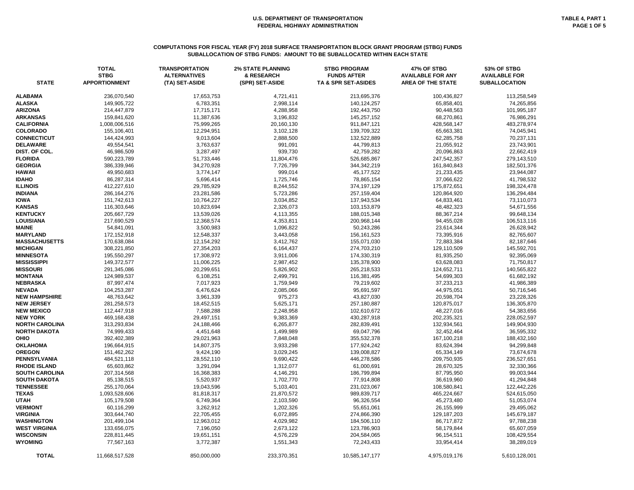# **COMPUTATIONS FOR FISCAL YEAR (FY) 2018 SURFACE TRANSPORTATION BLOCK GRANT PROGRAM (STBG) FUNDS SUBALLOCATION OF STBG FUNDS: AMOUNT TO BE SUBALLOCATED WITHIN EACH STATE**

| <b>STATE</b>                            | <b>TOTAL</b><br><b>STBG</b><br><b>APPORTIONMENT</b> | <b>TRANSPORTATION</b><br><b>ALTERNATIVES</b><br>(TA) SET-ASIDE | <b>2% STATE PLANNING</b><br>& RESEARCH<br>(SPR) SET-ASIDE | <b>STBG PROGRAM</b><br><b>FUNDS AFTER</b><br>TA & SPR SET-ASIDES | 47% OF STBG<br><b>AVAILABLE FOR ANY</b><br><b>AREA OF THE STATE</b> | 53% OF STBG<br><b>AVAILABLE FOR</b><br><b>SUBALLOCATION</b> |
|-----------------------------------------|-----------------------------------------------------|----------------------------------------------------------------|-----------------------------------------------------------|------------------------------------------------------------------|---------------------------------------------------------------------|-------------------------------------------------------------|
| <b>ALABAMA</b>                          | 236,070,540                                         | 17,653,753                                                     | 4,721,411                                                 | 213,695,376                                                      | 100,436,827                                                         | 113,258,549                                                 |
| <b>ALASKA</b>                           | 149,905,722                                         | 6,783,351                                                      | 2,998,114                                                 | 140,124,257                                                      | 65,858,401                                                          | 74,265,856                                                  |
| <b>ARIZONA</b>                          | 214,447,879                                         | 17,715,171                                                     | 4,288,958                                                 | 192,443,750                                                      | 90,448,563                                                          | 101,995,187                                                 |
| <b>ARKANSAS</b>                         | 159,841,620                                         | 11,387,636                                                     | 3,196,832                                                 | 145,257,152                                                      | 68,270,861                                                          | 76,986,291                                                  |
| <b>CALIFORNIA</b>                       | 1,008,006,516                                       | 75,999,265                                                     | 20,160,130                                                | 911,847,121                                                      | 428,568,147                                                         | 483,278,974                                                 |
| <b>COLORADO</b>                         | 155,106,401                                         | 12,294,951                                                     | 3,102,128                                                 | 139,709,322                                                      | 65,663,381                                                          | 74,045,941                                                  |
| <b>CONNECTICUT</b>                      | 144,424,993                                         | 9,013,604                                                      | 2,888,500                                                 | 132,522,889                                                      | 62,285,758                                                          | 70,237,131                                                  |
| <b>DELAWARE</b>                         | 49,554,541                                          | 3,763,637                                                      | 991,091                                                   | 44,799,813                                                       | 21,055,912                                                          | 23,743,901                                                  |
| DIST. OF COL.                           | 46,986,509                                          | 3,287,497                                                      | 939,730                                                   | 42,759,282                                                       | 20,096,863                                                          | 22,662,419                                                  |
| <b>FLORIDA</b>                          | 590,223,789                                         | 51,733,446                                                     | 11,804,476                                                | 526,685,867                                                      | 247,542,357                                                         | 279,143,510                                                 |
| <b>GEORGIA</b>                          | 386,339,946                                         | 34,270,928                                                     | 7,726,799                                                 | 344,342,219                                                      | 161,840,843                                                         | 182,501,376                                                 |
| <b>HAWAII</b>                           | 49,950,683                                          | 3,774,147                                                      | 999,014                                                   | 45,177,522                                                       | 21,233,435                                                          | 23,944,087                                                  |
| <b>IDAHO</b>                            | 86,287,314                                          | 5,696,414                                                      | 1,725,746                                                 | 78,865,154                                                       | 37,066,622                                                          | 41,798,532                                                  |
| <b>ILLINOIS</b>                         | 412,227,610                                         | 29,785,929                                                     | 8,244,552                                                 | 374,197,129                                                      | 175,872,651                                                         | 198,324,478                                                 |
| <b>INDIANA</b>                          | 286, 164, 276                                       | 23,281,586                                                     | 5,723,286                                                 | 257,159,404                                                      | 120,864,920                                                         | 136,294,484                                                 |
| <b>IOWA</b>                             | 151,742,613                                         | 10,764,227                                                     | 3,034,852                                                 | 137,943,534                                                      | 64,833,461                                                          | 73,110,073                                                  |
| <b>KANSAS</b>                           | 116,303,646                                         | 10,823,694                                                     | 2,326,073                                                 | 103,153,879                                                      | 48,482,323                                                          | 54,671,556                                                  |
| <b>KENTUCKY</b>                         | 205,667,729                                         | 13,539,026                                                     | 4,113,355                                                 | 188,015,348                                                      | 88,367,214                                                          | 99,648,134                                                  |
| <b>LOUISIANA</b>                        | 217,690,529                                         | 12,368,574                                                     | 4,353,811                                                 | 200,968,144                                                      | 94,455,028                                                          | 106,513,116                                                 |
| <b>MAINE</b>                            | 54,841,091                                          | 3,500,983                                                      | 1,096,822                                                 | 50,243,286                                                       | 23,614,344                                                          | 26,628,942                                                  |
| <b>MARYLAND</b>                         | 172,152,918                                         | 12,548,337                                                     | 3,443,058                                                 | 156,161,523                                                      | 73,395,916                                                          | 82,765,607                                                  |
| <b>MASSACHUSETTS</b>                    | 170,638,084                                         | 12,154,292                                                     | 3,412,762                                                 | 155,071,030                                                      | 72,883,384                                                          | 82,187,646                                                  |
| <b>MICHIGAN</b>                         | 308,221,850                                         | 27,354,203                                                     | 6,164,437                                                 | 274,703,210                                                      | 129,110,509                                                         | 145,592,701                                                 |
| <b>MINNESOTA</b>                        | 195,550,297                                         | 17,308,972                                                     | 3,911,006                                                 | 174,330,319                                                      | 81,935,250                                                          | 92,395,069                                                  |
| <b>MISSISSIPPI</b>                      | 149,372,577                                         | 11,006,225                                                     | 2,987,452                                                 | 135,378,900                                                      | 63,628,083                                                          | 71,750,817                                                  |
| <b>MISSOURI</b>                         | 291,345,086                                         | 20,299,651                                                     | 5,826,902                                                 | 265,218,533                                                      | 124,652,711                                                         | 140,565,822                                                 |
| <b>MONTANA</b>                          | 124,989,537                                         | 6,108,251                                                      | 2,499,791                                                 | 116,381,495                                                      | 54,699,303                                                          | 61,682,192                                                  |
| <b>NEBRASKA</b>                         | 87,997,474                                          | 7,017,923                                                      | 1,759,949                                                 | 79,219,602                                                       | 37,233,213                                                          | 41,986,389                                                  |
| <b>NEVADA</b>                           | 104,253,287                                         | 6,476,624                                                      | 2,085,066                                                 | 95,691,597                                                       | 44,975,051                                                          | 50,716,546                                                  |
| <b>NEW HAMPSHIRE</b>                    | 48,763,642                                          | 3,961,339                                                      | 975,273                                                   | 43,827,030                                                       | 20,598,704                                                          | 23,228,326                                                  |
| <b>NEW JERSEY</b>                       | 281,258,573                                         | 18,452,515                                                     | 5,625,171                                                 | 257,180,887                                                      | 120,875,017                                                         | 136,305,870                                                 |
| <b>NEW MEXICO</b>                       | 112,447,918                                         | 7,588,288                                                      | 2,248,958                                                 | 102,610,672                                                      | 48,227,016                                                          | 54,383,656                                                  |
| <b>NEW YORK</b>                         | 469,168,438                                         | 29,497,151                                                     | 9,383,369                                                 | 430,287,918                                                      | 202,235,321                                                         | 228,052,597                                                 |
| <b>NORTH CAROLINA</b>                   | 313,293,834                                         | 24,188,466                                                     | 6,265,877                                                 | 282,839,491                                                      | 132,934,561                                                         | 149,904,930                                                 |
| <b>NORTH DAKOTA</b>                     | 74,999,433                                          | 4,451,648                                                      | 1,499,989                                                 | 69,047,796                                                       | 32,452,464                                                          | 36,595,332                                                  |
| <b>OHIO</b>                             | 392,402,389                                         | 29,021,963                                                     | 7,848,048                                                 | 355,532,378                                                      | 167,100,218                                                         | 188,432,160                                                 |
| <b>OKLAHOMA</b>                         | 196,664,915                                         | 14,807,375                                                     | 3,933,298                                                 | 177,924,242                                                      | 83,624,394                                                          | 94,299,848                                                  |
| <b>OREGON</b>                           | 151,462,262                                         | 9,424,190                                                      | 3,029,245                                                 | 139,008,827                                                      | 65,334,149                                                          | 73,674,678                                                  |
| <b>PENNSYLVANIA</b>                     | 484,521,118                                         | 28,552,110                                                     | 9,690,422                                                 | 446,278,586                                                      | 209,750,935                                                         | 236,527,651                                                 |
| <b>RHODE ISLAND</b>                     | 65,603,862                                          | 3,291,094                                                      | 1,312,077                                                 | 61,000,691                                                       | 28,670,325                                                          | 32,330,366                                                  |
| <b>SOUTH CAROLINA</b>                   | 207,314,568                                         | 16,368,383                                                     | 4,146,291                                                 | 186,799,894                                                      | 87,795,950                                                          | 99,003,944                                                  |
| <b>SOUTH DAKOTA</b><br><b>TENNESSEE</b> | 85,138,515                                          | 5,520,937                                                      | 1,702,770                                                 | 77,914,808                                                       | 36,619,960                                                          | 41,294,848                                                  |
| <b>TEXAS</b>                            | 255,170,064                                         | 19,043,596                                                     | 5,103,401                                                 | 231,023,067<br>989,839,717                                       | 108,580,841                                                         | 122,442,226                                                 |
|                                         | 1,093,528,606                                       | 81,818,317                                                     | 21,870,572                                                |                                                                  | 465,224,667                                                         | 524,615,050                                                 |
| <b>UTAH</b><br><b>VERMONT</b>           | 105,179,508<br>60,116,299                           | 6,749,364<br>3,262,912                                         | 2,103,590<br>1,202,326                                    | 96,326,554<br>55,651,061                                         | 45,273,480<br>26,155,999                                            | 51,053,074<br>29,495,062                                    |
| <b>VIRGINIA</b>                         | 303,644,740                                         | 22,705,455                                                     | 6,072,895                                                 | 274,866,390                                                      | 129,187,203                                                         | 145,679,187                                                 |
| <b>WASHINGTON</b>                       | 201,499,104                                         | 12,963,012                                                     | 4,029,982                                                 | 184,506,110                                                      | 86,717,872                                                          | 97,788,238                                                  |
| <b>WEST VIRGINIA</b>                    | 133,656,075                                         | 7,196,050                                                      | 2,673,122                                                 | 123,786,903                                                      | 58,179,844                                                          | 65,607,059                                                  |
| <b>WISCONSIN</b>                        | 228,811,445                                         | 19,651,151                                                     | 4,576,229                                                 | 204,584,065                                                      | 96,154,511                                                          | 108,429,554                                                 |
| <b>WYOMING</b>                          | 77,567,163                                          | 3,772,387                                                      | 1,551,343                                                 | 72,243,433                                                       | 33,954,414                                                          | 38,289,019                                                  |
| <b>TOTAL</b>                            | 11,668,517,528                                      |                                                                | 233,370,351                                               |                                                                  |                                                                     |                                                             |
|                                         |                                                     | 850,000,000                                                    |                                                           | 10,585,147,177                                                   | 4,975,019,176                                                       | 5,610,128,001                                               |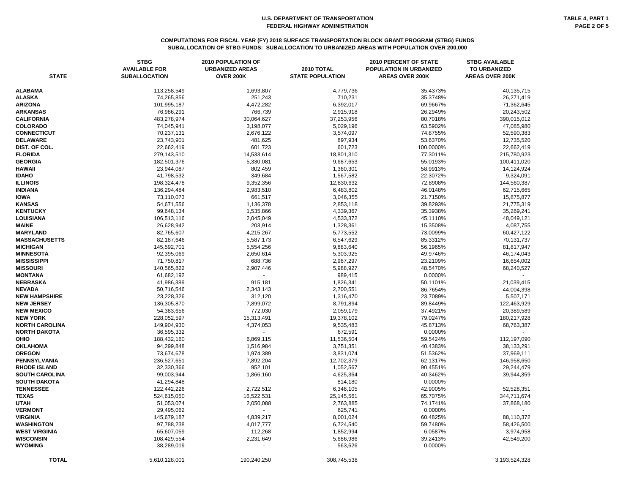| <b>STATE</b>          | <b>STBG</b><br><b>AVAILABLE FOR</b><br><b>SUBALLOCATION</b> | <b>2010 POPULATION OF</b><br><b>URBANIZED AREAS</b><br><b>OVER 200K</b> | 2010 TOTAL<br><b>STATE POPULATION</b> | <b>2010 PERCENT OF STATE</b><br>POPULATION IN URBANIZED<br><b>AREAS OVER 200K</b> | <b>STBG AVAILABLE</b><br>TO URBANIZED<br><b>AREAS OVER 200K</b> |
|-----------------------|-------------------------------------------------------------|-------------------------------------------------------------------------|---------------------------------------|-----------------------------------------------------------------------------------|-----------------------------------------------------------------|
| ALABAMA               | 113,258,549                                                 | 1,693,807                                                               | 4,779,736                             | 35.4373%                                                                          | 40,135,715                                                      |
| <b>ALASKA</b>         | 74,265,856                                                  | 251,243                                                                 | 710,231                               | 35.3748%                                                                          | 26,271,419                                                      |
| <b>ARIZONA</b>        | 101,995,187                                                 | 4,472,282                                                               | 6,392,017                             | 69.9667%                                                                          | 71,362,645                                                      |
| <b>ARKANSAS</b>       | 76,986,291                                                  | 766,739                                                                 | 2,915,918                             | 26.2949%                                                                          | 20,243,502                                                      |
| <b>CALIFORNIA</b>     | 483,278,974                                                 | 30,064,627                                                              | 37,253,956                            | 80.7018%                                                                          | 390,015,012                                                     |
| <b>COLORADO</b>       | 74,045,941                                                  | 3,198,077                                                               | 5,029,196                             | 63.5902%                                                                          | 47,085,980                                                      |
| <b>CONNECTICUT</b>    | 70,237,131                                                  | 2,676,122                                                               | 3,574,097                             | 74.8755%                                                                          | 52,590,383                                                      |
| <b>DELAWARE</b>       | 23,743,901                                                  | 481,625                                                                 | 897,934                               | 53.6370%                                                                          | 12,735,520                                                      |
| DIST. OF COL.         | 22,662,419                                                  | 601,723                                                                 | 601,723                               | 100.0000%                                                                         | 22,662,419                                                      |
| <b>FLORIDA</b>        | 279,143,510                                                 | 14,533,614                                                              | 18,801,310                            | 77.3011%                                                                          | 215,780,923                                                     |
| <b>GEORGIA</b>        | 182,501,376                                                 | 5,330,081                                                               | 9,687,653                             | 55.0193%                                                                          | 100,411,020                                                     |
| HAWAII                | 23,944,087                                                  | 802,459                                                                 | 1,360,301                             | 58.9913%                                                                          | 14,124,924                                                      |
| <b>IDAHO</b>          | 41,798,532                                                  | 349,684                                                                 | 1,567,582                             | 22.3072%                                                                          | 9,324,091                                                       |
| <b>ILLINOIS</b>       | 198,324,478                                                 | 9,352,356                                                               | 12,830,632                            | 72.8908%                                                                          | 144,560,387                                                     |
| <b>INDIANA</b>        |                                                             |                                                                         |                                       |                                                                                   |                                                                 |
|                       | 136,294,484                                                 | 2,983,510                                                               | 6,483,802                             | 46.0148%                                                                          | 62,715,665                                                      |
| <b>IOWA</b>           | 73,110,073                                                  | 661,517                                                                 | 3,046,355                             | 21.7150%                                                                          | 15,875,877                                                      |
| <b>KANSAS</b>         | 54,671,556                                                  | 1,136,378                                                               | 2,853,118                             | 39.8293%                                                                          | 21,775,319                                                      |
| <b>KENTUCKY</b>       | 99,648,134                                                  | 1,535,866                                                               | 4,339,367                             | 35.3938%                                                                          | 35,269,241                                                      |
| LOUISIANA             | 106,513,116                                                 | 2,045,049                                                               | 4,533,372                             | 45.1110%                                                                          | 48,049,121                                                      |
| MAINE                 | 26,628,942                                                  | 203,914                                                                 | 1,328,361                             | 15.3508%                                                                          | 4,087,755                                                       |
| <b>MARYLAND</b>       | 82,765,607                                                  | 4,215,267                                                               | 5,773,552                             | 73.0099%                                                                          | 60,427,122                                                      |
| <b>MASSACHUSETTS</b>  | 82,187,646                                                  | 5,587,173                                                               | 6,547,629                             | 85.3312%                                                                          | 70,131,737                                                      |
| <b>MICHIGAN</b>       | 145,592,701                                                 | 5,554,256                                                               | 9,883,640                             | 56.1965%                                                                          | 81,817,947                                                      |
| <b>MINNESOTA</b>      | 92,395,069                                                  | 2,650,614                                                               | 5,303,925                             | 49.9746%                                                                          | 46,174,043                                                      |
| MISSISSIPPI           | 71,750,817                                                  | 688,736                                                                 | 2,967,297                             | 23.2109%                                                                          | 16,654,002                                                      |
| <b>MISSOURI</b>       | 140,565,822                                                 | 2,907,446                                                               | 5,988,927                             | 48.5470%                                                                          | 68,240,527                                                      |
| <b>MONTANA</b>        | 61,682,192                                                  |                                                                         | 989,415                               | 0.0000%                                                                           |                                                                 |
| NEBRASKA              | 41,986,389                                                  | 915,181                                                                 | 1,826,341                             | 50.1101%                                                                          | 21,039,415                                                      |
| <b>NEVADA</b>         | 50,716,546                                                  | 2,343,143                                                               | 2,700,551                             | 86.7654%                                                                          | 44,004,398                                                      |
| <b>NEW HAMPSHIRE</b>  | 23,228,326                                                  | 312,120                                                                 | 1,316,470                             | 23.7089%                                                                          | 5,507,171                                                       |
| <b>NEW JERSEY</b>     | 136,305,870                                                 | 7,899,072                                                               | 8,791,894                             | 89.8449%                                                                          | 122,463,929                                                     |
| <b>NEW MEXICO</b>     | 54,383,656                                                  | 772,030                                                                 | 2,059,179                             | 37.4921%                                                                          | 20,389,589                                                      |
| <b>NEW YORK</b>       | 228,052,597                                                 | 15,313,491                                                              | 19,378,102                            | 79.0247%                                                                          | 180,217,928                                                     |
| <b>NORTH CAROLINA</b> | 149,904,930                                                 | 4,374,053                                                               | 9,535,483                             | 45.8713%                                                                          | 68,763,387                                                      |
| NORTH DAKOTA          | 36,595,332                                                  |                                                                         | 672,591                               | 0.0000%                                                                           |                                                                 |
| OHIO                  | 188,432,160                                                 | 6,869,115                                                               | 11,536,504                            | 59.5424%                                                                          | 112,197,090                                                     |
| <b>OKLAHOMA</b>       | 94,299,848                                                  | 1,516,984                                                               | 3,751,351                             | 40.4383%                                                                          | 38,133,291                                                      |
| <b>OREGON</b>         | 73,674,678                                                  | 1,974,389                                                               | 3,831,074                             | 51.5362%                                                                          | 37,969,111                                                      |
| PENNSYLVANIA          | 236,527,651                                                 | 7,892,204                                                               | 12,702,379                            | 62.1317%                                                                          | 146,958,650                                                     |
| <b>RHODE ISLAND</b>   | 32,330,366                                                  | 952,101                                                                 | 1,052,567                             | 90.4551%                                                                          | 29,244,479                                                      |
| <b>SOUTH CAROLINA</b> | 99,003,944                                                  | 1,866,160                                                               | 4,625,364                             | 40.3462%                                                                          | 39,944,359                                                      |
| SOUTH DAKOTA          | 41,294,848                                                  |                                                                         | 814,180                               | 0.0000%                                                                           |                                                                 |
| <b>TENNESSEE</b>      | 122,442,226                                                 | 2,722,512                                                               | 6,346,105                             | 42.9005%                                                                          | 52,528,351                                                      |
| <b>TEXAS</b>          | 524,615,050                                                 | 16,522,531                                                              | 25,145,561                            | 65.7075%                                                                          | 344,711,674                                                     |
| UTAH                  | 51,053,074                                                  | 2,050,088                                                               | 2,763,885                             | 74.1741%                                                                          | 37,868,180                                                      |
| <b>VERMONT</b>        | 29,495,062                                                  |                                                                         | 625,741                               | 0.0000%                                                                           |                                                                 |
| <b>VIRGINIA</b>       | 145,679,187                                                 | 4,839,217                                                               | 8,001,024                             | 60.4825%                                                                          | 88,110,372                                                      |
| WASHINGTON            | 97,788,238                                                  | 4,017,777                                                               | 6,724,540                             | 59.7480%                                                                          | 58,426,500                                                      |
| WEST VIRGINIA         | 65,607,059                                                  | 112,268                                                                 | 1,852,994                             | 6.0587%                                                                           | 3,974,958                                                       |
| <b>WISCONSIN</b>      | 108,429,554                                                 | 2,231,649                                                               | 5,686,986                             | 39.2413%                                                                          | 42,549,200                                                      |
| WYOMING               | 38,289,019                                                  |                                                                         | 563,626                               | 0.0000%                                                                           |                                                                 |
|                       |                                                             |                                                                         |                                       |                                                                                   |                                                                 |
| <b>TOTAL</b>          | 5,610,128,001                                               | 190,240,250                                                             | 308,745,538                           |                                                                                   | 3,193,524,328                                                   |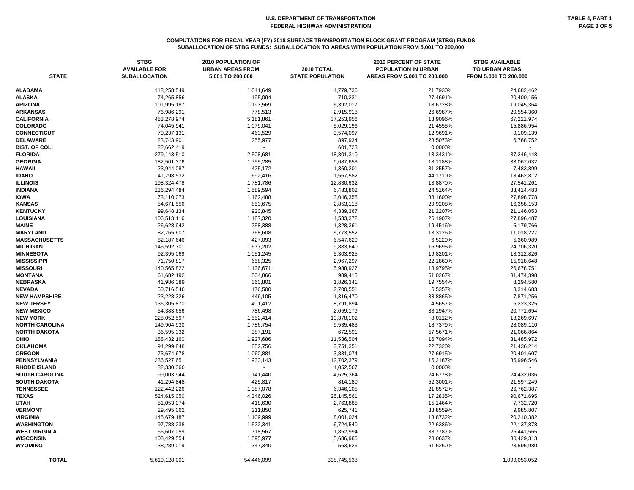# **COMPUTATIONS FOR FISCAL YEAR (FY) 2018 SURFACE TRANSPORTATION BLOCK GRANT PROGRAM (STBG) FUNDS SUBALLOCATION OF STBG FUNDS: SUBALLOCATION TO AREAS WITH POPULATION FROM 5,001 TO 200,000**

| <b>STATE</b>          | <b>STBG</b><br><b>AVAILABLE FOR</b><br><b>SUBALLOCATION</b> | 2010 POPULATION OF<br><b>URBAN AREAS FROM</b><br>5,001 TO 200,000 | <b>2010 TOTAL</b><br><b>STATE POPULATION</b> | 2010 PERCENT OF STATE<br>POPULATION IN URBAN<br>AREAS FROM 5,001 TO 200,000 | <b>STBG AVAILABLE</b><br>TO URBAN AREAS<br>FROM 5,001 TO 200,000 |
|-----------------------|-------------------------------------------------------------|-------------------------------------------------------------------|----------------------------------------------|-----------------------------------------------------------------------------|------------------------------------------------------------------|
|                       |                                                             |                                                                   |                                              |                                                                             |                                                                  |
| <b>ALABAMA</b>        | 113,258,549                                                 | 1,041,649                                                         | 4,779,736                                    | 21.7930%                                                                    | 24,682,462                                                       |
| <b>ALASKA</b>         | 74,265,856                                                  | 195,094                                                           | 710,231                                      | 27.4691%                                                                    | 20,400,156                                                       |
| <b>ARIZONA</b>        | 101,995,187                                                 | 1,193,569                                                         | 6,392,017                                    | 18.6728%                                                                    | 19,045,364                                                       |
| <b>ARKANSAS</b>       | 76,986,291                                                  | 778,513                                                           | 2,915,918                                    | 26.6987%                                                                    | 20,554,360                                                       |
| <b>CALIFORNIA</b>     | 483,278,974                                                 | 5,181,861                                                         | 37,253,956                                   | 13.9096%                                                                    | 67,221,974                                                       |
| <b>COLORADO</b>       | 74,045,941                                                  | 1,079,041                                                         | 5,029,196                                    | 21.4555%                                                                    | 15,886,954                                                       |
| <b>CONNECTICUT</b>    | 70,237,131                                                  | 463,529                                                           | 3,574,097                                    | 12.9691%                                                                    | 9,109,139                                                        |
| <b>DELAWARE</b>       | 23,743,901                                                  | 255,977                                                           | 897,934                                      | 28.5073%                                                                    | 6,768,752                                                        |
| DIST. OF COL.         | 22,662,419                                                  |                                                                   | 601,723                                      | 0.0000%                                                                     |                                                                  |
| <b>FLORIDA</b>        | 279,143,510                                                 | 2,508,681                                                         | 18,801,310                                   | 13.3431%                                                                    | 37,246,448                                                       |
| <b>GEORGIA</b>        | 182,501,376                                                 | 1,755,285                                                         | 9,687,653                                    | 18.1188%                                                                    | 33,067,032                                                       |
| <b>HAWAII</b>         | 23,944,087                                                  | 425,172                                                           | 1,360,301                                    | 31.2557%                                                                    | 7,483,899                                                        |
| <b>IDAHO</b>          | 41,798,532                                                  | 692,416                                                           | 1,567,582                                    | 44.1710%                                                                    | 18,462,812                                                       |
| <b>ILLINOIS</b>       | 198,324,478                                                 | 1,781,786                                                         | 12,830,632                                   | 13.8870%                                                                    | 27,541,261                                                       |
| <b>INDIANA</b>        | 136,294,484                                                 | 1,589,594                                                         | 6,483,802                                    | 24.5164%                                                                    | 33,414,483                                                       |
| <b>IOWA</b>           | 73,110,073                                                  | 1,162,488                                                         | 3,046,355                                    | 38.1600%                                                                    | 27,898,778                                                       |
| <b>KANSAS</b>         | 54,671,556                                                  | 853,675                                                           | 2,853,118                                    | 29.9208%                                                                    | 16,358,153                                                       |
| <b>KENTUCKY</b>       | 99,648,134                                                  | 920,845                                                           | 4,339,367                                    | 21.2207%                                                                    | 21,146,053                                                       |
| <b>LOUISIANA</b>      | 106,513,116                                                 | 1,187,320                                                         | 4,533,372                                    | 26.1907%                                                                    | 27,896,487                                                       |
| <b>MAINE</b>          | 26,628,942                                                  | 258,388                                                           | 1,328,361                                    | 19.4516%                                                                    | 5,179,766                                                        |
| <b>MARYLAND</b>       | 82,765,607                                                  | 768,608                                                           | 5,773,552                                    | 13.3126%                                                                    | 11,018,227                                                       |
| <b>MASSACHUSETTS</b>  | 82,187,646                                                  | 427,093                                                           | 6,547,629                                    | 6.5229%                                                                     | 5,360,989                                                        |
| <b>MICHIGAN</b>       | 145,592,701                                                 | 1,677,202                                                         | 9,883,640                                    | 16.9695%                                                                    | 24,706,320                                                       |
| <b>MINNESOTA</b>      | 92,395,069                                                  | 1,051,245                                                         | 5,303,925                                    | 19.8201%                                                                    | 18,312,826                                                       |
| <b>MISSISSIPPI</b>    | 71,750,817                                                  | 658,325                                                           | 2,967,297                                    | 22.1860%                                                                    | 15,918,648                                                       |
| <b>MISSOURI</b>       | 140,565,822                                                 | 1,136,671                                                         | 5,988,927                                    | 18.9795%                                                                    | 26,678,751                                                       |
| <b>MONTANA</b>        | 61,682,192                                                  | 504,866                                                           | 989,415                                      | 51.0267%                                                                    | 31,474,398                                                       |
| <b>NEBRASKA</b>       | 41,986,389                                                  | 360,801                                                           | 1,826,341                                    | 19.7554%                                                                    | 8,294,580                                                        |
| <b>NEVADA</b>         | 50,716,546                                                  | 176,500                                                           | 2,700,551                                    | 6.5357%                                                                     | 3,314,683                                                        |
| <b>NEW HAMPSHIRE</b>  | 23,228,326                                                  | 446,105                                                           | 1,316,470                                    | 33.8865%                                                                    | 7,871,256                                                        |
| <b>NEW JERSEY</b>     | 136,305,870                                                 | 401,412                                                           | 8,791,894                                    | 4.5657%                                                                     | 6,223,325                                                        |
| <b>NEW MEXICO</b>     | 54,383,656                                                  | 786,498                                                           | 2,059,179                                    | 38.1947%                                                                    | 20,771,694                                                       |
| <b>NEW YORK</b>       | 228,052,597                                                 | 1,552,414                                                         | 19,378,102                                   | 8.0112%                                                                     | 18,269,697                                                       |
| <b>NORTH CAROLINA</b> | 149,904,930                                                 | 1,786,754                                                         | 9,535,483                                    | 18.7379%                                                                    | 28,089,110                                                       |
| <b>NORTH DAKOTA</b>   | 36,595,332                                                  | 387,191                                                           | 672,591                                      | 57.5671%                                                                    | 21,066,864                                                       |
| <b>OHIO</b>           | 188,432,160                                                 | 1,927,686                                                         | 11,536,504                                   | 16.7094%                                                                    | 31,485,972                                                       |
| <b>OKLAHOMA</b>       | 94,299,848                                                  | 852,756                                                           | 3,751,351                                    | 22.7320%                                                                    | 21,436,214                                                       |
| <b>OREGON</b>         | 73,674,678                                                  | 1,060,881                                                         | 3,831,074                                    | 27.6915%                                                                    | 20,401,607                                                       |
| <b>PENNSYLVANIA</b>   | 236,527,651                                                 | 1,933,143                                                         | 12,702,379                                   | 15.2187%                                                                    | 35,996,546                                                       |
| <b>RHODE ISLAND</b>   | 32,330,366                                                  |                                                                   | 1,052,567                                    | 0.0000%                                                                     |                                                                  |
| <b>SOUTH CAROLINA</b> | 99,003,944                                                  | 1,141,440                                                         | 4,625,364                                    | 24.6778%                                                                    | 24,432,036                                                       |
| <b>SOUTH DAKOTA</b>   | 41,294,848                                                  | 425,817                                                           | 814,180                                      | 52.3001%                                                                    | 21,597,249                                                       |
| <b>TENNESSEE</b>      |                                                             | 1,387,078                                                         |                                              | 21.8572%                                                                    |                                                                  |
| <b>TEXAS</b>          | 122,442,226                                                 |                                                                   | 6,346,105                                    | 17.2835%                                                                    | 26,762,387<br>90,671,695                                         |
|                       | 524,615,050                                                 | 4,346,026                                                         | 25,145,561                                   |                                                                             |                                                                  |
| <b>UTAH</b>           | 51,053,074                                                  | 418,630                                                           | 2,763,885                                    | 15.1464%                                                                    | 7,732,720                                                        |
| <b>VERMONT</b>        | 29,495,062                                                  | 211,850                                                           | 625,741                                      | 33.8559%                                                                    | 9,985,807                                                        |
| <b>VIRGINIA</b>       | 145,679,187                                                 | 1,109,999                                                         | 8,001,024                                    | 13.8732%                                                                    | 20,210,382                                                       |
| <b>WASHINGTON</b>     | 97,788,238                                                  | 1,522,341                                                         | 6,724,540                                    | 22.6386%                                                                    | 22, 137, 878                                                     |
| <b>WEST VIRGINIA</b>  | 65,607,059                                                  | 718,567                                                           | 1,852,994                                    | 38.7787%                                                                    | 25,441,565                                                       |
| <b>WISCONSIN</b>      | 108,429,554                                                 | 1,595,977                                                         | 5,686,986                                    | 28.0637%                                                                    | 30,429,313                                                       |
| <b>WYOMING</b>        | 38,289,019                                                  | 347,340                                                           | 563,626                                      | 61.6260%                                                                    | 23,595,980                                                       |
| <b>TOTAL</b>          | 5,610,128,001                                               | 54,446,099                                                        | 308,745,538                                  |                                                                             | 1,099,053,052                                                    |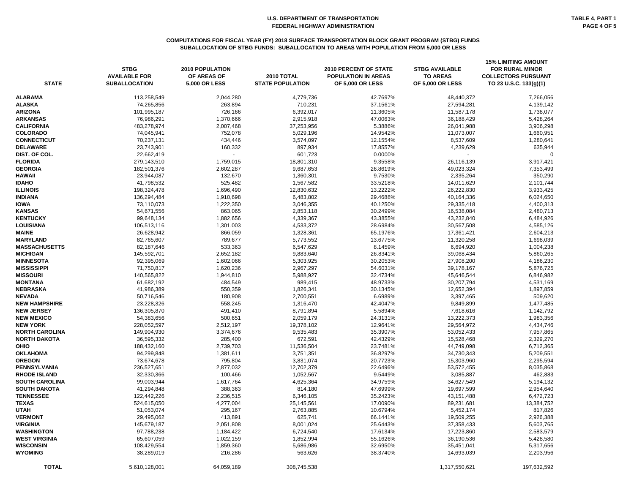#### **COMPUTATIONS FOR FISCAL YEAR (FY) 2018 SURFACE TRANSPORTATION BLOCK GRANT PROGRAM (STBG) FUNDS SUBALLOCATION OF STBG FUNDS: SUBALLOCATION TO AREAS WITH POPULATION FROM 5,000 OR LESS**

| <b>STATE</b>          | <b>STBG</b><br><b>AVAILABLE FOR</b><br><b>SUBALLOCATION</b> | <b>2010 POPULATION</b><br>OF AREAS OF<br><b>5,000 OR LESS</b> | 2010 TOTAL<br><b>STATE POPULATION</b> | <b>2010 PERCENT OF STATE</b><br><b>POPULATION IN AREAS</b><br><b>OF 5,000 OR LESS</b> | <b>STBG AVAILABLE</b><br><b>TO AREAS</b><br><b>OF 5,000 OR LESS</b> | <b>15% LIMITING AMOUNT</b><br><b>FOR RURAL MINOR</b><br><b>COLLECTORS PURSUANT</b><br>TO 23 U.S.C. 133(g)(1) |
|-----------------------|-------------------------------------------------------------|---------------------------------------------------------------|---------------------------------------|---------------------------------------------------------------------------------------|---------------------------------------------------------------------|--------------------------------------------------------------------------------------------------------------|
| <b>ALABAMA</b>        | 113,258,549                                                 | 2,044,280                                                     | 4,779,736                             | 42.7697%                                                                              | 48,440,372                                                          | 7,266,056                                                                                                    |
| <b>ALASKA</b>         | 74,265,856                                                  | 263,894                                                       | 710,231                               | 37.1561%                                                                              | 27,594,281                                                          | 4,139,142                                                                                                    |
| <b>ARIZONA</b>        | 101,995,187                                                 | 726,166                                                       | 6,392,017                             | 11.3605%                                                                              | 11,587,178                                                          | 1,738,077                                                                                                    |
| <b>ARKANSAS</b>       | 76,986,291                                                  | 1,370,666                                                     | 2,915,918                             | 47.0063%                                                                              | 36,188,429                                                          | 5,428,264                                                                                                    |
| <b>CALIFORNIA</b>     | 483,278,974                                                 | 2,007,468                                                     | 37,253,956                            | 5.3886%                                                                               | 26,041,988                                                          | 3,906,298                                                                                                    |
| <b>COLORADO</b>       | 74,045,941                                                  | 752,078                                                       | 5,029,196                             | 14.9542%                                                                              | 11,073,007                                                          | 1,660,951                                                                                                    |
| <b>CONNECTICUT</b>    | 70,237,131                                                  | 434,446                                                       | 3,574,097                             | 12.1554%                                                                              | 8,537,609                                                           | 1,280,641                                                                                                    |
| <b>DELAWARE</b>       | 23,743,901                                                  | 160,332                                                       | 897,934                               | 17.8557%                                                                              | 4,239,629                                                           | 635,944                                                                                                      |
| DIST. OF COL.         | 22,662,419                                                  |                                                               | 601,723                               | 0.0000%                                                                               |                                                                     | $\Omega$                                                                                                     |
| <b>FLORIDA</b>        | 279,143,510                                                 | 1,759,015                                                     | 18,801,310                            | 9.3558%                                                                               | 26,116,139                                                          | 3,917,421                                                                                                    |
| <b>GEORGIA</b>        | 182,501,376                                                 | 2,602,287                                                     | 9,687,653                             | 26.8619%                                                                              | 49,023,324                                                          | 7,353,499                                                                                                    |
| <b>HAWAII</b>         | 23,944,087                                                  | 132,670                                                       | 1,360,301                             | 9.7530%                                                                               | 2,335,264                                                           | 350,290                                                                                                      |
| <b>IDAHO</b>          | 41,798,532                                                  | 525,482                                                       | 1,567,582                             | 33.5218%                                                                              | 14,011,629                                                          | 2,101,744                                                                                                    |
| <b>ILLINOIS</b>       | 198,324,478                                                 | 1,696,490                                                     | 12,830,632                            | 13.2222%                                                                              | 26,222,830                                                          | 3,933,425                                                                                                    |
| <b>INDIANA</b>        | 136,294,484                                                 | 1,910,698                                                     | 6,483,802                             | 29.4688%                                                                              | 40,164,336                                                          | 6,024,650                                                                                                    |
| <b>IOWA</b>           | 73,110,073                                                  | 1,222,350                                                     | 3,046,355                             | 40.1250%                                                                              | 29,335,418                                                          | 4,400,313                                                                                                    |
| <b>KANSAS</b>         | 54,671,556                                                  | 863,065                                                       | 2,853,118                             | 30.2499%                                                                              | 16,538,084                                                          | 2,480,713                                                                                                    |
| <b>KENTUCKY</b>       | 99,648,134                                                  | 1,882,656                                                     | 4,339,367                             | 43.3855%                                                                              | 43,232,840                                                          | 6,484,926                                                                                                    |
| <b>LOUISIANA</b>      | 106,513,116                                                 | 1,301,003                                                     | 4,533,372                             | 28.6984%                                                                              | 30,567,508                                                          | 4,585,126                                                                                                    |
| <b>MAINE</b>          | 26,628,942                                                  | 866,059                                                       | 1,328,361                             | 65.1976%                                                                              | 17,361,421                                                          | 2,604,213                                                                                                    |
| <b>MARYLAND</b>       | 82,765,607                                                  | 789,677                                                       | 5,773,552                             | 13.6775%                                                                              | 11,320,258                                                          | 1,698,039                                                                                                    |
| <b>MASSACHUSETTS</b>  | 82,187,646                                                  | 533,363                                                       | 6,547,629                             | 8.1459%                                                                               | 6,694,920                                                           | 1,004,238                                                                                                    |
| <b>MICHIGAN</b>       | 145,592,701                                                 | 2,652,182                                                     | 9,883,640                             | 26.8341%                                                                              | 39,068,434                                                          | 5,860,265                                                                                                    |
| <b>MINNESOTA</b>      | 92,395,069                                                  | 1,602,066                                                     | 5,303,925                             | 30.2053%                                                                              | 27,908,200                                                          | 4,186,230                                                                                                    |
| <b>MISSISSIPPI</b>    | 71,750,817                                                  | 1,620,236                                                     | 2,967,297                             | 54.6031%                                                                              | 39,178,167                                                          | 5,876,725                                                                                                    |
| <b>MISSOURI</b>       | 140,565,822                                                 | 1,944,810                                                     | 5,988,927                             | 32.4734%                                                                              | 45,646,544                                                          | 6,846,982                                                                                                    |
| <b>MONTANA</b>        | 61,682,192                                                  | 484,549                                                       | 989,415                               | 48.9733%                                                                              | 30,207,794                                                          | 4,531,169                                                                                                    |
| <b>NEBRASKA</b>       | 41,986,389                                                  | 550,359                                                       | 1,826,341                             | 30.1345%                                                                              | 12,652,394                                                          | 1,897,859                                                                                                    |
| <b>NEVADA</b>         | 50,716,546                                                  | 180,908                                                       | 2,700,551                             | 6.6989%                                                                               | 3,397,465                                                           | 509,620                                                                                                      |
| <b>NEW HAMPSHIRE</b>  | 23,228,326                                                  | 558,245                                                       | 1,316,470                             | 42.4047%                                                                              | 9,849,899                                                           | 1,477,485                                                                                                    |
| <b>NEW JERSEY</b>     | 136,305,870                                                 | 491,410                                                       | 8,791,894                             | 5.5894%                                                                               | 7,618,616                                                           | 1,142,792                                                                                                    |
| <b>NEW MEXICO</b>     | 54,383,656                                                  | 500,651                                                       | 2,059,179                             | 24.3131%                                                                              | 13,222,373                                                          | 1,983,356                                                                                                    |
| <b>NEW YORK</b>       | 228,052,597                                                 | 2,512,197                                                     | 19,378,102                            | 12.9641%                                                                              | 29,564,972                                                          | 4,434,746                                                                                                    |
| NORTH CAROLINA        | 149,904,930                                                 | 3,374,676                                                     | 9,535,483                             | 35.3907%                                                                              | 53,052,433                                                          | 7,957,865                                                                                                    |
| <b>NORTH DAKOTA</b>   | 36,595,332                                                  | 285,400                                                       | 672,591                               | 42.4329%                                                                              | 15,528,468                                                          | 2,329,270                                                                                                    |
| <b>OHIO</b>           | 188,432,160                                                 | 2,739,703                                                     | 11,536,504                            | 23.7481%                                                                              | 44,749,098                                                          | 6,712,365                                                                                                    |
| <b>OKLAHOMA</b>       | 94,299,848                                                  | 1,381,611                                                     | 3,751,351                             | 36.8297%                                                                              | 34,730,343                                                          | 5,209,551                                                                                                    |
| <b>OREGON</b>         | 73,674,678                                                  | 795,804                                                       | 3,831,074                             | 20.7723%                                                                              | 15,303,960                                                          | 2,295,594                                                                                                    |
| <b>PENNSYLVANIA</b>   | 236,527,651                                                 | 2,877,032                                                     | 12,702,379                            | 22.6496%                                                                              | 53,572,455                                                          | 8,035,868                                                                                                    |
| <b>RHODE ISLAND</b>   | 32,330,366                                                  | 100,466                                                       | 1,052,567                             | 9.5449%                                                                               | 3,085,887                                                           | 462,883                                                                                                      |
| <b>SOUTH CAROLINA</b> | 99,003,944                                                  | 1,617,764                                                     | 4,625,364                             | 34.9759%                                                                              | 34,627,549                                                          | 5,194,132                                                                                                    |
| <b>SOUTH DAKOTA</b>   | 41,294,848                                                  | 388,363                                                       | 814,180                               | 47.6999%                                                                              | 19,697,599                                                          | 2,954,640                                                                                                    |
| <b>TENNESSEE</b>      | 122,442,226                                                 | 2,236,515                                                     | 6,346,105                             | 35.2423%                                                                              | 43, 151, 488                                                        | 6,472,723                                                                                                    |
| <b>TEXAS</b>          | 524,615,050                                                 | 4,277,004                                                     | 25,145,561                            | 17.0090%                                                                              | 89,231,681                                                          | 13,384,752                                                                                                   |
| <b>UTAH</b>           | 51,053,074                                                  | 295,167                                                       | 2,763,885                             | 10.6794%                                                                              | 5,452,174                                                           | 817,826                                                                                                      |
| <b>VERMONT</b>        | 29,495,062                                                  | 413,891                                                       | 625,741                               | 66.1441%                                                                              | 19,509,255                                                          | 2,926,388                                                                                                    |
| <b>VIRGINIA</b>       | 145,679,187                                                 | 2,051,808                                                     | 8,001,024                             | 25.6443%                                                                              | 37,358,433                                                          | 5,603,765                                                                                                    |
| <b>WASHINGTON</b>     | 97,788,238                                                  | 1,184,422                                                     | 6,724,540                             | 17.6134%                                                                              | 17,223,860                                                          | 2,583,579                                                                                                    |
| <b>WEST VIRGINIA</b>  | 65,607,059                                                  | 1,022,159                                                     | 1,852,994                             | 55.1626%                                                                              | 36,190,536                                                          | 5,428,580                                                                                                    |
| <b>WISCONSIN</b>      | 108,429,554                                                 | 1,859,360                                                     | 5,686,986                             | 32.6950%                                                                              | 35,451,041                                                          | 5,317,656                                                                                                    |
| <b>WYOMING</b>        | 38,289,019                                                  | 216,286                                                       | 563,626                               | 38.3740%                                                                              | 14,693,039                                                          | 2,203,956                                                                                                    |
| <b>TOTAL</b>          | 5,610,128,001                                               | 64,059,189                                                    | 308,745,538                           |                                                                                       | 1,317,550,621                                                       | 197,632,592                                                                                                  |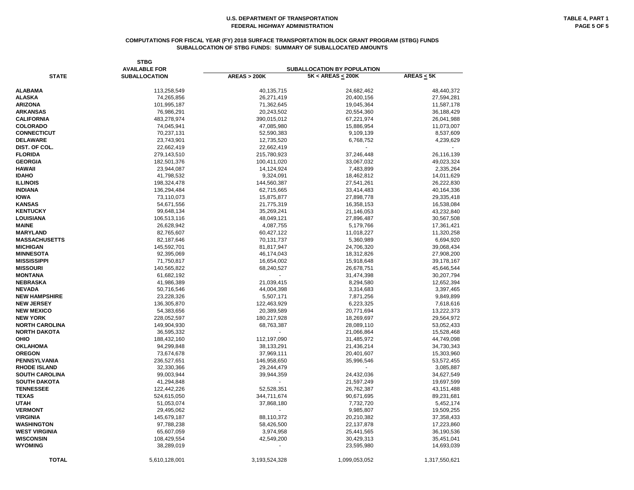#### **COMPUTATIONS FOR FISCAL YEAR (FY) 2018 SURFACE TRANSPORTATION BLOCK GRANT PROGRAM (STBG) FUNDS SUBALLOCATION OF STBG FUNDS: SUMMARY OF SUBALLOCATED AMOUNTS**

|                       | <b>STBG</b><br><b>AVAILABLE FOR</b> |                        | <b>SUBALLOCATION BY POPULATION</b> |                                          |
|-----------------------|-------------------------------------|------------------------|------------------------------------|------------------------------------------|
| <b>STATE</b>          | <b>SUBALLOCATION</b>                | <b>AREAS &gt; 200K</b> | $5K < AREAS \leq 200K$             | $\overline{\text{AREAS}} \leq 5\text{K}$ |
| <b>ALABAMA</b>        | 113,258,549                         | 40,135,715             | 24,682,462                         | 48,440,372                               |
| <b>ALASKA</b>         | 74,265,856                          | 26,271,419             | 20,400,156                         | 27,594,281                               |
| <b>ARIZONA</b>        | 101,995,187                         | 71,362,645             | 19,045,364                         | 11,587,178                               |
| <b>ARKANSAS</b>       | 76,986,291                          | 20,243,502             | 20,554,360                         | 36,188,429                               |
| <b>CALIFORNIA</b>     | 483,278,974                         | 390,015,012            | 67,221,974                         | 26,041,988                               |
| <b>COLORADO</b>       | 74,045,941                          | 47,085,980             | 15,886,954                         | 11,073,007                               |
| <b>CONNECTICUT</b>    | 70,237,131                          | 52,590,383             | 9,109,139                          | 8,537,609                                |
| <b>DELAWARE</b>       | 23,743,901                          | 12,735,520             | 6,768,752                          | 4,239,629                                |
| DIST. OF COL.         | 22,662,419                          | 22,662,419             |                                    |                                          |
| <b>FLORIDA</b>        | 279,143,510                         | 215,780,923            | 37,246,448                         | 26,116,139                               |
| <b>GEORGIA</b>        |                                     |                        |                                    | 49,023,324                               |
| HAWAII                | 182,501,376                         | 100,411,020            | 33,067,032                         | 2,335,264                                |
|                       | 23,944,087                          | 14,124,924             | 7,483,899                          |                                          |
| <b>IDAHO</b>          | 41,798,532                          | 9,324,091              | 18,462,812                         | 14,011,629                               |
| <b>ILLINOIS</b>       | 198,324,478                         | 144,560,387            | 27,541,261                         | 26,222,830                               |
| <b>INDIANA</b>        | 136,294,484                         | 62,715,665             | 33,414,483                         | 40,164,336                               |
| <b>IOWA</b>           | 73,110,073                          | 15,875,877             | 27,898,778                         | 29,335,418                               |
| <b>KANSAS</b>         | 54,671,556                          | 21,775,319             | 16,358,153                         | 16,538,084                               |
| <b>KENTUCKY</b>       | 99,648,134                          | 35,269,241             | 21,146,053                         | 43,232,840                               |
| <b>LOUISIANA</b>      | 106,513,116                         | 48,049,121             | 27,896,487                         | 30,567,508                               |
| <b>MAINE</b>          | 26,628,942                          | 4,087,755              | 5,179,766                          | 17,361,421                               |
| <b>MARYLAND</b>       | 82,765,607                          | 60,427,122             | 11,018,227                         | 11,320,258                               |
| <b>MASSACHUSETTS</b>  | 82,187,646                          | 70,131,737             | 5,360,989                          | 6,694,920                                |
| <b>MICHIGAN</b>       | 145,592,701                         | 81,817,947             | 24,706,320                         | 39,068,434                               |
| <b>MINNESOTA</b>      | 92,395,069                          | 46,174,043             | 18,312,826                         | 27,908,200                               |
| MISSISSIPPI           | 71,750,817                          | 16,654,002             | 15,918,648                         | 39,178,167                               |
| <b>MISSOURI</b>       | 140,565,822                         | 68,240,527             | 26,678,751                         | 45,646,544                               |
| <b>MONTANA</b>        | 61,682,192                          |                        | 31,474,398                         | 30,207,794                               |
| <b>NEBRASKA</b>       | 41,986,389                          | 21,039,415             | 8,294,580                          | 12,652,394                               |
| <b>NEVADA</b>         | 50,716,546                          | 44,004,398             | 3,314,683                          | 3,397,465                                |
| <b>NEW HAMPSHIRE</b>  | 23,228,326                          | 5,507,171              | 7,871,256                          | 9,849,899                                |
| <b>NEW JERSEY</b>     | 136,305,870                         | 122,463,929            | 6,223,325                          | 7,618,616                                |
| <b>NEW MEXICO</b>     | 54,383,656                          | 20,389,589             | 20,771,694                         | 13,222,373                               |
| <b>NEW YORK</b>       | 228,052,597                         | 180,217,928            | 18,269,697                         | 29,564,972                               |
| <b>NORTH CAROLINA</b> | 149,904,930                         | 68,763,387             | 28,089,110                         | 53,052,433                               |
| NORTH DAKOTA          | 36,595,332                          |                        | 21,066,864                         | 15,528,468                               |
| OHIO                  | 188,432,160                         | 112,197,090            | 31,485,972                         | 44,749,098                               |
| <b>OKLAHOMA</b>       | 94,299,848                          | 38,133,291             | 21,436,214                         | 34,730,343                               |
| <b>OREGON</b>         | 73,674,678                          | 37,969,111             | 20,401,607                         | 15,303,960                               |
| PENNSYLVANIA          | 236,527,651                         | 146,958,650            | 35,996,546                         | 53,572,455                               |
| <b>RHODE ISLAND</b>   | 32,330,366                          | 29,244,479             |                                    | 3,085,887                                |
| <b>SOUTH CAROLINA</b> | 99,003,944                          | 39,944,359             | 24,432,036                         | 34,627,549                               |
| <b>SOUTH DAKOTA</b>   | 41,294,848                          |                        | 21,597,249                         | 19,697,599                               |
| <b>TENNESSEE</b>      | 122,442,226                         | 52,528,351             | 26,762,387                         | 43, 151, 488                             |
| <b>TEXAS</b>          | 524,615,050                         | 344,711,674            | 90,671,695                         | 89,231,681                               |
| <b>UTAH</b>           | 51,053,074                          | 37,868,180             | 7,732,720                          | 5,452,174                                |
| <b>VERMONT</b>        | 29,495,062                          |                        | 9,985,807                          | 19,509,255                               |
| <b>VIRGINIA</b>       | 145,679,187                         | 88,110,372             | 20,210,382                         | 37, 358, 433                             |
| WASHINGTON            | 97,788,238                          | 58,426,500             | 22,137,878                         | 17,223,860                               |
| <b>WEST VIRGINIA</b>  | 65,607,059                          | 3,974,958              | 25,441,565                         | 36,190,536                               |
| WISCONSIN             |                                     |                        |                                    |                                          |
| <b>WYOMING</b>        | 108,429,554                         | 42,549,200             | 30,429,313                         | 35,451,041                               |
|                       | 38,289,019                          |                        | 23,595,980                         | 14,693,039                               |
| <b>TOTAL</b>          | 5,610,128,001                       | 3,193,524,328          | 1,099,053,052                      | 1,317,550,621                            |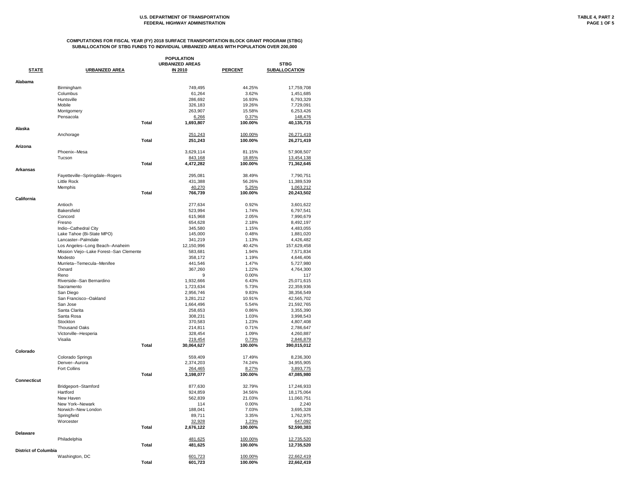| <b>POPULATION</b>           |                                                     |                                          |                    |                                     |  |
|-----------------------------|-----------------------------------------------------|------------------------------------------|--------------------|-------------------------------------|--|
| <b>STATE</b>                | <b>URBANIZED AREA</b>                               | <b>URBANIZED AREAS</b><br><b>IN 2010</b> | <b>PERCENT</b>     | <b>STBG</b><br><b>SUBALLOCATION</b> |  |
|                             |                                                     |                                          |                    |                                     |  |
| Alabama                     | Birmingham                                          | 749,495                                  | 44.25%             | 17,759,708                          |  |
|                             | Columbus                                            | 61,264                                   | 3.62%              | 1,451,685                           |  |
|                             | Huntsville                                          | 286,692                                  | 16.93%             | 6,793,329                           |  |
|                             | Mobile                                              | 326,183                                  | 19.26%             | 7,729,091                           |  |
|                             | Montgomery                                          | 263,907                                  | 15.58%             | 6,253,426                           |  |
|                             | Pensacola                                           | 6,266                                    | 0.37%              | 148,476                             |  |
|                             | <b>Total</b>                                        | 1,693,807                                | 100.00%            | 40,135,715                          |  |
| Alaska                      |                                                     |                                          |                    |                                     |  |
|                             | Anchorage                                           | 251,243                                  | 100.00%            | 26,271,419                          |  |
| Arizona                     | <b>Total</b>                                        | 251,243                                  | 100.00%            | 26,271,419                          |  |
|                             | Phoenix--Mesa                                       | 3,629,114                                | 81.15%             | 57,908,507                          |  |
|                             | Tucson                                              | 843,168                                  | 18.85%             | 13,454,138                          |  |
|                             | <b>Total</b>                                        | 4,472,282                                | 100.00%            | 71,362,645                          |  |
| <b>Arkansas</b>             |                                                     |                                          |                    |                                     |  |
|                             | Fayetteville--Springdale--Rogers                    | 295,081                                  | 38.49%             | 7,790,751                           |  |
|                             | Little Rock                                         | 431,388                                  | 56.26%             | 11,389,539                          |  |
|                             | Memphis                                             | 40,270                                   | 5.25%              | 1,063,212                           |  |
|                             | <b>Total</b>                                        | 766,739                                  | 100.00%            | 20,243,502                          |  |
| <b>California</b>           | Antioch                                             | 277,634                                  | 0.92%              | 3,601,622                           |  |
|                             | <b>Bakersfield</b>                                  | 523,994                                  | 1.74%              | 6,797,541                           |  |
|                             | Concord                                             | 615,968                                  | 2.05%              | 7,990,679                           |  |
|                             | Fresno                                              | 654,628                                  | 2.18%              |                                     |  |
|                             |                                                     | 345,580                                  | 1.15%              | 8,492,197                           |  |
|                             | Indio--Cathedral City                               |                                          | 0.48%              | 4,483,055                           |  |
|                             | Lake Tahoe (Bi-State MPO)<br>Lancaster--Palmdale    | 145,000                                  | 1.13%              | 1,881,020                           |  |
|                             |                                                     | 341,219                                  | 40.42%             | 4,426,482                           |  |
|                             | Los Angeles--Long Beach--Anaheim                    | 12,150,996                               |                    | 157,629,458                         |  |
|                             | Mission Viejo--Lake Forest--San Clemente<br>Modesto | 583,681                                  | 1.94%              | 7,571,834                           |  |
|                             | Murrieta--Temecula--Menifee                         | 358,172                                  | 1.19%              | 4,646,406                           |  |
|                             | Oxnard                                              | 441,546                                  | 1.47%<br>1.22%     | 5,727,980                           |  |
|                             | Reno                                                | 367,260<br>9                             | 0.00%              | 4,764,300<br>117                    |  |
|                             | Riverside--San Bernardino                           | 1,932,666                                | 6.43%              | 25,071,615                          |  |
|                             | Sacramento                                          | 1,723,634                                | 5.73%              | 22,359,936                          |  |
|                             | San Diego                                           | 2,956,746                                | 9.83%              | 38,356,549                          |  |
|                             | San Francisco--Oakland                              | 3,281,212                                | 10.91%             | 42,565,702                          |  |
|                             | San Jose                                            | 1,664,496                                | 5.54%              | 21,592,765                          |  |
|                             | Santa Clarita                                       | 258,653                                  | 0.86%              | 3,355,390                           |  |
|                             | Santa Rosa                                          | 308,231                                  | 1.03%              | 3,998,543                           |  |
|                             | Stockton                                            | 370,583                                  | 1.23%              | 4,807,408                           |  |
|                             | <b>Thousand Oaks</b>                                | 214,811                                  | 0.71%              | 2,786,647                           |  |
|                             | Victorville--Hesperia                               | 328,454                                  | 1.09%              | 4,260,887                           |  |
|                             | Visalia                                             | 219,454                                  | 0.73%              | 2,846,879                           |  |
|                             | <b>Total</b>                                        | 30,064,627                               | 100.00%            | 390,015,012                         |  |
| Colorado                    |                                                     |                                          |                    |                                     |  |
|                             | Colorado Springs                                    | 559,409                                  | 17.49%             | 8,236,300                           |  |
|                             | Denver--Aurora                                      | 2,374,203                                | 74.24%             | 34,955,905                          |  |
|                             | Fort Collins                                        | 264,465                                  | 8.27%              | 3,893,775                           |  |
| <b>Connecticut</b>          | <b>Total</b>                                        | 3,198,077                                | 100.00%            | 47,085,980                          |  |
|                             | Bridgeport--Stamford                                | 877,630                                  | 32.79%             | 17,246,933                          |  |
|                             | Hartford                                            | 924,859                                  | 34.56%             | 18,175,064                          |  |
|                             | New Haven                                           | 562,839                                  | 21.03%             | 11,060,751                          |  |
|                             | New York--Newark                                    | 114                                      | 0.00%              | 2,240                               |  |
|                             | Norwich--New London                                 | 188,041                                  | 7.03%              | 3,695,328                           |  |
|                             | Springfield                                         | 89,711                                   | 3.35%              | 1,762,975                           |  |
|                             | Worcester                                           | 32,928                                   | 1.23%              | 647,092                             |  |
|                             | <b>Total</b>                                        | 2,676,122                                | 100.00%            | 52,590,383                          |  |
| <b>Delaware</b>             |                                                     |                                          |                    |                                     |  |
|                             | Philadelphia                                        | 481,625                                  | 100.00%            | 12,735,520                          |  |
|                             | <b>Total</b>                                        | 481,625                                  | 100.00%            | 12,735,520                          |  |
| <b>District of Columbia</b> |                                                     |                                          |                    |                                     |  |
|                             | Washington, DC<br><b>Total</b>                      | 601,723<br>601,723                       | 100.00%<br>100.00% | 22,662,419<br>22,662,419            |  |
|                             |                                                     |                                          |                    |                                     |  |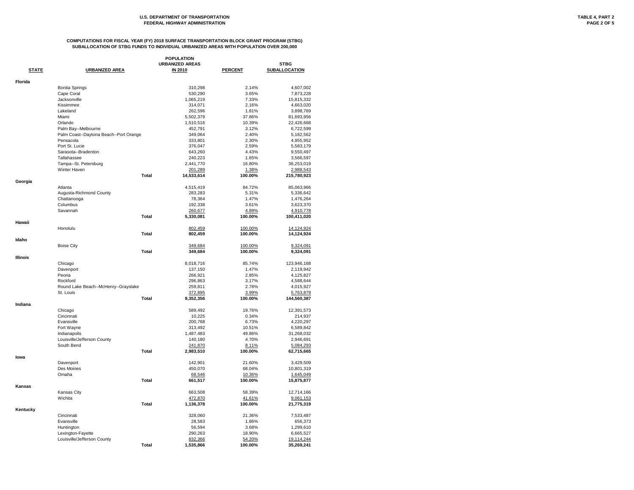|                 | <b>POPULATION</b>                      |                        |                   |                         |  |  |  |
|-----------------|----------------------------------------|------------------------|-------------------|-------------------------|--|--|--|
|                 |                                        | <b>URBANIZED AREAS</b> |                   | <b>STBG</b>             |  |  |  |
| <b>STATE</b>    | <b>URBANIZED AREA</b>                  | <b>IN 2010</b>         | <b>PERCENT</b>    | <b>SUBALLOCATION</b>    |  |  |  |
| Florida         |                                        |                        |                   |                         |  |  |  |
|                 | <b>Bonita Springs</b>                  | 310,298                | 2.14%             | 4,607,002               |  |  |  |
|                 | Cape Coral                             | 530,290                | 3.65%             | 7,873,228               |  |  |  |
|                 | Jacksonville                           | 1,065,219              | 7.33%             | 15,815,332              |  |  |  |
|                 | Kissimmee                              | 314,071                | 2.16%             | 4,663,020               |  |  |  |
|                 | Lakeland                               | 262,596                | 1.81%             | 3,898,769               |  |  |  |
|                 | Miami                                  | 5,502,379              | 37.86%            | 81,693,956              |  |  |  |
|                 | Orlando                                | 1,510,516              | 10.39%            | 22,426,668              |  |  |  |
|                 | Palm Bay--Melbourne                    | 452,791                | 3.12%             | 6,722,599               |  |  |  |
|                 | Palm Coast--Daytona Beach--Port Orange | 349,064                | 2.40%             | 5,182,562               |  |  |  |
|                 | Pensacola                              | 333,801                | 2.30%             | 4,955,952               |  |  |  |
|                 | Port St. Lucie                         | 376,047                | 2.59%             | 5,583,179               |  |  |  |
|                 | Sarasota--Bradenton                    | 643,260                | 4.43%             | 9,550,497               |  |  |  |
|                 | Tallahassee                            | 240,223                | 1.65%             | 3,566,597               |  |  |  |
|                 | Tampa--St. Petersburg                  | 2,441,770              | 16.80%            | 36,253,019              |  |  |  |
|                 | Winter Haven                           | 201,289                | 1.38%             | 2,988,543               |  |  |  |
|                 | <b>Total</b>                           | 14,533,614             | 100.00%           | 215,780,923             |  |  |  |
| Georgia         |                                        |                        |                   |                         |  |  |  |
|                 | Atlanta                                | 4,515,419              | 84.72%            | 85,063,966              |  |  |  |
|                 | Augusta-Richmond County                | 283,283                | 5.31%             | 5,336,642               |  |  |  |
|                 | Chattanooga                            | 78,364                 | 1.47%             | 1,476,264               |  |  |  |
|                 | Columbus                               | 192,338                | 3.61%             | 3,623,370               |  |  |  |
|                 | Savannah                               | 260,677                | 4.89%             | 4,910,778               |  |  |  |
|                 | <b>Total</b>                           | 5,330,081              | 100.00%           | 100,411,020             |  |  |  |
| Hawaii          |                                        |                        |                   |                         |  |  |  |
|                 | Honolulu                               | 802,459                | 100.00%           | 14,124,924              |  |  |  |
|                 | <b>Total</b>                           | 802,459                | 100.00%           | 14,124,924              |  |  |  |
| Idaho           |                                        |                        |                   |                         |  |  |  |
|                 | <b>Boise City</b>                      | 349,684                | 100.00%           | 9,324,091               |  |  |  |
|                 | <b>Total</b>                           | 349,684                | 100.00%           | 9,324,091               |  |  |  |
| <b>Illinois</b> |                                        |                        |                   |                         |  |  |  |
|                 | Chicago                                | 8,018,716              | 85.74%            | 123,946,168             |  |  |  |
|                 | Davenport                              | 137,150                | 1.47%             | 2,119,942               |  |  |  |
|                 | Peoria                                 | 266,921                | 2.85%             | 4,125,827               |  |  |  |
|                 | Rockford                               | 296,863                | 3.17%             | 4,588,644               |  |  |  |
|                 | Round Lake Beach--McHenry--Grayslake   | 259,811                | 2.78%             | 4,015,927               |  |  |  |
|                 | St. Louis                              | 372,895                | 3.99%             | 5,763,879               |  |  |  |
|                 | <b>Total</b>                           | 9,352,356              | 100.00%           | 144,560,387             |  |  |  |
| Indiana         |                                        |                        |                   |                         |  |  |  |
|                 | Chicago                                | 589,492                | 19.76%            | 12,391,573              |  |  |  |
|                 | Cincinnati                             | 10,225                 | 0.34%             | 214,937                 |  |  |  |
|                 | Evansville                             | 200,768                | 6.73%             | 4,220,297               |  |  |  |
|                 | Fort Wayne                             | 313,492                | 10.51%            | 6,589,842               |  |  |  |
|                 | Indianapolis                           | 1,487,483              | 49.86%            | 31,268,032              |  |  |  |
|                 | Louisville/Jefferson County            | 140,180                | 4.70%             | 2,946,691               |  |  |  |
|                 | South Bend                             | 241,870                | 8.11%             | 5,084,293               |  |  |  |
|                 | <b>Total</b>                           | 2,983,510              | 100.00%           | 62,715,665              |  |  |  |
| lowa            |                                        |                        |                   |                         |  |  |  |
|                 | Davenport                              | 142,901                | 21.60%            | 3,429,509               |  |  |  |
|                 | Des Moines                             | 450,070                | 68.04%            | 10,801,319              |  |  |  |
|                 | Omaha                                  | 68,546                 | 10.36%            | 1,645,049               |  |  |  |
|                 | <b>Total</b>                           | 661,517                | 100.00%           | 15,875,877              |  |  |  |
| <b>Kansas</b>   |                                        |                        |                   |                         |  |  |  |
|                 | Kansas City<br>Wichita                 | 663,508<br>472,870     | 58.39%            | 12,714,166              |  |  |  |
|                 | <b>Total</b>                           | 1,136,378              | 41.61%<br>100.00% | 9,061,153<br>21,775,319 |  |  |  |
| Kentucky        |                                        |                        |                   |                         |  |  |  |
|                 | Cincinnati                             | 328,060                | 21.36%            | 7,533,487               |  |  |  |
|                 | Evansville                             | 28,583                 | 1.86%             | 656,373                 |  |  |  |
|                 | Huntington                             | 56,594                 | 3.68%             | 1,299,610               |  |  |  |
|                 | Lexington-Fayette                      | 290,263                | 18.90%            | 6,665,527               |  |  |  |
|                 | Louisville/Jefferson County            | 832,366                | 54.20%            | 19,114,244              |  |  |  |
|                 | <b>Total</b>                           | 1,535,866              | 100.00%           | 35,269,241              |  |  |  |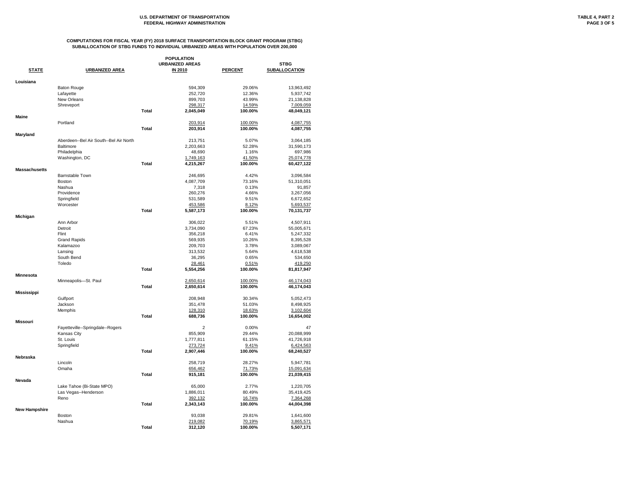|                      |                                        |              | <b>POPULATION</b>      |                |                      |
|----------------------|----------------------------------------|--------------|------------------------|----------------|----------------------|
|                      |                                        |              | <b>URBANIZED AREAS</b> |                | <b>STBG</b>          |
| <b>STATE</b>         | <b>URBANIZED AREA</b>                  |              | <b>IN 2010</b>         | <b>PERCENT</b> | <b>SUBALLOCATION</b> |
| Louisiana            |                                        |              |                        |                |                      |
|                      | <b>Baton Rouge</b>                     |              | 594,309                | 29.06%         | 13,963,492           |
|                      | Lafayette                              |              | 252,720                | 12.36%         | 5,937,742            |
|                      | New Orleans                            |              | 899,703                | 43.99%         | 21,138,828           |
|                      | Shreveport                             |              | 298,317                | 14.59%         | 7,009,059            |
|                      |                                        | <b>Total</b> | 2,045,049              | 100.00%        | 48,049,121           |
| <b>Maine</b>         |                                        |              |                        |                |                      |
|                      | Portland                               |              | 203,914                | 100.00%        | 4,087,755            |
|                      |                                        | <b>Total</b> | 203,914                | 100.00%        | 4,087,755            |
| <b>Maryland</b>      |                                        |              |                        |                |                      |
|                      | Aberdeen--Bel Air South--Bel Air North |              | 213,751                | 5.07%          | 3,064,185            |
|                      | <b>Baltimore</b>                       |              | 2,203,663              | 52.28%         | 31,590,173           |
|                      | Philadelphia                           |              | 48,690                 | 1.16%          | 697,986              |
|                      | Washington, DC                         |              | 1,749,163              | 41.50%         | 25,074,778           |
|                      |                                        | <b>Total</b> | 4,215,267              | 100.00%        | 60,427,122           |
| <b>Massachusetts</b> |                                        |              |                        |                |                      |
|                      | <b>Barnstable Town</b>                 |              | 246,695                | 4.42%          | 3,096,584            |
|                      | <b>Boston</b>                          |              | 4,087,709              | 73.16%         | 51,310,051           |
|                      | Nashua                                 |              | 7,318                  | 0.13%          | 91,857               |
|                      | Providence                             |              | 260,276                | 4.66%          | 3,267,056            |
|                      | Springfield                            |              | 531,589                | 9.51%          | 6,672,652            |
|                      | Worcester                              |              | 453,586                | 8.12%          | 5,693,537            |
|                      |                                        | <b>Total</b> | 5,587,173              | 100.00%        | 70,131,737           |
| Michigan             |                                        |              |                        |                |                      |
|                      | Ann Arbor                              |              | 306,022                | 5.51%          | 4,507,911            |
|                      | Detroit                                |              | 3,734,090              | 67.23%         | 55,005,671           |
|                      | Flint                                  |              | 356,218                | 6.41%          | 5,247,332            |
|                      | <b>Grand Rapids</b>                    |              | 569,935                | 10.26%         | 8,395,528            |
|                      | Kalamazoo                              |              | 209,703                | 3.78%          | 3,089,067            |
|                      |                                        |              |                        |                |                      |
|                      | Lansing                                |              | 313,532                | 5.64%          | 4,618,538            |
|                      | South Bend                             |              | 36,295                 | 0.65%          | 534,650              |
|                      | Toledo                                 |              | 28,461                 | 0.51%          | 419,250              |
|                      |                                        | <b>Total</b> | 5,554,256              | 100.00%        | 81,817,947           |
| <b>Minnesota</b>     |                                        |              |                        |                |                      |
|                      | Minneapolis-St. Paul                   |              | 2,650,614              | 100.00%        | 46,174,043           |
|                      |                                        | <b>Total</b> | 2,650,614              | 100.00%        | 46,174,043           |
| <b>Mississippi</b>   |                                        |              |                        |                |                      |
|                      | Gulfport                               |              | 208,948                | 30.34%         | 5,052,473            |
|                      | Jackson                                |              | 351,478                | 51.03%         | 8,498,925            |
|                      | Memphis                                |              | 128,310                | 18.63%         | 3,102,604            |
|                      |                                        | <b>Total</b> | 688,736                | 100.00%        | 16,654,002           |
| <b>Missouri</b>      |                                        |              |                        |                |                      |
|                      | Fayetteville--Springdale--Rogers       |              | 2                      | 0.00%          | 47                   |
|                      | Kansas City                            |              | 855,909                | 29.44%         | 20,088,999           |
|                      | St. Louis                              |              | 1,777,811              | 61.15%         | 41,726,918           |
|                      | Springfield                            |              | 273,724                | 9.41%          | 6,424,563            |
|                      |                                        | <b>Total</b> | 2,907,446              | 100.00%        | 68,240,527           |
| Nebraska             |                                        |              |                        |                |                      |
|                      | Lincoln                                |              | 258,719                | 28.27%         | 5,947,781            |
|                      | Omaha                                  |              | 656,462                | 71.73%         | 15,091,634           |
|                      |                                        | <b>Total</b> | 915,181                | 100.00%        | 21,039,415           |
| Nevada               | Lake Tahoe (Bi-State MPO)              |              | 65,000                 | 2.77%          | 1,220,705            |
|                      |                                        |              |                        |                |                      |
|                      | Las Vegas--Henderson                   |              | 1,886,011              | 80.49%         | 35,419,425           |
|                      | Reno                                   |              | 392,132                | 16.74%         | 7,364,268            |
|                      |                                        | <b>Total</b> | 2,343,143              | 100.00%        | 44,004,398           |
| <b>New Hampshire</b> |                                        |              |                        |                |                      |
|                      | <b>Boston</b>                          |              | 93,038                 | 29.81%         | 1,641,600            |
|                      | Nashua                                 |              | 219,082                | 70.19%         | 3,865,571            |
|                      |                                        | <b>Total</b> | 312,120                | 100.00%        | 5,507,171            |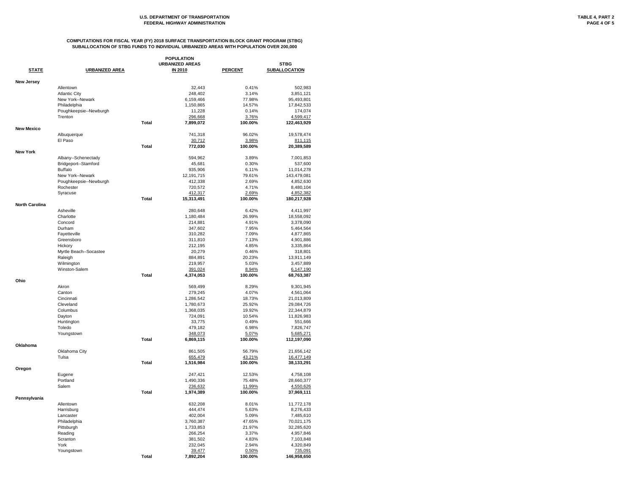| <b>POPULATION</b>     |                        |              |                        |                |                      |
|-----------------------|------------------------|--------------|------------------------|----------------|----------------------|
|                       |                        |              | <b>URBANIZED AREAS</b> |                | <b>STBG</b>          |
| <b>STATE</b>          | <b>URBANIZED AREA</b>  |              | <b>IN 2010</b>         | <b>PERCENT</b> | <b>SUBALLOCATION</b> |
| <b>New Jersey</b>     |                        |              |                        |                |                      |
|                       | Allentown              |              | 32,443                 | 0.41%          | 502,983              |
|                       | <b>Atlantic City</b>   |              | 248,402                | 3.14%          | 3,851,121            |
|                       | New York--Newark       |              | 6,159,466              | 77.98%         | 95,493,801           |
|                       | Philadelphia           |              | 1,150,865              | 14.57%         | 17,842,533           |
|                       |                        |              |                        |                |                      |
|                       | Poughkeepsie--Newburgh |              | 11,228                 | 0.14%          | 174,074              |
|                       | Trenton                |              | 296,668                | 3.76%          | 4,599,417            |
|                       |                        | <b>Total</b> | 7,899,072              | 100.00%        | 122,463,929          |
| <b>New Mexico</b>     | Albuquerque            |              | 741,318                | 96.02%         | 19,578,474           |
|                       | El Paso                |              |                        |                |                      |
|                       |                        |              | 30,712                 | 3.98%          | 811,115              |
| <b>New York</b>       |                        | <b>Total</b> | 772,030                | 100.00%        | 20,389,589           |
|                       | Albany--Schenectady    |              | 594,962                | 3.89%          | 7,001,853            |
|                       |                        |              | 45,681                 | 0.30%          |                      |
|                       | Bridgeport--Stamford   |              |                        |                | 537,600              |
|                       | <b>Buffalo</b>         |              | 935,906                | 6.11%          | 11,014,278           |
|                       | New York--Newark       |              | 12,191,715             | 79.61%         | 143,479,081          |
|                       | Poughkeepsie--Newburgh |              | 412,338                | 2.69%          | 4,852,630            |
|                       | Rochester              |              | 720,572                | 4.71%          | 8,480,104            |
|                       | Syracuse               |              | 412,317                | 2.69%          | 4,852,382            |
|                       |                        | <b>Total</b> | 15,313,491             | 100.00%        | 180,217,928          |
| <b>North Carolina</b> |                        |              |                        |                |                      |
|                       | Asheville              |              | 280,648                | 6.42%          | 4,411,997            |
|                       | Charlotte              |              | 1,180,484              | 26.99%         | 18,558,092           |
|                       | Concord                |              | 214,881                | 4.91%          | 3,378,090            |
|                       | Durham                 |              | 347,602                | 7.95%          |                      |
|                       |                        |              |                        |                | 5,464,564            |
|                       | Fayetteville           |              | 310,282                | 7.09%          | 4,877,865            |
|                       | Greensboro             |              | 311,810                | 7.13%          | 4,901,886            |
|                       | Hickory                |              | 212,195                | 4.85%          | 3,335,864            |
|                       | Myrtle Beach--Socastee |              | 20,279                 | 0.46%          | 318,801              |
|                       | Raleigh                |              | 884,891                | 20.23%         | 13,911,149           |
|                       | Wilmington             |              | 219,957                | 5.03%          | 3,457,889            |
|                       | Winston-Salem          |              | 391,024                | 8.94%          | 6,147,190            |
|                       |                        | <b>Total</b> | 4,374,053              | 100.00%        | 68,763,387           |
| Ohio                  |                        |              |                        |                |                      |
|                       | Akron                  |              | 569,499                | 8.29%          | 9,301,945            |
|                       | Canton                 |              | 279,245                | 4.07%          | 4,561,064            |
|                       | Cincinnati             |              | 1,286,542              | 18.73%         | 21,013,809           |
|                       | Cleveland              |              | 1,780,673              | 25.92%         | 29,084,726           |
|                       | Columbus               |              | 1,368,035              | 19.92%         | 22,344,879           |
|                       |                        |              |                        |                |                      |
|                       | Dayton                 |              | 724,091                | 10.54%         | 11,826,983           |
|                       | Huntington             |              | 33,775                 | 0.49%          | 551,666              |
|                       | Toledo                 |              | 479,182                | 6.98%          | 7,826,747            |
|                       | Youngstown             |              | 348,073                | 5.07%          | 5,685,271            |
|                       |                        | <b>Total</b> | 6,869,115              | 100.00%        | 112,197,090          |
| Oklahoma              |                        |              |                        |                |                      |
|                       | Oklahoma City          |              | 861,505                | 56.79%         | 21,656,142           |
|                       | Tulsa                  |              | 655,479                | 43.21%         | 16,477,149           |
|                       |                        | <b>Total</b> | 1,516,984              | 100.00%        | 38,133,291           |
| Oregon                |                        |              |                        |                |                      |
|                       | Eugene                 |              | 247,421                | 12.53%         | 4,758,108            |
|                       | Portland               |              | 1,490,336              | 75.48%         | 28,660,377           |
|                       | Salem                  |              | 236,632                | 11.99%         | 4,550,626            |
|                       |                        | <b>Total</b> | 1,974,389              | 100.00%        | 37,969,111           |
| Pennsylvania          |                        |              |                        |                |                      |
|                       | Allentown              |              | 632,208                | 8.01%          | 11,772,178           |
|                       | Harrisburg             |              | 444,474                | 5.63%          | 8,276,433            |
|                       | Lancaster              |              | 402,004                | 5.09%          | 7,485,610            |
|                       | Philadelphia           |              | 3,760,387              | 47.65%         | 70,021,175           |
|                       | Pittsburgh             |              | 1,733,853              | 21.97%         | 32,285,620           |
|                       | Reading                |              | 266,254                | 3.37%          | 4,957,846            |
|                       |                        |              |                        |                |                      |
|                       | Scranton               |              | 381,502                | 4.83%          | 7,103,848            |
|                       | York                   |              | 232,045                | 2.94%          | 4,320,849            |
|                       | Youngstown             |              | 39,477                 | 0.50%          | 735,091              |
|                       |                        | <b>Total</b> | 7,892,204              | 100.00%        | 146,958,650          |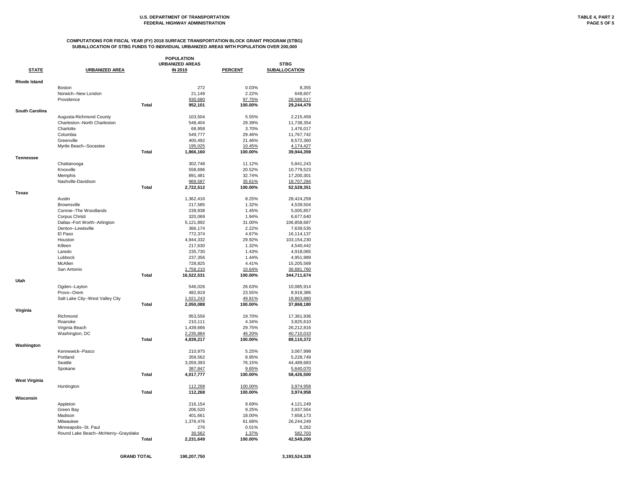|                       |                                      |              | <b>POPULATION</b>      |                |                      |
|-----------------------|--------------------------------------|--------------|------------------------|----------------|----------------------|
|                       |                                      |              | <b>URBANIZED AREAS</b> |                | <b>STBG</b>          |
| <b>STATE</b>          | <b>URBANIZED AREA</b>                |              | <b>IN 2010</b>         | <b>PERCENT</b> | <b>SUBALLOCATION</b> |
| <b>Rhode Island</b>   |                                      |              |                        |                |                      |
|                       | <b>Boston</b>                        |              | 272                    | 0.03%          | 8,355                |
|                       | Norwich--New London                  |              | 21,149                 | 2.22%          | 649,607              |
|                       | Providence                           |              | 930,680                | 97.75%         | 28,586,517           |
|                       |                                      | <b>Total</b> | 952,101                | 100.00%        | 29,244,479           |
| <b>South Carolina</b> |                                      |              |                        |                |                      |
|                       | Augusta-Richmond County              |              | 103,504                | 5.55%          | 2,215,459            |
|                       | Charleston--North Charleston         |              | 548,404                | 29.39%         | 11,738,354           |
|                       | Charlotte                            |              | 68,958                 | 3.70%          | 1,476,017            |
|                       | Columbia                             |              | 549,777                | 29.46%         | 11,767,742           |
|                       | Greenville                           |              | 400,492                | 21.46%         | 8,572,360            |
|                       | Myrtle Beach--Socastee               |              | 195,025                | 10.45%         | 4,174,427            |
|                       |                                      | <b>Total</b> | 1,866,160              | 100.00%        | 39,944,359           |
| <b>Tennessee</b>      |                                      |              |                        |                |                      |
|                       | Chattanooga                          |              | 302,748                | 11.12%         | 5,841,243            |
|                       | Knoxville                            |              | 558,696                | 20.52%         | 10,779,523           |
|                       | Memphis                              |              | 891,481                | 32.74%         | 17,200,301           |
|                       | Nashville-Davidson                   |              | 969,587                | 35.61%         | 18,707,284           |
|                       |                                      | <b>Total</b> | 2,722,512              | 100.00%        | 52,528,351           |
| <b>Texas</b>          | Austin                               |              | 1,362,416              | 8.25%          | 28,424,259           |
|                       | <b>Brownsville</b>                   |              | 217,585                | 1.32%          | 4,539,504            |
|                       | Conroe--The Woodlands                |              | 239,938                | 1.45%          | 5,005,857            |
|                       | Corpus Christi                       |              | 320,069                | 1.94%          | 6,677,640            |
|                       | Dallas--Fort Worth--Arlington        |              | 5,121,892              | 31.00%         | 106,858,687          |
|                       | Denton--Lewisville                   |              | 366,174                | 2.22%          | 7,639,535            |
|                       | El Paso                              |              | 772,374                | 4.67%          | 16,114,137           |
|                       | Houston                              |              | 4,944,332              | 29.92%         | 103,154,230          |
|                       | Killeen                              |              | 217,630                | 1.32%          | 4,540,442            |
|                       | Laredo                               |              | 235,730                | 1.43%          | 4,918,065            |
|                       | Lubbock                              |              | 237,356                | 1.44%          |                      |
|                       | McAllen                              |              | 728,825                | 4.41%          | 4,951,989            |
|                       |                                      |              |                        |                | 15,205,569           |
|                       | San Antonio                          |              | 1,758,210              | 10.64%         | 36,681,760           |
| Utah                  |                                      | <b>Total</b> | 16,522,531             | 100.00%        | 344,711,674          |
|                       | Ogden--Layton                        |              | 546,026                | 26.63%         | 10,085,914           |
|                       | Provo--Orem                          |              | 482,819                | 23.55%         | 8,918,386            |
|                       | Salt Lake City--West Valley City     |              | 1,021,243              | 49.81%         | 18,863,880           |
|                       |                                      | <b>Total</b> | 2,050,088              | 100.00%        | 37,868,180           |
| Virginia              |                                      |              |                        |                |                      |
|                       | Richmond                             |              | 953,556                | 19.70%         | 17,361,936           |
|                       | Roanoke                              |              | 210,111                | 4.34%          | 3,825,610            |
|                       | Virginia Beach                       |              | 1,439,666              | 29.75%         | 26,212,816           |
|                       | Washington, DC                       |              | 2,235,884              | 46.20%         | 40,710,010           |
|                       |                                      | <b>Total</b> | 4,839,217              | 100.00%        | 88,110,372           |
| Washington            |                                      |              |                        |                |                      |
|                       | Kennewick--Pasco                     |              | 210,975                | 5.25%          | 3,067,998            |
|                       | Portland                             |              | 359,562                | 8.95%          | 5,228,749            |
|                       | Seattle                              |              | 3,059,393              | 76.15%         | 44,489,683           |
|                       | Spokane                              |              | 387,847                | 9.65%          | 5,640,070            |
|                       |                                      | <b>Total</b> | 4,017,777              | 100.00%        | 58,426,500           |
| <b>West Virginia</b>  |                                      |              |                        |                |                      |
|                       | Huntington                           |              | 112,268                | 100.00%        | 3,974,958            |
|                       |                                      | <b>Total</b> | 112,268                | 100.00%        | 3,974,958            |
| Wisconsin             |                                      |              |                        |                |                      |
|                       | Appleton                             |              | 216,154                | 9.69%          | 4,121,249            |
|                       | Green Bay                            |              | 206,520                | 9.25%          | 3,937,564            |
|                       | Madison                              |              | 401,661                | 18.00%         | 7,658,173            |
|                       | Milwaukee                            |              | 1,376,476              | 61.68%         | 26,244,249           |
|                       | Minneapolis--St. Paul                |              | 276                    | 0.01%          | 5,262                |
|                       | Round Lake Beach--McHenry--Grayslake |              | 30,562                 | 1.37%          | 582,703              |
|                       |                                      | <b>Total</b> | 2,231,649              | 100.00%        | 42,549,200           |
|                       |                                      |              |                        |                |                      |

#### **COMPUTATIONS FOR FISCAL YEAR (FY) 2018 SURFACE TRANSPORTATION BLOCK GRANT PROGRAM (STBG) SUBALLOCATION OF STBG FUNDS TO INDIVIDUAL URBANIZED AREAS WITH POPULATION OVER 200,000**

**GRAND TOTAL 190,207,750 3,193,524,328**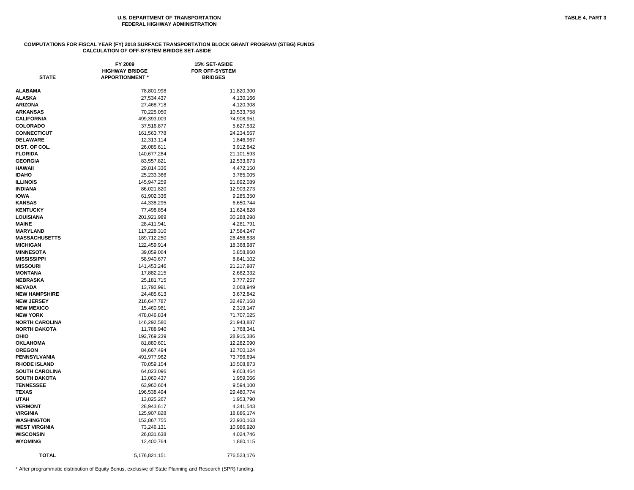#### **COMPUTATIONS FOR FISCAL YEAR (FY) 2018 SURFACE TRANSPORTATION BLOCK GRANT PROGRAM (STBG) FUNDS CALCULATION OF OFF-SYSTEM BRIDGE SET-ASIDE**

| <b>STATE</b>          | FY 2009<br><b>HIGHWAY BRIDGE</b><br><b>APPORTIONMENT *</b> | 15% SET-ASIDE<br><b>FOR OFF-SYSTEM</b><br><b>BRIDGES</b> |
|-----------------------|------------------------------------------------------------|----------------------------------------------------------|
| ALABAMA               | 78,801,998                                                 | 11,820,300                                               |
| ALASKA                | 27,534,437                                                 | 4,130,166                                                |
| ARIZONA               | 27,468,718                                                 | 4,120,308                                                |
| ARKANSAS              | 70,225,050                                                 | 10,533,758                                               |
| CALIFORNIA            | 499,393,009                                                | 74,908,951                                               |
| <b>COLORADO</b>       | 37,516,877                                                 | 5,627,532                                                |
| <b>CONNECTICUT</b>    | 161,563,778                                                | 24,234,567                                               |
| <b>DELAWARE</b>       | 12,313,114                                                 | 1,846,967                                                |
| DIST. OF COL.         | 26,085,611                                                 | 3,912,842                                                |
| <b>FLORIDA</b>        | 140,677,284                                                | 21,101,593                                               |
| <b>GEORGIA</b>        | 83,557,821                                                 | 12,533,673                                               |
| HAWAII                | 29,814,336                                                 | 4,472,150                                                |
| <b>IDAHO</b>          | 25,233,366                                                 | 3,785,005                                                |
| <b>ILLINOIS</b>       | 145,947,259                                                | 21,892,089                                               |
| <b>INDIANA</b>        | 86,021,820                                                 | 12,903,273                                               |
| <b>IOWA</b>           | 61,902,336                                                 | 9,285,350                                                |
| <b>KANSAS</b>         | 44,338,295                                                 | 6,650,744                                                |
| <b>KENTUCKY</b>       | 77,498,854                                                 | 11,624,828                                               |
| LOUISIANA             | 201,921,989                                                | 30,288,298                                               |
| MAINE                 | 28,411,941                                                 | 4,261,791                                                |
| <b>MARYLAND</b>       | 117,228,310                                                | 17,584,247                                               |
| <b>MASSACHUSETTS</b>  | 189,712,250                                                | 28,456,838                                               |
| <b>MICHIGAN</b>       | 122,459,914                                                | 18,368,987                                               |
| <b>MINNESOTA</b>      | 39,059,064                                                 | 5,858,860                                                |
| MISSISSIPPI           | 58,940,677                                                 | 8,841,102                                                |
| <b>MISSOURI</b>       | 141,453,246                                                | 21,217,987                                               |
| MONTANA               | 17,882,215                                                 | 2,682,332                                                |
| NEBRASKA              | 25, 181, 715                                               | 3,777,257                                                |
| <b>NEVADA</b>         | 13,792,991                                                 | 2,068,949                                                |
| <b>NEW HAMPSHIRE</b>  | 24,485,613                                                 | 3,672,842                                                |
| <b>NEW JERSEY</b>     | 216,647,787                                                | 32,497,168                                               |
| <b>NEW MEXICO</b>     | 15,460,981                                                 | 2,319,147                                                |
| NEW YORK              | 478,046,834                                                | 71,707,025                                               |
| <b>NORTH CAROLINA</b> | 146,292,580                                                | 21,943,887                                               |
| <b>NORTH DAKOTA</b>   | 11,788,940                                                 | 1,768,341                                                |
| OHIO                  | 192,769,239                                                | 28,915,386                                               |
| OKLAHOMA              | 81,880,601                                                 | 12,282,090                                               |
| OREGON                | 84,667,494                                                 | 12,700,124                                               |
| PENNSYLVANIA          | 491,977,962                                                | 73,796,694                                               |
| <b>RHODE ISLAND</b>   | 70,059,154                                                 | 10,508,873                                               |
| SOUTH CAROLINA        | 64,023,096                                                 | 9,603,464                                                |
| <b>SOUTH DAKOTA</b>   | 13,060,437                                                 | 1,959,066                                                |
| <b>TENNESSEE</b>      | 63,960,664                                                 | 9,594,100                                                |
| TEXAS                 | 196,538,494                                                | 29,480,774                                               |
| UTAH                  | 13,025,267                                                 | 1,953,790                                                |
| <b>VERMONT</b>        | 28,943,617                                                 | 4,341,543                                                |
| VIRGINIA              | 125,907,828                                                | 18,886,174                                               |
| <b>WASHINGTON</b>     | 152,867,755                                                | 22,930,163                                               |
| <b>WEST VIRGINIA</b>  | 73,246,131                                                 | 10,986,920                                               |
| <b>WISCONSIN</b>      | 26,831,638                                                 | 4,024,746                                                |
| WYOMING               | 12,400,764                                                 | 1,860,115                                                |
| <b>TOTAL</b>          | 5,176,821,151                                              | 776,523,176                                              |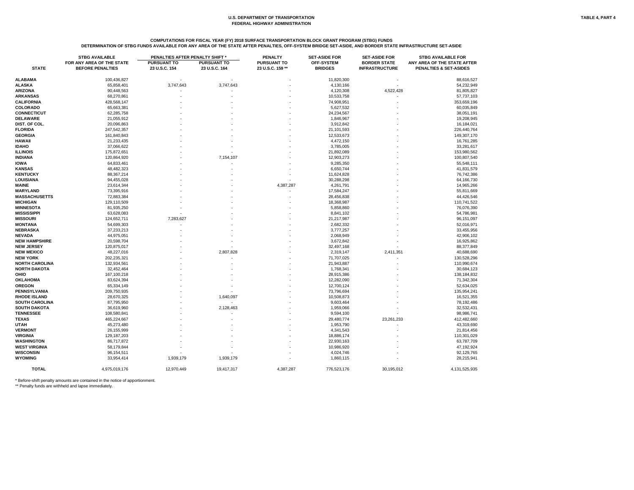# **COMPUTATIONS FOR FISCAL YEAR (FY) 2018 SURFACE TRANSPORTATION BLOCK GRANT PROGRAM (STBG) FUNDS DETERMINATION OF STBG FUNDS AVAILABLE FOR ANY AREA OF THE STATE AFTER PENALTIES, OFF-SYSTEM BRIDGE SET-ASIDE, AND BORDER STATE INFRASTRUCTURE SET-ASIDE**

|                       | <b>STBG AVAILABLE</b><br>FOR ANY AREA OF THE STATE | PENALTIES AFTER PENALTY SHIFT *<br><b>PURSUANT TO</b> | <b>PURSUANT TO</b> | <b>PENALTY</b><br><b>PURSUANT TO</b> | <b>SET-ASIDE FOR</b><br><b>OFF-SYSTEM</b> | <b>SET-ASIDE FOR</b><br><b>BORDER STATE</b> | <b>STBG AVAILABLE FOR</b><br>ANY AREA OF THE STATE AFTER |
|-----------------------|----------------------------------------------------|-------------------------------------------------------|--------------------|--------------------------------------|-------------------------------------------|---------------------------------------------|----------------------------------------------------------|
| <b>STATE</b>          | <b>BEFORE PENALTIES</b>                            | 23 U.S.C. 154                                         | 23 U.S.C. 164      | 23 U.S.C. 159 **                     | <b>BRIDGES</b>                            | <b>INFRASTRUCTURE</b>                       | PENALTIES & SET-ASIDES                                   |
| <b>ALABAMA</b>        | 100,436,827                                        |                                                       |                    |                                      | 11,820,300                                |                                             | 88,616,527                                               |
| <b>ALASKA</b>         | 65,858,401                                         | 3,747,643                                             | 3,747,643          |                                      | 4,130,166                                 |                                             | 54,232,949                                               |
| <b>ARIZONA</b>        | 90,448,563                                         |                                                       |                    |                                      | 4,120,308                                 | 4,522,428                                   | 81,805,827                                               |
| <b>ARKANSAS</b>       | 68,270,861                                         |                                                       |                    |                                      | 10,533,758                                |                                             | 57,737,103                                               |
| <b>CALIFORNIA</b>     | 428,568,147                                        |                                                       |                    |                                      | 74,908,951                                |                                             | 353,659,196                                              |
| <b>COLORADO</b>       | 65,663,381                                         |                                                       |                    |                                      | 5,627,532                                 |                                             | 60,035,849                                               |
| <b>CONNECTICUT</b>    | 62,285,758                                         |                                                       |                    |                                      | 24,234,567                                |                                             | 38,051,191                                               |
| <b>DELAWARE</b>       | 21,055,912                                         |                                                       |                    |                                      | 1,846,967                                 |                                             | 19,208,945                                               |
| DIST. OF COL.         | 20,096,863                                         |                                                       |                    |                                      |                                           |                                             |                                                          |
| <b>FLORIDA</b>        |                                                    |                                                       |                    |                                      | 3,912,842                                 |                                             | 16,184,021                                               |
|                       | 247,542,357                                        |                                                       |                    |                                      | 21,101,593                                |                                             | 226,440,764                                              |
| <b>GEORGIA</b>        | 161,840,843                                        |                                                       |                    |                                      | 12,533,673                                |                                             | 149,307,170                                              |
| <b>HAWAII</b>         | 21,233,435                                         |                                                       |                    |                                      | 4,472,150                                 |                                             | 16,761,285                                               |
| <b>IDAHO</b>          | 37,066,622                                         |                                                       |                    |                                      | 3,785,005                                 |                                             | 33,281,617                                               |
| <b>ILLINOIS</b>       | 175,872,651                                        |                                                       |                    |                                      | 21,892,089                                |                                             | 153,980,562                                              |
| <b>INDIANA</b>        | 120,864,920                                        |                                                       | 7,154,107          |                                      | 12,903,273                                |                                             | 100,807,540                                              |
| <b>IOWA</b>           | 64,833,461                                         |                                                       |                    |                                      | 9,285,350                                 |                                             | 55,548,111                                               |
| <b>KANSAS</b>         | 48,482,323                                         |                                                       |                    |                                      | 6,650,744                                 |                                             | 41,831,579                                               |
| <b>KENTUCKY</b>       | 88,367,214                                         |                                                       |                    |                                      | 11,624,828                                |                                             | 76,742,386                                               |
| <b>LOUISIANA</b>      | 94,455,028                                         |                                                       |                    |                                      | 30,288,298                                |                                             | 64,166,730                                               |
| <b>MAINE</b>          | 23,614,344                                         |                                                       |                    | 4,387,287                            | 4,261,791                                 |                                             | 14,965,266                                               |
| <b>MARYLAND</b>       | 73,395,916                                         |                                                       |                    |                                      | 17,584,247                                |                                             | 55,811,669                                               |
| <b>MASSACHUSETTS</b>  | 72,883,384                                         |                                                       |                    |                                      | 28,456,838                                |                                             | 44,426,546                                               |
| <b>MICHIGAN</b>       | 129,110,509                                        |                                                       |                    |                                      | 18,368,987                                |                                             | 110,741,522                                              |
| <b>MINNESOTA</b>      | 81,935,250                                         |                                                       |                    |                                      | 5,858,860                                 |                                             | 76,076,390                                               |
| <b>MISSISSIPPI</b>    | 63,628,083                                         |                                                       |                    |                                      | 8,841,102                                 |                                             | 54,786,981                                               |
| <b>MISSOURI</b>       | 124,652,711                                        | 7,283,627                                             |                    |                                      | 21,217,987                                |                                             | 96,151,097                                               |
| <b>MONTANA</b>        | 54,699,303                                         |                                                       |                    |                                      | 2,682,332                                 |                                             | 52,016,971                                               |
| <b>NEBRASKA</b>       | 37,233,213                                         |                                                       |                    |                                      | 3,777,257                                 |                                             | 33,455,956                                               |
| <b>NEVADA</b>         | 44,975,051                                         |                                                       |                    |                                      | 2,068,949                                 |                                             | 42,906,102                                               |
| <b>NEW HAMPSHIRE</b>  | 20,598,704                                         |                                                       |                    |                                      | 3,672,842                                 |                                             | 16,925,862                                               |
| <b>NEW JERSEY</b>     | 120,875,017                                        |                                                       |                    |                                      | 32,497,168                                |                                             | 88,377,849                                               |
| <b>NEW MEXICO</b>     | 48,227,016                                         |                                                       | 2,807,828          |                                      | 2,319,147                                 | 2,411,351                                   | 40,688,690                                               |
| <b>NEW YORK</b>       | 202,235,321                                        |                                                       |                    |                                      | 71,707,025                                |                                             | 130,528,296                                              |
| <b>NORTH CAROLINA</b> | 132,934,561                                        |                                                       |                    |                                      | 21,943,887                                |                                             | 110,990,674                                              |
| <b>NORTH DAKOTA</b>   | 32,452,464                                         |                                                       |                    |                                      | 1,768,341                                 |                                             | 30,684,123                                               |
| <b>OHIO</b>           | 167,100,218                                        |                                                       |                    |                                      | 28,915,386                                |                                             | 138,184,832                                              |
| <b>OKLAHOMA</b>       | 83,624,394                                         |                                                       |                    |                                      | 12,282,090                                |                                             | 71,342,304                                               |
| <b>OREGON</b>         | 65,334,149                                         |                                                       |                    |                                      | 12,700,124                                |                                             | 52,634,025                                               |
| <b>PENNSYLVANIA</b>   | 209,750,935                                        |                                                       |                    |                                      | 73,796,694                                |                                             | 135,954,241                                              |
| <b>RHODE ISLAND</b>   | 28,670,325                                         |                                                       | 1,640,097          |                                      | 10,508,873                                |                                             | 16,521,355                                               |
| <b>SOUTH CAROLINA</b> | 87,795,950                                         |                                                       |                    |                                      | 9,603,464                                 |                                             | 78,192,486                                               |
| <b>SOUTH DAKOTA</b>   | 36,619,960                                         |                                                       |                    |                                      | 1,959,066                                 |                                             | 32,532,431                                               |
|                       |                                                    |                                                       | 2,128,463          |                                      |                                           |                                             |                                                          |
| <b>TENNESSEE</b>      | 108,580,841                                        |                                                       |                    |                                      | 9,594,100                                 |                                             | 98,986,741                                               |
| <b>TEXAS</b>          | 465,224,667                                        |                                                       |                    |                                      | 29,480,774                                | 23,261,233                                  | 412,482,660                                              |
| <b>UTAH</b>           | 45,273,480                                         |                                                       |                    |                                      | 1,953,790                                 |                                             | 43,319,690                                               |
| <b>VERMONT</b>        | 26,155,999                                         |                                                       |                    |                                      | 4,341,543                                 |                                             | 21,814,456                                               |
| <b>VIRGINIA</b>       | 129, 187, 203                                      |                                                       |                    |                                      | 18,886,174                                |                                             | 110,301,029                                              |
| <b>WASHINGTON</b>     | 86,717,872                                         |                                                       |                    |                                      | 22,930,163                                |                                             | 63,787,709                                               |
| <b>WEST VIRGINIA</b>  | 58,179,844                                         |                                                       |                    |                                      | 10,986,920                                |                                             | 47,192,924                                               |
| <b>WISCONSIN</b>      | 96,154,511                                         |                                                       |                    |                                      | 4,024,746                                 |                                             | 92,129,765                                               |
| <b>WYOMING</b>        | 33,954,414                                         | 1,939,179                                             | 1,939,179          |                                      | 1,860,115                                 |                                             | 28,215,941                                               |
| <b>TOTAL</b>          | 4,975,019,176                                      | 12,970,449                                            | 19,417,317         | 4,387,287                            | 776,523,176                               | 30,195,012                                  | 4,131,525,935                                            |

\* Before-shift penalty amounts are contained in the notice of apportionment.

\*\* Penalty funds are withheld and lapse immediately.

| 88,616,527               |
|--------------------------|
| 54,232,949               |
| 81,805,827               |
| 57,737,103               |
| 353,659,196              |
| 60,035,849               |
| 38,051,191               |
|                          |
| 19,208,945               |
| 16,184,021               |
| 226,440,764              |
| 149,307,170              |
| 16,761,285               |
| 33,281,617               |
| 153,980,562              |
| 100,807,540              |
| 55,548,111               |
|                          |
| 41,831,579               |
| 76,742,386               |
| 64,166,730               |
| 14,965,266               |
| 55,811,669               |
| 44,426,546               |
| 110,741,522              |
| 76,076,390               |
| 54,786,981               |
| 96, 151, 097             |
| 52,016,971               |
|                          |
| 33,455,956               |
| 42,906,102               |
| 16,925,862               |
| 88,377,849               |
|                          |
| 40,688,690               |
| 130,528,296              |
|                          |
| 110,990,674              |
| 30,684,123               |
| 138,184,832              |
| 71,342,304               |
| 52,634,025               |
| 35,954,241               |
| 16,521,355               |
| 78,192,486               |
| 32,532,431               |
| 98,986,741               |
|                          |
| 412,482,660              |
| 43,319,690               |
| 21,814,456               |
| 110,301,029              |
| 63,787,709               |
| 47,192,924               |
| 92,129,765<br>28,215,941 |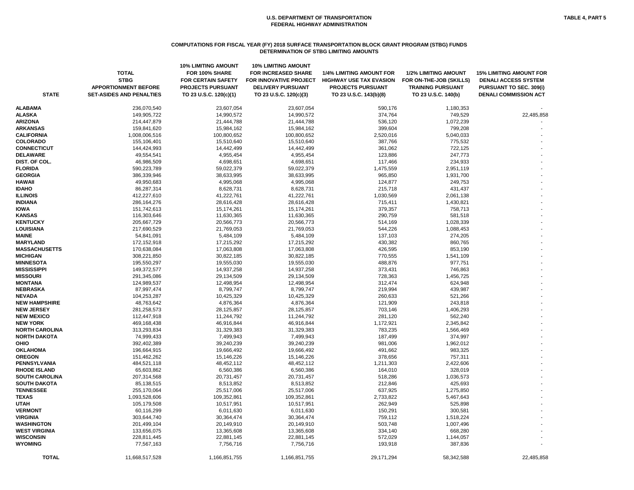#### **COMPUTATIONS FOR FISCAL YEAR (FY) 2018 SURFACE TRANSPORTATION BLOCK GRANT PROGRAM (STBG) FUNDS DETERMINATION OF STBG LIMITING AMOUNTS**

| <b>STATE</b>          | <b>TOTAL</b><br><b>STBG</b><br><b>APPORTIONMENT BEFORE</b><br><b>SET-ASIDES AND PENALTIES</b> | <b>10% LIMITING AMOUNT</b><br>FOR 100% SHARE<br><b>FOR CERTAIN SAFETY</b><br><b>PROJECTS PURSUANT</b><br>TO 23 U.S.C. 120(c)(1) | <b>10% LIMITING AMOUNT</b><br><b>FOR INCREASED SHARE</b><br>FOR INNOVATIVE PROJECT<br><b>DELIVERY PURSUANT</b><br>TO 23 U.S.C. 120(c)(3) | <b>1/4% LIMITING AMOUNT FOR</b><br><b>HIGHWAY USE TAX EVASION</b><br><b>PROJECTS PURSUANT</b><br>TO 23 U.S.C. 143(b)(8) | <b>1/2% LIMITING AMOUNT</b><br>FOR ON-THE-JOB (SKILLS)<br><b>TRAINING PURSUANT</b><br>TO 23 U.S.C. 140(b) | <b>15% LIMITING AMOUNT FOR</b><br><b>DENALI ACCESS SYSTEM</b><br><b>PURSUANT TO SEC. 309(i)</b><br><b>DENALI COMMISSION ACT</b> |
|-----------------------|-----------------------------------------------------------------------------------------------|---------------------------------------------------------------------------------------------------------------------------------|------------------------------------------------------------------------------------------------------------------------------------------|-------------------------------------------------------------------------------------------------------------------------|-----------------------------------------------------------------------------------------------------------|---------------------------------------------------------------------------------------------------------------------------------|
| <b>ALABAMA</b>        | 236,070,540                                                                                   | 23,607,054                                                                                                                      | 23,607,054                                                                                                                               | 590,176                                                                                                                 | 1,180,353                                                                                                 |                                                                                                                                 |
| <b>ALASKA</b>         | 149,905,722                                                                                   | 14,990,572                                                                                                                      | 14,990,572                                                                                                                               | 374,764                                                                                                                 | 749,529                                                                                                   | 22,485,858                                                                                                                      |
| <b>ARIZONA</b>        | 214,447,879                                                                                   | 21,444,788                                                                                                                      | 21,444,788                                                                                                                               | 536,120                                                                                                                 | 1,072,239                                                                                                 |                                                                                                                                 |
| <b>ARKANSAS</b>       | 159,841,620                                                                                   | 15,984,162                                                                                                                      | 15,984,162                                                                                                                               | 399,604                                                                                                                 | 799,208                                                                                                   |                                                                                                                                 |
| <b>CALIFORNIA</b>     | 1,008,006,516                                                                                 | 100,800,652                                                                                                                     | 100,800,652                                                                                                                              | 2,520,016                                                                                                               | 5,040,033                                                                                                 |                                                                                                                                 |
| <b>COLORADO</b>       | 155,106,401                                                                                   | 15,510,640                                                                                                                      | 15,510,640                                                                                                                               | 387,766                                                                                                                 | 775,532                                                                                                   |                                                                                                                                 |
| <b>CONNECTICUT</b>    | 144,424,993                                                                                   | 14,442,499                                                                                                                      | 14,442,499                                                                                                                               | 361,062                                                                                                                 | 722,125                                                                                                   |                                                                                                                                 |
| <b>DELAWARE</b>       | 49,554,541                                                                                    | 4,955,454                                                                                                                       | 4,955,454                                                                                                                                | 123,886                                                                                                                 | 247,773                                                                                                   |                                                                                                                                 |
| DIST. OF COL.         | 46,986,509                                                                                    | 4,698,651                                                                                                                       | 4,698,651                                                                                                                                | 117,466                                                                                                                 | 234,933                                                                                                   |                                                                                                                                 |
| <b>FLORIDA</b>        | 590,223,789                                                                                   | 59,022,379                                                                                                                      | 59,022,379                                                                                                                               | 1,475,559                                                                                                               | 2,951,119                                                                                                 |                                                                                                                                 |
| <b>GEORGIA</b>        | 386,339,946                                                                                   | 38,633,995                                                                                                                      | 38,633,995                                                                                                                               | 965,850                                                                                                                 | 1,931,700                                                                                                 |                                                                                                                                 |
| <b>HAWAII</b>         | 49,950,683                                                                                    | 4,995,068                                                                                                                       | 4,995,068                                                                                                                                | 124,877                                                                                                                 | 249,753                                                                                                   |                                                                                                                                 |
| <b>IDAHO</b>          | 86,287,314                                                                                    | 8,628,731                                                                                                                       | 8,628,731                                                                                                                                | 215,718                                                                                                                 | 431,437                                                                                                   |                                                                                                                                 |
| <b>ILLINOIS</b>       | 412,227,610                                                                                   | 41,222,761                                                                                                                      | 41,222,761                                                                                                                               | 1,030,569                                                                                                               | 2,061,138                                                                                                 |                                                                                                                                 |
| <b>INDIANA</b>        | 286, 164, 276                                                                                 | 28,616,428                                                                                                                      | 28,616,428                                                                                                                               | 715,411                                                                                                                 | 1,430,821                                                                                                 |                                                                                                                                 |
| <b>IOWA</b>           | 151,742,613                                                                                   | 15,174,261                                                                                                                      | 15,174,261                                                                                                                               | 379,357                                                                                                                 | 758,713                                                                                                   |                                                                                                                                 |
| <b>KANSAS</b>         | 116,303,646                                                                                   | 11,630,365                                                                                                                      | 11,630,365                                                                                                                               | 290,759                                                                                                                 | 581,518                                                                                                   |                                                                                                                                 |
| <b>KENTUCKY</b>       | 205,667,729                                                                                   | 20,566,773                                                                                                                      | 20,566,773                                                                                                                               | 514,169                                                                                                                 | 1,028,339                                                                                                 |                                                                                                                                 |
| <b>LOUISIANA</b>      | 217,690,529                                                                                   | 21,769,053                                                                                                                      | 21,769,053                                                                                                                               | 544,226                                                                                                                 | 1,088,453                                                                                                 |                                                                                                                                 |
| <b>MAINE</b>          | 54,841,091                                                                                    | 5,484,109                                                                                                                       | 5,484,109                                                                                                                                | 137,103                                                                                                                 | 274,205                                                                                                   |                                                                                                                                 |
| <b>MARYLAND</b>       | 172,152,918                                                                                   | 17,215,292                                                                                                                      | 17,215,292                                                                                                                               | 430,382                                                                                                                 | 860,765                                                                                                   |                                                                                                                                 |
| <b>MASSACHUSETTS</b>  | 170,638,084                                                                                   | 17,063,808                                                                                                                      | 17,063,808                                                                                                                               | 426,595                                                                                                                 | 853,190                                                                                                   |                                                                                                                                 |
| <b>MICHIGAN</b>       | 308,221,850                                                                                   | 30,822,185                                                                                                                      | 30,822,185                                                                                                                               | 770,555                                                                                                                 | 1,541,109                                                                                                 |                                                                                                                                 |
| <b>MINNESOTA</b>      | 195,550,297                                                                                   | 19,555,030                                                                                                                      | 19,555,030                                                                                                                               | 488,876                                                                                                                 | 977,751                                                                                                   |                                                                                                                                 |
| <b>MISSISSIPPI</b>    | 149,372,577                                                                                   | 14,937,258                                                                                                                      | 14,937,258                                                                                                                               | 373,431                                                                                                                 | 746,863                                                                                                   |                                                                                                                                 |
| <b>MISSOURI</b>       | 291,345,086                                                                                   | 29,134,509                                                                                                                      | 29,134,509                                                                                                                               | 728,363                                                                                                                 | 1,456,725                                                                                                 |                                                                                                                                 |
| <b>MONTANA</b>        | 124,989,537                                                                                   | 12,498,954                                                                                                                      | 12,498,954                                                                                                                               | 312,474                                                                                                                 | 624,948                                                                                                   |                                                                                                                                 |
| <b>NEBRASKA</b>       | 87,997,474                                                                                    | 8,799,747                                                                                                                       | 8,799,747                                                                                                                                | 219,994                                                                                                                 | 439,987                                                                                                   |                                                                                                                                 |
| <b>NEVADA</b>         | 104,253,287                                                                                   | 10,425,329                                                                                                                      | 10,425,329                                                                                                                               | 260,633                                                                                                                 | 521,266                                                                                                   |                                                                                                                                 |
| <b>NEW HAMPSHIRE</b>  | 48,763,642                                                                                    | 4,876,364                                                                                                                       | 4,876,364                                                                                                                                | 121,909                                                                                                                 | 243,818                                                                                                   |                                                                                                                                 |
| <b>NEW JERSEY</b>     | 281,258,573                                                                                   | 28,125,857                                                                                                                      | 28,125,857                                                                                                                               | 703,146                                                                                                                 | 1,406,293                                                                                                 |                                                                                                                                 |
| <b>NEW MEXICO</b>     | 112,447,918                                                                                   | 11,244,792                                                                                                                      | 11,244,792                                                                                                                               | 281,120                                                                                                                 | 562,240                                                                                                   |                                                                                                                                 |
| <b>NEW YORK</b>       | 469,168,438                                                                                   | 46,916,844                                                                                                                      | 46,916,844                                                                                                                               | 1,172,921                                                                                                               | 2,345,842                                                                                                 |                                                                                                                                 |
| <b>NORTH CAROLINA</b> | 313,293,834                                                                                   | 31,329,383                                                                                                                      | 31,329,383                                                                                                                               | 783,235                                                                                                                 | 1,566,469                                                                                                 |                                                                                                                                 |
| <b>NORTH DAKOTA</b>   | 74,999,433                                                                                    | 7,499,943                                                                                                                       | 7,499,943                                                                                                                                | 187,499                                                                                                                 | 374,997                                                                                                   |                                                                                                                                 |
| <b>OHIO</b>           | 392,402,389                                                                                   | 39,240,239                                                                                                                      | 39,240,239                                                                                                                               | 981,006                                                                                                                 | 1,962,012                                                                                                 |                                                                                                                                 |
| <b>OKLAHOMA</b>       | 196,664,915                                                                                   | 19,666,492                                                                                                                      | 19,666,492                                                                                                                               | 491,662                                                                                                                 | 983,325                                                                                                   |                                                                                                                                 |
| <b>OREGON</b>         | 151,462,262                                                                                   | 15,146,226                                                                                                                      | 15,146,226                                                                                                                               | 378,656                                                                                                                 | 757,311                                                                                                   |                                                                                                                                 |
| PENNSYLVANIA          | 484,521,118                                                                                   | 48,452,112                                                                                                                      | 48,452,112                                                                                                                               | 1,211,303                                                                                                               | 2,422,606                                                                                                 |                                                                                                                                 |
| <b>RHODE ISLAND</b>   | 65,603,862                                                                                    | 6,560,386                                                                                                                       | 6,560,386                                                                                                                                | 164,010                                                                                                                 | 328,019                                                                                                   |                                                                                                                                 |
| <b>SOUTH CAROLINA</b> | 207,314,568                                                                                   | 20,731,457                                                                                                                      | 20,731,457                                                                                                                               | 518,286                                                                                                                 | 1,036,573                                                                                                 |                                                                                                                                 |
| <b>SOUTH DAKOTA</b>   | 85,138,515                                                                                    | 8,513,852                                                                                                                       | 8,513,852                                                                                                                                | 212,846                                                                                                                 | 425,693                                                                                                   |                                                                                                                                 |
| <b>TENNESSEE</b>      | 255,170,064                                                                                   | 25,517,006                                                                                                                      | 25,517,006                                                                                                                               | 637,925                                                                                                                 | 1,275,850                                                                                                 |                                                                                                                                 |
| <b>TEXAS</b>          | 1,093,528,606                                                                                 | 109,352,861                                                                                                                     | 109,352,861                                                                                                                              | 2,733,822                                                                                                               | 5,467,643                                                                                                 |                                                                                                                                 |
| <b>UTAH</b>           | 105,179,508                                                                                   | 10,517,951                                                                                                                      | 10,517,951                                                                                                                               | 262,949                                                                                                                 | 525,898                                                                                                   |                                                                                                                                 |
| <b>VERMONT</b>        | 60,116,299                                                                                    | 6,011,630                                                                                                                       | 6,011,630                                                                                                                                | 150,291                                                                                                                 | 300,581                                                                                                   |                                                                                                                                 |
| <b>VIRGINIA</b>       | 303,644,740                                                                                   | 30,364,474                                                                                                                      | 30,364,474                                                                                                                               | 759,112                                                                                                                 | 1,518,224                                                                                                 |                                                                                                                                 |
| <b>WASHINGTON</b>     | 201,499,104                                                                                   | 20,149,910                                                                                                                      | 20,149,910                                                                                                                               | 503,748                                                                                                                 | 1,007,496                                                                                                 |                                                                                                                                 |
| <b>WEST VIRGINIA</b>  | 133,656,075                                                                                   | 13,365,608                                                                                                                      | 13,365,608                                                                                                                               | 334,140                                                                                                                 | 668,280                                                                                                   |                                                                                                                                 |
| <b>WISCONSIN</b>      | 228,811,445                                                                                   | 22,881,145                                                                                                                      | 22,881,145                                                                                                                               | 572,029                                                                                                                 | 1,144,057                                                                                                 |                                                                                                                                 |
| <b>WYOMING</b>        | 77,567,163                                                                                    | 7,756,716                                                                                                                       | 7,756,716                                                                                                                                | 193,918                                                                                                                 | 387,836                                                                                                   |                                                                                                                                 |
| <b>TOTAL</b>          | 11,668,517,528                                                                                | 1,166,851,755                                                                                                                   | 1,166,851,755                                                                                                                            | 29, 171, 294                                                                                                            | 58,342,588                                                                                                | 22,485,858                                                                                                                      |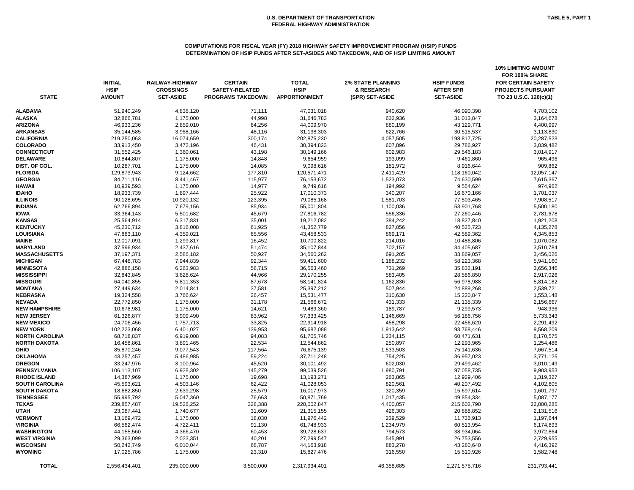#### **COMPUTATIONS FOR FISCAL YEAR (FY) 2018 HIGHWAY SAFETY IMPROVEMENT PROGRAM (HSIP) FUNDS DETERMINATION OF HSIP FUNDS AFTER SET-ASIDES AND TAKEDOWN, AND OF HSIP LIMITING AMOUNT**

| <b>STATE</b>          | <b>INITIAL</b><br><b>HSIP</b><br><b>AMOUNT</b> | RAILWAY-HIGHWAY<br><b>CROSSINGS</b><br><b>SET-ASIDE</b> | <b>CERTAIN</b><br><b>SAFETY-RELATED</b><br><b>PROGRAMS TAKEDOWN</b> | <b>TOTAL</b><br><b>HSIP</b><br><b>APPORTIONMENT</b> | <b>2% STATE PLANNING</b><br>& RESEARCH<br>(SPR) SET-ASIDE | <b>HSIP FUNDS</b><br><b>AFTER SPR</b><br><b>SET-ASIDE</b> | <b>10% LIMITING AMOUNT</b><br>FOR 100% SHARE<br><b>FOR CERTAIN SAFETY</b><br>PROJECTS PURSUANT<br>TO 23 U.S.C. 120(c)(1) |
|-----------------------|------------------------------------------------|---------------------------------------------------------|---------------------------------------------------------------------|-----------------------------------------------------|-----------------------------------------------------------|-----------------------------------------------------------|--------------------------------------------------------------------------------------------------------------------------|
| <b>ALABAMA</b>        | 51,940,249                                     | 4,838,120                                               | 71,111                                                              | 47,031,018                                          | 940,620                                                   | 46,090,398                                                | 4,703,102                                                                                                                |
| <b>ALASKA</b>         | 32,866,781                                     | 1,175,000                                               | 44,998                                                              | 31,646,783                                          | 632,936                                                   | 31,013,847                                                | 3,164,678                                                                                                                |
| <b>ARIZONA</b>        | 46,933,236                                     | 2,859,010                                               | 64,256                                                              | 44,009,970                                          | 880,199                                                   | 43,129,771                                                | 4,400,997                                                                                                                |
| <b>ARKANSAS</b>       | 35,144,585                                     | 3,958,166                                               | 48,116                                                              | 31,138,303                                          | 622,766                                                   | 30,515,537                                                | 3,113,830                                                                                                                |
| <b>CALIFORNIA</b>     | 219,250,063                                    | 16,074,659                                              | 300,174                                                             | 202,875,230                                         | 4,057,505                                                 | 198,817,725                                               | 20,287,523                                                                                                               |
| <b>COLORADO</b>       | 33,913,450                                     | 3,472,196                                               | 46,431                                                              | 30,394,823                                          | 607,896                                                   | 29,786,927                                                | 3,039,482                                                                                                                |
| <b>CONNECTICUT</b>    | 31,552,425                                     | 1,360,061                                               | 43,198                                                              | 30,149,166                                          | 602,983                                                   | 29,546,183                                                | 3,014,917                                                                                                                |
| <b>DELAWARE</b>       | 10,844,807                                     | 1,175,000                                               | 14,848                                                              | 9,654,959                                           | 193,099                                                   | 9,461,860                                                 | 965,496                                                                                                                  |
| DIST. OF COL.         | 10,287,701                                     | 1,175,000                                               | 14,085                                                              | 9,098,616                                           | 181,972                                                   | 8,916,644                                                 | 909,862                                                                                                                  |
| <b>FLORIDA</b>        | 129,873,943                                    | 9,124,662                                               | 177,810                                                             | 120,571,471                                         | 2,411,429                                                 | 118,160,042                                               | 12,057,147                                                                                                               |
| <b>GEORGIA</b>        | 84,711,116                                     | 8,441,467                                               | 115,977                                                             | 76,153,672                                          | 1,523,073                                                 | 74,630,599                                                | 7,615,367                                                                                                                |
| HAWAII                | 10,939,593                                     | 1,175,000                                               | 14,977                                                              | 9,749,616                                           | 194,992                                                   | 9,554,624                                                 | 974,962                                                                                                                  |
| <b>IDAHO</b>          | 18,933,739                                     | 1,897,444                                               | 25,922                                                              | 17,010,373                                          | 340,207                                                   | 16,670,166                                                | 1,701,037                                                                                                                |
| <b>ILLINOIS</b>       | 90,128,695                                     | 10,920,132                                              | 123,395                                                             | 79,085,168                                          | 1,581,703                                                 | 77,503,465                                                | 7,908,517                                                                                                                |
| <b>INDIANA</b>        | 62,766,894                                     | 7,679,156                                               | 85,934                                                              | 55,001,804                                          | 1,100,036                                                 | 53,901,768                                                | 5,500,180                                                                                                                |
| <b>IOWA</b>           | 33,364,143                                     | 5,501,682                                               | 45,679                                                              | 27,816,782                                          | 556,336                                                   | 27,260,446                                                | 2,781,678                                                                                                                |
| <b>KANSAS</b>         | 25,564,914                                     | 6,317,831                                               | 35,001                                                              | 19,212,082                                          | 384,242                                                   | 18,827,840                                                | 1,921,208                                                                                                                |
| <b>KENTUCKY</b>       | 45,230,712                                     | 3,816,008                                               | 61,925                                                              | 41,352,779                                          | 827,056                                                   | 40,525,723                                                | 4,135,278                                                                                                                |
| LOUISIANA             | 47,883,110                                     | 4,359,021                                               | 65,556                                                              | 43,458,533                                          | 869,171                                                   | 42,589,362                                                | 4,345,853                                                                                                                |
| <b>MAINE</b>          | 12,017,091                                     | 1,299,817                                               | 16,452                                                              | 10,700,822                                          | 214,016                                                   | 10,486,806                                                | 1,070,082                                                                                                                |
| <b>MARYLAND</b>       | 37,596,934                                     | 2,437,616                                               | 51,474                                                              | 35,107,844                                          | 702,157                                                   | 34,405,687                                                | 3,510,784                                                                                                                |
| <b>MASSACHUSETTS</b>  | 37, 197, 371                                   | 2,586,182                                               | 50,927                                                              | 34,560,262                                          | 691,205                                                   | 33,869,057                                                | 3,456,026                                                                                                                |
| <b>MICHIGAN</b>       | 67,448,783                                     | 7,944,839                                               | 92,344                                                              | 59,411,600                                          | 1,188,232                                                 | 58,223,368                                                | 5,941,160                                                                                                                |
| <b>MINNESOTA</b>      | 42,886,158                                     | 6,263,983                                               | 58,715                                                              | 36,563,460                                          | 731,269                                                   | 35,832,191                                                | 3,656,346                                                                                                                |
| <b>MISSISSIPPI</b>    | 32,843,845                                     | 3,628,624                                               | 44,966                                                              | 29,170,255                                          | 583,405                                                   | 28,586,850                                                | 2,917,026                                                                                                                |
| <b>MISSOURI</b>       | 64,040,855                                     | 5,811,353                                               | 87,678                                                              | 58,141,824                                          | 1,162,836                                                 | 56,978,988                                                | 5,814,182                                                                                                                |
| <b>MONTANA</b>        | 27,449,634                                     | 2,014,841                                               | 37,581                                                              | 25,397,212                                          | 507,944                                                   | 24,889,268                                                | 2,539,721                                                                                                                |
| <b>NEBRASKA</b>       | 19,324,558                                     | 3,766,624                                               | 26,457                                                              | 15,531,477                                          | 310,630                                                   | 15,220,847                                                | 1,553,148                                                                                                                |
| <b>NEVADA</b>         | 22,772,850                                     | 1,175,000                                               | 31,178                                                              | 21,566,672                                          | 431,333                                                   | 21,135,339                                                | 2,156,667                                                                                                                |
| <b>NEW HAMPSHIRE</b>  | 10,678,981                                     | 1,175,000                                               | 14,621                                                              | 9,489,360                                           | 189,787                                                   | 9,299,573                                                 | 948,936                                                                                                                  |
| <b>NEW JERSEY</b>     | 61,326,877                                     | 3,909,490                                               | 83,962                                                              | 57,333,425                                          | 1,146,669                                                 | 56,186,756                                                | 5,733,343                                                                                                                |
| <b>NEW MEXICO</b>     | 24,706,456                                     | 1,757,713                                               | 33,825                                                              | 22,914,918                                          | 458,298                                                   | 22,456,620                                                | 2,291,492                                                                                                                |
| <b>NEW YORK</b>       | 102,223,068                                    | 6,401,027                                               | 139,953                                                             | 95,682,088                                          | 1,913,642                                                 | 93,768,446                                                | 9,568,209                                                                                                                |
| <b>NORTH CAROLINA</b> | 68,718,837                                     | 6,919,008                                               | 94,083                                                              | 61,705,746                                          | 1,234,115                                                 | 60,471,631                                                | 6,170,575                                                                                                                |
| <b>NORTH DAKOTA</b>   | 16,458,861                                     | 3,891,465                                               | 22,534                                                              | 12,544,862                                          | 250,897                                                   | 12,293,965                                                | 1,254,486                                                                                                                |
| OHIO                  | 85,870,246                                     | 9,077,543                                               | 117,564                                                             | 76,675,139                                          | 1,533,503                                                 | 75,141,636                                                | 7,667,514                                                                                                                |
| <b>OKLAHOMA</b>       | 43,257,457                                     | 5,486,985                                               | 59,224                                                              | 37,711,248                                          | 754,225                                                   | 36,957,023                                                | 3,771,125                                                                                                                |
| <b>OREGON</b>         | 33,247,976                                     | 3,100,964                                               | 45,520                                                              | 30,101,492                                          | 602,030                                                   | 29,499,462                                                | 3,010,149                                                                                                                |
| PENNSYLVANIA          | 106,113,107                                    | 6,928,302                                               | 145,279                                                             | 99,039,526                                          | 1,980,791                                                 | 97,058,735                                                | 9,903,953                                                                                                                |
| <b>RHODE ISLAND</b>   | 14,387,969                                     | 1,175,000                                               | 19,698                                                              | 13,193,271                                          | 263,865                                                   | 12,929,406                                                | 1,319,327                                                                                                                |
| <b>SOUTH CAROLINA</b> | 45,593,621                                     | 4,503,146                                               | 62,422                                                              | 41,028,053                                          | 820,561                                                   | 40,207,492                                                | 4,102,805                                                                                                                |
| SOUTH DAKOTA          | 18,682,850                                     | 2,639,298                                               | 25,579                                                              | 16,017,973                                          | 320,359                                                   | 15,697,614                                                | 1,601,797                                                                                                                |
| <b>TENNESSEE</b>      | 55,995,792                                     | 5,047,360                                               | 76,663                                                              | 50,871,769                                          | 1,017,435                                                 | 49,854,334                                                | 5,087,177                                                                                                                |
| <b>TEXAS</b>          | 239,857,487                                    | 19,526,252                                              | 328,388                                                             | 220,002,847                                         | 4,400,057                                                 | 215,602,790                                               | 22,000,285                                                                                                               |
| <b>UTAH</b>           | 23,087,441                                     | 1,740,677                                               | 31,609                                                              | 21,315,155                                          | 426,303                                                   | 20,888,852                                                | 2,131,516                                                                                                                |
| <b>VERMONT</b>        | 13,169,472                                     | 1,175,000                                               | 18,030                                                              | 11,976,442                                          | 239,529                                                   | 11,736,913                                                | 1,197,644                                                                                                                |
| VIRGINIA              | 66,562,474                                     | 4,722,411                                               | 91,130                                                              | 61,748,933                                          | 1,234,979                                                 | 60,513,954                                                | 6,174,893                                                                                                                |
| WASHINGTON            | 44,155,560                                     | 4,366,470                                               | 60,453                                                              | 39,728,637                                          | 794,573                                                   | 38,934,064                                                | 3,972,864                                                                                                                |
| <b>WEST VIRGINIA</b>  | 29,363,099                                     | 2,023,351                                               | 40,201                                                              | 27,299,547                                          | 545,991                                                   | 26,753,556                                                | 2,729,955                                                                                                                |
| <b>WISCONSIN</b>      | 50,242,749                                     | 6,010,044                                               | 68,787                                                              | 44,163,918                                          | 883,278                                                   | 43,280,640                                                | 4,416,392                                                                                                                |
| <b>WYOMING</b>        | 17,025,786                                     | 1,175,000                                               | 23,310                                                              | 15,827,476                                          | 316,550                                                   | 15,510,926                                                | 1,582,748                                                                                                                |
|                       |                                                |                                                         |                                                                     |                                                     |                                                           |                                                           |                                                                                                                          |
| <b>TOTAL</b>          | 2,556,434,401                                  | 235,000,000                                             | 3,500,000                                                           | 2,317,934,401                                       | 46,358,685                                                | 2,271,575,716                                             | 231,793,441                                                                                                              |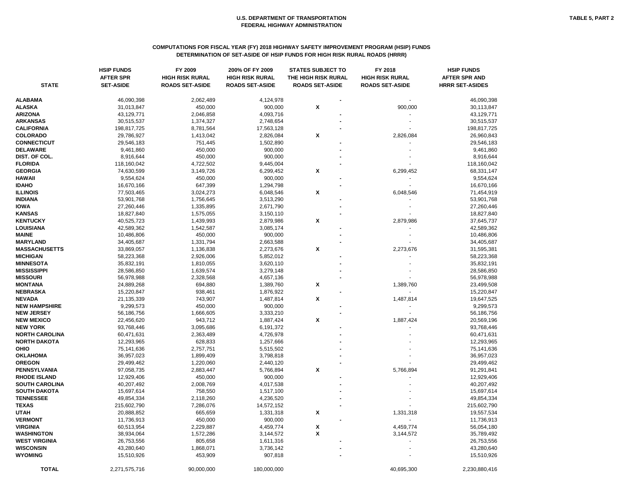# **COMPUTATIONS FOR FISCAL YEAR (FY) 2018 HIGHWAY SAFETY IMPROVEMENT PROGRAM (HSIP) FUNDS DETERMINATION OF SET-ASIDE OF HSIP FUNDS FOR HIGH RISK RURAL ROADS (HRRR)**

|                                  | <b>HSIP FUNDS</b><br><b>AFTER SPR</b> | FY 2009<br><b>HIGH RISK RURAL</b> | 200% OF FY 2009<br><b>HIGH RISK RURAL</b> | <b>STATES SUBJECT TO</b><br>THE HIGH RISK RURAL | FY 2018<br><b>HIGH RISK RURAL</b> | <b>HSIP FUNDS</b><br><b>AFTER SPR AND</b> |
|----------------------------------|---------------------------------------|-----------------------------------|-------------------------------------------|-------------------------------------------------|-----------------------------------|-------------------------------------------|
| <b>STATE</b>                     | <b>SET-ASIDE</b>                      | <b>ROADS SET-ASIDE</b>            | <b>ROADS SET-ASIDE</b>                    | <b>ROADS SET-ASIDE</b>                          | <b>ROADS SET-ASIDE</b>            | <b>HRRR SET-ASIDES</b>                    |
| ALABAMA                          | 46,090,398                            | 2,062,489                         | 4,124,978                                 |                                                 |                                   | 46,090,398                                |
| <b>ALASKA</b>                    | 31,013,847                            | 450,000                           | 900,000                                   | X                                               | 900,000                           | 30,113,847                                |
| ARIZONA                          | 43,129,771                            | 2,046,858                         | 4,093,716                                 |                                                 |                                   | 43,129,771                                |
| ARKANSAS                         | 30,515,537                            | 1,374,327                         | 2,748,654                                 |                                                 |                                   | 30,515,537                                |
| <b>CALIFORNIA</b>                | 198,817,725                           | 8,781,564                         | 17,563,128                                |                                                 |                                   | 198,817,725                               |
| <b>COLORADO</b>                  | 29,786,927                            | 1,413,042                         | 2,826,084                                 | $\pmb{\mathsf{x}}$                              | 2,826,084                         | 26,960,843                                |
| <b>CONNECTICUT</b>               | 29,546,183                            | 751,445                           | 1,502,890                                 |                                                 |                                   | 29,546,183                                |
| <b>DELAWARE</b>                  | 9,461,860                             | 450,000                           | 900,000                                   |                                                 |                                   | 9,461,860                                 |
| DIST. OF COL.                    | 8,916,644                             | 450,000                           | 900,000                                   |                                                 |                                   | 8,916,644                                 |
| <b>FLORIDA</b>                   | 118,160,042                           | 4,722,502                         | 9,445,004                                 |                                                 |                                   | 118,160,042                               |
| <b>GEORGIA</b>                   | 74,630,599                            | 3,149,726                         | 6,299,452                                 | X                                               | 6,299,452                         | 68,331,147                                |
| HAWAII                           | 9,554,624                             | 450,000                           | 900,000                                   |                                                 |                                   | 9,554,624                                 |
| <b>IDAHO</b>                     | 16,670,166                            | 647,399                           | 1,294,798                                 |                                                 |                                   | 16,670,166                                |
| <b>ILLINOIS</b>                  | 77,503,465                            | 3,024,273                         | 6,048,546                                 | X                                               | 6,048,546                         | 71,454,919                                |
| <b>INDIANA</b>                   | 53,901,768                            | 1,756,645                         | 3,513,290                                 |                                                 |                                   | 53,901,768                                |
| <b>IOWA</b>                      | 27,260,446                            | 1,335,895                         | 2,671,790                                 |                                                 |                                   | 27,260,446                                |
| <b>KANSAS</b>                    | 18,827,840                            | 1,575,055                         | 3,150,110                                 |                                                 |                                   | 18,827,840                                |
| <b>KENTUCKY</b>                  | 40,525,723                            | 1,439,993                         | 2,879,986                                 | X                                               | 2,879,986                         | 37,645,737                                |
| LOUISIANA                        | 42,589,362                            | 1,542,587                         | 3,085,174                                 |                                                 |                                   | 42,589,362                                |
| MAINE                            | 10,486,806                            | 450,000                           | 900,000                                   |                                                 |                                   | 10,486,806                                |
| <b>MARYLAND</b>                  | 34,405,687                            | 1,331,794                         | 2,663,588                                 |                                                 |                                   | 34,405,687                                |
| <b>MASSACHUSETTS</b>             | 33,869,057                            | 1,136,838                         | 2,273,676                                 | X                                               | 2,273,676                         | 31,595,381                                |
| <b>MICHIGAN</b>                  | 58,223,368                            | 2,926,006                         | 5,852,012                                 |                                                 |                                   | 58,223,368                                |
| <b>MINNESOTA</b>                 | 35,832,191                            | 1,810,055                         | 3,620,110                                 |                                                 |                                   | 35,832,191                                |
| MISSISSIPPI                      | 28,586,850                            | 1,639,574                         | 3,279,148                                 |                                                 |                                   | 28,586,850                                |
| <b>MISSOURI</b>                  | 56,978,988                            | 2,328,568                         | 4,657,136                                 |                                                 |                                   | 56,978,988                                |
| <b>MONTANA</b>                   | 24,889,268                            | 694,880                           | 1,389,760                                 | X                                               | 1,389,760                         | 23,499,508                                |
| <b>NEBRASKA</b>                  | 15,220,847                            | 938,461                           | 1,876,922                                 |                                                 |                                   | 15,220,847                                |
| <b>NEVADA</b>                    | 21,135,339                            | 743,907                           | 1,487,814                                 | X                                               | 1,487,814                         | 19,647,525                                |
| <b>NEW HAMPSHIRE</b>             | 9,299,573                             | 450,000                           | 900,000                                   |                                                 |                                   | 9,299,573                                 |
| <b>NEW JERSEY</b>                | 56,186,756                            | 1,666,605                         | 3,333,210                                 |                                                 |                                   | 56,186,756                                |
| <b>NEW MEXICO</b>                | 22,456,620                            | 943,712                           | 1,887,424                                 | X                                               | 1,887,424                         | 20,569,196                                |
| <b>NEW YORK</b>                  | 93,768,446                            | 3,095,686                         | 6,191,372                                 |                                                 |                                   | 93,768,446                                |
| <b>NORTH CAROLINA</b>            | 60,471,631                            | 2,363,489                         | 4,726,978                                 |                                                 |                                   | 60,471,631                                |
| <b>NORTH DAKOTA</b>              | 12,293,965                            | 628,833                           | 1,257,666                                 |                                                 |                                   | 12,293,965                                |
| OHIO                             | 75,141,636                            | 2,757,751                         | 5,515,502                                 |                                                 |                                   | 75,141,636                                |
| <b>OKLAHOMA</b>                  | 36,957,023                            | 1,899,409                         | 3,798,818                                 |                                                 |                                   | 36,957,023                                |
| OREGON                           | 29,499,462                            | 1,220,060                         | 2,440,120                                 |                                                 |                                   | 29,499,462                                |
| PENNSYLVANIA                     | 97,058,735                            | 2,883,447                         | 5,766,894                                 | $\pmb{\mathsf{x}}$                              | 5,766,894                         | 91,291,841                                |
| <b>RHODE ISLAND</b>              | 12,929,406                            | 450,000                           | 900,000                                   |                                                 |                                   | 12,929,406                                |
| <b>SOUTH CAROLINA</b>            | 40,207,492                            | 2,008,769                         | 4,017,538                                 |                                                 |                                   | 40,207,492                                |
| SOUTH DAKOTA<br><b>TENNESSEE</b> | 15,697,614                            | 758,550                           | 1,517,100                                 |                                                 |                                   | 15,697,614                                |
| <b>TEXAS</b>                     | 49,854,334                            | 2,118,260                         | 4,236,520                                 |                                                 |                                   | 49,854,334                                |
|                                  | 215,602,790                           | 7,286,076                         | 14,572,152                                | X                                               |                                   | 215,602,790                               |
| UTAH<br><b>VERMONT</b>           | 20,888,852                            | 665,659<br>450,000                | 1,331,318<br>900,000                      |                                                 | 1,331,318                         | 19,557,534<br>11,736,913                  |
| <b>VIRGINIA</b>                  | 11,736,913<br>60,513,954              | 2,229,887                         | 4,459,774                                 | X                                               | 4,459,774                         | 56,054,180                                |
| WASHINGTON                       | 38,934,064                            | 1,572,286                         | 3,144,572                                 | X                                               | 3,144,572                         | 35,789,492                                |
| WEST VIRGINIA                    | 26,753,556                            | 805,658                           | 1,611,316                                 |                                                 |                                   | 26,753,556                                |
| WISCONSIN                        | 43,280,640                            | 1,868,071                         | 3,736,142                                 |                                                 |                                   | 43,280,640                                |
| WYOMING                          | 15,510,926                            | 453,909                           | 907,818                                   |                                                 |                                   | 15,510,926                                |
|                                  |                                       |                                   |                                           |                                                 |                                   |                                           |
| <b>TOTAL</b>                     | 2,271,575,716                         | 90,000,000                        | 180,000,000                               |                                                 | 40,695,300                        | 2,230,880,416                             |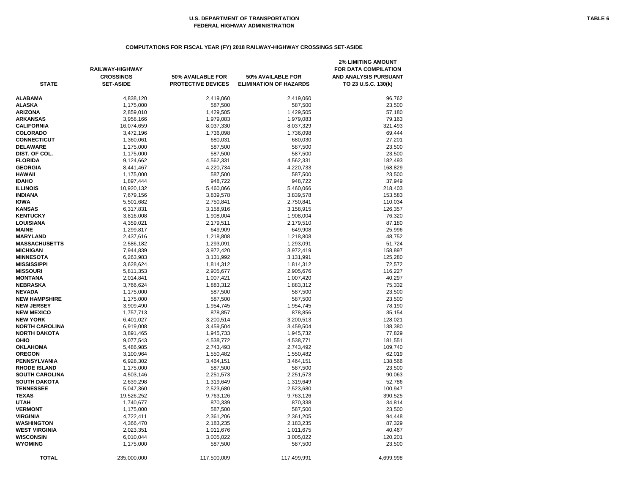# **COMPUTATIONS FOR FISCAL YEAR (FY) 2018 RAILWAY-HIGHWAY CROSSINGS SET-ASIDE**

|                       | <b>RAILWAY-HIGHWAY</b><br><b>CROSSINGS</b> | 50% AVAILABLE FOR         | 50% AVAILABLE FOR             | <b>2% LIMITING AMOUNT</b><br><b>FOR DATA COMPILATION</b><br>AND ANALYSIS PURSUANT |
|-----------------------|--------------------------------------------|---------------------------|-------------------------------|-----------------------------------------------------------------------------------|
| <b>STATE</b>          | <b>SET-ASIDE</b>                           | <b>PROTECTIVE DEVICES</b> | <b>ELIMINATION OF HAZARDS</b> | TO 23 U.S.C. 130(k)                                                               |
| <b>ALABAMA</b>        | 4,838,120                                  | 2,419,060                 | 2,419,060                     | 96,762                                                                            |
| <b>ALASKA</b>         | 1,175,000                                  | 587,500                   | 587,500                       | 23,500                                                                            |
| <b>ARIZONA</b>        | 2,859,010                                  | 1,429,505                 | 1,429,505                     | 57,180                                                                            |
| ARKANSAS              | 3,958,166                                  | 1,979,083                 | 1,979,083                     | 79,163                                                                            |
| CALIFORNIA            | 16,074,659                                 | 8,037,330                 | 8,037,329                     | 321,493                                                                           |
| <b>COLORADO</b>       | 3,472,196                                  | 1,736,098                 | 1,736,098                     | 69,444                                                                            |
| <b>CONNECTICUT</b>    | 1,360,061                                  | 680,031                   | 680,030                       | 27,201                                                                            |
| <b>DELAWARE</b>       | 1,175,000                                  | 587,500                   | 587,500                       | 23,500                                                                            |
| DIST. OF COL.         | 1,175,000                                  | 587,500                   | 587,500                       | 23,500                                                                            |
| <b>FLORIDA</b>        | 9,124,662                                  | 4,562,331                 | 4,562,331                     | 182,493                                                                           |
| <b>GEORGIA</b>        | 8,441,467                                  | 4,220,734                 | 4,220,733                     | 168,829                                                                           |
| HAWAII                | 1,175,000                                  | 587,500                   | 587,500                       | 23,500                                                                            |
| <b>IDAHO</b>          | 1,897,444                                  | 948,722                   | 948,722                       | 37,949                                                                            |
| <b>ILLINOIS</b>       | 10,920,132                                 | 5,460,066                 | 5,460,066                     | 218,403                                                                           |
| <b>INDIANA</b>        | 7,679,156                                  | 3,839,578                 | 3,839,578                     | 153,583                                                                           |
| <b>IOWA</b>           | 5,501,682                                  | 2,750,841                 | 2,750,841                     | 110,034                                                                           |
| <b>KANSAS</b>         | 6,317,831                                  | 3,158,916                 | 3,158,915                     | 126,357                                                                           |
| <b>KENTUCKY</b>       | 3,816,008                                  | 1,908,004                 | 1,908,004                     | 76,320                                                                            |
| <b>LOUISIANA</b>      | 4,359,021                                  | 2,179,511                 | 2,179,510                     | 87,180                                                                            |
| <b>MAINE</b>          | 1,299,817                                  | 649,909                   | 649,908                       | 25,996                                                                            |
| <b>MARYLAND</b>       | 2,437,616                                  | 1,218,808                 | 1,218,808                     | 48,752                                                                            |
| <b>MASSACHUSETTS</b>  | 2,586,182                                  | 1,293,091                 | 1,293,091                     | 51,724                                                                            |
| <b>MICHIGAN</b>       | 7,944,839                                  | 3,972,420                 | 3,972,419                     | 158,897                                                                           |
| <b>MINNESOTA</b>      | 6,263,983                                  | 3,131,992                 | 3,131,991                     | 125,280                                                                           |
| MISSISSIPPI           | 3,628,624                                  | 1,814,312                 | 1,814,312                     | 72,572                                                                            |
| <b>MISSOURI</b>       | 5,811,353                                  | 2,905,677                 | 2,905,676                     | 116,227                                                                           |
| <b>MONTANA</b>        | 2,014,841                                  | 1,007,421                 | 1,007,420                     | 40,297                                                                            |
| <b>NEBRASKA</b>       | 3,766,624                                  | 1,883,312                 | 1,883,312                     | 75,332                                                                            |
| <b>NEVADA</b>         | 1,175,000                                  | 587,500                   | 587,500                       | 23,500                                                                            |
| <b>NEW HAMPSHIRE</b>  | 1,175,000                                  | 587,500                   | 587,500                       | 23,500                                                                            |
| <b>NEW JERSEY</b>     | 3,909,490                                  | 1,954,745                 | 1,954,745                     | 78,190                                                                            |
| <b>NEW MEXICO</b>     | 1,757,713                                  | 878,857                   | 878,856                       | 35,154                                                                            |
| <b>NEW YORK</b>       | 6,401,027                                  | 3,200,514                 | 3,200,513                     | 128,021                                                                           |
| <b>NORTH CAROLINA</b> | 6,919,008                                  | 3,459,504                 | 3,459,504                     | 138,380                                                                           |
| NORTH DAKOTA          | 3,891,465                                  | 1,945,733                 | 1,945,732                     | 77,829                                                                            |
| OHIO                  | 9,077,543                                  | 4,538,772                 | 4,538,771                     | 181,551                                                                           |
| OKLAHOMA              | 5,486,985                                  | 2,743,493                 | 2,743,492                     | 109,740                                                                           |
| <b>OREGON</b>         | 3,100,964                                  | 1,550,482                 | 1,550,482                     | 62,019                                                                            |
| PENNSYLVANIA          | 6,928,302                                  | 3,464,151                 | 3,464,151                     | 138,566                                                                           |
| <b>RHODE ISLAND</b>   | 1,175,000                                  | 587,500                   | 587,500                       | 23,500                                                                            |
| <b>SOUTH CAROLINA</b> | 4,503,146                                  | 2,251,573                 | 2,251,573                     | 90,063                                                                            |
| <b>SOUTH DAKOTA</b>   | 2,639,298                                  | 1,319,649                 | 1,319,649                     | 52,786                                                                            |
| <b>TENNESSEE</b>      | 5,047,360                                  | 2,523,680                 | 2,523,680                     | 100,947                                                                           |
| TEXAS                 | 19,526,252                                 | 9,763,126                 | 9,763,126                     | 390,525                                                                           |
| UTAH                  | 1,740,677                                  | 870,339                   | 870,338                       | 34,814                                                                            |
| <b>VERMONT</b>        | 1,175,000                                  | 587,500                   | 587,500                       | 23,500                                                                            |
| VIRGINIA              |                                            |                           |                               | 94,448                                                                            |
| WASHINGTON            | 4,722,411                                  | 2,361,206                 | 2,361,205<br>2,183,235        |                                                                                   |
| WEST VIRGINIA         | 4,366,470                                  | 2,183,235                 |                               | 87,329                                                                            |
| <b>WISCONSIN</b>      | 2,023,351<br>6,010,044                     | 1,011,676<br>3,005,022    | 1,011,675<br>3,005,022        | 40,467<br>120,201                                                                 |
| WYOMING               | 1,175,000                                  | 587,500                   | 587,500                       | 23,500                                                                            |
|                       |                                            |                           |                               |                                                                                   |
| <b>TOTAL</b>          | 235,000,000                                | 117,500,009               | 117,499,991                   | 4,699,998                                                                         |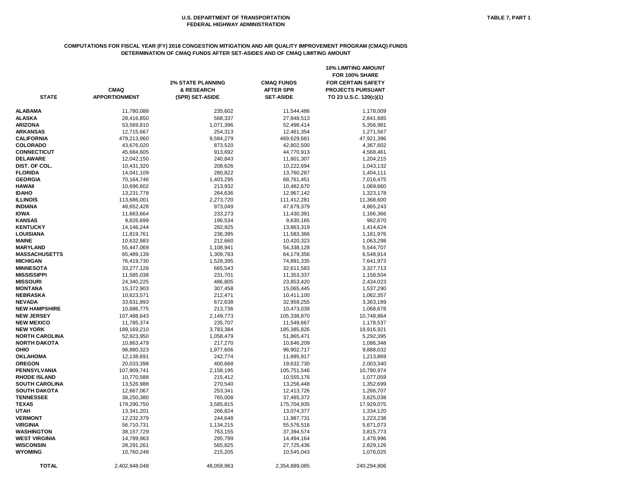### **COMPUTATIONS FOR FISCAL YEAR (FY) 2018 CONGESTION MITIGATION AND AIR QUALITY IMPROVEMENT PROGRAM (CMAQ) FUNDS DETERMINATION OF CMAQ FUNDS AFTER SET-ASIDES AND OF CMAQ LIMITING AMOUNT**

|                       | <b>CMAQ</b>          | <b>2% STATE PLANNING</b><br>& RESEARCH | <b>CMAQ FUNDS</b><br><b>AFTER SPR</b> | <b>10% LIMITING AMOUNT</b><br>FOR 100% SHARE<br><b>FOR CERTAIN SAFETY</b><br><b>PROJECTS PURSUANT</b> |
|-----------------------|----------------------|----------------------------------------|---------------------------------------|-------------------------------------------------------------------------------------------------------|
| <b>STATE</b>          | <b>APPORTIONMENT</b> | (SPR) SET-ASIDE                        | <b>SET-ASIDE</b>                      | TO 23 U.S.C. 120(c)(1)                                                                                |
| ALABAMA               | 11,780,088           | 235,602                                | 11,544,486                            | 1,178,009                                                                                             |
| <b>ALASKA</b>         | 28,416,850           | 568,337                                | 27,848,513                            | 2,841,685                                                                                             |
| <b>ARIZONA</b>        | 53,569,810           | 1,071,396                              | 52,498,414                            | 5,356,981                                                                                             |
| <b>ARKANSAS</b>       | 12,715,667           | 254,313                                | 12,461,354                            | 1,271,567                                                                                             |
| CALIFORNIA            | 479,213,960          | 9,584,279                              | 469,629,681                           | 47,921,396                                                                                            |
| <b>COLORADO</b>       | 43,676,020           | 873,520                                | 42,802,500                            | 4,367,602                                                                                             |
| <b>CONNECTICUT</b>    | 45,684,605           | 913,692                                | 44,770,913                            | 4,568,461                                                                                             |
| <b>DELAWARE</b>       | 12,042,150           | 240,843                                | 11,801,307                            | 1,204,215                                                                                             |
| DIST. OF COL.         | 10,431,320           | 208,626                                | 10,222,694                            | 1,043,132                                                                                             |
| <b>FLORIDA</b>        | 14,041,109           | 280,822                                | 13,760,287                            | 1,404,111                                                                                             |
| <b>GEORGIA</b>        | 70,164,746           | 1,403,295                              | 68,761,451                            | 7,016,475                                                                                             |
| <b>HAWAII</b>         | 10,696,602           | 213,932                                | 10,482,670                            | 1,069,660                                                                                             |
| IDAHO                 | 13,231,778           | 264,636                                | 12,967,142                            | 1,323,178                                                                                             |
| <b>ILLINOIS</b>       | 113,686,001          | 2,273,720                              | 111,412,281                           | 11,368,600                                                                                            |
| <b>INDIANA</b>        | 48,652,428           | 973,049                                | 47,679,379                            | 4,865,243                                                                                             |
| <b>IOWA</b>           | 11,663,664           | 233,273                                | 11,430,391                            | 1,166,366                                                                                             |
| <b>KANSAS</b>         | 9,826,699            | 196,534                                | 9,630,165                             | 982,670                                                                                               |
| <b>KENTUCKY</b>       | 14,146,244           | 282,925                                | 13,863,319                            | 1,414,624                                                                                             |
| <b>LOUISIANA</b>      | 11,819,761           | 236,395                                | 11,583,366                            | 1,181,976                                                                                             |
| <b>MAINE</b>          | 10,632,983           | 212,660                                | 10,420,323                            | 1,063,298                                                                                             |
| <b>MARYLAND</b>       | 55,447,069           | 1,108,941                              | 54,338,128                            | 5,544,707                                                                                             |
| <b>MASSACHUSETTS</b>  | 65,489,139           | 1,309,783                              | 64,179,356                            | 6,548,914                                                                                             |
| <b>MICHIGAN</b>       | 76,419,730           | 1,528,395                              | 74,891,335                            | 7,641,973                                                                                             |
| <b>MINNESOTA</b>      | 33,277,126           | 665,543                                | 32,611,583                            | 3,327,713                                                                                             |
| <b>MISSISSIPPI</b>    | 11,585,038           | 231,701                                | 11,353,337                            | 1,158,504                                                                                             |
| <b>MISSOURI</b>       | 24,340,225           | 486,805                                | 23,853,420                            | 2,434,023                                                                                             |
| MONTANA               | 15,372,903           | 307,458                                | 15,065,445                            | 1,537,290                                                                                             |
| NEBRASKA              | 10,623,571           | 212,471                                | 10,411,100                            | 1,062,357                                                                                             |
| <b>NEVADA</b>         | 33,631,893           | 672,638                                | 32,959,255                            | 3,363,189                                                                                             |
| <b>NEW HAMPSHIRE</b>  | 10,686,775           | 213,736                                | 10,473,039                            | 1,068,678                                                                                             |
| <b>NEW JERSEY</b>     | 107,488,643          | 2,149,773                              | 105,338,870                           | 10,748,864                                                                                            |
| <b>NEW MEXICO</b>     | 11,785,374           | 235,707                                | 11,549,667                            | 1,178,537                                                                                             |
| <b>NEW YORK</b>       | 189,169,210          | 3,783,384                              | 185,385,826                           | 18,916,921                                                                                            |
| NORTH CAROLINA        | 52,923,950           | 1,058,479                              | 51,865,471                            | 5,292,395                                                                                             |
| <b>NORTH DAKOTA</b>   | 10,863,479           | 217,270                                | 10,646,209                            | 1,086,348                                                                                             |
| OHIO                  | 98,880,323           | 1,977,606                              | 96,902,717                            | 9,888,032                                                                                             |
| <b>OKLAHOMA</b>       | 12,138,691           | 242,774                                | 11,895,917                            | 1,213,869                                                                                             |
| <b>OREGON</b>         | 20,033,398           | 400,668                                | 19,632,730                            | 2,003,340                                                                                             |
| PENNSYLVANIA          | 107,909,741          | 2,158,195                              | 105,751,546                           | 10,790,974                                                                                            |
| <b>RHODE ISLAND</b>   | 10,770,588           | 215,412                                | 10,555,176                            | 1,077,059                                                                                             |
| <b>SOUTH CAROLINA</b> | 13,526,988           | 270,540                                | 13,256,448                            | 1,352,699                                                                                             |
| <b>SOUTH DAKOTA</b>   | 12,667,067           | 253,341                                | 12,413,726                            | 1,266,707                                                                                             |
| <b>TENNESSEE</b>      | 38,250,380           | 765,008                                | 37,485,372                            | 3,825,038                                                                                             |
| <b>TEXAS</b>          | 179,290,750          | 3,585,815                              | 175,704,935                           | 17,929,075                                                                                            |
| UTAH                  | 13,341,201           | 266,824                                | 13,074,377                            | 1,334,120                                                                                             |
| <b>VERMONT</b>        | 12,232,379           | 244,648                                | 11,987,731                            | 1,223,238                                                                                             |
| <b>VIRGINIA</b>       | 56,710,731           | 1,134,215                              | 55,576,516                            | 5,671,073                                                                                             |
| WASHINGTON            | 38, 157, 729         | 763,155                                | 37,394,574                            | 3,815,773                                                                                             |
| WEST VIRGINIA         | 14,789,963           | 295,799                                | 14,494,164                            |                                                                                                       |
| <b>WISCONSIN</b>      | 28,291,261           | 565,825                                | 27,725,436                            | 1,478,996<br>2,829,126                                                                                |
| <b>WYOMING</b>        | 10,760,248           | 215,205                                | 10,545,043                            | 1,076,025                                                                                             |
|                       |                      |                                        |                                       |                                                                                                       |
| <b>TOTAL</b>          | 2,402,948,048        | 48,058,963                             | 2,354,889,085                         | 240,294,806                                                                                           |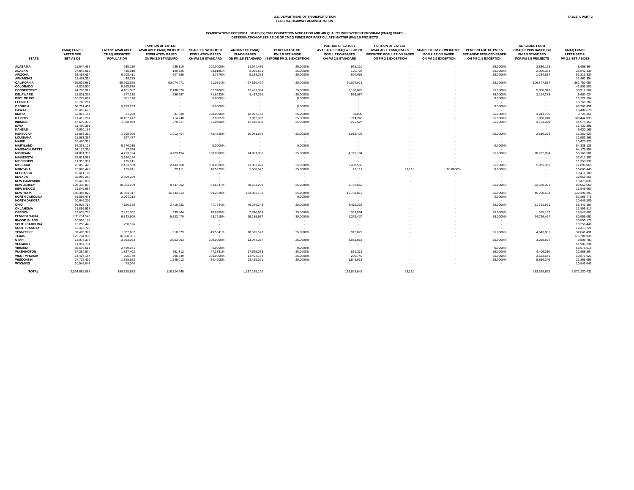**COMPUTATIONS FOR FISCAL YEAR (FY) 2018 CONGESTION MITIGATION AND AIR QUALITY IMPROVEMENT PROGRAM (CMAQ) FUNDS DETERMINATION OF SET-ASIDE OF CMAQ FUNDS FOR PARTICULATE MATTER (PM) 2.5 PROJECTS**

|                       | <b>CMAQ FUNDS</b><br><b>AFTER SPR</b> | <b>LATEST AVAILABLE</b><br><b>CMAQ WEIGHTED</b> | <b>PORTION OF LATEST</b><br><b>AVAILABLE CMAQ WEIGHTED</b><br><b>POPULATION BASED</b> | <b>SHARE OF WEIGHTED</b><br><b>POPULATION BASED</b> | <b>AMOUNT OF CMAQ</b><br><b>FUNDS BASED</b> | <b>PERCENTAGE OF</b><br>PM 2.5 SET-ASIDE | PORTION OF LATEST<br><b>AVAILABLE CMAQ WEIGHTED</b><br><b>POPULATION BASED</b> | <b>PORTION OF LATEST</b><br><b>AVAILABLE CMAQ PM 2.5</b><br><b>WEIGHTED POPULATION BASED</b> | <b>SHARE OF PM 2.5 WEIGHTED</b><br><b>POPULATION BASED</b> | <b>PERCENTAGE OF PM 2.5</b><br><b>SET-ASIDE REDUCED BASED</b> | <b>SET-ASIDE FROM</b><br><b>CMAQ FUNDS BASED ON</b><br><b>PM 2.5 STANDARD</b> | <b>CMAQ FUNDS</b><br><b>AFTER SPR &amp;</b> |
|-----------------------|---------------------------------------|-------------------------------------------------|---------------------------------------------------------------------------------------|-----------------------------------------------------|---------------------------------------------|------------------------------------------|--------------------------------------------------------------------------------|----------------------------------------------------------------------------------------------|------------------------------------------------------------|---------------------------------------------------------------|-------------------------------------------------------------------------------|---------------------------------------------|
| <b>STATE</b>          | <b>SET-ASIDE</b>                      | <b>POPULATION</b>                               | ON PM 2.5 STANDARD                                                                    | ON PM 2.5 STANDARD                                  | ON PM 2.5 STANDARD                          | (BEFORE PM 2. 5 EXCEPTION)               | ON PM 2.5 STANDARD                                                             | ON PM 2.5 EXCEPTION                                                                          | ON PM 2.5 EXCEPTION                                        | ON PM 2.5 EXCEPTION                                           | FOR PM 2.5 PROJECTS                                                           | PM 2.5 SET-ASIDES                           |
| <b>ALABAMA</b>        | 11,544,486                            | 935,110                                         | 935,110                                                                               | 100.0000%                                           | 11,544,486                                  | 25.0000%                                 | 935,110                                                                        |                                                                                              |                                                            | 25.0000%                                                      | 2,886,122                                                                     | 8,658,364                                   |
| <b>ALASKA</b>         | 27,848,513                            | 418,918                                         | 120,726                                                                               | 28.8185%                                            | 8,025,531                                   | 25.0000%                                 | 120,726                                                                        |                                                                                              |                                                            | 25.0000%                                                      | 2,006,383                                                                     | 25,842,130                                  |
| <b>ARIZONA</b>        | 52,498,414                            | 6,208,411                                       | 607,655                                                                               | 9.7876%                                             | 5,138,338                                   | 25.0000%                                 | 607,655                                                                        |                                                                                              |                                                            | 25.0000%                                                      | 1,284,584                                                                     | 51,213,830                                  |
| <b>ARKANSAS</b>       | 12,461,354                            | 49,235                                          | $\sim$ 100 $\mu$                                                                      | $\sim 100$                                          | $\sim$ $-$                                  | $\sim 100$ m $^{-1}$                     | $\sim$                                                                         |                                                                                              |                                                            | $\sim 100$                                                    | $\sim$ 100 $\sim$                                                             | 12,461,354                                  |
| <b>CALIFORNIA</b>     | 469,629,681                           | 65,992,688                                      | 60,074,071                                                                            | 91.0314%                                            | 427,510,497                                 | 25.0000%                                 | 60,074,071                                                                     |                                                                                              |                                                            | 25.0000%                                                      | 106,877,624                                                                   | 362,752,057                                 |
| <b>COLORADO</b>       | 42,802,500                            | 5,665,579                                       | $\sim$ 100 $\pm$                                                                      | $\sim$ $-$                                          | $\sim$ 100 $\pm$                            | $\sim 100$ m $^{-1}$                     | $\sim$                                                                         |                                                                                              |                                                            | $\sim 100$                                                    | $\sim$                                                                        | 42,802,500                                  |
| <b>CONNECTICUT</b>    | 44,770,913                            | 4,181,982                                       | 2,188,876                                                                             | 52.3406%                                            | 23,433,384                                  | 25.0000%                                 | 2,188,876                                                                      |                                                                                              |                                                            | 25.0000%                                                      | 5,858,346                                                                     | 38,912,567                                  |
| <b>DELAWARE</b>       | 11,801,307                            | 777,238                                         | 556,987                                                                               | 71.6623%                                            | 8,457,094                                   | 25.0000%                                 | 556,987                                                                        |                                                                                              |                                                            | 25.0000%                                                      | 2,114,273                                                                     | 9,687,034                                   |
| DIST. OF COL.         | 10,222,694                            | 681,170                                         |                                                                                       | 0.0000%                                             |                                             | 0.0000%                                  | $\sim$                                                                         |                                                                                              |                                                            | 0.0000%                                                       |                                                                               | 10,222,694                                  |
| <b>FLORIDA</b>        | 13,760,287                            |                                                 | $\sim$                                                                                |                                                     | $\sim$                                      |                                          | $\sim$                                                                         |                                                                                              |                                                            |                                                               |                                                                               | 13,760,287                                  |
|                       |                                       | $\sim$ 100 $\pm$                                |                                                                                       | $\sim 100$                                          |                                             | $\sim 100$                               |                                                                                |                                                                                              |                                                            | $\sim$ $-$                                                    |                                                                               |                                             |
| <b>GEORGIA</b>        | 68,761,451                            | 5,233,233                                       |                                                                                       | 0.0000%                                             |                                             | 0.0000%                                  |                                                                                |                                                                                              |                                                            | 0.0000%                                                       |                                                                               | 68,761,451                                  |
| <b>HAWAII</b>         | 10,482,670                            | $\sim 100$                                      |                                                                                       | $\sim$ $ \sim$                                      |                                             | $\sim 10^{-11}$                          |                                                                                |                                                                                              |                                                            | $\sim$ $-$                                                    |                                                                               | 10,482,670                                  |
| <b>IDAHO</b>          | 12,967,142                            | 31,030                                          | 31,030                                                                                | 100.0000%                                           | 12,967,142                                  | 25.0000%                                 | 31,030                                                                         |                                                                                              |                                                            | 25.0000%                                                      | 3,241,786                                                                     | 9,725,356                                   |
| <b>ILLINOIS</b>       | 111,412,281                           | 10,107,472                                      | 714,248                                                                               | 7.0665%                                             | 7,872,992                                   | 25.0000%                                 | 714,248                                                                        |                                                                                              |                                                            | 25.0000%                                                      | 1,968,248                                                                     | 109,444,033                                 |
| <b>INDIANA</b>        | 47,679,379                            | 1,038,859                                       | 270,527                                                                               | 26.0408%                                            | 12,416,080                                  | 25.0000%                                 | 270,527                                                                        |                                                                                              |                                                            | 25.0000%                                                      | 3,104,020                                                                     | 44,575,359                                  |
| <b>IOWA</b>           | 11,430,391                            | $\sim$ 100 $\mu$                                |                                                                                       | $\sim$                                              |                                             | $\sim$ $-$                               | $\sim$                                                                         |                                                                                              |                                                            | $\sim$                                                        | $\sim$                                                                        | 11,430,391                                  |
| <b>KANSAS</b>         | 9,630,165                             | $\sim$ 100 $\mu$                                | $\sim$                                                                                | $\sim$                                              | $\sim$                                      | $\sim$                                   | $\sim$                                                                         |                                                                                              |                                                            | $\sim$ $ \sim$                                                | $\sim$                                                                        | 9,630,165                                   |
| <b>KENTUCKY</b>       | 13,863,319                            | 1,399,096                                       | 1,013,404                                                                             | 72.4328%                                            | 10,041,585                                  | 25.0000%                                 | 1,013,404                                                                      |                                                                                              |                                                            | 25.0000%                                                      | 2,510,396                                                                     | 11,352,923                                  |
| <b>LOUISIANA</b>      | 11,583,366                            | 767,477                                         | $\sim$ $-$                                                                            | $\sim$ $ \sim$                                      | $\sim$                                      | $\sim$ $-$                               | $\sim$                                                                         |                                                                                              |                                                            | $\sim$ $-$                                                    |                                                                               | 11,583,366                                  |
| <b>MAINE</b>          | 10,420,323                            | $\sim$ 100 $\mu$                                |                                                                                       | $\sim$ $ \sim$                                      |                                             | $\sim$ $-$                               |                                                                                |                                                                                              |                                                            | $\sim$ $-$                                                    |                                                                               | 10,420,323                                  |
| <b>MARYLAND</b>       | 54,338,128                            | 5,576,015                                       |                                                                                       | 0.0000%                                             |                                             | 0.0000%                                  |                                                                                |                                                                                              |                                                            | 0.0000%                                                       |                                                                               | 54,338,128                                  |
| <b>MASSACHUSETTS</b>  | 64,179,356                            | 17,246                                          | $\sim$                                                                                | $\sim$ $ \sim$                                      |                                             | $\sim$ 100 $\pm$                         | $\sim$                                                                         |                                                                                              |                                                            | $\sim$ $-$                                                    |                                                                               | 64,179,356                                  |
| <b>MICHIGAN</b>       | 74,891,335                            | 4,723,194                                       | 4,723,194                                                                             | 100.0000%                                           | 74,891,335                                  | 25.0000%                                 | 4,723,194                                                                      |                                                                                              |                                                            | 25.0000%                                                      | 18,722,834                                                                    | 56,168,501                                  |
| <b>MINNESOTA</b>      | 32,611,583                            | 3,166,184                                       | $\sim$ 100 $\mu$                                                                      | $\sim$ $ \sim$                                      | $\sim$                                      | $\sim$ 100 $\mu$                         | $\sim$                                                                         |                                                                                              |                                                            | $\sim$ $-$                                                    | $\sim$                                                                        | 32,611,583                                  |
| <b>MISSISSIPPI</b>    | 11,353,337                            | 175,611                                         |                                                                                       | $\sim$                                              |                                             | $\sim$ $-$                               |                                                                                |                                                                                              |                                                            | $\sim$ $-$                                                    |                                                                               | 11,353,337                                  |
| <b>MISSOURI</b>       | 23,853,420                            | 2,433,560                                       | 2,433,560                                                                             | 100.0000%                                           | 23,853,420                                  | 25.0000%                                 | 2,433,560                                                                      |                                                                                              |                                                            | 25.0000%                                                      | 5,963,355                                                                     | 17,890,065                                  |
| <b>MONTANA</b>        | 15,065,445                            | 139,241                                         | 23,111                                                                                | 16.5979%                                            | 2,500,542                                   | 25.0000%                                 | 23,111                                                                         | 23,111                                                                                       | 100.0000%                                                  | 0.0000%                                                       |                                                                               | 15,065,445                                  |
| <b>NEBRASKA</b>       | 10,411,100                            | $\sim 100$                                      |                                                                                       | $\sim$                                              | $\sim$                                      | $\sim$                                   | $\overline{\phantom{0}}$                                                       |                                                                                              |                                                            |                                                               |                                                                               | 10,411,100                                  |
| <b>NEVADA</b>         | 32,959,255                            | 2,609,280                                       |                                                                                       | $\sim$                                              | $\sim$                                      | $\sim$                                   | $\sim$                                                                         |                                                                                              |                                                            | $\sim$                                                        |                                                                               | 32,959,255                                  |
| <b>NEW HAMPSHIRE</b>  | 10,473,039                            | $\sim 100$                                      |                                                                                       | $\sim$                                              |                                             | $\sim$                                   |                                                                                |                                                                                              |                                                            | $\sim$                                                        |                                                                               | 10,473,039                                  |
| <b>NEW JERSEY</b>     | 105,338,870                           | 10,324,199                                      | 8,737,852                                                                             | 84.6347%                                            | 89,153,203                                  | 25.0000%                                 | 8,737,852                                                                      |                                                                                              |                                                            | 25.0000%                                                      | 22,288,301                                                                    | 83,050,569                                  |
| <b>NEW MEXICO</b>     | 11,549,667                            |                                                 |                                                                                       | $\sim$                                              |                                             | $\sim$                                   | $\overline{\phantom{0}}$                                                       |                                                                                              |                                                            |                                                               |                                                                               | 11,549,667                                  |
| <b>NEW YORK</b>       | 185,385,826                           | 16,863,317                                      | 16,733,813                                                                            | 99.2320%                                            | 183,962,132                                 | 25.0000%                                 | 16,733,813                                                                     |                                                                                              |                                                            | 25.0000%                                                      | 45,990,533                                                                    | 139,395,293                                 |
| <b>NORTH CAROLINA</b> | 51,865,471                            | 2,094,013                                       |                                                                                       | $\sim$                                              |                                             | 0.0000%                                  | $\overline{\phantom{a}}$                                                       |                                                                                              |                                                            | 0.0000%                                                       |                                                                               | 51,865,471                                  |
| <b>NORTH DAKOTA</b>   | 10,646,209                            | $\sim$ 100 $\pm$                                | $\sim$                                                                                | $\sim$ $-$                                          |                                             | $\sim$ 10 $\pm$                          | $\sim$                                                                         |                                                                                              |                                                            | $\sim$ $-$                                                    |                                                                               | 10,646,209                                  |
| <b>OHIO</b>           | 96,902,717                            | 7,156,155                                       | 3,415,232                                                                             | 47.7244%                                            | 46,246,243                                  | 25.0000%                                 | 3,415,232                                                                      |                                                                                              |                                                            | 25.0000%                                                      | 11,561,561                                                                    | 85,341,156                                  |
| <b>OKLAHOMA</b>       | 11,895,917                            | $\sim$ 100 $\pm$                                | $\sim$ 100 $\pm$                                                                      | $\sim$                                              |                                             | $\sim$ $-$                               | $\sim$                                                                         |                                                                                              |                                                            | $\sim$ 100 $\pm$                                              |                                                                               | 11,895,917                                  |
| <b>OREGON</b>         | 19,632,730                            | 2,432,602                                       | 339,564                                                                               | 13.9589%                                            | 2,740,509                                   | 25.0000%                                 | 339,564                                                                        |                                                                                              |                                                            | 25.0000%                                                      | 685,127                                                                       | 18,947,603                                  |
| <b>PENNSYLVANIA</b>   | 105,751,546                           | 9,843,609                                       | 9,232,470                                                                             | 93.7915%                                            | 99,185,977                                  | 25.0000%                                 | 9,232,470                                                                      |                                                                                              |                                                            | 25.0000%                                                      | 24,796,494                                                                    | 80,955,052                                  |
| <b>RHODE ISLAND</b>   | 10,555,176                            |                                                 |                                                                                       |                                                     |                                             |                                          |                                                                                |                                                                                              |                                                            |                                                               |                                                                               | 10,555,176                                  |
|                       |                                       | $\sim$ $ \sim$                                  |                                                                                       | $\sim$ $-$                                          |                                             | $\sim$ $-$                               | $\sim$                                                                         |                                                                                              |                                                            | $\sim$ $-$                                                    |                                                                               |                                             |
| <b>SOUTH CAROLINA</b> | 13,256,448                            | 258,526                                         |                                                                                       | $\sim$ $-$                                          |                                             | $\sim$                                   | $\sim$                                                                         |                                                                                              |                                                            | $\sim$                                                        |                                                                               | 13,256,448                                  |
| <b>SOUTH DAKOTA</b>   | 12,413,726                            | $\sim$ 100 $\pm$                                | $\sim$                                                                                | $\sim$ $-$                                          |                                             | $\sim$ 100 $\pm$                         | $\sim$ $ \sim$                                                                 |                                                                                              |                                                            | $\sim$                                                        |                                                                               | 12,413,726                                  |
| <b>TENNESSEE</b>      | 37,485,372                            | 1,852,682                                       | 918,079                                                                               | 49.5541%                                            | 18,575,523                                  | 25.0000%                                 | 918,079                                                                        |                                                                                              |                                                            | 25.0000%                                                      | 4,643,881                                                                     | 32,841,491                                  |
| <b>TEXAS</b>          | 175,704,935                           | 16,038,081                                      | $\sim$ $ \sim$                                                                        | $\sim$ $-$                                          |                                             | $\sim$ 100 $\pm$                         | $\sim$                                                                         |                                                                                              |                                                            | $\sim$ 100 $\pm$                                              |                                                                               | 175,704,935                                 |
| <b>UTAH</b>           | 13,074,377                            | 3,053,063                                       | 3,053,063                                                                             | 100.0000%                                           | 13,074,377                                  | 25.0000%                                 | 3,053,063                                                                      |                                                                                              |                                                            | 25.0000%                                                      | 3,268,594                                                                     | 9,805,783                                   |
| <b>VERMONT</b>        | 11,987,731                            | $\sim 100$                                      | $\sim$ 100 $\pm$                                                                      | $\sim$ 100 $\pm$                                    |                                             | $\sim 100$                               | $\sim$                                                                         |                                                                                              |                                                            | $\sim 100$                                                    |                                                                               | 11,987,731                                  |
| <b>VIRGINIA</b>       | 55,576,516                            | 2,459,941                                       | $\sim 100$                                                                            | 0.0000%                                             | $\sim$ 100 $\pm$                            | 0.0000%                                  | $\sim 100$                                                                     |                                                                                              |                                                            | 0.0000%                                                       | $\sim$ 100 $\pm$                                                              | 55,576,516                                  |
| <b>WASHINGTON</b>     | 37,394,574                            | 1,827,402                                       | 861,312                                                                               | 47.1331%                                            | 17,625,238                                  | 25.0000%                                 | 861,312                                                                        |                                                                                              |                                                            | 25.0000%                                                      | 4,406,310                                                                     | 32,988,264                                  |
| <b>WEST VIRGINIA</b>  | 14,494,164                            | 295,749                                         | 295,749                                                                               | 100.0000%                                           | 14,494,164                                  | 25.0000%                                 | 295,749                                                                        |                                                                                              |                                                            | 25.0000%                                                      | 3,623,541                                                                     | 10,870,623                                  |
| <b>WISCONSIN</b>      | 27,725,436                            | 1,828,622                                       | 1,545,012                                                                             | 84.4905%                                            | 23,425,361                                  | 25.0000%                                 | 1,545,012                                                                      |                                                                                              |                                                            | 25.0000%                                                      | 5,856,340                                                                     | 21,869,096                                  |
| <b>WYOMING</b>        | 10,545,043                            | 73,044                                          | $\sim$ $-$                                                                            | $\sim$ $-$                                          | $\sim$ $-$                                  | $\sim$                                   | $\sim$                                                                         |                                                                                              |                                                            | $\sim$                                                        |                                                                               | 10,545,043                                  |
| <b>TOTAL</b>          | 2,354,889,085                         | 198,728,833                                     | 118,824,645                                                                           |                                                     | 1,137,135,152                               |                                          | 118,824,645                                                                    | 23,111                                                                                       |                                                            |                                                               | 283,658,653                                                                   | 2,071,230,432                               |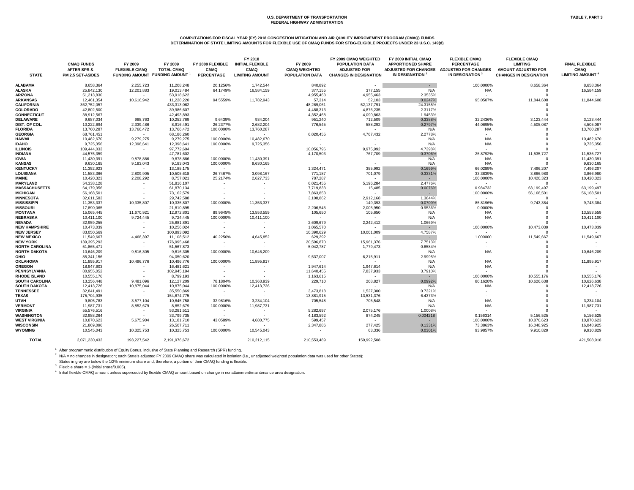# **COMPUTATIONS FOR FISCAL YEAR (FY) 2018 CONGESTION MITIGATION AND AIR QUALITY IMPROVEMENT PROGRAM (CMAQ) FUNDS DETERMINATION OF STATE LIMITING AMOUNTS FOR FLEXIBLE USE OF CMAQ FUNDS FOR STBG-ELIGIBLE PROJECTS UNDER 23 U.S.C. 149(d)**

|                       |                                             |                                 |                                            |                                 | FY 2018                                |                                 | FY 2009 CMAQ WEIGHTED                         | FY 2009 INITIAL CMAQ                                    | <b>FLEXIBLE CMAQ</b>                             | <b>FLEXIBLE CMAQ</b>                          |                                      |
|-----------------------|---------------------------------------------|---------------------------------|--------------------------------------------|---------------------------------|----------------------------------------|---------------------------------|-----------------------------------------------|---------------------------------------------------------|--------------------------------------------------|-----------------------------------------------|--------------------------------------|
|                       | <b>CMAQ FUNDS</b><br><b>AFTER SPR &amp;</b> | FY 2009<br><b>FLEXIBLE CMAQ</b> | FY 2009<br><b>TOTAL CMAQ</b>               | FY 2009 FLEXIBLE<br><b>CMAQ</b> | <b>INITIAL FLEXIBLE</b><br><b>CMAQ</b> | FY 2009<br><b>CMAQ WEIGHTED</b> | <b>POPULATION DATA</b><br><b>ADJUSTED FOR</b> | <b>APPORTIONED SHARE</b><br><b>ADJUSTED FOR CHANGES</b> | <b>PERCENTAGE</b><br><b>ADJUSTED FOR CHANGES</b> | <b>LIMITING</b><br><b>AMOUNT ADJUSTED FOR</b> | <b>FINAL FLEXIBLE</b><br><b>CMAQ</b> |
| <b>STATE</b>          | <b>PM 2.5 SET-ASIDES</b>                    |                                 | FUNDING AMOUNT FUNDING AMOUNT <sup>1</sup> | <b>PERCENTAGE</b>               | <b>LIMITING AMOUNT</b>                 | <b>POPULATION DATA</b>          | <b>CHANGES IN DESIGNATION</b>                 | IN DESIGNATION <sup>2</sup>                             | IN DESIGNATION <sup>3</sup>                      | <b>CHANGES IN DESIGNATION</b>                 | <b>LIMITING AMOUNT</b>               |
| <b>ALABAMA</b>        | 8,658,364                                   | 2,255,723                       | 11,208,248                                 | 20.1256%                        | 1,742,544                              | 840,892                         |                                               | <b>Contract</b>                                         | 100.0000%                                        | 8,658,364                                     | 8,658,364                            |
| <b>ALASKA</b>         | 25,842,130                                  | 12,201,883                      | 19,013,484                                 | 64.1749%                        | 16,584,159                             | 377,155                         | 377,155                                       | N/A                                                     | N/A                                              |                                               | 16,584,159                           |
| <b>ARIZONA</b>        | 51,213,830                                  |                                 | 53,918,622                                 |                                 |                                        | 4,955,463                       | 4,955,463                                     | 2.3535%                                                 |                                                  |                                               |                                      |
| <b>ARKANSAS</b>       | 12,461,354                                  | 10,616,942                      | 11,228,220                                 | 94.5559%                        | 11,782,943                             | 57,314                          | 52,103                                        | 0.0247%                                                 | 95.0507%                                         | 11,844,608                                    | 11,844,608                           |
| <b>CALIFORNIA</b>     | 362,752,057                                 |                                 | 433,313,062                                |                                 |                                        | 48,269,061                      | 52,137,791                                    | 24.3155%                                                |                                                  |                                               |                                      |
| <b>COLORADO</b>       | 42,802,500                                  |                                 | 39,986,607                                 | $\sim$                          |                                        | 4,488,313                       | 4,876,235                                     | 2.3117%                                                 |                                                  |                                               |                                      |
| <b>CONNECTICUT</b>    | 38,912,567                                  | $\sim$                          | 42,493,893                                 |                                 |                                        | 4,352,468                       | 4,090,863                                     | 1.9453%                                                 |                                                  |                                               |                                      |
| <b>DELAWARE</b>       | 9,687,034                                   | 988,763                         | 10,252,769                                 | 9.6439%                         | 934,204                                | 951,240                         | 712,509                                       | 0.3388%                                                 | 32.2436%                                         | 3,123,444                                     | 3,123,444                            |
| DIST. OF COL.         | 10,222,694                                  | 2,339,486                       | 8,916,491                                  | 26.2377%                        | 2,682,204                              | 776,545                         | 588,292                                       | 0.2797%                                                 | 44.0695%                                         | 4,505,087                                     | 4,505,087                            |
| <b>FLORIDA</b>        | 13,760,287                                  | 13,766,472                      | 13,766,472                                 | 100.0000%                       | 13,760,287                             | $\sim$                          | $\sim$                                        | N/A                                                     | N/A                                              |                                               | 13,760,287                           |
| <b>GEORGIA</b>        | 68,761,451                                  | $\sim$ $ \sim$                  | 68,186,260                                 | $\sim$                          |                                        | 6,020,455                       | 4,767,432                                     | 2.2778%                                                 |                                                  |                                               | $\sim 100$                           |
| <b>HAWAII</b>         | 10,482,670                                  | 9,279,275                       | 9,279,275                                  | 100.0000%                       | 10,482,670                             | $\sim$                          |                                               | N/A                                                     | N/A                                              |                                               | 10,482,670                           |
| <b>IDAHO</b>          | 9,725,356                                   |                                 | 12,398,641                                 | 100.0000%                       | 9,725,356                              |                                 |                                               | N/A                                                     | N/A                                              |                                               | 9,725,356                            |
|                       |                                             | 12,398,641                      |                                            |                                 |                                        |                                 |                                               |                                                         |                                                  |                                               |                                      |
| <b>ILLINOIS</b>       | 109,444,033                                 | $\sim$                          | 97,772,604                                 | $\sim$                          |                                        | 10,056,796                      | 9,975,992                                     | 4.7398%                                                 | $\sim$                                           |                                               | <b>Contract Contract</b>             |
| <b>INDIANA</b>        | 44,575,359                                  | $\sim$                          | 47,781,602                                 | $\sim$ $-$                      |                                        | 4,170,503                       | 767,709                                       | 0.3706%                                                 | 25.8792%                                         | 11,535,727                                    | 11,535,727                           |
| <b>IOWA</b>           | 11,430,391                                  | 9,878,886                       | 9,878,886                                  | 100.0000%                       | 11,430,391                             | $\sim$                          |                                               | N/A                                                     | N/A                                              |                                               | 11,430,391                           |
| <b>KANSAS</b>         | 9,630,165                                   | 9,183,043                       | 9,183,043                                  | 100.0000%                       | 9,630,165                              |                                 |                                               | N/A                                                     | N/A                                              |                                               | 9,630,165                            |
| <b>KENTUCKY</b>       | 11,352,923                                  | $\sim$ $ \sim$                  | 13,185,175                                 | $\sim$ $-$                      |                                        | 1,324,471                       | 355,992                                       | 0.1699%                                                 | 66.0289%                                         | 7,496,207                                     | 7,496,207                            |
| <b>LOUISIANA</b>      | 11,583,366                                  | 2,809,905                       | 10,505,618                                 | 26.7467%                        | 3,098,167                              | 771,187                         | 701,079                                       | 0.3331%                                                 | 33.3839%                                         | 3,866,980                                     | 3,866,980                            |
| MAINE                 | 10,420,323                                  | 2,208,292                       | 8,757,021                                  | 25.2174%                        | 2,627,733                              | 787,287                         |                                               |                                                         | 100.0000%                                        | 10,420,323                                    | 10,420,323                           |
| <b>MARYLAND</b>       | 54,338,128                                  | $\sim$                          | 51,816,107                                 |                                 |                                        | 6,021,455                       | 5,196,284                                     | 2.4776%                                                 | $\sim$                                           |                                               |                                      |
| <b>MASSACHUSETTS</b>  | 64,179,356                                  |                                 | 61,870,134                                 |                                 |                                        | 7,719,833                       | 15,485                                        | 0.0076%                                                 | 0.984732                                         | 63,199,497                                    | 63,199,497                           |
| <b>MICHIGAN</b>       | 56,168,501                                  |                                 | 73,162,579                                 |                                 |                                        | 7,863,853                       | $\sim$                                        |                                                         | 100.0000%                                        | 56,168,501                                    | 56,168,501                           |
| <b>MINNESOTA</b>      | 32,611,583                                  |                                 | 29,742,588                                 |                                 |                                        | 3,108,862                       | 2,912,168                                     | 1.3844%                                                 | $\sim$ $-$                                       |                                               | $\sim$ $-$                           |
| <b>MISSISSIPPI</b>    | 11,353,337                                  | 10,335,807                      | 10,335,807                                 | 100.0000%                       | 11,353,337                             | $\sim$ $ \sim$                  | 149,393                                       | 0.0709%                                                 | 85.8196%                                         | 9,743,384                                     | 9,743,384                            |
| <b>MISSOURI</b>       | 17,890,065                                  | $\sim$                          | 21,810,895                                 | $\sim$ $-$                      |                                        | 2,206,545                       | 2,005,950                                     | 0.9536%                                                 | 0.0000%                                          |                                               |                                      |
| <b>MONTANA</b>        | 15,065,445                                  | 11,670,921                      | 12,972,801                                 | 89.9645%                        | 13,553,559                             | 105,650                         | 105,650                                       | N/A                                                     | N/A                                              |                                               | 13,553,559                           |
| <b>NEBRASKA</b>       | 10,411,100                                  | 9,724,445                       | 9,724,445                                  | 100.0000%                       | 10,411,100                             | $\sim$                          |                                               | N/A                                                     | N/A                                              |                                               | 10,411,100                           |
| <b>NEVADA</b>         | 32,959,255                                  | $\sim$                          | 25,881,891                                 |                                 |                                        | 2,609,679                       | 2,242,412                                     | 1.0669%                                                 | $\sim$                                           |                                               |                                      |
| <b>NEW HAMPSHIRE</b>  | 10,473,039                                  | $\sim$                          | 10,256,024                                 |                                 |                                        | 1,065,570                       | $\sim$                                        | $\sim 100$                                              | 100.0000%                                        | 10,473,039                                    | 10,473,039                           |
| <b>NEW JERSEY</b>     | 83,050,569                                  |                                 | 100,893,092                                |                                 |                                        | 10,390,629                      | 10,001,009                                    | 4.7587%                                                 |                                                  |                                               |                                      |
| <b>NEW MEXICO</b>     | 11,549,667                                  | 4,468,397                       | 11,108,512                                 | 40.2250%                        | 4,645,852                              | 629,292                         | $\sim$                                        | $\sim$ $ \sim$                                          | 1.000000                                         | 11,549,667                                    | 11,549,667                           |
| <b>NEW YORK</b>       | 139,395,293                                 |                                 | 176,995,468                                |                                 |                                        | 20,596,870                      | 15,961,376                                    | 7.7513%                                                 |                                                  |                                               |                                      |
| <b>NORTH CAROLINA</b> | 51,865,471                                  |                                 | 51,567,873                                 |                                 |                                        | 5,042,787                       | 1,779,473                                     | 0.8584%                                                 |                                                  |                                               |                                      |
| <b>NORTH DAKOTA</b>   | 10,646,209                                  | 9,816,305                       | 9,816,305                                  | 100.0000%                       | 10,646,209                             | $\sim$ $ \sim$                  | $\sim$                                        | N/A                                                     | N/A                                              |                                               | 10,646,209                           |
| <b>OHIO</b>           | 85,341,156                                  | $\sim 100$                      | 94,050,620                                 |                                 |                                        | 9,537,007                       | 6,215,911                                     | 2.9995%                                                 |                                                  |                                               | $\sim$ 100 $\mu$                     |
| <b>OKLAHOMA</b>       | 11,895,917                                  | 10,496,776                      | 10,496,776                                 | 100.0000%                       | 11,895,917                             | $\sim$                          | $\sim$                                        | N/A                                                     | N/A                                              |                                               | 11,895,917                           |
| <b>OREGON</b>         | 18,947,603                                  |                                 | 16,481,621                                 | $\sim$                          |                                        | 1,947,614                       | 1,947,614                                     | N/A                                                     | N/A                                              |                                               | $\sim 100$                           |
| <b>PENNSYLVANIA</b>   | 80,955,052                                  |                                 | 102,945,194                                |                                 |                                        | 11,640,455                      | 7,837,933                                     | 3.7910%                                                 | $\sim$ $-$                                       |                                               | <b>Contract</b>                      |
| <b>RHODE ISLAND</b>   | 10,555,176                                  | $\sim$                          | 8,799,193                                  |                                 |                                        | 1,163,615                       | $\sim$ $-$                                    | $\sim 10^{-11}$                                         | 100.0000%                                        | 10,555,176                                    | 10,555,176                           |
| <b>SOUTH CAROLINA</b> | 13,256,448                                  | 9,481,096                       | 12,127,209                                 | 78.1804%                        | 10,363,939                             | 229,710                         | 208,827                                       | 0.0992%                                                 | 80.1620%                                         | 10,626,638                                    | 10,626,638                           |
| <b>SOUTH DAKOTA</b>   | 12,413,726                                  | 10,875,044                      | 10,875,044                                 | 100.0000%                       | 12,413,726                             | $\sim 100$                      | $\sim 100$                                    | N/A                                                     | N/A                                              |                                               | 12,413,726                           |
| <b>TENNESSEE</b>      | 32,841,491                                  | $\sim$ $-$                      | 35,550,869                                 |                                 |                                        | 3,473,818                       | 1,527,300                                     | 0.7321%                                                 |                                                  |                                               | <b>Service</b>                       |
| <b>TEXAS</b>          | 175,704,935                                 |                                 |                                            | $\sim$ $ \sim$                  |                                        |                                 |                                               |                                                         |                                                  |                                               |                                      |
| <b>UTAH</b>           | 9,805,783                                   | $\sim$ $ \sim$                  | 154,874,775                                | $\sim$ $-$                      | $\sim$ 100 $\pm$                       | 13,881,915<br>705,548           | 13,531,376<br>705,548                         | 6.4373%                                                 | $\sim$<br>N/A                                    |                                               | <b>Contractor</b>                    |
| <b>VERMONT</b>        |                                             | 3,577,104                       | 10,845,758                                 | 32.9816%                        | 3,234,104                              |                                 |                                               | N/A                                                     |                                                  |                                               | 3,234,104                            |
|                       | 11,987,731                                  | 8,852,679                       | 8,852,679                                  | 100.0000%                       | 11,987,731                             |                                 |                                               | N/A                                                     | N/A                                              |                                               | 11,987,731                           |
| <b>VIRGINIA</b>       | 55,576,516                                  | $\sim$ 100 $\pm$                | 53,281,511                                 | $\sim$                          |                                        | 5,282,697                       | 2,075,176                                     | 1.0008%                                                 | $\sim$                                           |                                               |                                      |
| <b>WASHINGTON</b>     | 32,988,264                                  | $\sim$                          | 33,799,735                                 | $\sim$                          |                                        | 4,183,592                       | 874,245                                       | 0.004218                                                | 0.156314                                         | 5,156,525                                     | 5,156,525                            |
| <b>WEST VIRGINIA</b>  | 10,870,623                                  | 5,675,904                       | 13,181,710                                 | 43.0589%                        | 4,680,775                              | 599,457                         | $\sim$ $-$                                    |                                                         | 100.0000%                                        | 10,870,623                                    | 10,870,623                           |
| <b>WISCONSIN</b>      | 21,869,096                                  | $\sim$ 100 $\pm$                | 26,507,711                                 | $\sim$                          |                                        | 2,347,886                       | 277,425                                       | 0.1331%                                                 | 73.3863%                                         | 16,048,925                                    | 16,048,925                           |
| <b>WYOMING</b>        | 10,545,043                                  | 10,325,753                      | 10,325,753                                 | 100.0000%                       | 10,545,043                             |                                 | 63,336                                        | 0.0301%                                                 | 93.9857%                                         | 9,910,829                                     | 9,910,829                            |
| <b>TOTAL</b>          | 2,071,230,432                               | 193,227,542                     | 2,191,976,672                              |                                 | 210,212,115                            | 210,553,489                     | 159,992,508                                   |                                                         |                                                  |                                               | 421,508,918                          |

<sup>1</sup> After programmatic distribution of Equity Bonus, inclusive of State Planning and Research (SPR) funding.

<sup>2</sup> N/A = no changes in designation; each State's adjusted FY 2009 CMAQ share was calculated in isolation (i.e., unadjusted weighted population data was used for other States); States in gray are below the 1/2% minimum share and, therefore, a portion of their CMAQ funding is flexible.

<sup>3</sup> Flexible share = 1-(initial share/0.005).

<sup>4</sup> Initial flexible CMAQ amount unless superceded by flexible CMAQ amount based on change in nonattainment/maintenance area designation.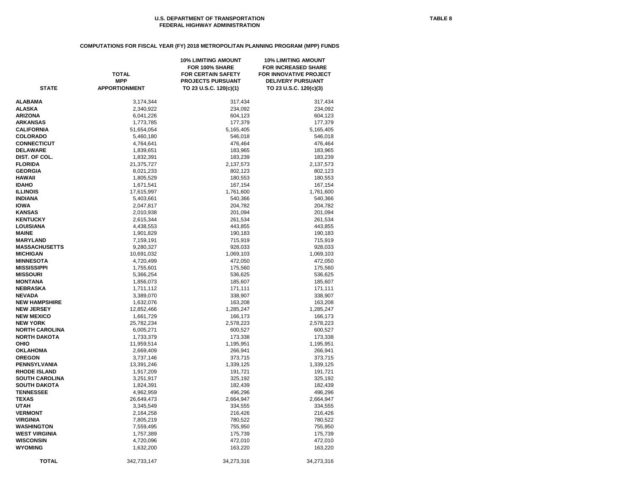# **COMPUTATIONS FOR FISCAL YEAR (FY) 2018 METROPOLITAN PLANNING PROGRAM (MPP) FUNDS**

| <b>STATE</b>          | <b>TOTAL</b><br><b>MPP</b><br><b>APPORTIONMENT</b> | <b>10% LIMITING AMOUNT</b><br>FOR 100% SHARE<br><b>FOR CERTAIN SAFETY</b><br><b>PROJECTS PURSUANT</b><br>TO 23 U.S.C. 120(c)(1) | <b>10% LIMITING AMOUNT</b><br><b>FOR INCREASED SHARE</b><br>FOR INNOVATIVE PROJECT<br><b>DELIVERY PURSUANT</b><br>TO 23 U.S.C. 120(c)(3) |
|-----------------------|----------------------------------------------------|---------------------------------------------------------------------------------------------------------------------------------|------------------------------------------------------------------------------------------------------------------------------------------|
| ALABAMA               | 3,174,344                                          | 317,434                                                                                                                         | 317,434                                                                                                                                  |
| ALASKA                | 2,340,922                                          | 234,092                                                                                                                         | 234,092                                                                                                                                  |
| <b>ARIZONA</b>        | 6,041,226                                          | 604,123                                                                                                                         | 604,123                                                                                                                                  |
| <b>ARKANSAS</b>       | 1,773,785                                          | 177,379                                                                                                                         | 177,379                                                                                                                                  |
| CALIFORNIA            | 51,654,054                                         | 5,165,405                                                                                                                       | 5,165,405                                                                                                                                |
| <b>COLORADO</b>       | 5,460,180                                          | 546,018                                                                                                                         | 546,018                                                                                                                                  |
| <b>CONNECTICUT</b>    | 4,764,641                                          | 476,464                                                                                                                         | 476,464                                                                                                                                  |
| <b>DELAWARE</b>       | 1,839,651                                          | 183,965                                                                                                                         | 183,965                                                                                                                                  |
| DIST. OF COL.         | 1,832,391                                          | 183,239                                                                                                                         | 183,239                                                                                                                                  |
| <b>FLORIDA</b>        | 21,375,727                                         | 2,137,573                                                                                                                       | 2,137,573                                                                                                                                |
| <b>GEORGIA</b>        | 8,021,233                                          | 802,123                                                                                                                         | 802,123                                                                                                                                  |
| HAWAII                | 1,805,529                                          | 180,553                                                                                                                         | 180,553                                                                                                                                  |
| <b>IDAHO</b>          | 1,671,541                                          | 167,154                                                                                                                         | 167,154                                                                                                                                  |
| ILLINOIS              | 17,615,997                                         | 1,761,600                                                                                                                       | 1,761,600                                                                                                                                |
| INDIANA               | 5,403,661                                          | 540,366                                                                                                                         | 540,366                                                                                                                                  |
| IOWA                  | 2,047,817                                          | 204,782                                                                                                                         | 204,782                                                                                                                                  |
| KANSAS                | 2,010,938                                          | 201,094                                                                                                                         | 201,094                                                                                                                                  |
| <b>KENTUCKY</b>       | 2,615,344                                          | 261,534                                                                                                                         | 261,534                                                                                                                                  |
| LOUISIANA             | 4,438,553                                          | 443,855                                                                                                                         | 443,855                                                                                                                                  |
| <b>MAINE</b>          | 1,901,829                                          | 190,183                                                                                                                         | 190,183                                                                                                                                  |
| <b>MARYLAND</b>       | 7,159,191                                          | 715,919                                                                                                                         | 715,919                                                                                                                                  |
| <b>MASSACHUSETTS</b>  | 9,280,327                                          | 928,033                                                                                                                         | 928,033                                                                                                                                  |
| <b>MICHIGAN</b>       | 10,691,032                                         | 1,069,103                                                                                                                       | 1,069,103                                                                                                                                |
| <b>MINNESOTA</b>      | 4,720,499                                          | 472,050                                                                                                                         | 472,050                                                                                                                                  |
| MISSISSIPPI           | 1,755,601                                          | 175,560                                                                                                                         | 175,560                                                                                                                                  |
| <b>MISSOURI</b>       | 5,366,254                                          | 536,625                                                                                                                         | 536,625                                                                                                                                  |
| MONTANA               | 1,856,073                                          | 185,607                                                                                                                         | 185,607                                                                                                                                  |
| NEBRASKA              | 1,711,112                                          | 171,111                                                                                                                         | 171,111                                                                                                                                  |
| <b>NEVADA</b>         | 3,389,070                                          | 338,907                                                                                                                         | 338,907                                                                                                                                  |
| <b>NEW HAMPSHIRE</b>  | 1,632,076                                          | 163,208                                                                                                                         | 163,208                                                                                                                                  |
| <b>NEW JERSEY</b>     | 12,852,466                                         | 1,285,247                                                                                                                       | 1,285,247                                                                                                                                |
| <b>NEW MEXICO</b>     | 1,661,729                                          | 166,173                                                                                                                         | 166,173                                                                                                                                  |
| <b>NEW YORK</b>       | 25,782,234                                         | 2,578,223                                                                                                                       | 2,578,223                                                                                                                                |
| <b>NORTH CAROLINA</b> | 6,005,271                                          | 600,527                                                                                                                         | 600,527                                                                                                                                  |
| <b>NORTH DAKOTA</b>   | 1,733,379                                          | 173,338                                                                                                                         | 173,338                                                                                                                                  |
| OHIO                  | 11,959,514                                         | 1,195,951                                                                                                                       | 1,195,951                                                                                                                                |
| OKLAHOMA              | 2,669,409                                          | 266,941                                                                                                                         | 266,941                                                                                                                                  |
| <b>OREGON</b>         | 3,737,146                                          | 373,715                                                                                                                         | 373,715                                                                                                                                  |
| PENNSYLVANIA          | 13,391,246                                         | 1,339,125                                                                                                                       | 1,339,125                                                                                                                                |
| <b>RHODE ISLAND</b>   | 1,917,209                                          | 191,721                                                                                                                         | 191,721                                                                                                                                  |
| <b>SOUTH CAROLINA</b> | 3,251,917                                          | 325,192                                                                                                                         | 325,192                                                                                                                                  |
| <b>SOUTH DAKOTA</b>   | 1,824,391                                          | 182,439                                                                                                                         | 182,439                                                                                                                                  |
| <b>TENNESSEE</b>      | 4,962,959                                          | 496,296                                                                                                                         | 496,296                                                                                                                                  |
| TEXAS                 | 26,649,473                                         | 2,664,947                                                                                                                       | 2,664,947                                                                                                                                |
| UTAH                  | 3,345,549                                          | 334,555                                                                                                                         | 334,555                                                                                                                                  |
| <b>VERMONT</b>        | 2,164,258                                          | 216,426                                                                                                                         | 216,426                                                                                                                                  |
| <b>VIRGINIA</b>       | 7,805,219                                          | 780,522                                                                                                                         | 780,522                                                                                                                                  |
| WASHINGTON            | 7,559,495                                          | 755,950                                                                                                                         | 755,950                                                                                                                                  |
| WEST VIRGINIA         | 1,757,389                                          | 175,739                                                                                                                         | 175,739                                                                                                                                  |
| WISCONSIN             | 4,720,096                                          | 472,010                                                                                                                         | 472,010                                                                                                                                  |
| <b>WYOMING</b>        | 1,632,200                                          | 163,220                                                                                                                         | 163,220                                                                                                                                  |
|                       |                                                    |                                                                                                                                 |                                                                                                                                          |
| <b>TOTAL</b>          | 342,733,147                                        | 34,273,316                                                                                                                      | 34,273,316                                                                                                                               |
|                       |                                                    |                                                                                                                                 |                                                                                                                                          |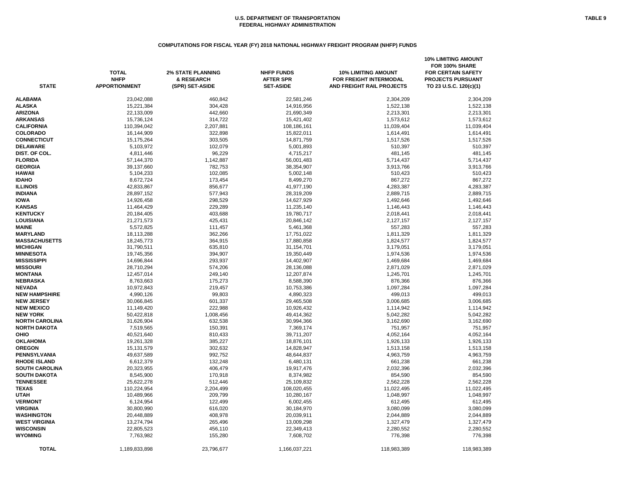# **COMPUTATIONS FOR FISCAL YEAR (FY) 2018 NATIONAL HIGHWAY FREIGHT PROGRAM (NHFP) FUNDS**

| <b>STATE</b>          | <b>TOTAL</b><br><b>NHFP</b><br><b>APPORTIONMENT</b> | <b>2% STATE PLANNING</b><br>& RESEARCH<br>(SPR) SET-ASIDE | <b>NHFP FUNDS</b><br><b>AFTER SPR</b><br><b>SET-ASIDE</b> | <b>10% LIMITING AMOUNT</b><br>FOR FREIGHT INTERMODAL<br><b>AND FREIGHT RAIL PROJECTS</b> | <b>10% LIMITING AMOUNT</b><br>FOR 100% SHARE<br><b>FOR CERTAIN SAFETY</b><br><b>PROJECTS PURSUANT</b><br>TO 23 U.S.C. 120(c)(1) |
|-----------------------|-----------------------------------------------------|-----------------------------------------------------------|-----------------------------------------------------------|------------------------------------------------------------------------------------------|---------------------------------------------------------------------------------------------------------------------------------|
| <b>ALABAMA</b>        | 23,042,088                                          | 460,842                                                   | 22,581,246                                                | 2,304,209                                                                                | 2,304,209                                                                                                                       |
| <b>ALASKA</b>         | 15,221,384                                          | 304,428                                                   | 14,916,956                                                | 1,522,138                                                                                | 1,522,138                                                                                                                       |
| <b>ARIZONA</b>        | 22,133,009                                          | 442,660                                                   | 21,690,349                                                | 2,213,301                                                                                | 2,213,301                                                                                                                       |
| <b>ARKANSAS</b>       | 15,736,124                                          | 314,722                                                   | 15,421,402                                                | 1,573,612                                                                                | 1,573,612                                                                                                                       |
| <b>CALIFORNIA</b>     | 110,394,042                                         | 2,207,881                                                 | 108,186,161                                               | 11,039,404                                                                               | 11,039,404                                                                                                                      |
| <b>COLORADO</b>       | 16,144,909                                          | 322,898                                                   | 15,822,011                                                | 1,614,491                                                                                | 1,614,491                                                                                                                       |
| <b>CONNECTICUT</b>    | 15,175,264                                          | 303,505                                                   | 14,871,759                                                | 1,517,526                                                                                | 1,517,526                                                                                                                       |
| <b>DELAWARE</b>       | 5,103,972                                           | 102,079                                                   | 5,001,893                                                 | 510,397                                                                                  | 510,397                                                                                                                         |
| DIST. OF COL.         | 4,811,446                                           | 96,229                                                    | 4,715,217                                                 | 481,145                                                                                  | 481,145                                                                                                                         |
| <b>FLORIDA</b>        | 57,144,370                                          | 1,142,887                                                 | 56,001,483                                                | 5,714,437                                                                                | 5,714,437                                                                                                                       |
| <b>GEORGIA</b>        | 39,137,660                                          | 782,753                                                   | 38,354,907                                                | 3,913,766                                                                                | 3,913,766                                                                                                                       |
| <b>HAWAII</b>         | 5,104,233                                           | 102,085                                                   | 5,002,148                                                 | 510,423                                                                                  | 510,423                                                                                                                         |
| <b>IDAHO</b>          | 8,672,724                                           | 173,454                                                   | 8,499,270                                                 | 867,272                                                                                  | 867,272                                                                                                                         |
| <b>ILLINOIS</b>       | 42,833,867                                          | 856,677                                                   | 41,977,190                                                | 4,283,387                                                                                | 4,283,387                                                                                                                       |
| <b>INDIANA</b>        | 28,897,152                                          | 577,943                                                   | 28,319,209                                                | 2,889,715                                                                                | 2,889,715                                                                                                                       |
| <b>IOWA</b>           | 14,926,458                                          | 298,529                                                   | 14,627,929                                                | 1,492,646                                                                                | 1,492,646                                                                                                                       |
| <b>KANSAS</b>         | 11,464,429                                          | 229,289                                                   | 11,235,140                                                | 1,146,443                                                                                | 1,146,443                                                                                                                       |
| <b>KENTUCKY</b>       | 20,184,405                                          | 403,688                                                   | 19,780,717                                                | 2,018,441                                                                                | 2,018,441                                                                                                                       |
| <b>LOUISIANA</b>      |                                                     |                                                           | 20,846,142                                                | 2,127,157                                                                                |                                                                                                                                 |
|                       | 21,271,573                                          | 425,431                                                   |                                                           |                                                                                          | 2,127,157                                                                                                                       |
| <b>MAINE</b>          | 5,572,825                                           | 111,457                                                   | 5,461,368                                                 | 557,283                                                                                  | 557,283                                                                                                                         |
| <b>MARYLAND</b>       | 18,113,288                                          | 362,266                                                   | 17,751,022                                                | 1,811,329                                                                                | 1,811,329                                                                                                                       |
| <b>MASSACHUSETTS</b>  | 18,245,773                                          | 364,915                                                   | 17,880,858                                                | 1,824,577                                                                                | 1,824,577                                                                                                                       |
| <b>MICHIGAN</b>       | 31,790,511                                          | 635,810                                                   | 31,154,701                                                | 3,179,051                                                                                | 3,179,051                                                                                                                       |
| <b>MINNESOTA</b>      | 19,745,356                                          | 394,907                                                   | 19,350,449                                                | 1,974,536                                                                                | 1,974,536                                                                                                                       |
| <b>MISSISSIPPI</b>    | 14,696,844                                          | 293,937                                                   | 14,402,907                                                | 1,469,684                                                                                | 1,469,684                                                                                                                       |
| <b>MISSOURI</b>       | 28,710,294                                          | 574,206                                                   | 28,136,088                                                | 2,871,029                                                                                | 2,871,029                                                                                                                       |
| <b>MONTANA</b>        | 12,457,014                                          | 249,140                                                   | 12,207,874                                                | 1,245,701                                                                                | 1,245,701                                                                                                                       |
| <b>NEBRASKA</b>       | 8,763,663                                           | 175,273                                                   | 8,588,390                                                 | 876,366                                                                                  | 876,366                                                                                                                         |
| <b>NEVADA</b>         | 10,972,843                                          | 219,457                                                   | 10,753,386                                                | 1,097,284                                                                                | 1,097,284                                                                                                                       |
| <b>NEW HAMPSHIRE</b>  | 4,990,126                                           | 99,803                                                    | 4,890,323                                                 | 499,013                                                                                  | 499,013                                                                                                                         |
| <b>NEW JERSEY</b>     | 30,066,845                                          | 601,337                                                   | 29,465,508                                                | 3,006,685                                                                                | 3,006,685                                                                                                                       |
| <b>NEW MEXICO</b>     | 11,149,420                                          | 222,988                                                   | 10,926,432                                                | 1,114,942                                                                                | 1,114,942                                                                                                                       |
| <b>NEW YORK</b>       | 50,422,818                                          | 1,008,456                                                 | 49,414,362                                                | 5,042,282                                                                                | 5,042,282                                                                                                                       |
| <b>NORTH CAROLINA</b> | 31,626,904                                          | 632,538                                                   | 30,994,366                                                | 3,162,690                                                                                | 3,162,690                                                                                                                       |
| <b>NORTH DAKOTA</b>   | 7,519,565                                           | 150,391                                                   | 7,369,174                                                 | 751,957                                                                                  | 751,957                                                                                                                         |
| <b>OHIO</b>           | 40,521,640                                          | 810,433                                                   | 39,711,207                                                | 4,052,164                                                                                | 4,052,164                                                                                                                       |
| <b>OKLAHOMA</b>       | 19,261,328                                          | 385,227                                                   | 18,876,101                                                | 1,926,133                                                                                | 1,926,133                                                                                                                       |
| <b>OREGON</b>         | 15, 131, 579                                        | 302,632                                                   | 14,828,947                                                | 1,513,158                                                                                | 1,513,158                                                                                                                       |
| <b>PENNSYLVANIA</b>   | 49,637,589                                          | 992,752                                                   | 48,644,837                                                | 4,963,759                                                                                | 4,963,759                                                                                                                       |
| <b>RHODE ISLAND</b>   | 6,612,379                                           | 132,248                                                   | 6,480,131                                                 | 661,238                                                                                  | 661,238                                                                                                                         |
| <b>SOUTH CAROLINA</b> | 20,323,955                                          | 406,479                                                   | 19,917,476                                                | 2,032,396                                                                                | 2,032,396                                                                                                                       |
| <b>SOUTH DAKOTA</b>   | 8,545,900                                           | 170,918                                                   | 8,374,982                                                 | 854,590                                                                                  | 854,590                                                                                                                         |
| <b>TENNESSEE</b>      | 25,622,278                                          | 512,446                                                   | 25,109,832                                                | 2,562,228                                                                                | 2,562,228                                                                                                                       |
| <b>TEXAS</b>          | 110,224,954                                         | 2,204,499                                                 | 108,020,455                                               | 11,022,495                                                                               | 11,022,495                                                                                                                      |
| <b>UTAH</b>           | 10,489,966                                          | 209,799                                                   | 10,280,167                                                | 1,048,997                                                                                | 1,048,997                                                                                                                       |
| <b>VERMONT</b>        | 6,124,954                                           | 122,499                                                   | 6,002,455                                                 | 612,495                                                                                  | 612,495                                                                                                                         |
| <b>VIRGINIA</b>       | 30,800,990                                          | 616,020                                                   | 30,184,970                                                | 3,080,099                                                                                | 3,080,099                                                                                                                       |
| <b>WASHINGTON</b>     | 20,448,889                                          | 408,978                                                   | 20,039,911                                                | 2,044,889                                                                                | 2,044,889                                                                                                                       |
| <b>WEST VIRGINIA</b>  | 13,274,794                                          | 265,496                                                   | 13,009,298                                                | 1,327,479                                                                                | 1,327,479                                                                                                                       |
| <b>WISCONSIN</b>      | 22,805,523                                          | 456,110                                                   | 22,349,413                                                | 2,280,552                                                                                | 2,280,552                                                                                                                       |
| <b>WYOMING</b>        | 7,763,982                                           | 155,280                                                   | 7,608,702                                                 | 776,398                                                                                  | 776,398                                                                                                                         |
| <b>TOTAL</b>          | 1,189,833,898                                       | 23,796,677                                                | 1,166,037,221                                             | 118,983,389                                                                              | 118,983,389                                                                                                                     |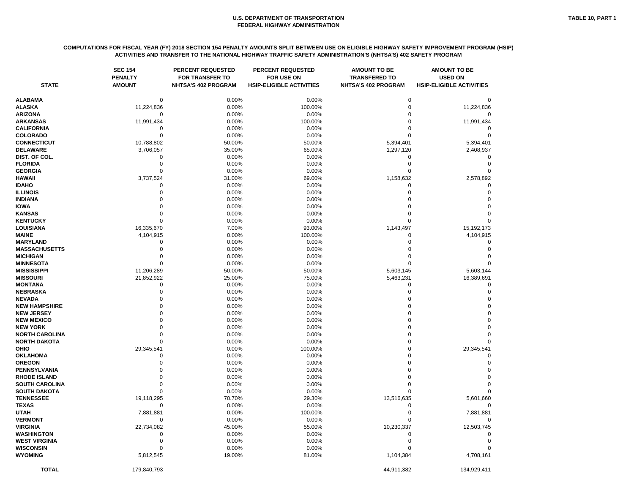# **COMPUTATIONS FOR FISCAL YEAR (FY) 2018 SECTION 154 PENALTY AMOUNTS SPLIT BETWEEN USE ON ELIGIBLE HIGHWAY SAFETY IMPROVEMENT PROGRAM (HSIP) ACTIVITIES AND TRANSFER TO THE NATIONAL HIGHWAY TRAFFIC SAFETY ADMINISTRATION'S (NHTSA'S) 402 SAFETY PROGRAM**

| <b>STATE</b>                       | <b>SEC 154</b><br><b>PENALTY</b><br><b>AMOUNT</b> | <b>PERCENT REQUESTED</b><br><b>FOR TRANSFER TO</b><br>NHTSA'S 402 PROGRAM | <b>PERCENT REQUESTED</b><br><b>FOR USE ON</b><br><b>HSIP-ELIGIBLE ACTIVITIES</b> | <b>AMOUNT TO BE</b><br><b>TRANSFERED TO</b><br><b>NHTSA'S 402 PROGRAM</b> | <b>AMOUNT TO BE</b><br><b>USED ON</b><br><b>HSIP-ELIGIBLE ACTIVITIES</b> |
|------------------------------------|---------------------------------------------------|---------------------------------------------------------------------------|----------------------------------------------------------------------------------|---------------------------------------------------------------------------|--------------------------------------------------------------------------|
| <b>ALABAMA</b>                     | 0                                                 | 0.00%                                                                     | 0.00%                                                                            | 0                                                                         |                                                                          |
| <b>ALASKA</b>                      | 11,224,836                                        | 0.00%                                                                     | 100.00%                                                                          | $\Omega$                                                                  | 11,224,836                                                               |
| <b>ARIZONA</b>                     | 0                                                 | 0.00%                                                                     | 0.00%                                                                            |                                                                           |                                                                          |
| <b>ARKANSAS</b>                    | 11,991,434                                        | 0.00%                                                                     | 100.00%                                                                          |                                                                           | 11,991,434                                                               |
| <b>CALIFORNIA</b>                  | 0                                                 | 0.00%                                                                     | 0.00%                                                                            |                                                                           |                                                                          |
| <b>COLORADO</b>                    | 0                                                 | 0.00%                                                                     | 0.00%                                                                            |                                                                           |                                                                          |
| <b>CONNECTICUT</b>                 | 10,788,802                                        | 50.00%                                                                    | 50.00%                                                                           | 5,394,401                                                                 | 5,394,401                                                                |
| <b>DELAWARE</b>                    | 3,706,057                                         | 35.00%                                                                    | 65.00%                                                                           | 1,297,120                                                                 | 2,408,937                                                                |
| DIST. OF COL.                      | 0                                                 | 0.00%                                                                     | 0.00%                                                                            | 0                                                                         |                                                                          |
| <b>FLORIDA</b>                     |                                                   | 0.00%                                                                     | 0.00%                                                                            | O                                                                         |                                                                          |
| <b>GEORGIA</b>                     | $\Omega$                                          | 0.00%                                                                     | 0.00%                                                                            | 0                                                                         |                                                                          |
| <b>HAWAII</b>                      | 3,737,524                                         | 31.00%                                                                    | 69.00%                                                                           | 1,158,632                                                                 | 2,578,892                                                                |
| <b>IDAHO</b>                       | 0                                                 | 0.00%                                                                     | 0.00%                                                                            | 0                                                                         | 0                                                                        |
| <b>ILLINOIS</b>                    | 0                                                 | 0.00%                                                                     | 0.00%                                                                            |                                                                           | 0                                                                        |
| <b>INDIANA</b>                     |                                                   | 0.00%                                                                     | 0.00%                                                                            |                                                                           |                                                                          |
| <b>IOWA</b>                        |                                                   | 0.00%                                                                     | 0.00%                                                                            |                                                                           |                                                                          |
| <b>KANSAS</b>                      |                                                   | 0.00%                                                                     | 0.00%                                                                            |                                                                           |                                                                          |
| <b>KENTUCKY</b>                    | $\Omega$                                          | 0.00%                                                                     | 0.00%                                                                            | 0                                                                         |                                                                          |
| LOUISIANA                          | 16,335,670                                        | 7.00%                                                                     | 93.00%                                                                           | 1,143,497                                                                 | 15,192,173                                                               |
| <b>MAINE</b>                       | 4,104,915                                         | 0.00%                                                                     | 100.00%                                                                          | 0                                                                         | 4,104,915                                                                |
| <b>MARYLAND</b>                    | 0                                                 | 0.00%                                                                     | 0.00%                                                                            |                                                                           |                                                                          |
| <b>MASSACHUSETTS</b>               |                                                   | 0.00%                                                                     | 0.00%                                                                            |                                                                           |                                                                          |
| <b>MICHIGAN</b>                    |                                                   | 0.00%                                                                     | 0.00%                                                                            |                                                                           |                                                                          |
| <b>MINNESOTA</b>                   | O                                                 | 0.00%                                                                     | 0.00%                                                                            | $\Omega$                                                                  |                                                                          |
| <b>MISSISSIPPI</b>                 | 11,206,289                                        | 50.00%                                                                    | 50.00%                                                                           | 5,603,145                                                                 | 5,603,144                                                                |
| <b>MISSOURI</b>                    | 21,852,922                                        | 25.00%                                                                    | 75.00%                                                                           | 5,463,231                                                                 | 16,389,691                                                               |
| <b>MONTANA</b>                     | 0                                                 | 0.00%                                                                     | 0.00%                                                                            | 0                                                                         |                                                                          |
| <b>NEBRASKA</b>                    |                                                   | 0.00%                                                                     | 0.00%                                                                            |                                                                           |                                                                          |
| <b>NEVADA</b>                      |                                                   | 0.00%                                                                     | 0.00%                                                                            |                                                                           |                                                                          |
| <b>NEW HAMPSHIRE</b>               |                                                   | 0.00%                                                                     | 0.00%                                                                            |                                                                           |                                                                          |
| <b>NEW JERSEY</b>                  |                                                   | 0.00%                                                                     | 0.00%                                                                            |                                                                           |                                                                          |
| <b>NEW MEXICO</b>                  |                                                   | 0.00%                                                                     | 0.00%                                                                            |                                                                           |                                                                          |
| <b>NEW YORK</b>                    |                                                   | 0.00%                                                                     | 0.00%                                                                            | ∩                                                                         | 0                                                                        |
| <b>NORTH CAROLINA</b>              |                                                   | 0.00%                                                                     | 0.00%                                                                            |                                                                           | $\Omega$                                                                 |
| <b>NORTH DAKOTA</b><br><b>OHIO</b> | 0<br>29,345,541                                   | 0.00%<br>0.00%                                                            | 0.00%<br>100.00%                                                                 | 0                                                                         | 29,345,541                                                               |
| <b>OKLAHOMA</b>                    |                                                   | 0.00%                                                                     | 0.00%                                                                            |                                                                           |                                                                          |
| <b>OREGON</b>                      |                                                   | 0.00%                                                                     | 0.00%                                                                            |                                                                           |                                                                          |
| PENNSYLVANIA                       |                                                   | 0.00%                                                                     | 0.00%                                                                            |                                                                           |                                                                          |
| <b>RHODE ISLAND</b>                |                                                   | 0.00%                                                                     | 0.00%                                                                            |                                                                           |                                                                          |
| <b>SOUTH CAROLINA</b>              |                                                   | 0.00%                                                                     | 0.00%                                                                            |                                                                           |                                                                          |
| <b>SOUTH DAKOTA</b>                |                                                   | 0.00%                                                                     | 0.00%                                                                            |                                                                           |                                                                          |
| <b>TENNESSEE</b>                   | 19,118,295                                        | 70.70%                                                                    | 29.30%                                                                           | 13,516,635                                                                | 5,601,660                                                                |
| <b>TEXAS</b>                       | $\Omega$                                          | 0.00%                                                                     | 0.00%                                                                            |                                                                           |                                                                          |
| <b>UTAH</b>                        | 7,881,881                                         | 0.00%                                                                     | 100.00%                                                                          |                                                                           | 7,881,881                                                                |
| <b>VERMONT</b>                     | 0                                                 | 0.00%                                                                     | 0.00%                                                                            |                                                                           |                                                                          |
| <b>VIRGINIA</b>                    | 22,734,082                                        | 45.00%                                                                    | 55.00%                                                                           | 10,230,337                                                                | 12,503,745                                                               |
| <b>WASHINGTON</b>                  |                                                   | 0.00%                                                                     | 0.00%                                                                            |                                                                           |                                                                          |
| <b>WEST VIRGINIA</b>               |                                                   | 0.00%                                                                     | 0.00%                                                                            |                                                                           |                                                                          |
| <b>WISCONSIN</b>                   |                                                   | 0.00%                                                                     | 0.00%                                                                            |                                                                           |                                                                          |
| <b>WYOMING</b>                     | 5,812,545                                         | 19.00%                                                                    | 81.00%                                                                           | 1,104,384                                                                 | 4,708,161                                                                |
| <b>TOTAL</b>                       | 179,840,793                                       |                                                                           |                                                                                  | 44,911,382                                                                | 134,929,411                                                              |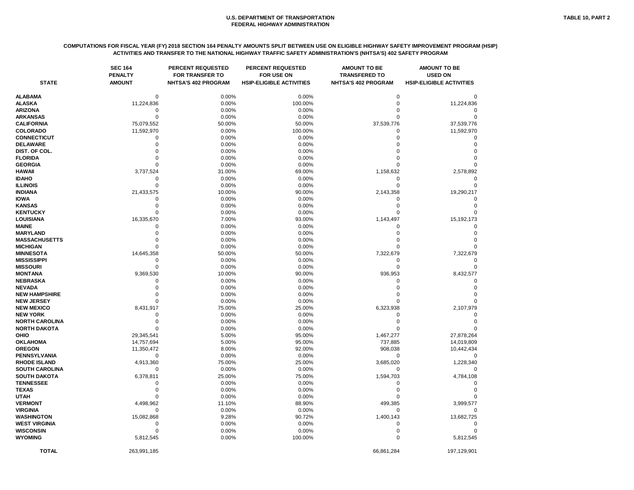#### **COMPUTATIONS FOR FISCAL YEAR (FY) 2018 SECTION 164 PENALTY AMOUNTS SPLIT BETWEEN USE ON ELIGIBLE HIGHWAY SAFETY IMPROVEMENT PROGRAM (HSIP) ACTIVITIES AND TRANSFER TO THE NATIONAL HIGHWAY TRAFFIC SAFETY ADMINISTRATION'S (NHTSA'S) 402 SAFETY PROGRAM**

| <b>STATE</b>          | <b>SEC 164</b><br><b>PENALTY</b><br><b>AMOUNT</b> | <b>PERCENT REQUESTED</b><br><b>FOR TRANSFER TO</b><br><b>NHTSA'S 402 PROGRAM</b> | <b>PERCENT REQUESTED</b><br><b>FOR USE ON</b><br><b>HSIP-ELIGIBLE ACTIVITIES</b> | <b>AMOUNT TO BE</b><br><b>TRANSFERED TO</b><br><b>NHTSA'S 402 PROGRAM</b> | <b>AMOUNT TO BE</b><br><b>USED ON</b><br><b>HSIP-ELIGIBLE ACTIVITIES</b> |
|-----------------------|---------------------------------------------------|----------------------------------------------------------------------------------|----------------------------------------------------------------------------------|---------------------------------------------------------------------------|--------------------------------------------------------------------------|
|                       |                                                   |                                                                                  |                                                                                  |                                                                           |                                                                          |
| <b>ALABAMA</b>        | $\mathbf 0$                                       | 0.00%                                                                            | 0.00%                                                                            | 0                                                                         |                                                                          |
| <b>ALASKA</b>         | 11,224,836                                        | 0.00%                                                                            | 100.00%                                                                          |                                                                           | 11,224,836                                                               |
| <b>ARIZONA</b>        | 0                                                 | 0.00%                                                                            | 0.00%                                                                            |                                                                           |                                                                          |
| <b>ARKANSAS</b>       |                                                   | 0.00%                                                                            | 0.00%                                                                            |                                                                           |                                                                          |
| <b>CALIFORNIA</b>     | 75,079,552                                        | 50.00%                                                                           | 50.00%                                                                           | 37,539,776                                                                | 37,539,776                                                               |
| <b>COLORADO</b>       | 11,592,970                                        | 0.00%                                                                            | 100.00%                                                                          |                                                                           | 11,592,970                                                               |
| <b>CONNECTICUT</b>    |                                                   | 0.00%                                                                            | 0.00%                                                                            |                                                                           |                                                                          |
| <b>DELAWARE</b>       |                                                   | 0.00%                                                                            | 0.00%                                                                            |                                                                           |                                                                          |
| DIST. OF COL.         |                                                   | 0.00%                                                                            | 0.00%                                                                            |                                                                           |                                                                          |
| <b>FLORIDA</b>        |                                                   | 0.00%                                                                            | 0.00%                                                                            |                                                                           |                                                                          |
| <b>GEORGIA</b>        |                                                   | 0.00%                                                                            | 0.00%                                                                            |                                                                           |                                                                          |
| <b>HAWAII</b>         | 3,737,524                                         | 31.00%                                                                           | 69.00%                                                                           | 1,158,632                                                                 | 2,578,892                                                                |
| <b>IDAHO</b>          |                                                   | 0.00%                                                                            | 0.00%                                                                            |                                                                           |                                                                          |
| <b>ILLINOIS</b>       |                                                   | 0.00%                                                                            | 0.00%                                                                            |                                                                           |                                                                          |
| <b>INDIANA</b>        | 21,433,575                                        | 10.00%                                                                           | 90.00%                                                                           | 2,143,358                                                                 | 19,290,217                                                               |
| <b>IOWA</b>           |                                                   | 0.00%                                                                            | 0.00%                                                                            |                                                                           |                                                                          |
| <b>KANSAS</b>         |                                                   | 0.00%                                                                            | 0.00%                                                                            |                                                                           |                                                                          |
| <b>KENTUCKY</b>       |                                                   | 0.00%                                                                            | 0.00%                                                                            |                                                                           |                                                                          |
| <b>LOUISIANA</b>      | 16,335,670                                        | 7.00%                                                                            | 93.00%                                                                           | 1,143,497                                                                 | 15,192,173                                                               |
| <b>MAINE</b>          |                                                   | 0.00%                                                                            | 0.00%                                                                            |                                                                           |                                                                          |
| <b>MARYLAND</b>       |                                                   | 0.00%                                                                            | 0.00%                                                                            |                                                                           |                                                                          |
| <b>MASSACHUSETTS</b>  |                                                   | 0.00%                                                                            | 0.00%                                                                            |                                                                           |                                                                          |
| <b>MICHIGAN</b>       |                                                   | 0.00%                                                                            | 0.00%                                                                            |                                                                           |                                                                          |
| <b>MINNESOTA</b>      | 14,645,358                                        | 50.00%                                                                           | 50.00%                                                                           | 7,322,679                                                                 | 7,322,679                                                                |
| <b>MISSISSIPPI</b>    |                                                   | 0.00%                                                                            | 0.00%                                                                            | 0                                                                         |                                                                          |
| <b>MISSOURI</b>       |                                                   | 0.00%                                                                            | 0.00%                                                                            |                                                                           |                                                                          |
| <b>MONTANA</b>        | 9,369,530                                         | 10.00%                                                                           | 90.00%                                                                           | 936,953                                                                   | 8,432,577                                                                |
| <b>NEBRASKA</b>       |                                                   | 0.00%                                                                            | 0.00%                                                                            |                                                                           |                                                                          |
| <b>NEVADA</b>         |                                                   | 0.00%                                                                            | 0.00%                                                                            |                                                                           |                                                                          |
| <b>NEW HAMPSHIRE</b>  |                                                   | 0.00%                                                                            | 0.00%                                                                            |                                                                           |                                                                          |
| <b>NEW JERSEY</b>     |                                                   | 0.00%                                                                            | 0.00%                                                                            |                                                                           |                                                                          |
| <b>NEW MEXICO</b>     | 8,431,917                                         | 75.00%                                                                           | 25.00%                                                                           | 6,323,938                                                                 | 2,107,979                                                                |
| <b>NEW YORK</b>       |                                                   | 0.00%                                                                            | 0.00%                                                                            |                                                                           |                                                                          |
| <b>NORTH CAROLINA</b> |                                                   | 0.00%                                                                            | 0.00%                                                                            |                                                                           |                                                                          |
| <b>NORTH DAKOTA</b>   | 0                                                 | 0.00%                                                                            | 0.00%                                                                            | 0                                                                         | 0                                                                        |
| OHIO                  | 29,345,541                                        | 5.00%                                                                            | 95.00%                                                                           | 1,467,277                                                                 | 27,878,264                                                               |
| <b>OKLAHOMA</b>       | 14,757,694                                        | 5.00%                                                                            | 95.00%                                                                           | 737,885                                                                   | 14,019,809                                                               |
| <b>OREGON</b>         | 11,350,472                                        | 8.00%                                                                            | 92.00%                                                                           | 908,038                                                                   | 10,442,434                                                               |
| PENNSYLVANIA          | 0                                                 | 0.00%                                                                            | 0.00%                                                                            | 0                                                                         |                                                                          |
| <b>RHODE ISLAND</b>   | 4,913,360                                         | 75.00%                                                                           | 25.00%                                                                           | 3,685,020                                                                 | 1,228,340                                                                |
| SOUTH CAROLINA        | 0                                                 | 0.00%                                                                            | 0.00%                                                                            | 0                                                                         |                                                                          |
| <b>SOUTH DAKOTA</b>   | 6,378,811                                         | 25.00%                                                                           | 75.00%                                                                           | 1,594,703                                                                 | 4,784,108                                                                |
| <b>TENNESSEE</b>      |                                                   | 0.00%                                                                            | 0.00%                                                                            |                                                                           |                                                                          |
| <b>TEXAS</b>          |                                                   | 0.00%                                                                            | 0.00%                                                                            |                                                                           |                                                                          |
| <b>UTAH</b>           |                                                   | 0.00%                                                                            | 0.00%                                                                            |                                                                           |                                                                          |
| <b>VERMONT</b>        | 4,498,962                                         | 11.10%                                                                           | 88.90%                                                                           | 499,385                                                                   | 3,999,577                                                                |
| <b>VIRGINIA</b>       | 0                                                 | 0.00%                                                                            | 0.00%                                                                            | 0                                                                         | O                                                                        |
| WASHINGTON            | 15,082,868                                        | 9.28%                                                                            | 90.72%                                                                           | 1,400,143                                                                 | 13,682,725                                                               |
| <b>WEST VIRGINIA</b>  | 0                                                 | 0.00%                                                                            | 0.00%                                                                            | 0                                                                         |                                                                          |
| <b>WISCONSIN</b>      | O                                                 | 0.00%                                                                            | 0.00%                                                                            | 0                                                                         |                                                                          |
| <b>WYOMING</b>        | 5,812,545                                         | 0.00%                                                                            | 100.00%                                                                          | 0                                                                         | 5,812,545                                                                |
|                       |                                                   |                                                                                  |                                                                                  |                                                                           |                                                                          |
| <b>TOTAL</b>          | 263,991,185                                       |                                                                                  |                                                                                  | 66,861,284                                                                | 197,129,901                                                              |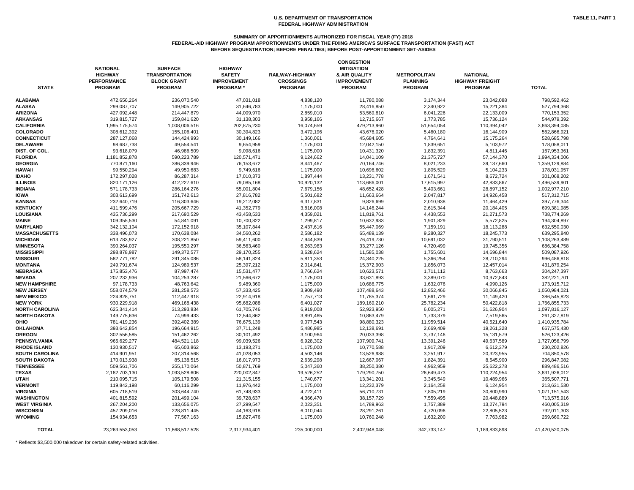#### **SUMMARY OF APPORTIONMENTS AUTHORIZED FOR FISCAL YEAR (FY) 2018**

**FEDERAL-AID HIGHWAY PROGRAM APPORTIONMENTS UNDER THE FIXING AMERICA'S SURFACE TRANSPORTATION (FAST) ACT BEFORE SEQUESTRATION; BEFORE PENALTIES; BEFORE POST-APPORTIONMENT SET-ASIDES**

| <b>STATE</b>          | <b>NATIONAL</b><br><b>HIGHWAY</b><br><b>PERFORMANCE</b><br><b>PROGRAM</b> | <b>SURFACE</b><br><b>TRANSPORTATION</b><br><b>BLOCK GRANT</b><br><b>PROGRAM</b> | <b>HIGHWAY</b><br><b>SAFETY</b><br><b>IMPROVEMENT</b><br><b>PROGRAM*</b> | RAILWAY-HIGHWAY<br><b>CROSSINGS</b><br><b>PROGRAM</b> | <b>CONGESTION</b><br><b>MITIGATION</b><br>& AIR QUALITY<br><b>IMPROVEMENT</b><br><b>PROGRAM</b> | <b>METROPOLITAN</b><br><b>PLANNING</b><br><b>PROGRAM</b> | <b>NATIONAL</b><br><b>HIGHWAY FREIGHT</b><br><b>PROGRAM</b> | <b>TOTAL</b>   |
|-----------------------|---------------------------------------------------------------------------|---------------------------------------------------------------------------------|--------------------------------------------------------------------------|-------------------------------------------------------|-------------------------------------------------------------------------------------------------|----------------------------------------------------------|-------------------------------------------------------------|----------------|
| <b>ALABAMA</b>        | 472,656,264                                                               | 236,070,540                                                                     | 47,031,018                                                               | 4,838,120                                             | 11,780,088                                                                                      | 3,174,344                                                | 23,042,088                                                  | 798,592,462    |
| <b>ALASKA</b>         | 299,087,707                                                               | 149,905,722                                                                     | 31,646,783                                                               | 1,175,000                                             | 28,416,850                                                                                      | 2,340,922                                                | 15,221,384                                                  | 527,794,368    |
| <b>ARIZONA</b>        | 427,092,448                                                               | 214,447,879                                                                     | 44,009,970                                                               | 2,859,010                                             | 53,569,810                                                                                      | 6,041,226                                                | 22,133,009                                                  | 770,153,352    |
| <b>ARKANSAS</b>       | 319,815,727                                                               | 159,841,620                                                                     | 31,138,303                                                               | 3,958,166                                             | 12,715,667                                                                                      | 1,773,785                                                | 15,736,124                                                  | 544,979,392    |
| <b>CALIFORNIA</b>     | 1,995,175,574                                                             | 1,008,006,516                                                                   | 202,875,230                                                              | 16,074,659                                            | 479,213,960                                                                                     | 51,654,054                                               | 110,394,042                                                 | 3,863,394,035  |
| <b>COLORADO</b>       | 308,612,392                                                               | 155,106,401                                                                     | 30,394,823                                                               | 3,472,196                                             | 43,676,020                                                                                      | 5,460,180                                                | 16,144,909                                                  | 562,866,921    |
| <b>CONNECTICUT</b>    | 287,127,068                                                               | 144,424,993                                                                     | 30,149,166                                                               | 1,360,061                                             | 45,684,605                                                                                      | 4,764,641                                                | 15,175,264                                                  | 528,685,798    |
| <b>DELAWARE</b>       | 98,687,738                                                                | 49,554,541                                                                      | 9,654,959                                                                | 1,175,000                                             | 12,042,150                                                                                      | 1,839,651                                                | 5,103,972                                                   | 178,058,011    |
| DIST. OF COL.         | 93,618,079                                                                | 46,986,509                                                                      | 9,098,616                                                                | 1,175,000                                             | 10,431,320                                                                                      | 1,832,391                                                | 4,811,446                                                   | 167,953,361    |
| <b>FLORIDA</b>        | 1,181,852,878                                                             | 590,223,789                                                                     | 120,571,471                                                              | 9,124,662                                             | 14,041,109                                                                                      | 21,375,727                                               | 57,144,370                                                  | 1,994,334,006  |
| <b>GEORGIA</b>        | 770,871,160                                                               | 386,339,946                                                                     | 76,153,672                                                               | 8,441,467                                             | 70,164,746                                                                                      | 8,021,233                                                | 39,137,660                                                  | 1,359,129,884  |
| <b>HAWAII</b>         | 99,550,294                                                                | 49,950,683                                                                      | 9,749,616                                                                | 1,175,000                                             | 10,696,602                                                                                      | 1,805,529                                                | 5,104,233                                                   | 178,031,957    |
| <b>IDAHO</b>          | 172,297,028                                                               | 86,287,314                                                                      | 17,010,373                                                               | 1,897,444                                             | 13,231,778                                                                                      | 1,671,541                                                | 8,672,724                                                   | 301,068,202    |
| <b>ILLINOIS</b>       | 820, 171, 126                                                             | 412,227,610                                                                     | 79,085,168                                                               | 10,920,132                                            | 113,686,001                                                                                     | 17,615,997                                               | 42,833,867                                                  | 1,496,539,901  |
| <b>INDIANA</b>        | 571,178,733                                                               | 286,164,276                                                                     | 55,001,804                                                               | 7,679,156                                             | 48,652,428                                                                                      | 5,403,661                                                | 28,897,152                                                  | 1,002,977,210  |
| <b>IOWA</b>           | 303,613,699                                                               | 151,742,613                                                                     | 27,816,782                                                               | 5,501,682                                             | 11,663,664                                                                                      | 2,047,817                                                | 14,926,458                                                  | 517,312,715    |
| <b>KANSAS</b>         |                                                                           |                                                                                 |                                                                          |                                                       | 9,826,699                                                                                       |                                                          |                                                             |                |
| <b>KENTUCKY</b>       | 232,640,719                                                               | 116,303,646                                                                     | 19,212,082                                                               | 6,317,831                                             |                                                                                                 | 2,010,938                                                | 11,464,429                                                  | 397,776,344    |
| <b>LOUISIANA</b>      | 411,599,476                                                               | 205,667,729                                                                     | 41,352,779                                                               | 3,816,008                                             | 14,146,244                                                                                      | 2,615,344                                                | 20,184,405                                                  | 699,381,985    |
|                       | 435,736,299                                                               | 217,690,529                                                                     | 43,458,533                                                               | 4,359,021                                             | 11,819,761                                                                                      | 4,438,553                                                | 21,271,573                                                  | 738,774,269    |
| <b>MAINE</b>          | 109,355,530                                                               | 54,841,091                                                                      | 10,700,822                                                               | 1,299,817                                             | 10,632,983                                                                                      | 1,901,829                                                | 5,572,825                                                   | 194,304,897    |
| <b>MARYLAND</b>       | 342,132,104                                                               | 172,152,918                                                                     | 35,107,844                                                               | 2,437,616                                             | 55,447,069                                                                                      | 7,159,191                                                | 18,113,288                                                  | 632,550,030    |
| <b>MASSACHUSETTS</b>  | 338,496,073                                                               | 170,638,084                                                                     | 34,560,262                                                               | 2,586,182                                             | 65,489,139                                                                                      | 9,280,327                                                | 18,245,773                                                  | 639,295,840    |
| <b>MICHIGAN</b>       | 613,783,927                                                               | 308,221,850                                                                     | 59,411,600                                                               | 7,944,839                                             | 76,419,730                                                                                      | 10,691,032                                               | 31,790,511                                                  | 1,108,263,489  |
| <b>MINNESOTA</b>      | 390,264,037                                                               | 195,550,297                                                                     | 36,563,460                                                               | 6,263,983                                             | 33,277,126                                                                                      | 4,720,499                                                | 19,745,356                                                  | 686,384,758    |
| <b>MISSISSIPPI</b>    | 298,878,987                                                               | 149,372,577                                                                     | 29,170,255                                                               | 3,628,624                                             | 11,585,038                                                                                      | 1,755,601                                                | 14,696,844                                                  | 509,087,926    |
| <b>MISSOURI</b>       | 582,771,782                                                               | 291,345,086                                                                     | 58,141,824                                                               | 5,811,353                                             | 24,340,225                                                                                      | 5,366,254                                                | 28,710,294                                                  | 996,486,818    |
| <b>MONTANA</b>        | 249,791,674                                                               | 124,989,537                                                                     | 25,397,212                                                               | 2,014,841                                             | 15,372,903                                                                                      | 1,856,073                                                | 12,457,014                                                  | 431,879,254    |
| <b>NEBRASKA</b>       | 175,853,476                                                               | 87,997,474                                                                      | 15,531,477                                                               | 3,766,624                                             | 10,623,571                                                                                      | 1,711,112                                                | 8,763,663                                                   | 304,247,397    |
| <b>NEVADA</b>         | 207,232,936                                                               | 104,253,287                                                                     | 21,566,672                                                               | 1,175,000                                             | 33,631,893                                                                                      | 3,389,070                                                | 10,972,843                                                  | 382,221,701    |
| <b>NEW HAMPSHIRE</b>  | 97,178,733                                                                | 48,763,642                                                                      | 9,489,360                                                                | 1,175,000                                             | 10,686,775                                                                                      | 1,632,076                                                | 4,990,126                                                   | 173,915,712    |
| <b>NEW JERSEY</b>     | 558,074,579                                                               | 281,258,573                                                                     | 57,333,425                                                               | 3,909,490                                             | 107,488,643                                                                                     | 12,852,466                                               | 30,066,845                                                  | 1,050,984,021  |
| <b>NEW MEXICO</b>     | 224,828,751                                                               | 112,447,918                                                                     | 22,914,918                                                               | 1,757,713                                             | 11,785,374                                                                                      | 1,661,729                                                | 11,149,420                                                  | 386,545,823    |
| <b>NEW YORK</b>       | 930,229,918                                                               | 469,168,438                                                                     | 95,682,088                                                               | 6,401,027                                             | 189,169,210                                                                                     | 25,782,234                                               | 50,422,818                                                  | 1,766,855,733  |
| <b>NORTH CAROLINA</b> | 625,341,414                                                               | 313,293,834                                                                     | 61,705,746                                                               | 6,919,008                                             | 52,923,950                                                                                      | 6,005,271                                                | 31,626,904                                                  | 1,097,816,127  |
| <b>NORTH DAKOTA</b>   | 149,775,636                                                               | 74,999,433                                                                      | 12,544,862                                                               | 3,891,465                                             | 10,863,479                                                                                      | 1,733,379                                                | 7,519,565                                                   | 261,327,819    |
| <b>OHIO</b>           | 781,419,236                                                               | 392,402,389                                                                     | 76,675,139                                                               | 9,077,543                                             | 98,880,323                                                                                      | 11,959,514                                               | 40,521,640                                                  | 1,410,935,784  |
| <b>OKLAHOMA</b>       | 393,642,854                                                               | 196,664,915                                                                     | 37,711,248                                                               | 5,486,985                                             | 12,138,691                                                                                      | 2,669,409                                                | 19,261,328                                                  | 667,575,430    |
| <b>OREGON</b>         | 302,556,585                                                               | 151,462,262                                                                     | 30,101,492                                                               | 3,100,964                                             | 20,033,398                                                                                      | 3,737,146                                                | 15,131,579                                                  | 526,123,426    |
| <b>PENNSYLVANIA</b>   | 965,629,277                                                               | 484,521,118                                                                     | 99,039,526                                                               | 6,928,302                                             | 107,909,741                                                                                     | 13,391,246                                               | 49,637,589                                                  | 1,727,056,799  |
| <b>RHODE ISLAND</b>   | 130,930,517                                                               | 65,603,862                                                                      | 13,193,271                                                               | 1,175,000                                             | 10,770,588                                                                                      | 1,917,209                                                | 6,612,379                                                   | 230,202,826    |
| <b>SOUTH CAROLINA</b> | 414,901,951                                                               | 207,314,568                                                                     | 41,028,053                                                               | 4,503,146                                             | 13,526,988                                                                                      | 3,251,917                                                | 20,323,955                                                  | 704,850,578    |
| <b>SOUTH DAKOTA</b>   | 170,013,938                                                               | 85,138,515                                                                      | 16,017,973                                                               | 2,639,298                                             | 12,667,067                                                                                      | 1,824,391                                                | 8,545,900                                                   | 296,847,082    |
| <b>TENNESSEE</b>      | 509,561,706                                                               | 255,170,064                                                                     | 50,871,769                                                               | 5,047,360                                             | 38,250,380                                                                                      | 4,962,959                                                | 25,622,278                                                  | 889,486,516    |
| <b>TEXAS</b>          | 2,182,703,130                                                             | 1,093,528,606                                                                   | 220,002,847                                                              | 19,526,252                                            | 179,290,750                                                                                     | 26,649,473                                               | 110,224,954                                                 | 3,831,926,012  |
| <b>UTAH</b>           | 210,095,715                                                               | 105,179,508                                                                     | 21,315,155                                                               | 1,740,677                                             | 13,341,201                                                                                      | 3,345,549                                                | 10,489,966                                                  | 365,507,771    |
| <b>VERMONT</b>        | 119,842,198                                                               | 60,116,299                                                                      | 11,976,442                                                               | 1,175,000                                             | 12,232,379                                                                                      | 2,164,258                                                | 6,124,954                                                   | 213,631,530    |
| <b>VIRGINIA</b>       | 605,718,519                                                               | 303,644,740                                                                     | 61,748,933                                                               | 4,722,411                                             | 56,710,731                                                                                      | 7,805,219                                                | 30,800,990                                                  | 1,071,151,543  |
| <b>WASHINGTON</b>     | 401,815,592                                                               | 201,499,104                                                                     | 39,728,637                                                               | 4,366,470                                             | 38, 157, 729                                                                                    | 7,559,495                                                | 20,448,889                                                  | 713,575,916    |
| <b>WEST VIRGINIA</b>  | 267,204,200                                                               | 133,656,075                                                                     | 27,299,547                                                               | 2,023,351                                             | 14,789,963                                                                                      | 1,757,389                                                | 13,274,794                                                  | 460,005,319    |
| <b>WISCONSIN</b>      | 457,209,016                                                               | 228,811,445                                                                     | 44,163,918                                                               | 6,010,044                                             | 28,291,261                                                                                      | 4,720,096                                                | 22,805,523                                                  | 792,011,303    |
| <b>WYOMING</b>        | 154,934,653                                                               | 77,567,163                                                                      | 15,827,476                                                               | 1,175,000                                             | 10,760,248                                                                                      | 1,632,200                                                | 7,763,982                                                   | 269,660,722    |
| <b>TOTAL</b>          | 23,263,553,053                                                            | 11,668,517,528                                                                  | 2,317,934,401                                                            | 235,000,000                                           | 2,402,948,048                                                                                   | 342,733,147                                              | 1,189,833,898                                               | 41,420,520,075 |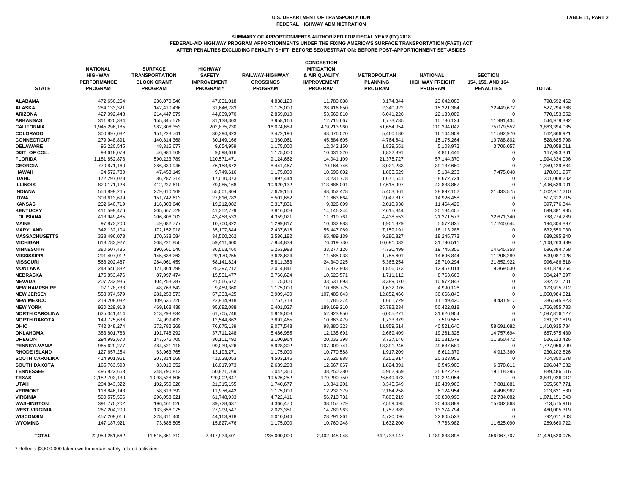### **SUMMARY OF APPORTIONMENTS AUTHORIZED FOR FISCAL YEAR (FY) 2018**

**FEDERAL-AID HIGHWAY PROGRAM APPORTIONMENTS UNDER THE FIXING AMERICA'S SURFACE TRANSPORTATION (FAST) ACT AFTER PENALTIES EXCLUDING PENALTY SHIFT; BEFORE SEQUESTRATION; BEFORE POST-APPORTIONMENT SET-ASIDES**

| <b>STATE</b>          | <b>NATIONAL</b><br><b>HIGHWAY</b><br><b>PERFORMANCE</b><br><b>PROGRAM</b> | <b>SURFACE</b><br><b>TRANSPORTATION</b><br><b>BLOCK GRANT</b><br><b>PROGRAM</b> | <b>HIGHWAY</b><br><b>SAFETY</b><br><b>IMPROVEMENT</b><br><b>PROGRAM</b> * | <b>RAILWAY-HIGHWAY</b><br><b>CROSSINGS</b><br><b>PROGRAM</b> | <b>CONGESTION</b><br><b>MITIGATION</b><br>& AIR QUALITY<br><b>IMPROVEMENT</b><br><b>PROGRAM</b> | <b>METROPOLITAN</b><br><b>PLANNING</b><br><b>PROGRAM</b> | <b>NATIONAL</b><br><b>HIGHWAY FREIGHT</b><br><b>PROGRAM</b> | <b>SECTION</b><br>154, 159, AND 164<br><b>PENALTIES</b> | <b>TOTAL</b>   |
|-----------------------|---------------------------------------------------------------------------|---------------------------------------------------------------------------------|---------------------------------------------------------------------------|--------------------------------------------------------------|-------------------------------------------------------------------------------------------------|----------------------------------------------------------|-------------------------------------------------------------|---------------------------------------------------------|----------------|
| ALABAMA               | 472,656,264                                                               | 236,070,540                                                                     | 47,031,018                                                                | 4,838,120                                                    | 11,780,088                                                                                      | 3,174,344                                                | 23,042,088                                                  | $\mathbf 0$                                             | 798,592,462    |
| ALASKA                | 284,133,321                                                               | 142,410,436                                                                     | 31,646,783                                                                | 1,175,000                                                    | 28,416,850                                                                                      | 2,340,922                                                | 15,221,384                                                  | 22,449,672                                              | 527,794,368    |
| ARIZONA               | 427,092,448                                                               | 214,447,879                                                                     | 44,009,970                                                                | 2,859,010                                                    | 53,569,810                                                                                      | 6,041,226                                                | 22,133,009                                                  | 0                                                       | 770,153,352    |
| ARKANSAS              | 311,820,334                                                               | 155,845,579                                                                     | 31,138,303                                                                | 3,958,166                                                    | 12,715,667                                                                                      | 1,773,785                                                | 15,736,124                                                  | 11,991,434                                              | 544,979,392    |
| <b>CALIFORNIA</b>     | 1,945,296,185                                                             | 982,806,353                                                                     | 202,875,230                                                               | 16,074,659                                                   | 479,213,960                                                                                     | 51,654,054                                               | 110,394,042                                                 | 75,079,552                                              | 3,863,394,035  |
| <b>COLORADO</b>       | 300,897,082                                                               | 151,228,741                                                                     | 30,394,823                                                                | 3,472,196                                                    | 43,676,020                                                                                      | 5,460,180                                                | 16,144,909                                                  | 11,592,970                                              | 562,866,921    |
| <b>CONNECTICUT</b>    | 279,948,891                                                               | 140,814,368                                                                     | 30,149,166                                                                | 1,360,061                                                    | 45,684,605                                                                                      | 4,764,641                                                | 15,175,264                                                  | 10,788,802                                              | 528,685,798    |
| <b>DELAWARE</b>       | 96,220,545                                                                | 48,315,677                                                                      | 9,654,959                                                                 | 1,175,000                                                    |                                                                                                 |                                                          |                                                             |                                                         |                |
|                       |                                                                           |                                                                                 |                                                                           |                                                              | 12,042,150                                                                                      | 1,839,651                                                | 5,103,972                                                   | 3,706,057                                               | 178,058,011    |
| DIST. OF COL.         | 93,618,079                                                                | 46,986,509                                                                      | 9,098,616                                                                 | 1,175,000                                                    | 10,431,320                                                                                      | 1,832,391                                                | 4,811,446                                                   | 0                                                       | 167,953,361    |
| <b>FLORIDA</b>        | 1,181,852,878                                                             | 590,223,789                                                                     | 120,571,471                                                               | 9,124,662                                                    | 14,041,109                                                                                      | 21,375,727                                               | 57,144,370                                                  | $\Omega$                                                | 1,994,334,006  |
| <b>GEORGIA</b>        | 770,871,160                                                               | 386,339,946                                                                     | 76,153,672                                                                | 8,441,467                                                    | 70,164,746                                                                                      | 8,021,233                                                | 39,137,660                                                  | $\Omega$                                                | 1,359,129,884  |
| HAWAII                | 94,572,780                                                                | 47,453,149                                                                      | 9,749,616                                                                 | 1,175,000                                                    | 10,696,602                                                                                      | 1,805,529                                                | 5,104,233                                                   | 7,475,048                                               | 178,031,957    |
| <b>IDAHO</b>          | 172,297,028                                                               | 86,287,314                                                                      | 17,010,373                                                                | 1,897,444                                                    | 13,231,778                                                                                      | 1,671,541                                                | 8,672,724                                                   | 0                                                       | 301,068,202    |
| <b>ILLINOIS</b>       | 820,171,126                                                               | 412,227,610                                                                     | 79,085,168                                                                | 10,920,132                                                   | 113,686,001                                                                                     | 17,615,997                                               | 42,833,867                                                  | 0                                                       | 1,496,539,901  |
| <b>INDIANA</b>        | 556,899,265                                                               | 279,010,169                                                                     | 55,001,804                                                                | 7,679,156                                                    | 48,652,428                                                                                      | 5,403,661                                                | 28,897,152                                                  | 21,433,575                                              | 1,002,977,210  |
| IOWA                  | 303,613,699                                                               | 151,742,613                                                                     | 27,816,782                                                                | 5,501,682                                                    | 11,663,664                                                                                      | 2,047,817                                                | 14,926,458                                                  | 0                                                       | 517,312,715    |
| <b>KANSAS</b>         | 232,640,719                                                               | 116,303,646                                                                     | 19,212,082                                                                | 6,317,831                                                    | 9,826,699                                                                                       | 2,010,938                                                | 11,464,429                                                  | 0                                                       | 397,776,344    |
| <b>KENTUCKY</b>       | 411,599,476                                                               | 205,667,729                                                                     | 41,352,779                                                                | 3,816,008                                                    | 14,146,244                                                                                      | 2,615,344                                                | 20,184,405                                                  | 0                                                       | 699,381,985    |
| LOUISIANA             | 413,949,485                                                               | 206,806,003                                                                     | 43,458,533                                                                | 4,359,021                                                    | 11,819,761                                                                                      | 4,438,553                                                | 21,271,573                                                  | 32,671,340                                              | 738,774,269    |
| MAINE                 | 97,873,200                                                                | 49,082,777                                                                      | 10,700,822                                                                | 1,299,817                                                    | 10,632,983                                                                                      | 1,901,829                                                | 5,572,825                                                   | 17,240,644                                              | 194,304,897    |
| <b>MARYLAND</b>       | 342,132,104                                                               | 172,152,918                                                                     | 35,107,844                                                                | 2,437,616                                                    | 55,447,069                                                                                      | 7,159,191                                                | 18,113,288                                                  | 0                                                       | 632,550,030    |
| <b>MASSACHUSETTS</b>  | 338,496,073                                                               | 170,638,084                                                                     | 34,560,262                                                                | 2,586,182                                                    | 65,489,139                                                                                      | 9,280,327                                                | 18,245,773                                                  |                                                         | 639,295,840    |
| <b>MICHIGAN</b>       | 613,783,927                                                               | 308,221,850                                                                     | 59,411,600                                                                | 7,944,839                                                    | 76,419,730                                                                                      | 10,691,032                                               | 31,790,511                                                  | $\Omega$                                                | 1,108,263,489  |
| MINNESOTA             | 380,507,436                                                               | 190,661,540                                                                     | 36,563,460                                                                | 6,263,983                                                    | 33,277,126                                                                                      | 4,720,499                                                | 19,745,356                                                  | 14,645,358                                              | 686,384,758    |
| MISSISSIPPI           | 291,407,012                                                               | 145,638,263                                                                     | 29,170,255                                                                | 3,628,624                                                    | 11,585,038                                                                                      | 1,755,601                                                | 14,696,844                                                  | 11,206,289                                              | 509,087,926    |
| <b>MISSOURI</b>       | 568,202,487                                                               | 284,061,459                                                                     | 58,141,824                                                                | 5,811,353                                                    | 24,340,225                                                                                      | 5,366,254                                                | 28,710,294                                                  | 21,852,922                                              | 996,486,818    |
| <b>MONTANA</b>        | 243,546,882                                                               | 121,864,799                                                                     | 25,397,212                                                                | 2,014,841                                                    | 15,372,903                                                                                      | 1,856,073                                                | 12,457,014                                                  | 9,369,530                                               | 431,879,254    |
| NEBRASKA              | 175,853,476                                                               | 87,997,474                                                                      | 15,531,477                                                                | 3,766,624                                                    | 10,623,571                                                                                      | 1,711,112                                                | 8,763,663                                                   | $\mathbf 0$                                             | 304,247,397    |
|                       |                                                                           |                                                                                 |                                                                           |                                                              |                                                                                                 |                                                          |                                                             |                                                         |                |
| <b>NEVADA</b>         | 207,232,936                                                               | 104,253,287                                                                     | 21,566,672                                                                | 1,175,000                                                    | 33,631,893                                                                                      | 3,389,070                                                | 10,972,843                                                  | 0                                                       | 382,221,701    |
| <b>NEW HAMPSHIRE</b>  | 97,178,733                                                                | 48,763,642                                                                      | 9,489,360                                                                 | 1,175,000                                                    | 10,686,775                                                                                      | 1,632,076                                                | 4,990,126                                                   | $\Omega$                                                | 173,915,712    |
| <b>NEW JERSEY</b>     | 558.074.579                                                               | 281,258,573                                                                     | 57,333,425                                                                | 3,909,490                                                    | 107,488,643                                                                                     | 12,852,466                                               | 30,066,845                                                  | $\Omega$                                                | 1,050,984,021  |
| <b>NEW MEXICO</b>     | 219,208,032                                                               | 109,636,720                                                                     | 22,914,918                                                                | 1,757,713                                                    | 11,785,374                                                                                      | 1,661,729                                                | 11,149,420                                                  | 8,431,917                                               | 386,545,823    |
| <b>NEW YORK</b>       | 930,229,918                                                               | 469,168,438                                                                     | 95,682,088                                                                | 6,401,027                                                    | 189,169,210                                                                                     | 25,782,234                                               | 50,422,818                                                  |                                                         | 1,766,855,733  |
| <b>NORTH CAROLINA</b> | 625,341,414                                                               | 313,293,834                                                                     | 61,705,746                                                                | 6,919,008                                                    | 52,923,950                                                                                      | 6,005,271                                                | 31,626,904                                                  |                                                         | 1,097,816,127  |
| NORTH DAKOTA          | 149,775,636                                                               | 74,999,433                                                                      | 12,544,862                                                                | 3,891,465                                                    | 10,863,479                                                                                      | 1,733,379                                                | 7,519,565                                                   | 0                                                       | 261,327,819    |
| OHIO                  | 742,348,274                                                               | 372,782,269                                                                     | 76,675,139                                                                | 9,077,543                                                    | 98,880,323                                                                                      | 11,959,514                                               | 40,521,640                                                  | 58,691,082                                              | 1,410,935,784  |
| OKLAHOMA              | 383,801,783                                                               | 191,748,292                                                                     | 37,711,248                                                                | 5,486,985                                                    | 12,138,691                                                                                      | 2,669,409                                                | 19,261,328                                                  | 14,757,694                                              | 667,575,430    |
| <b>OREGON</b>         | 294,992,670                                                               | 147,675,705                                                                     | 30,101,492                                                                | 3,100,964                                                    | 20,033,398                                                                                      | 3,737,146                                                | 15,131,579                                                  | 11,350,472                                              | 526,123,426    |
| PENNSYLVANIA          | 965,629,277                                                               | 484,521,118                                                                     | 99,039,526                                                                | 6,928,302                                                    | 107,909,741                                                                                     | 13,391,246                                               | 49,637,589                                                  | 0                                                       | 1,727,056,799  |
| <b>RHODE ISLAND</b>   | 127,657,254                                                               | 63,963,765                                                                      | 13,193,271                                                                | 1,175,000                                                    | 10,770,588                                                                                      | 1,917,209                                                | 6,612,379                                                   | 4,913,360                                               | 230,202,826    |
| <b>SOUTH CAROLINA</b> | 414,901,951                                                               | 207,314,568                                                                     | 41,028,053                                                                | 4,503,146                                                    | 13,526,988                                                                                      | 3,251,917                                                | 20,323,955                                                  | 0                                                       | 704,850,578    |
| SOUTH DAKOTA          | 165,763,590                                                               | 83,010,052                                                                      | 16,017,973                                                                | 2,639,298                                                    | 12,667,067                                                                                      | 1,824,391                                                | 8,545,900                                                   | 6,378,811                                               | 296,847,082    |
| <b>TENNESSEE</b>      | 496,822,663                                                               | 248,790,812                                                                     | 50,871,769                                                                | 5,047,360                                                    | 38,250,380                                                                                      | 4,962,959                                                | 25,622,278                                                  | 19,118,295                                              | 889,486,516    |
| TEXAS                 | 2,182,703,130                                                             | 1,093,528,606                                                                   | 220,002,847                                                               | 19,526,252                                                   | 179,290,750                                                                                     | 26,649,473                                               | 110,224,954                                                 | 0                                                       | 3,831,926,012  |
| UTAH                  | 204,843,322                                                               | 102,550,020                                                                     | 21,315,155                                                                | 1,740,677                                                    | 13,341,201                                                                                      | 3,345,549                                                | 10,489,966                                                  | 7,881,881                                               | 365,507,771    |
| <b>VERMONT</b>        | 116,846,143                                                               | 58,613,392                                                                      | 11,976,442                                                                | 1,175,000                                                    | 12,232,379                                                                                      | 2,164,258                                                | 6,124,954                                                   | 4,498,962                                               | 213,631,530    |
| VIRGINIA              | 590,575,556                                                               | 296,053,621                                                                     | 61,748,933                                                                | 4,722,411                                                    | 56,710,731                                                                                      | 7,805,219                                                | 30,800,990                                                  | 22,734,082                                              | 1,071,151,543  |
| WASHINGTON            | 391,770,202                                                               | 196,461,626                                                                     | 39,728,637                                                                | 4,366,470                                                    | 38,157,729                                                                                      | 7,559,495                                                | 20,448,889                                                  | 15,082,868                                              | 713,575,916    |
| WEST VIRGINIA         | 267,204,200                                                               | 133,656,075                                                                     | 27,299,547                                                                | 2,023,351                                                    | 14,789,963                                                                                      | 1,757,389                                                | 13,274,794                                                  | 0                                                       | 460,005,319    |
| WISCONSIN             | 457,209,016                                                               | 228,811,445                                                                     | 44,163,918                                                                | 6,010,044                                                    | 28,291,261                                                                                      | 4,720,096                                                | 22,805,523                                                  | 0                                                       | 792,011,303    |
| WYOMING               | 147,187,921                                                               | 73,688,805                                                                      | 15,827,476                                                                | 1,175,000                                                    | 10,760,248                                                                                      | 1,632,200                                                | 7,763,982                                                   | 11,625,090                                              | 269,660,722    |
|                       |                                                                           |                                                                                 |                                                                           |                                                              |                                                                                                 |                                                          |                                                             |                                                         |                |
| <b>TOTAL</b>          | 22,959,251,562                                                            | 11,515,851,312                                                                  | 2,317,934,401                                                             | 235,000,000                                                  | 2,402,948,048                                                                                   | 342,733,147                                              | 1,189,833,898                                               | 456,967,707                                             | 41,420,520,075 |

| 0          |
|------------|
| 22,449,672 |
| 0          |
| 11,991,434 |
| 75,079,552 |
| 11,592,970 |
| 10,788,802 |
| 3,706,057  |
| 0          |
| 0          |
| 0          |
| 7,475,048  |
| 0          |
| 0          |
| 21,433,575 |
| 0          |
| 0          |
| 0          |
| 32,671,340 |
| 17,240,644 |
| 0          |
| 0          |
| 0          |
| 14,645,358 |
| 11,206,289 |
| 21,852,922 |
| 9,369,530  |
| 0          |
| 0          |
| 0          |
| 0          |
| 8,431,917  |
| 0          |
| 0          |
| 0          |
| 58,691,082 |
| 14,757,694 |
| 11,350,472 |
| 0          |
| 4,913,360  |
| 0          |
| 6,378,811  |
| 19,118,295 |
| 0          |
| 7,881,881  |
| 4,498,962  |
| 22,734,082 |
| 15,082,868 |
| 0          |
| 0          |
|            |
| 11,625,090 |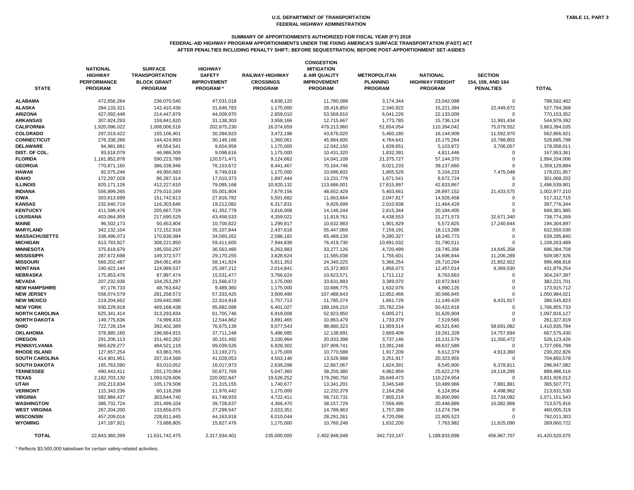### **SUMMARY OF APPORTIONMENTS AUTHORIZED FOR FISCAL YEAR (FY) 2018**

**FEDERAL-AID HIGHWAY PROGRAM APPORTIONMENTS UNDER THE FIXING AMERICA'S SURFACE TRANSPORTATION (FAST) ACT AFTER PENALTIES INCLUDING PENALTY SHIFT; BEFORE SEQUESTRATION; BEFORE POST-APPORTIONMENT SET-ASIDES**

| <b>STATE</b>          | <b>NATIONAL</b><br><b>HIGHWAY</b><br><b>PERFORMANCE</b><br><b>PROGRAM</b> | <b>SURFACE</b><br><b>TRANSPORTATION</b><br><b>BLOCK GRANT</b><br><b>PROGRAM</b> | <b>HIGHWAY</b><br><b>SAFETY</b><br><b>IMPROVEMENT</b><br><b>PROGRAM</b> * | <b>RAILWAY-HIGHWAY</b><br><b>CROSSINGS</b><br><b>PROGRAM</b> | <b>CONGESTION</b><br><b>MITIGATION</b><br>& AIR QUALITY<br><b>IMPROVEMENT</b><br><b>PROGRAM</b> | <b>METROPOLITAN</b><br><b>PLANNING</b><br><b>PROGRAM</b> | <b>NATIONAL</b><br><b>HIGHWAY FREIGHT</b><br><b>PROGRAM</b> | <b>SECTION</b><br>154, 159, AND 164<br><b>PENALTIES</b> | <b>TOTAL</b>   |
|-----------------------|---------------------------------------------------------------------------|---------------------------------------------------------------------------------|---------------------------------------------------------------------------|--------------------------------------------------------------|-------------------------------------------------------------------------------------------------|----------------------------------------------------------|-------------------------------------------------------------|---------------------------------------------------------|----------------|
| ALABAMA               | 472,656,264                                                               | 236,070,540                                                                     | 47,031,018                                                                | 4,838,120                                                    | 11,780,088                                                                                      | 3,174,344                                                | 23,042,088                                                  | $\mathbf 0$                                             | 798,592,462    |
| ALASKA                | 284,133,321                                                               | 142,410,436                                                                     | 31,646,783                                                                | 1,175,000                                                    | 28,416,850                                                                                      | 2,340,922                                                | 15,221,384                                                  | 22,449,672                                              | 527,794,368    |
| ARIZONA               | 427,092,448                                                               | 214,447,879                                                                     | 44,009,970                                                                | 2,859,010                                                    | 53,569,810                                                                                      | 6,041,226                                                | 22,133,009                                                  | 0                                                       | 770,153,352    |
| ARKANSAS              | 307,824,293                                                               | 159,841,620                                                                     | 31,138,303                                                                | 3,958,166                                                    | 12,715,667                                                                                      | 1,773,785                                                | 15,736,124                                                  | 11,991,434                                              | 544,979,392    |
| <b>CALIFORNIA</b>     | 1,920,096,022                                                             | 1,008,006,516                                                                   | 202,875,230                                                               | 16,074,659                                                   | 479,213,960                                                                                     | 51,654,054                                               | 110,394,042                                                 | 75,079,552                                              | 3,863,394,035  |
| <b>COLORADO</b>       | 297,019,422                                                               | 155,106,401                                                                     | 30,394,823                                                                | 3,472,196                                                    | 43,676,020                                                                                      | 5,460,180                                                | 16,144,909                                                  | 11,592,970                                              | 562,866,921    |
| <b>CONNECTICUT</b>    | 276,338,266                                                               | 144,424,993                                                                     | 30,149,166                                                                | 1,360,061                                                    | 45,684,605                                                                                      | 4,764,641                                                | 15,175,264                                                  | 10,788,802                                              | 528,685,798    |
| <b>DELAWARE</b>       | 94,981,681                                                                | 49,554,541                                                                      | 9,654,959                                                                 | 1,175,000                                                    | 12,042,150                                                                                      | 1,839,651                                                | 5,103,972                                                   | 3,706,057                                               | 178,058,011    |
| DIST. OF COL.         | 93,618,079                                                                | 46,986,509                                                                      | 9,098,616                                                                 | 1,175,000                                                    | 10,431,320                                                                                      | 1,832,391                                                | 4,811,446                                                   | 0                                                       | 167,953,361    |
| <b>FLORIDA</b>        | 1,181,852,878                                                             | 590,223,789                                                                     | 120,571,471                                                               | 9,124,662                                                    | 14,041,109                                                                                      | 21,375,727                                               | 57,144,370                                                  | $\Omega$                                                | 1,994,334,006  |
|                       |                                                                           |                                                                                 |                                                                           |                                                              |                                                                                                 |                                                          |                                                             | $\Omega$                                                |                |
| <b>GEORGIA</b>        | 770,871,160                                                               | 386,339,946                                                                     | 76,153,672                                                                | 8,441,467                                                    | 70,164,746                                                                                      | 8,021,233                                                | 39,137,660                                                  |                                                         | 1,359,129,884  |
| HAWAII                | 92,075,246                                                                | 49,950,683                                                                      | 9,749,616                                                                 | 1,175,000                                                    | 10,696,602                                                                                      | 1,805,529                                                | 5,104,233                                                   | 7,475,048                                               | 178,031,957    |
| <b>IDAHO</b>          | 172,297,028                                                               | 86,287,314                                                                      | 17,010,373                                                                | 1,897,444                                                    | 13,231,778                                                                                      | 1,671,541                                                | 8,672,724                                                   | 0                                                       | 301,068,202    |
| <b>ILLINOIS</b>       | 820,171,126                                                               | 412,227,610                                                                     | 79,085,168                                                                | 10,920,132                                                   | 113,686,001                                                                                     | 17,615,997                                               | 42,833,867                                                  | 0                                                       | 1,496,539,901  |
| <b>INDIANA</b>        | 556,899,265                                                               | 279,010,169                                                                     | 55,001,804                                                                | 7,679,156                                                    | 48,652,428                                                                                      | 5,403,661                                                | 28,897,152                                                  | 21,433,575                                              | 1,002,977,210  |
| IOWA                  | 303,613,699                                                               | 151,742,613                                                                     | 27,816,782                                                                | 5,501,682                                                    | 11,663,664                                                                                      | 2,047,817                                                | 14,926,458                                                  | 0                                                       | 517,312,715    |
| <b>KANSAS</b>         | 232,640,719                                                               | 116,303,646                                                                     | 19,212,082                                                                | 6,317,831                                                    | 9,826,699                                                                                       | 2,010,938                                                | 11,464,429                                                  | 0                                                       | 397,776,344    |
| <b>KENTUCKY</b>       | 411,599,476                                                               | 205,667,729                                                                     | 41,352,779                                                                | 3,816,008                                                    | 14,146,244                                                                                      | 2,615,344                                                | 20,184,405                                                  | 0                                                       | 699,381,985    |
| LOUISIANA             | 403,064,959                                                               | 217,690,529                                                                     | 43,458,533                                                                | 4,359,021                                                    | 11,819,761                                                                                      | 4,438,553                                                | 21,271,573                                                  | 32,671,340                                              | 738,774,269    |
| MAINE                 | 96,502,173                                                                | 50,453,804                                                                      | 10,700,822                                                                | 1,299,817                                                    | 10,632,983                                                                                      | 1,901,829                                                | 5,572,825                                                   | 17,240,644                                              | 194,304,897    |
| <b>MARYLAND</b>       | 342,132,104                                                               | 172,152,918                                                                     | 35,107,844                                                                | 2,437,616                                                    | 55,447,069                                                                                      | 7,159,191                                                | 18,113,288                                                  | 0                                                       | 632,550,030    |
| <b>MASSACHUSETTS</b>  | 338,496,073                                                               | 170,638,084                                                                     | 34,560,262                                                                | 2,586,182                                                    | 65,489,139                                                                                      | 9,280,327                                                | 18,245,773                                                  |                                                         | 639,295,840    |
| <b>MICHIGAN</b>       | 613,783,927                                                               | 308,221,850                                                                     | 59,411,600                                                                | 7,944,839                                                    | 76,419,730                                                                                      | 10,691,032                                               | 31,790,511                                                  | $\Omega$                                                | 1,108,263,489  |
| MINNESOTA             | 375,618,679                                                               | 195,550,297                                                                     | 36,563,460                                                                | 6,263,983                                                    | 33,277,126                                                                                      | 4,720,499                                                | 19,745,356                                                  | 14,645,358                                              | 686,384,758    |
| MISSISSIPPI           | 287,672,698                                                               | 149,372,577                                                                     | 29,170,255                                                                | 3,628,624                                                    | 11,585,038                                                                                      | 1,755,601                                                | 14,696,844                                                  | 11,206,289                                              | 509,087,926    |
| <b>MISSOURI</b>       | 568,202,487                                                               | 284,061,459                                                                     | 58,141,824                                                                | 5,811,353                                                    | 24,340,225                                                                                      | 5,366,254                                                | 28,710,294                                                  | 21,852,922                                              | 996,486,818    |
| <b>MONTANA</b>        | 240,422,144                                                               | 124,989,537                                                                     | 25,397,212                                                                | 2,014,841                                                    | 15,372,903                                                                                      | 1,856,073                                                | 12,457,014                                                  | 9,369,530                                               | 431,879,254    |
| NEBRASKA              | 175,853,476                                                               | 87,997,474                                                                      | 15,531,477                                                                | 3,766,624                                                    | 10,623,571                                                                                      | 1,711,112                                                | 8,763,663                                                   | $\mathbf 0$                                             | 304,247,397    |
| <b>NEVADA</b>         | 207,232,936                                                               | 104,253,287                                                                     | 21,566,672                                                                | 1,175,000                                                    | 33,631,893                                                                                      | 3,389,070                                                | 10,972,843                                                  | 0                                                       | 382,221,701    |
| <b>NEW HAMPSHIRE</b>  | 97,178,733                                                                | 48,763,642                                                                      | 9,489,360                                                                 | 1,175,000                                                    | 10,686,775                                                                                      | 1,632,076                                                | 4,990,126                                                   | $\Omega$                                                | 173,915,712    |
| <b>NEW JERSEY</b>     | 558.074.579                                                               | 281,258,573                                                                     | 57,333,425                                                                | 3,909,490                                                    | 107,488,643                                                                                     | 12,852,466                                               | 30,066,845                                                  | $\Omega$                                                | 1,050,984,021  |
| <b>NEW MEXICO</b>     | 219,204,662                                                               | 109,640,090                                                                     | 22,914,918                                                                | 1,757,713                                                    | 11,785,374                                                                                      | 1,661,729                                                | 11,149,420                                                  | 8,431,917                                               | 386,545,823    |
| <b>NEW YORK</b>       | 930,229,918                                                               | 469,168,438                                                                     | 95,682,088                                                                | 6,401,027                                                    | 189,169,210                                                                                     | 25,782,234                                               | 50,422,818                                                  |                                                         | 1,766,855,733  |
|                       |                                                                           |                                                                                 |                                                                           |                                                              |                                                                                                 |                                                          |                                                             |                                                         |                |
| <b>NORTH CAROLINA</b> | 625,341,414                                                               | 313,293,834                                                                     | 61,705,746                                                                | 6,919,008                                                    | 52,923,950                                                                                      | 6,005,271                                                | 31,626,904                                                  |                                                         | 1,097,816,127  |
| NORTH DAKOTA          | 149,775,636                                                               | 74,999,433                                                                      | 12,544,862                                                                | 3,891,465                                                    | 10,863,479                                                                                      | 1,733,379                                                | 7,519,565                                                   | 0                                                       | 261,327,819    |
| OHIO                  | 722,728,154                                                               | 392,402,389                                                                     | 76,675,139                                                                | 9,077,543                                                    | 98,880,323                                                                                      | 11,959,514                                               | 40,521,640                                                  | 58,691,082                                              | 1,410,935,784  |
| OKLAHOMA              | 378,885,160                                                               | 196,664,915                                                                     | 37,711,248                                                                | 5,486,985                                                    | 12,138,691                                                                                      | 2,669,409                                                | 19,261,328                                                  | 14,757,694                                              | 667,575,430    |
| <b>OREGON</b>         | 291,206,113                                                               | 151,462,262                                                                     | 30,101,492                                                                | 3,100,964                                                    | 20,033,398                                                                                      | 3,737,146                                                | 15,131,579                                                  | 11,350,472                                              | 526,123,426    |
| PENNSYLVANIA          | 965,629,277                                                               | 484,521,118                                                                     | 99,039,526                                                                | 6,928,302                                                    | 107,909,741                                                                                     | 13,391,246                                               | 49,637,589                                                  | 0                                                       | 1,727,056,799  |
| <b>RHODE ISLAND</b>   | 127,657,254                                                               | 63,963,765                                                                      | 13,193,271                                                                | 1,175,000                                                    | 10,770,588                                                                                      | 1,917,209                                                | 6,612,379                                                   | 4,913,360                                               | 230,202,826    |
| SOUTH CAROLINA        | 414,901,951                                                               | 207,314,568                                                                     | 41,028,053                                                                | 4,503,146                                                    | 13,526,988                                                                                      | 3,251,917                                                | 20,323,955                                                  | 0                                                       | 704,850,578    |
| SOUTH DAKOTA          | 165,763,590                                                               | 83,010,052                                                                      | 16,017,973                                                                | 2,639,298                                                    | 12,667,067                                                                                      | 1,824,391                                                | 8,545,900                                                   | 6,378,811                                               | 296,847,082    |
| <b>TENNESSEE</b>      | 490,443,411                                                               | 255,170,064                                                                     | 50,871,769                                                                | 5,047,360                                                    | 38,250,380                                                                                      | 4,962,959                                                | 25,622,278                                                  | 19,118,295                                              | 889,486,516    |
| TEXAS                 | 2,182,703,130                                                             | 1,093,528,606                                                                   | 220,002,847                                                               | 19,526,252                                                   | 179,290,750                                                                                     | 26,649,473                                               | 110,224,954                                                 | 0                                                       | 3,831,926,012  |
| UTAH                  | 202,213,834                                                               | 105,179,508                                                                     | 21,315,155                                                                | 1,740,677                                                    | 13,341,201                                                                                      | 3,345,549                                                | 10,489,966                                                  | 7,881,881                                               | 365,507,771    |
| <b>VERMONT</b>        | 115,343,236                                                               | 60,116,299                                                                      | 11,976,442                                                                | 1,175,000                                                    | 12,232,379                                                                                      | 2,164,258                                                | 6,124,954                                                   | 4,498,962                                               | 213,631,530    |
| VIRGINIA              | 582,984,437                                                               | 303,644,740                                                                     | 61,748,933                                                                | 4,722,411                                                    | 56,710,731                                                                                      | 7,805,219                                                | 30,800,990                                                  | 22,734,082                                              | 1,071,151,543  |
| WASHINGTON            | 386,732,724                                                               | 201,499,104                                                                     | 39,728,637                                                                | 4,366,470                                                    | 38,157,729                                                                                      | 7,559,495                                                | 20,448,889                                                  | 15,082,868                                              | 713,575,916    |
| WEST VIRGINIA         | 267,204,200                                                               | 133,656,075                                                                     | 27,299,547                                                                | 2,023,351                                                    | 14,789,963                                                                                      | 1,757,389                                                | 13,274,794                                                  | 0                                                       | 460,005,319    |
| WISCONSIN             | 457,209,016                                                               | 228,811,445                                                                     | 44,163,918                                                                | 6,010,044                                                    | 28,291,261                                                                                      | 4,720,096                                                | 22,805,523                                                  | 0                                                       | 792,011,303    |
| WYOMING               | 147,187,921                                                               | 73,688,805                                                                      | 15,827,476                                                                | 1,175,000                                                    | 10,760,248                                                                                      | 1,632,200                                                | 7,763,982                                                   | 11,625,090                                              | 269,660,722    |
| <b>TOTAL</b>          | 22,843,360,399                                                            | 11,631,742,475                                                                  | 2,317,934,401                                                             | 235,000,000                                                  | 2,402,948,048                                                                                   | 342,733,147                                              | 1,189,833,898                                               | 456,967,707                                             | 41,420,520,075 |

| 0          |
|------------|
| 22,449,672 |
| 0          |
| 11,991,434 |
| 75,079,552 |
| 11,592,970 |
| 10,788,802 |
| 3,706,057  |
| 0          |
| 0          |
| 0          |
| 7,475,048  |
| 0          |
| 0          |
| 21,433,575 |
| 0          |
| 0          |
| 0          |
| 32,671,340 |
| 17,240,644 |
| 0          |
|            |
| 0          |
| 0          |
| 14,645,358 |
| 11,206,289 |
| 21,852,922 |
| 9,369,530  |
| 0          |
| 0          |
| 0          |
| 0          |
| 8,431,917  |
| 0          |
| 0          |
| 0          |
| 58,691,082 |
| 14,757,694 |
| 11,350,472 |
| 0          |
| 4,913,360  |
| 0          |
| 6,378,811  |
| 19,118,295 |
| 0          |
| 7,881,881  |
| 4,498,962  |
| 22,734,082 |
| 15,082,868 |
| 0          |
| 0          |
| 11,625,090 |
|            |